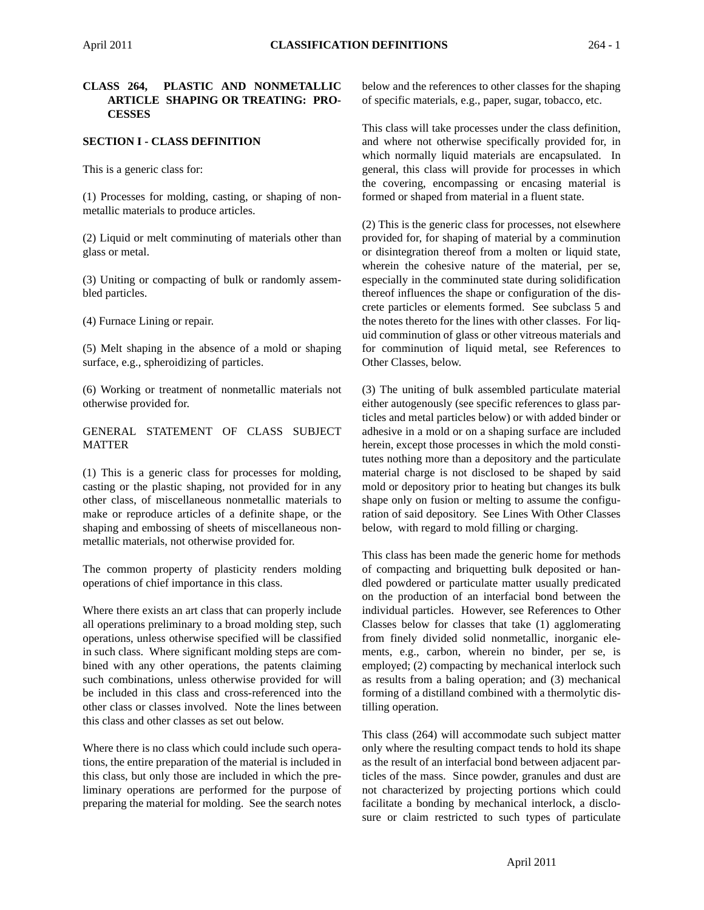#### **CLASS 264, PLASTIC AND NONMETALLIC ARTICLE SHAPING OR TREATING: PRO-CESSES**

### **SECTION I - CLASS DEFINITION**

This is a generic class for:

(1) Processes for molding, casting, or shaping of nonmetallic materials to produce articles.

(2) Liquid or melt comminuting of materials other than glass or metal.

(3) Uniting or compacting of bulk or randomly assembled particles.

(4) Furnace Lining or repair.

(5) Melt shaping in the absence of a mold or shaping surface, e.g., spheroidizing of particles.

(6) Working or treatment of nonmetallic materials not otherwise provided for.

#### GENERAL STATEMENT OF CLASS SUBJECT MATTER

(1) This is a generic class for processes for molding, casting or the plastic shaping, not provided for in any other class, of miscellaneous nonmetallic materials to make or reproduce articles of a definite shape, or the shaping and embossing of sheets of miscellaneous nonmetallic materials, not otherwise provided for.

The common property of plasticity renders molding operations of chief importance in this class.

Where there exists an art class that can properly include all operations preliminary to a broad molding step, such operations, unless otherwise specified will be classified in such class. Where significant molding steps are combined with any other operations, the patents claiming such combinations, unless otherwise provided for will be included in this class and cross-referenced into the other class or classes involved. Note the lines between this class and other classes as set out below.

Where there is no class which could include such operations, the entire preparation of the material is included in this class, but only those are included in which the preliminary operations are performed for the purpose of preparing the material for molding. See the search notes

below and the references to other classes for the shaping of specific materials, e.g., paper, sugar, tobacco, etc.

This class will take processes under the class definition, and where not otherwise specifically provided for, in which normally liquid materials are encapsulated. In general, this class will provide for processes in which the covering, encompassing or encasing material is formed or shaped from material in a fluent state.

(2) This is the generic class for processes, not elsewhere provided for, for shaping of material by a comminution or disintegration thereof from a molten or liquid state, wherein the cohesive nature of the material, per se, especially in the comminuted state during solidification thereof influences the shape or configuration of the discrete particles or elements formed. See subclass 5 and the notes thereto for the lines with other classes. For liquid comminution of glass or other vitreous materials and for comminution of liquid metal, see References to Other Classes, below.

(3) The uniting of bulk assembled particulate material either autogenously (see specific references to glass particles and metal particles below) or with added binder or adhesive in a mold or on a shaping surface are included herein, except those processes in which the mold constitutes nothing more than a depository and the particulate material charge is not disclosed to be shaped by said mold or depository prior to heating but changes its bulk shape only on fusion or melting to assume the configuration of said depository. See Lines With Other Classes below, with regard to mold filling or charging.

This class has been made the generic home for methods of compacting and briquetting bulk deposited or handled powdered or particulate matter usually predicated on the production of an interfacial bond between the individual particles. However, see References to Other Classes below for classes that take (1) agglomerating from finely divided solid nonmetallic, inorganic elements, e.g., carbon, wherein no binder, per se, is employed; (2) compacting by mechanical interlock such as results from a baling operation; and (3) mechanical forming of a distilland combined with a thermolytic distilling operation.

This class (264) will accommodate such subject matter only where the resulting compact tends to hold its shape as the result of an interfacial bond between adjacent particles of the mass. Since powder, granules and dust are not characterized by projecting portions which could facilitate a bonding by mechanical interlock, a disclosure or claim restricted to such types of particulate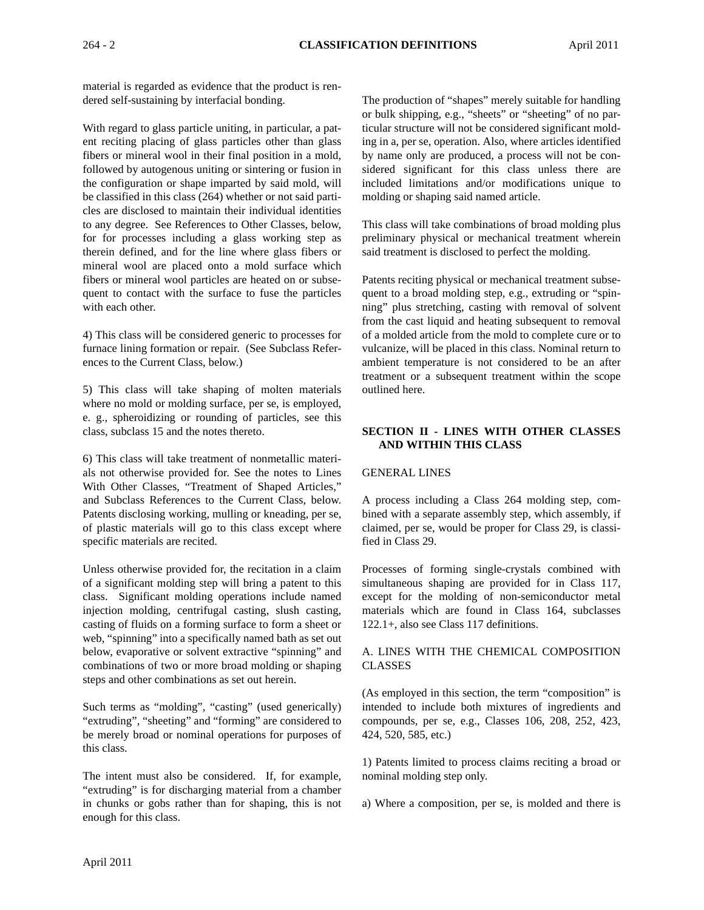material is regarded as evidence that the product is rendered self-sustaining by interfacial bonding.

With regard to glass particle uniting, in particular, a patent reciting placing of glass particles other than glass fibers or mineral wool in their final position in a mold, followed by autogenous uniting or sintering or fusion in the configuration or shape imparted by said mold, will be classified in this class (264) whether or not said particles are disclosed to maintain their individual identities to any degree. See References to Other Classes, below, for for processes including a glass working step as therein defined, and for the line where glass fibers or mineral wool are placed onto a mold surface which fibers or mineral wool particles are heated on or subsequent to contact with the surface to fuse the particles with each other.

4) This class will be considered generic to processes for furnace lining formation or repair. (See Subclass References to the Current Class, below.)

5) This class will take shaping of molten materials where no mold or molding surface, per se, is employed, e. g., spheroidizing or rounding of particles, see this class, subclass 15 and the notes thereto.

6) This class will take treatment of nonmetallic materials not otherwise provided for. See the notes to Lines With Other Classes, "Treatment of Shaped Articles," and Subclass References to the Current Class, below. Patents disclosing working, mulling or kneading, per se, of plastic materials will go to this class except where specific materials are recited.

Unless otherwise provided for, the recitation in a claim of a significant molding step will bring a patent to this class. Significant molding operations include named injection molding, centrifugal casting, slush casting, casting of fluids on a forming surface to form a sheet or web, "spinning" into a specifically named bath as set out below, evaporative or solvent extractive "spinning" and combinations of two or more broad molding or shaping steps and other combinations as set out herein.

Such terms as "molding", "casting" (used generically) "extruding", "sheeting" and "forming" are considered to be merely broad or nominal operations for purposes of this class.

The intent must also be considered. If, for example, "extruding" is for discharging material from a chamber in chunks or gobs rather than for shaping, this is not enough for this class.

The production of "shapes" merely suitable for handling or bulk shipping, e.g., "sheets" or "sheeting" of no particular structure will not be considered significant molding in a, per se, operation. Also, where articles identified by name only are produced, a process will not be considered significant for this class unless there are included limitations and/or modifications unique to molding or shaping said named article.

This class will take combinations of broad molding plus preliminary physical or mechanical treatment wherein said treatment is disclosed to perfect the molding.

Patents reciting physical or mechanical treatment subsequent to a broad molding step, e.g., extruding or "spinning" plus stretching, casting with removal of solvent from the cast liquid and heating subsequent to removal of a molded article from the mold to complete cure or to vulcanize, will be placed in this class. Nominal return to ambient temperature is not considered to be an after treatment or a subsequent treatment within the scope outlined here.

### **SECTION II - LINES WITH OTHER CLASSES AND WITHIN THIS CLASS**

#### GENERAL LINES

A process including a Class 264 molding step, combined with a separate assembly step, which assembly, if claimed, per se, would be proper for Class 29, is classified in Class 29.

Processes of forming single-crystals combined with simultaneous shaping are provided for in Class 117, except for the molding of non-semiconductor metal materials which are found in Class 164, subclasses 122.1+, also see Class 117 definitions.

### A. LINES WITH THE CHEMICAL COMPOSITION **CLASSES**

(As employed in this section, the term "composition" is intended to include both mixtures of ingredients and compounds, per se, e.g., Classes 106, 208, 252, 423, 424, 520, 585, etc.)

1) Patents limited to process claims reciting a broad or nominal molding step only.

a) Where a composition, per se, is molded and there is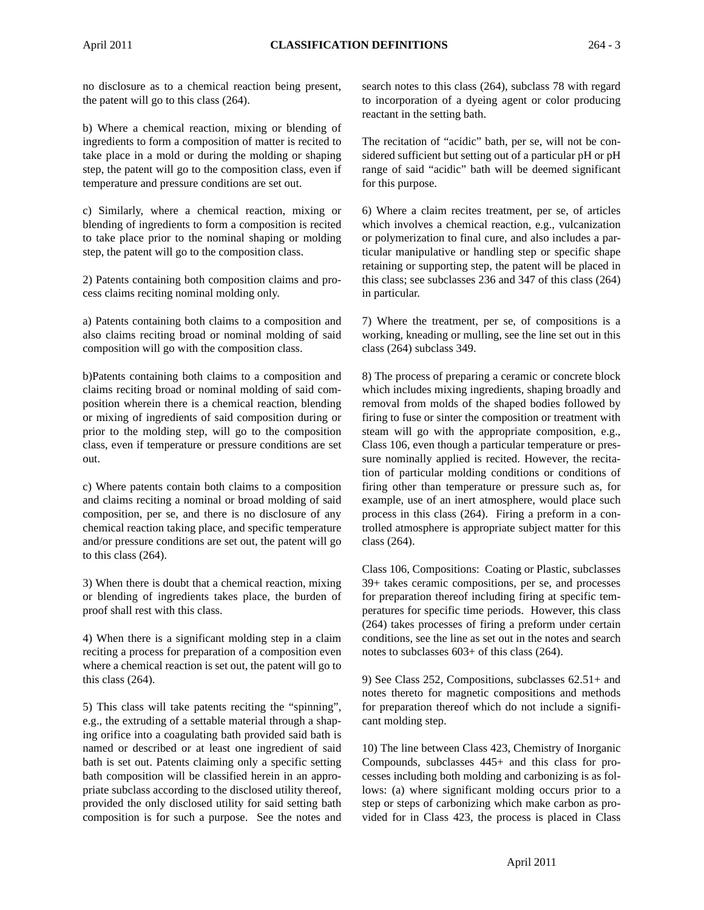no disclosure as to a chemical reaction being present, the patent will go to this class (264).

b) Where a chemical reaction, mixing or blending of ingredients to form a composition of matter is recited to take place in a mold or during the molding or shaping step, the patent will go to the composition class, even if temperature and pressure conditions are set out.

c) Similarly, where a chemical reaction, mixing or blending of ingredients to form a composition is recited to take place prior to the nominal shaping or molding step, the patent will go to the composition class.

2) Patents containing both composition claims and process claims reciting nominal molding only.

a) Patents containing both claims to a composition and also claims reciting broad or nominal molding of said composition will go with the composition class.

b)Patents containing both claims to a composition and claims reciting broad or nominal molding of said composition wherein there is a chemical reaction, blending or mixing of ingredients of said composition during or prior to the molding step, will go to the composition class, even if temperature or pressure conditions are set out.

c) Where patents contain both claims to a composition and claims reciting a nominal or broad molding of said composition, per se, and there is no disclosure of any chemical reaction taking place, and specific temperature and/or pressure conditions are set out, the patent will go to this class (264).

3) When there is doubt that a chemical reaction, mixing or blending of ingredients takes place, the burden of proof shall rest with this class.

4) When there is a significant molding step in a claim reciting a process for preparation of a composition even where a chemical reaction is set out, the patent will go to this class (264).

5) This class will take patents reciting the "spinning", e.g., the extruding of a settable material through a shaping orifice into a coagulating bath provided said bath is named or described or at least one ingredient of said bath is set out. Patents claiming only a specific setting bath composition will be classified herein in an appropriate subclass according to the disclosed utility thereof, provided the only disclosed utility for said setting bath composition is for such a purpose. See the notes and search notes to this class (264), subclass 78 with regard to incorporation of a dyeing agent or color producing reactant in the setting bath.

The recitation of "acidic" bath, per se, will not be considered sufficient but setting out of a particular pH or pH range of said "acidic" bath will be deemed significant for this purpose.

6) Where a claim recites treatment, per se, of articles which involves a chemical reaction, e.g., vulcanization or polymerization to final cure, and also includes a particular manipulative or handling step or specific shape retaining or supporting step, the patent will be placed in this class; see subclasses 236 and 347 of this class (264) in particular.

7) Where the treatment, per se, of compositions is a working, kneading or mulling, see the line set out in this class (264) subclass 349.

8) The process of preparing a ceramic or concrete block which includes mixing ingredients, shaping broadly and removal from molds of the shaped bodies followed by firing to fuse or sinter the composition or treatment with steam will go with the appropriate composition, e.g., Class 106, even though a particular temperature or pressure nominally applied is recited. However, the recitation of particular molding conditions or conditions of firing other than temperature or pressure such as, for example, use of an inert atmosphere, would place such process in this class (264). Firing a preform in a controlled atmosphere is appropriate subject matter for this class (264).

Class 106, Compositions: Coating or Plastic, subclasses 39+ takes ceramic compositions, per se, and processes for preparation thereof including firing at specific temperatures for specific time periods. However, this class (264) takes processes of firing a preform under certain conditions, see the line as set out in the notes and search notes to subclasses 603+ of this class (264).

9) See Class 252, Compositions, subclasses 62.51+ and notes thereto for magnetic compositions and methods for preparation thereof which do not include a significant molding step.

10) The line between Class 423, Chemistry of Inorganic Compounds, subclasses 445+ and this class for processes including both molding and carbonizing is as follows: (a) where significant molding occurs prior to a step or steps of carbonizing which make carbon as provided for in Class 423, the process is placed in Class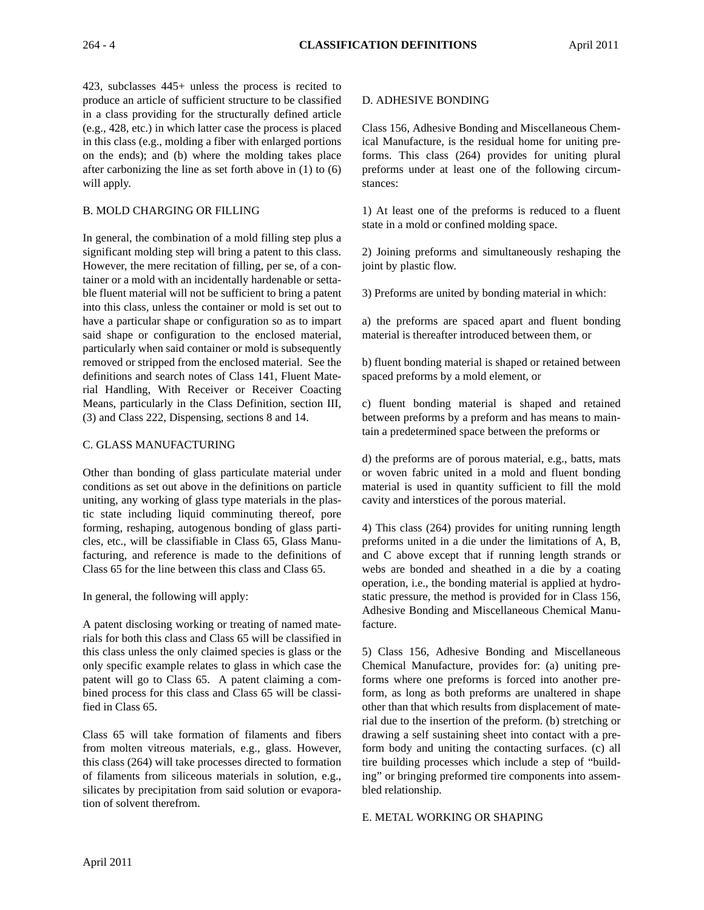423, subclasses 445+ unless the process is recited to produce an article of sufficient structure to be classified in a class providing for the structurally defined article (e.g., 428, etc.) in which latter case the process is placed in this class (e.g., molding a fiber with enlarged portions on the ends); and (b) where the molding takes place after carbonizing the line as set forth above in (1) to (6) will apply.

#### B. MOLD CHARGING OR FILLING

In general, the combination of a mold filling step plus a significant molding step will bring a patent to this class. However, the mere recitation of filling, per se, of a container or a mold with an incidentally hardenable or settable fluent material will not be sufficient to bring a patent into this class, unless the container or mold is set out to have a particular shape or configuration so as to impart said shape or configuration to the enclosed material, particularly when said container or mold is subsequently removed or stripped from the enclosed material. See the definitions and search notes of Class 141, Fluent Material Handling, With Receiver or Receiver Coacting Means, particularly in the Class Definition, section III, (3) and Class 222, Dispensing, sections 8 and 14.

#### C. GLASS MANUFACTURING

Other than bonding of glass particulate material under conditions as set out above in the definitions on particle uniting, any working of glass type materials in the plastic state including liquid comminuting thereof, pore forming, reshaping, autogenous bonding of glass particles, etc., will be classifiable in Class 65, Glass Manufacturing, and reference is made to the definitions of Class 65 for the line between this class and Class 65.

In general, the following will apply:

A patent disclosing working or treating of named materials for both this class and Class 65 will be classified in this class unless the only claimed species is glass or the only specific example relates to glass in which case the patent will go to Class 65. A patent claiming a combined process for this class and Class 65 will be classified in Class 65.

Class 65 will take formation of filaments and fibers from molten vitreous materials, e.g., glass. However, this class (264) will take processes directed to formation of filaments from siliceous materials in solution, e.g., silicates by precipitation from said solution or evaporation of solvent therefrom.

#### D. ADHESIVE BONDING

Class 156, Adhesive Bonding and Miscellaneous Chemical Manufacture, is the residual home for uniting preforms. This class (264) provides for uniting plural preforms under at least one of the following circumstances:

1) At least one of the preforms is reduced to a fluent state in a mold or confined molding space.

2) Joining preforms and simultaneously reshaping the joint by plastic flow.

3) Preforms are united by bonding material in which:

a) the preforms are spaced apart and fluent bonding material is thereafter introduced between them, or

b) fluent bonding material is shaped or retained between spaced preforms by a mold element, or

c) fluent bonding material is shaped and retained between preforms by a preform and has means to maintain a predetermined space between the preforms or

d) the preforms are of porous material, e.g., batts, mats or woven fabric united in a mold and fluent bonding material is used in quantity sufficient to fill the mold cavity and interstices of the porous material.

4) This class (264) provides for uniting running length preforms united in a die under the limitations of A, B, and C above except that if running length strands or webs are bonded and sheathed in a die by a coating operation, i.e., the bonding material is applied at hydrostatic pressure, the method is provided for in Class 156, Adhesive Bonding and Miscellaneous Chemical Manufacture.

5) Class 156, Adhesive Bonding and Miscellaneous Chemical Manufacture, provides for: (a) uniting preforms where one preforms is forced into another preform, as long as both preforms are unaltered in shape other than that which results from displacement of material due to the insertion of the preform. (b) stretching or drawing a self sustaining sheet into contact with a preform body and uniting the contacting surfaces. (c) all tire building processes which include a step of "building" or bringing preformed tire components into assembled relationship.

#### E. METAL WORKING OR SHAPING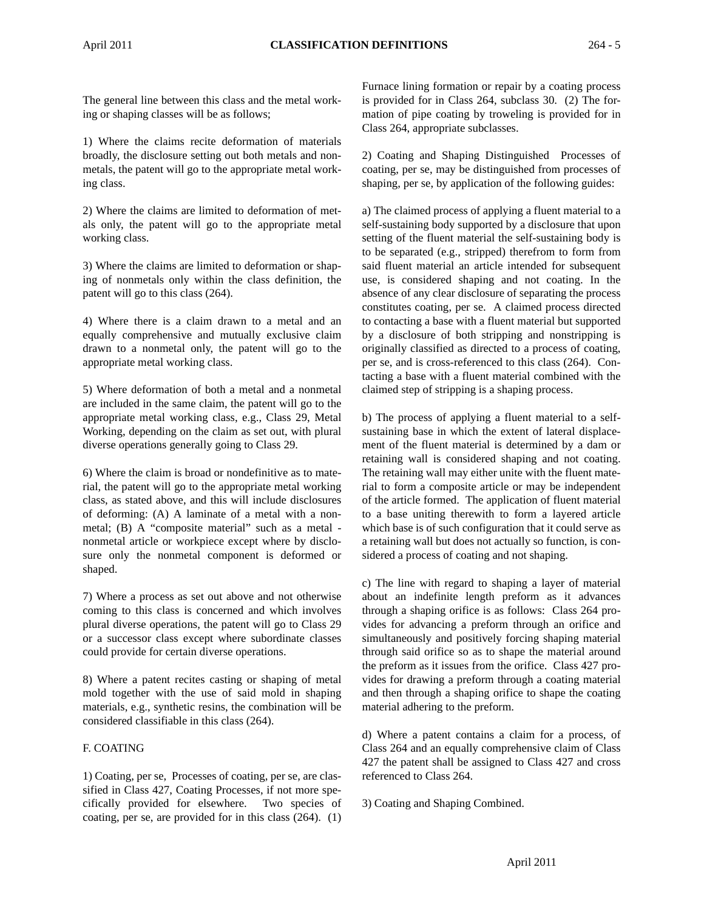The general line between this class and the metal working or shaping classes will be as follows;

1) Where the claims recite deformation of materials broadly, the disclosure setting out both metals and nonmetals, the patent will go to the appropriate metal working class.

2) Where the claims are limited to deformation of metals only, the patent will go to the appropriate metal working class.

3) Where the claims are limited to deformation or shaping of nonmetals only within the class definition, the patent will go to this class (264).

4) Where there is a claim drawn to a metal and an equally comprehensive and mutually exclusive claim drawn to a nonmetal only, the patent will go to the appropriate metal working class.

5) Where deformation of both a metal and a nonmetal are included in the same claim, the patent will go to the appropriate metal working class, e.g., Class 29, Metal Working, depending on the claim as set out, with plural diverse operations generally going to Class 29.

6) Where the claim is broad or nondefinitive as to material, the patent will go to the appropriate metal working class, as stated above, and this will include disclosures of deforming: (A) A laminate of a metal with a nonmetal; (B) A "composite material" such as a metal nonmetal article or workpiece except where by disclosure only the nonmetal component is deformed or shaped.

7) Where a process as set out above and not otherwise coming to this class is concerned and which involves plural diverse operations, the patent will go to Class 29 or a successor class except where subordinate classes could provide for certain diverse operations.

8) Where a patent recites casting or shaping of metal mold together with the use of said mold in shaping materials, e.g., synthetic resins, the combination will be considered classifiable in this class (264).

### F. COATING

1) Coating, per se, Processes of coating, per se, are classified in Class 427, Coating Processes, if not more specifically provided for elsewhere. Two species of coating, per se, are provided for in this class (264). (1)

Furnace lining formation or repair by a coating process is provided for in Class 264, subclass 30. (2) The formation of pipe coating by troweling is provided for in Class 264, appropriate subclasses.

2) Coating and Shaping Distinguished Processes of coating, per se, may be distinguished from processes of shaping, per se, by application of the following guides:

a) The claimed process of applying a fluent material to a self-sustaining body supported by a disclosure that upon setting of the fluent material the self-sustaining body is to be separated (e.g., stripped) therefrom to form from said fluent material an article intended for subsequent use, is considered shaping and not coating. In the absence of any clear disclosure of separating the process constitutes coating, per se. A claimed process directed to contacting a base with a fluent material but supported by a disclosure of both stripping and nonstripping is originally classified as directed to a process of coating, per se, and is cross-referenced to this class (264). Contacting a base with a fluent material combined with the claimed step of stripping is a shaping process.

b) The process of applying a fluent material to a selfsustaining base in which the extent of lateral displacement of the fluent material is determined by a dam or retaining wall is considered shaping and not coating. The retaining wall may either unite with the fluent material to form a composite article or may be independent of the article formed. The application of fluent material to a base uniting therewith to form a layered article which base is of such configuration that it could serve as a retaining wall but does not actually so function, is considered a process of coating and not shaping.

c) The line with regard to shaping a layer of material about an indefinite length preform as it advances through a shaping orifice is as follows: Class 264 provides for advancing a preform through an orifice and simultaneously and positively forcing shaping material through said orifice so as to shape the material around the preform as it issues from the orifice. Class 427 provides for drawing a preform through a coating material and then through a shaping orifice to shape the coating material adhering to the preform.

d) Where a patent contains a claim for a process, of Class 264 and an equally comprehensive claim of Class 427 the patent shall be assigned to Class 427 and cross referenced to Class 264.

3) Coating and Shaping Combined.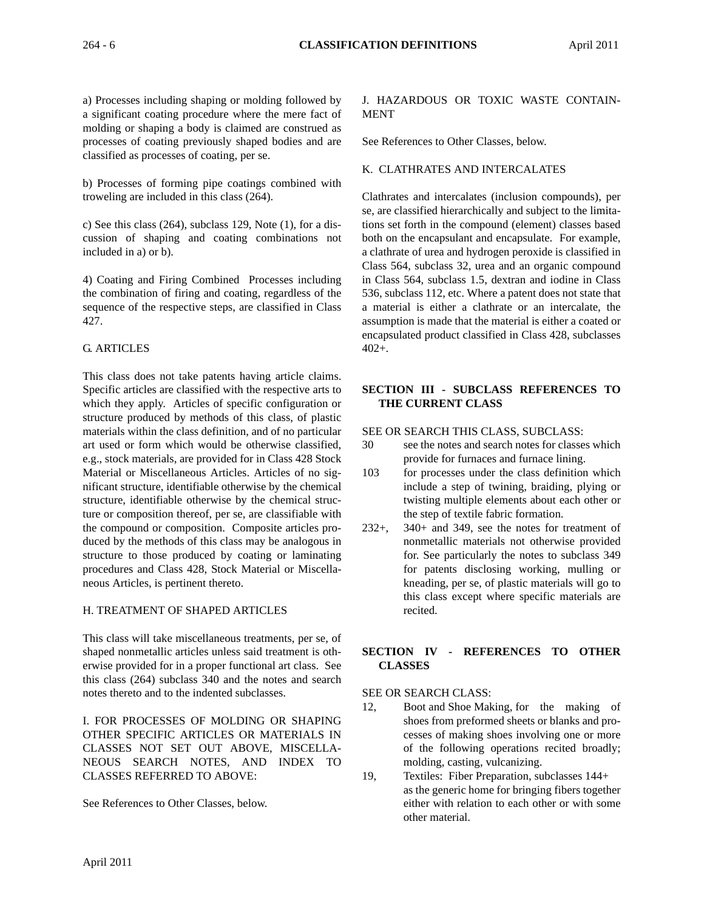a) Processes including shaping or molding followed by a significant coating procedure where the mere fact of molding or shaping a body is claimed are construed as processes of coating previously shaped bodies and are classified as processes of coating, per se.

b) Processes of forming pipe coatings combined with troweling are included in this class (264).

c) See this class (264), subclass 129, Note (1), for a discussion of shaping and coating combinations not included in a) or b).

4) Coating and Firing Combined Processes including the combination of firing and coating, regardless of the sequence of the respective steps, are classified in Class 427.

### G. ARTICLES

This class does not take patents having article claims. Specific articles are classified with the respective arts to which they apply. Articles of specific configuration or structure produced by methods of this class, of plastic materials within the class definition, and of no particular art used or form which would be otherwise classified, e.g., stock materials, are provided for in Class 428 Stock Material or Miscellaneous Articles. Articles of no significant structure, identifiable otherwise by the chemical structure, identifiable otherwise by the chemical structure or composition thereof, per se, are classifiable with the compound or composition. Composite articles produced by the methods of this class may be analogous in structure to those produced by coating or laminating procedures and Class 428, Stock Material or Miscellaneous Articles, is pertinent thereto.

### H. TREATMENT OF SHAPED ARTICLES

This class will take miscellaneous treatments, per se, of shaped nonmetallic articles unless said treatment is otherwise provided for in a proper functional art class. See this class (264) subclass 340 and the notes and search notes thereto and to the indented subclasses.

I. FOR PROCESSES OF MOLDING OR SHAPING OTHER SPECIFIC ARTICLES OR MATERIALS IN CLASSES NOT SET OUT ABOVE, MISCELLA-NEOUS SEARCH NOTES, AND INDEX TO CLASSES REFERRED TO ABOVE:

See References to Other Classes, below.

### J. HAZARDOUS OR TOXIC WASTE CONTAIN-MENT

See References to Other Classes, below.

#### K. CLATHRATES AND INTERCALATES

Clathrates and intercalates (inclusion compounds), per se, are classified hierarchically and subject to the limitations set forth in the compound (element) classes based both on the encapsulant and encapsulate. For example, a clathrate of urea and hydrogen peroxide is classified in Class 564, subclass 32, urea and an organic compound in Class 564, subclass 1.5, dextran and iodine in Class 536, subclass 112, etc. Where a patent does not state that a material is either a clathrate or an intercalate, the assumption is made that the material is either a coated or encapsulated product classified in Class 428, subclasses 402+.

#### **SECTION III - SUBCLASS REFERENCES TO THE CURRENT CLASS**

SEE OR SEARCH THIS CLASS, SUBCLASS:

- 30 see the notes and search notes for classes which provide for furnaces and furnace lining.
- 103 for processes under the class definition which include a step of twining, braiding, plying or twisting multiple elements about each other or the step of textile fabric formation.
- 232+, 340+ and 349, see the notes for treatment of nonmetallic materials not otherwise provided for. See particularly the notes to subclass 349 for patents disclosing working, mulling or kneading, per se, of plastic materials will go to this class except where specific materials are recited.

### **SECTION IV - REFERENCES TO OTHER CLASSES**

SEE OR SEARCH CLASS:

- 12, Boot and Shoe Making, for the making of shoes from preformed sheets or blanks and processes of making shoes involving one or more of the following operations recited broadly; molding, casting, vulcanizing.
- 19, Textiles: Fiber Preparation, subclasses 144+ as the generic home for bringing fibers together either with relation to each other or with some other material.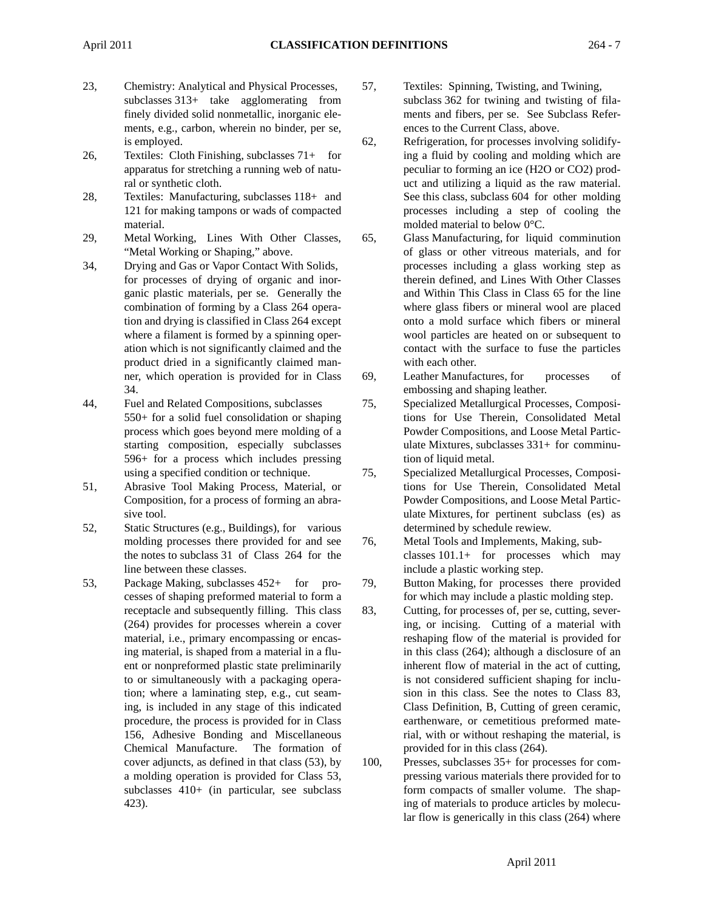- 23, Chemistry: Analytical and Physical Processes, subclasses 313+ take agglomerating from finely divided solid nonmetallic, inorganic elements, e.g., carbon, wherein no binder, per se, is employed.
- 26, Textiles: Cloth Finishing, subclasses 71+ for apparatus for stretching a running web of natural or synthetic cloth.
- 28, Textiles: Manufacturing, subclasses 118+ and 121 for making tampons or wads of compacted material.
- 29, Metal Working, Lines With Other Classes, "Metal Working or Shaping," above.
- 34, Drying and Gas or Vapor Contact With Solids, for processes of drying of organic and inorganic plastic materials, per se. Generally the combination of forming by a Class 264 operation and drying is classified in Class 264 except where a filament is formed by a spinning operation which is not significantly claimed and the product dried in a significantly claimed manner, which operation is provided for in Class 34.
- 44, Fuel and Related Compositions, subclasses 550+ for a solid fuel consolidation or shaping process which goes beyond mere molding of a starting composition, especially subclasses 596+ for a process which includes pressing using a specified condition or technique.
- 51, Abrasive Tool Making Process, Material, or Composition, for a process of forming an abrasive tool.
- 52, Static Structures (e.g., Buildings), for various molding processes there provided for and see the notes to subclass 31 of Class 264 for the line between these classes.
- 53, Package Making, subclasses 452+ for processes of shaping preformed material to form a receptacle and subsequently filling. This class (264) provides for processes wherein a cover material, i.e., primary encompassing or encasing material, is shaped from a material in a fluent or nonpreformed plastic state preliminarily to or simultaneously with a packaging operation; where a laminating step, e.g., cut seaming, is included in any stage of this indicated procedure, the process is provided for in Class 156, Adhesive Bonding and Miscellaneous Chemical Manufacture. The formation of cover adjuncts, as defined in that class (53), by a molding operation is provided for Class 53, subclasses 410+ (in particular, see subclass 423).
- 57, Textiles: Spinning, Twisting, and Twining, subclass 362 for twining and twisting of filaments and fibers, per se. See Subclass References to the Current Class, above.
- 62, Refrigeration, for processes involving solidifying a fluid by cooling and molding which are peculiar to forming an ice (H2O or CO2) product and utilizing a liquid as the raw material. See this class, subclass 604 for other molding processes including a step of cooling the molded material to below 0°C.
- 65, Glass Manufacturing, for liquid comminution of glass or other vitreous materials, and for processes including a glass working step as therein defined, and Lines With Other Classes and Within This Class in Class 65 for the line where glass fibers or mineral wool are placed onto a mold surface which fibers or mineral wool particles are heated on or subsequent to contact with the surface to fuse the particles with each other.
- 69, Leather Manufactures, for processes of embossing and shaping leather.
- 75, Specialized Metallurgical Processes, Compositions for Use Therein, Consolidated Metal Powder Compositions, and Loose Metal Particulate Mixtures, subclasses 331+ for comminution of liquid metal.
- 75, Specialized Metallurgical Processes, Compositions for Use Therein, Consolidated Metal Powder Compositions, and Loose Metal Particulate Mixtures, for pertinent subclass (es) as determined by schedule rewiew.
- 76, Metal Tools and Implements, Making, subclasses 101.1+ for processes which may include a plastic working step.
- 79, Button Making, for processes there provided for which may include a plastic molding step.
- 83, Cutting, for processes of, per se, cutting, severing, or incising. Cutting of a material with reshaping flow of the material is provided for in this class (264); although a disclosure of an inherent flow of material in the act of cutting, is not considered sufficient shaping for inclusion in this class. See the notes to Class 83, Class Definition, B, Cutting of green ceramic, earthenware, or cemetitious preformed material, with or without reshaping the material, is provided for in this class (264).
- 100, Presses, subclasses 35+ for processes for compressing various materials there provided for to form compacts of smaller volume. The shaping of materials to produce articles by molecular flow is generically in this class (264) where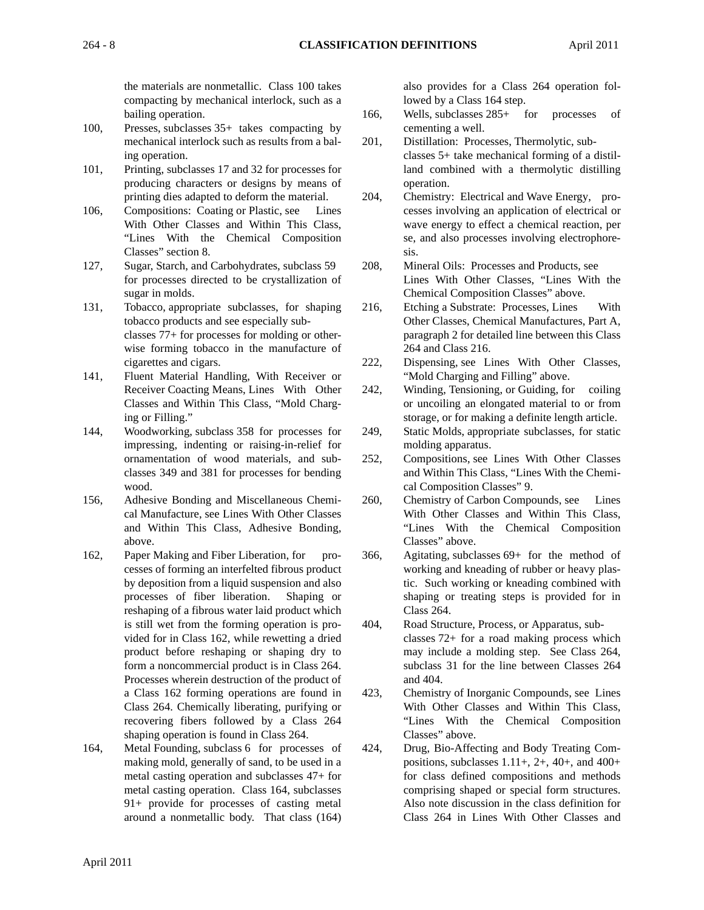the materials are nonmetallic. Class 100 takes compacting by mechanical interlock, such as a bailing operation.

- 100, Presses, subclasses 35+ takes compacting by mechanical interlock such as results from a baling operation.
- 101, Printing, subclasses 17 and 32 for processes for producing characters or designs by means of printing dies adapted to deform the material.
- 106, Compositions: Coating or Plastic, see Lines With Other Classes and Within This Class, "Lines With the Chemical Composition Classes" section 8.
- 127, Sugar, Starch, and Carbohydrates, subclass 59 for processes directed to be crystallization of sugar in molds.
- 131, Tobacco, appropriate subclasses, for shaping tobacco products and see especially subclasses 77+ for processes for molding or otherwise forming tobacco in the manufacture of cigarettes and cigars.
- 141, Fluent Material Handling, With Receiver or Receiver Coacting Means, Lines With Other Classes and Within This Class, "Mold Charging or Filling."
- 144, Woodworking, subclass 358 for processes for impressing, indenting or raising-in-relief for ornamentation of wood materials, and subclasses 349 and 381 for processes for bending wood.
- 156, Adhesive Bonding and Miscellaneous Chemical Manufacture, see Lines With Other Classes and Within This Class, Adhesive Bonding, above.
- 162, Paper Making and Fiber Liberation, for processes of forming an interfelted fibrous product by deposition from a liquid suspension and also processes of fiber liberation. Shaping or reshaping of a fibrous water laid product which is still wet from the forming operation is provided for in Class 162, while rewetting a dried product before reshaping or shaping dry to form a noncommercial product is in Class 264. Processes wherein destruction of the product of a Class 162 forming operations are found in Class 264. Chemically liberating, purifying or recovering fibers followed by a Class 264 shaping operation is found in Class 264.
- 164, Metal Founding, subclass 6 for processes of making mold, generally of sand, to be used in a metal casting operation and subclasses 47+ for metal casting operation. Class 164, subclasses 91+ provide for processes of casting metal around a nonmetallic body. That class (164)

also provides for a Class 264 operation followed by a Class 164 step.

- 166, Wells, subclasses 285+ for processes of cementing a well.
- 201, Distillation: Processes, Thermolytic, subclasses 5+ take mechanical forming of a distilland combined with a thermolytic distilling operation.
- 204, Chemistry: Electrical and Wave Energy, processes involving an application of electrical or wave energy to effect a chemical reaction, per se, and also processes involving electrophoresis.
- 208, Mineral Oils: Processes and Products, see Lines With Other Classes, "Lines With the Chemical Composition Classes" above.
- 216, Etching a Substrate: Processes, Lines With Other Classes, Chemical Manufactures, Part A, paragraph 2 for detailed line between this Class 264 and Class 216.
- 222, Dispensing, see Lines With Other Classes, "Mold Charging and Filling" above.
- 242, Winding, Tensioning, or Guiding, for coiling or uncoiling an elongated material to or from storage, or for making a definite length article.
- 249, Static Molds, appropriate subclasses, for static molding apparatus.
- 252, Compositions, see Lines With Other Classes and Within This Class, "Lines With the Chemical Composition Classes" 9.
- 260, Chemistry of Carbon Compounds, see Lines With Other Classes and Within This Class, "Lines With the Chemical Composition Classes" above.
- 366, Agitating, subclasses 69+ for the method of working and kneading of rubber or heavy plastic. Such working or kneading combined with shaping or treating steps is provided for in Class 264.
- 404, Road Structure, Process, or Apparatus, subclasses 72+ for a road making process which may include a molding step. See Class 264, subclass 31 for the line between Classes 264 and 404.
- 423, Chemistry of Inorganic Compounds, see Lines With Other Classes and Within This Class, "Lines With the Chemical Composition Classes" above.
- 424, Drug, Bio-Affecting and Body Treating Compositions, subclasses  $1.11+$ ,  $2+$ ,  $40+$ , and  $400+$ for class defined compositions and methods comprising shaped or special form structures. Also note discussion in the class definition for Class 264 in Lines With Other Classes and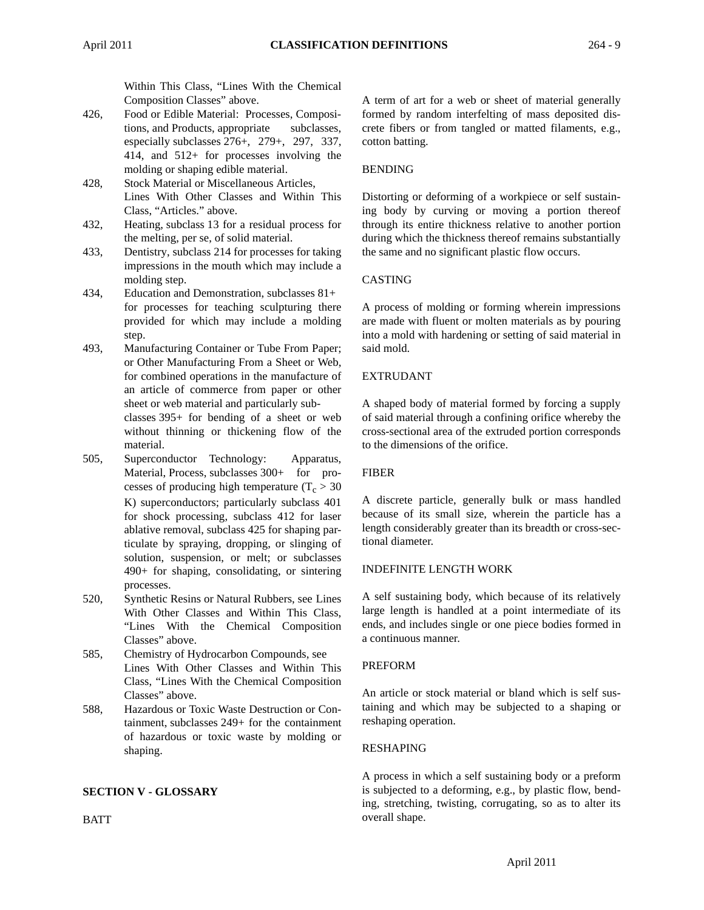Within This Class, "Lines With the Chemical Composition Classes" above.

- 426, Food or Edible Material: Processes, Compositions, and Products, appropriate subclasses, especially subclasses 276+, 279+, 297, 337, 414, and 512+ for processes involving the molding or shaping edible material.
- 428, Stock Material or Miscellaneous Articles, Lines With Other Classes and Within This Class, "Articles." above.
- 432, Heating, subclass 13 for a residual process for the melting, per se, of solid material.
- 433, Dentistry, subclass 214 for processes for taking impressions in the mouth which may include a molding step.
- 434, Education and Demonstration, subclasses 81+ for processes for teaching sculpturing there provided for which may include a molding step.
- 493, Manufacturing Container or Tube From Paper; or Other Manufacturing From a Sheet or Web, for combined operations in the manufacture of an article of commerce from paper or other sheet or web material and particularly sub-

classes 395+ for bending of a sheet or web without thinning or thickening flow of the material.

- 505, Superconductor Technology: Apparatus, Material, Process, subclasses 300+ for processes of producing high temperature ( $T_c > 30$ K) superconductors; particularly subclass 401 for shock processing, subclass 412 for laser ablative removal, subclass 425 for shaping particulate by spraying, dropping, or slinging of solution, suspension, or melt; or subclasses 490+ for shaping, consolidating, or sintering processes.
- 520, Synthetic Resins or Natural Rubbers, see Lines With Other Classes and Within This Class, "Lines With the Chemical Composition Classes" above.
- 585, Chemistry of Hydrocarbon Compounds, see Lines With Other Classes and Within This Class, "Lines With the Chemical Composition Classes" above.
- 588, Hazardous or Toxic Waste Destruction or Containment, subclasses 249+ for the containment of hazardous or toxic waste by molding or shaping.

#### **SECTION V - GLOSSARY**

**BATT** 

A term of art for a web or sheet of material generally formed by random interfelting of mass deposited discrete fibers or from tangled or matted filaments, e.g., cotton batting.

#### BENDING

Distorting or deforming of a workpiece or self sustaining body by curving or moving a portion thereof through its entire thickness relative to another portion during which the thickness thereof remains substantially the same and no significant plastic flow occurs.

#### CASTING

A process of molding or forming wherein impressions are made with fluent or molten materials as by pouring into a mold with hardening or setting of said material in said mold.

#### EXTRUDANT

A shaped body of material formed by forcing a supply of said material through a confining orifice whereby the cross-sectional area of the extruded portion corresponds to the dimensions of the orifice.

#### FIBER

A discrete particle, generally bulk or mass handled because of its small size, wherein the particle has a length considerably greater than its breadth or cross-sectional diameter.

### INDEFINITE LENGTH WORK

A self sustaining body, which because of its relatively large length is handled at a point intermediate of its ends, and includes single or one piece bodies formed in a continuous manner.

#### PREFORM

An article or stock material or bland which is self sustaining and which may be subjected to a shaping or reshaping operation.

### RESHAPING

A process in which a self sustaining body or a preform is subjected to a deforming, e.g., by plastic flow, bending, stretching, twisting, corrugating, so as to alter its overall shape.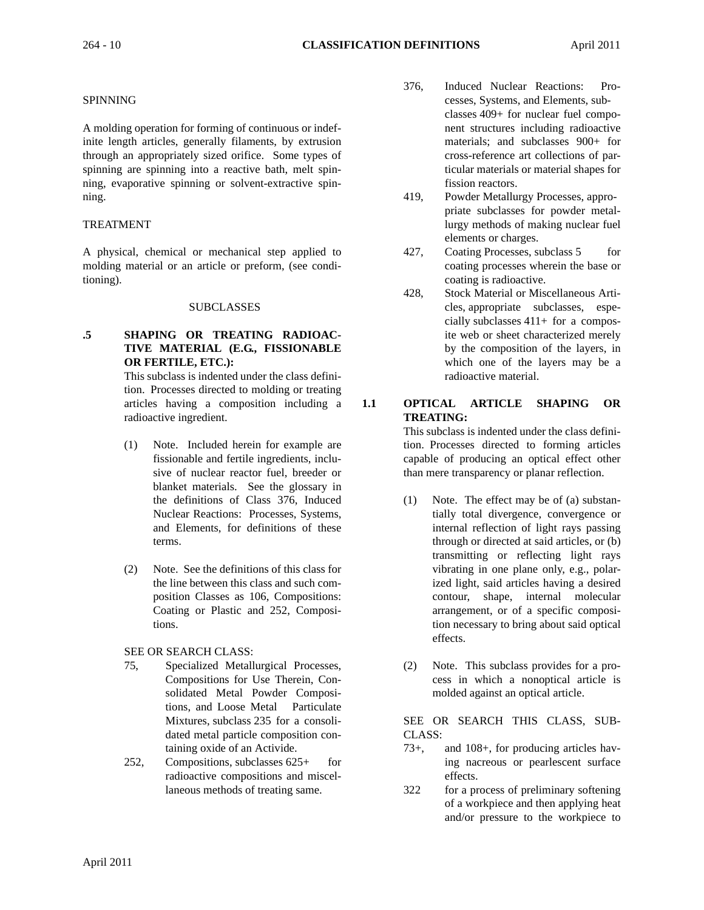### SPINNING

A molding operation for forming of continuous or indefinite length articles, generally filaments, by extrusion through an appropriately sized orifice. Some types of spinning are spinning into a reactive bath, melt spinning, evaporative spinning or solvent-extractive spinning.

### TREATMENT

A physical, chemical or mechanical step applied to molding material or an article or preform, (see conditioning).

#### SUBCLASSES

### **.5 SHAPING OR TREATING RADIOAC-TIVE MATERIAL (E.G., FISSIONABLE OR FERTILE, ETC.):**

This subclass is indented under the class definition. Processes directed to molding or treating articles having a composition including a radioactive ingredient.

- (1) Note. Included herein for example are fissionable and fertile ingredients, inclusive of nuclear reactor fuel, breeder or blanket materials. See the glossary in the definitions of Class 376, Induced Nuclear Reactions: Processes, Systems, and Elements, for definitions of these terms.
- (2) Note. See the definitions of this class for the line between this class and such composition Classes as 106, Compositions: Coating or Plastic and 252, Compositions.

### SEE OR SEARCH CLASS:

- 75, Specialized Metallurgical Processes, Compositions for Use Therein, Consolidated Metal Powder Compositions, and Loose Metal Particulate Mixtures, subclass 235 for a consolidated metal particle composition containing oxide of an Activide.
- 252, Compositions, subclasses 625+ for radioactive compositions and miscellaneous methods of treating same.
- 376, Induced Nuclear Reactions: Processes, Systems, and Elements, subclasses 409+ for nuclear fuel component structures including radioactive materials; and subclasses 900+ for cross-reference art collections of particular materials or material shapes for fission reactors.
- 419, Powder Metallurgy Processes, appropriate subclasses for powder metallurgy methods of making nuclear fuel elements or charges.
- 427, Coating Processes, subclass 5 for coating processes wherein the base or coating is radioactive.
- 428, Stock Material or Miscellaneous Articles, appropriate subclasses, especially subclasses 411+ for a composite web or sheet characterized merely by the composition of the layers, in which one of the layers may be a radioactive material.

### **1.1 OPTICAL ARTICLE SHAPING OR TREATING:**

This subclass is indented under the class definition. Processes directed to forming articles capable of producing an optical effect other than mere transparency or planar reflection.

- (1) Note. The effect may be of (a) substantially total divergence, convergence or internal reflection of light rays passing through or directed at said articles, or (b) transmitting or reflecting light rays vibrating in one plane only, e.g., polarized light, said articles having a desired contour, shape, internal molecular arrangement, or of a specific composition necessary to bring about said optical effects.
- (2) Note. This subclass provides for a process in which a nonoptical article is molded against an optical article.

SEE OR SEARCH THIS CLASS, SUB-CLASS:

- 73+, and 108+, for producing articles having nacreous or pearlescent surface effects.
- 322 for a process of preliminary softening of a workpiece and then applying heat and/or pressure to the workpiece to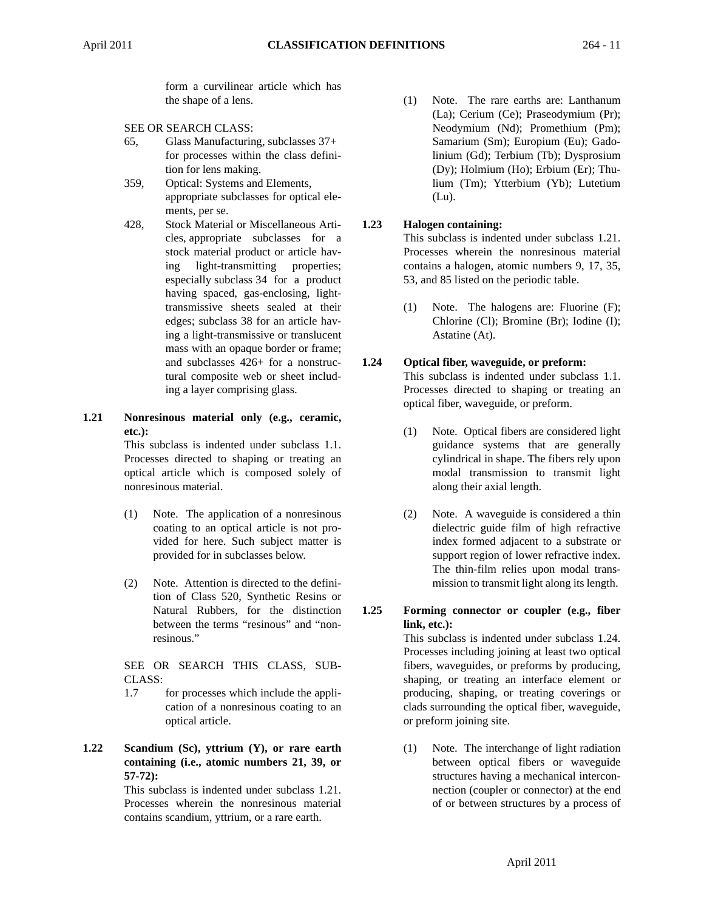form a curvilinear article which has the shape of a lens.

SEE OR SEARCH CLASS:

- 65, Glass Manufacturing, subclasses 37+ for processes within the class definition for lens making.
- 359, Optical: Systems and Elements, appropriate subclasses for optical elements, per se.
- 428, Stock Material or Miscellaneous Articles, appropriate subclasses for a stock material product or article having light-transmitting properties; especially subclass 34 for a product having spaced, gas-enclosing, lighttransmissive sheets sealed at their edges; subclass 38 for an article having a light-transmissive or translucent mass with an opaque border or frame; and subclasses 426+ for a nonstructural composite web or sheet including a layer comprising glass.
- **1.21 Nonresinous material only (e.g., ceramic, etc.):**

This subclass is indented under subclass 1.1. Processes directed to shaping or treating an optical article which is composed solely of nonresinous material.

- (1) Note. The application of a nonresinous coating to an optical article is not provided for here. Such subject matter is provided for in subclasses below.
- (2) Note. Attention is directed to the definition of Class 520, Synthetic Resins or Natural Rubbers, for the distinction between the terms "resinous" and "nonresinous."

SEE OR SEARCH THIS CLASS, SUB-CLASS:

- 1.7 for processes which include the application of a nonresinous coating to an optical article.
- **1.22 Scandium (Sc), yttrium (Y), or rare earth containing (i.e., atomic numbers 21, 39, or 57-72):**

This subclass is indented under subclass 1.21. Processes wherein the nonresinous material contains scandium, yttrium, or a rare earth.

(1) Note. The rare earths are: Lanthanum (La); Cerium (Ce); Praseodymium (Pr); Neodymium (Nd); Promethium (Pm); Samarium (Sm); Europium (Eu); Gadolinium (Gd); Terbium (Tb); Dysprosium (Dy); Holmium (Ho); Erbium (Er); Thulium (Tm); Ytterbium (Yb); Lutetium (Lu).

### **1.23 Halogen containing:**

This subclass is indented under subclass 1.21. Processes wherein the nonresinous material contains a halogen, atomic numbers 9, 17, 35, 53, and 85 listed on the periodic table.

(1) Note. The halogens are: Fluorine (F); Chlorine (Cl); Bromine (Br); Iodine (I); Astatine (At).

### **1.24 Optical fiber, waveguide, or preform:**

This subclass is indented under subclass 1.1. Processes directed to shaping or treating an optical fiber, waveguide, or preform.

- (1) Note. Optical fibers are considered light guidance systems that are generally cylindrical in shape. The fibers rely upon modal transmission to transmit light along their axial length.
- (2) Note. A waveguide is considered a thin dielectric guide film of high refractive index formed adjacent to a substrate or support region of lower refractive index. The thin-film relies upon modal transmission to transmit light along its length.
- **1.25 Forming connector or coupler (e.g., fiber link, etc.):**

This subclass is indented under subclass 1.24. Processes including joining at least two optical fibers, waveguides, or preforms by producing, shaping, or treating an interface element or producing, shaping, or treating coverings or clads surrounding the optical fiber, waveguide, or preform joining site.

(1) Note. The interchange of light radiation between optical fibers or waveguide structures having a mechanical interconnection (coupler or connector) at the end of or between structures by a process of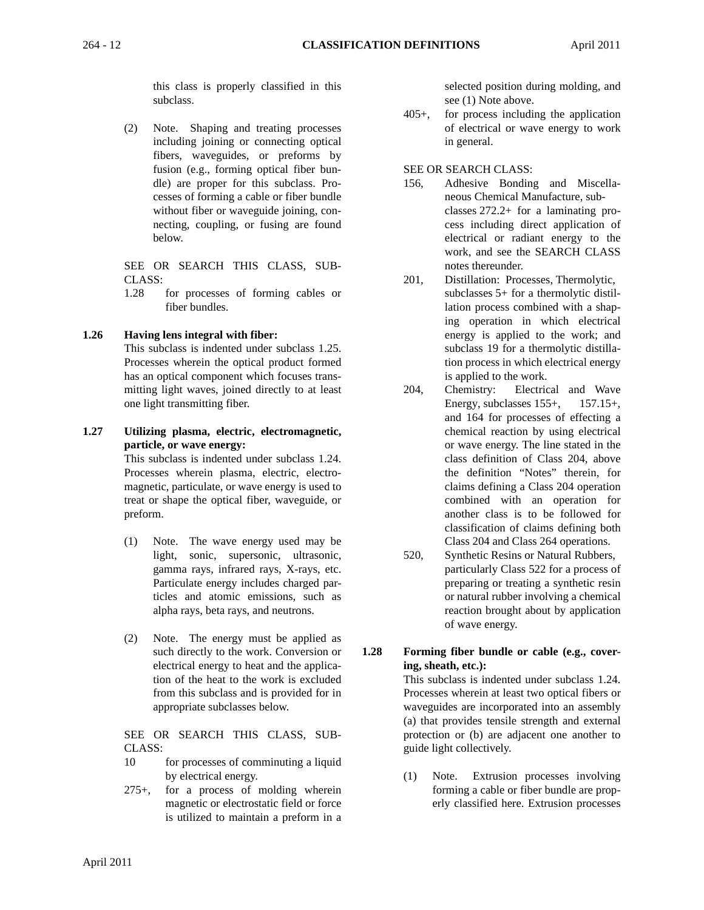this class is properly classified in this subclass.

(2) Note. Shaping and treating processes including joining or connecting optical fibers, waveguides, or preforms by fusion (e.g., forming optical fiber bundle) are proper for this subclass. Processes of forming a cable or fiber bundle without fiber or waveguide joining, connecting, coupling, or fusing are found below.

SEE OR SEARCH THIS CLASS, SUB-CLASS:

1.28 for processes of forming cables or fiber bundles.

### **1.26 Having lens integral with fiber:**

This subclass is indented under subclass 1.25. Processes wherein the optical product formed has an optical component which focuses transmitting light waves, joined directly to at least one light transmitting fiber.

**1.27 Utilizing plasma, electric, electromagnetic, particle, or wave energy:**

> This subclass is indented under subclass 1.24. Processes wherein plasma, electric, electromagnetic, particulate, or wave energy is used to treat or shape the optical fiber, waveguide, or preform.

- (1) Note. The wave energy used may be light, sonic, supersonic, ultrasonic, gamma rays, infrared rays, X-rays, etc. Particulate energy includes charged particles and atomic emissions, such as alpha rays, beta rays, and neutrons.
- (2) Note. The energy must be applied as such directly to the work. Conversion or electrical energy to heat and the application of the heat to the work is excluded from this subclass and is provided for in appropriate subclasses below.

SEE OR SEARCH THIS CLASS, SUB-CLASS:

- 10 for processes of comminuting a liquid by electrical energy.
- 275+, for a process of molding wherein magnetic or electrostatic field or force is utilized to maintain a preform in a

selected position during molding, and see (1) Note above.

405+, for process including the application of electrical or wave energy to work in general.

SEE OR SEARCH CLASS:

- 156, Adhesive Bonding and Miscellaneous Chemical Manufacture, subclasses 272.2+ for a laminating process including direct application of electrical or radiant energy to the work, and see the SEARCH CLASS notes thereunder.
- 201, Distillation: Processes, Thermolytic, subclasses 5+ for a thermolytic distillation process combined with a shaping operation in which electrical energy is applied to the work; and subclass 19 for a thermolytic distillation process in which electrical energy is applied to the work.
- 204, Chemistry: Electrical and Wave Energy, subclasses 155+, 157.15+, and 164 for processes of effecting a chemical reaction by using electrical or wave energy. The line stated in the class definition of Class 204, above the definition "Notes" therein, for claims defining a Class 204 operation combined with an operation for another class is to be followed for classification of claims defining both Class 204 and Class 264 operations.
- 520, Synthetic Resins or Natural Rubbers, particularly Class 522 for a process of preparing or treating a synthetic resin or natural rubber involving a chemical reaction brought about by application of wave energy.
- **1.28 Forming fiber bundle or cable (e.g., covering, sheath, etc.):**

This subclass is indented under subclass 1.24. Processes wherein at least two optical fibers or waveguides are incorporated into an assembly (a) that provides tensile strength and external protection or (b) are adjacent one another to guide light collectively.

(1) Note. Extrusion processes involving forming a cable or fiber bundle are properly classified here. Extrusion processes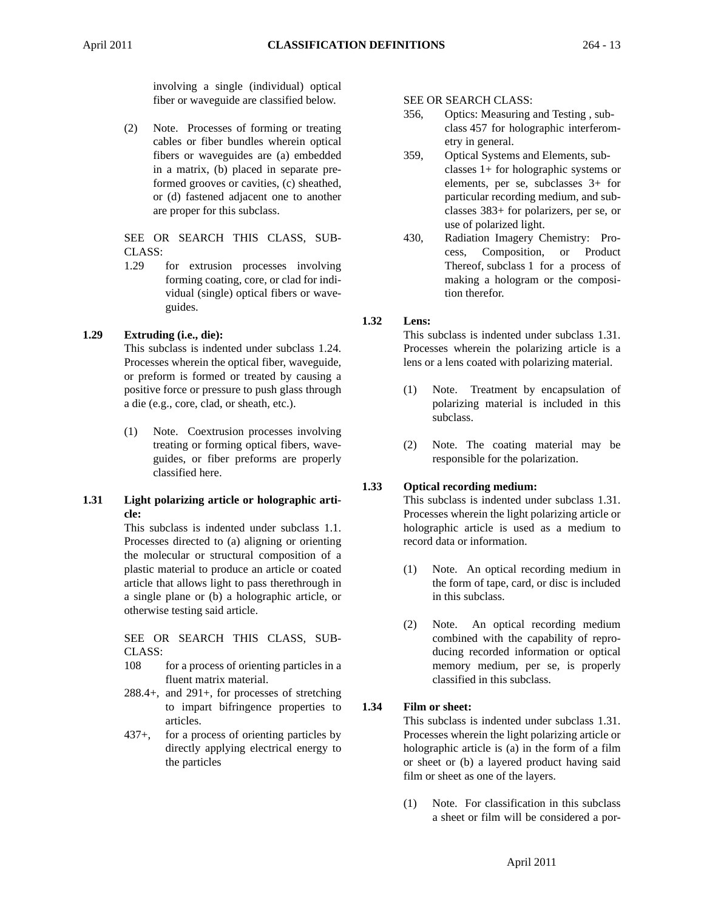involving a single (individual) optical fiber or waveguide are classified below.

(2) Note. Processes of forming or treating cables or fiber bundles wherein optical fibers or waveguides are (a) embedded in a matrix, (b) placed in separate preformed grooves or cavities, (c) sheathed, or (d) fastened adjacent one to another are proper for this subclass.

SEE OR SEARCH THIS CLASS, SUB-CLASS:

1.29 for extrusion processes involving forming coating, core, or clad for individual (single) optical fibers or waveguides.

### **1.29 Extruding (i.e., die):**

This subclass is indented under subclass 1.24. Processes wherein the optical fiber, waveguide, or preform is formed or treated by causing a positive force or pressure to push glass through a die (e.g., core, clad, or sheath, etc.).

- (1) Note. Coextrusion processes involving treating or forming optical fibers, waveguides, or fiber preforms are properly classified here.
- **1.31 Light polarizing article or holographic article:**

This subclass is indented under subclass 1.1. Processes directed to (a) aligning or orienting the molecular or structural composition of a plastic material to produce an article or coated article that allows light to pass therethrough in a single plane or (b) a holographic article, or otherwise testing said article.

SEE OR SEARCH THIS CLASS, SUB-CLASS:

- 108 for a process of orienting particles in a fluent matrix material.
- 288.4+, and 291+, for processes of stretching to impart bifringence properties to articles.
- 437+, for a process of orienting particles by directly applying electrical energy to the particles

SEE OR SEARCH CLASS:

- 356, Optics: Measuring and Testing , subclass 457 for holographic interferometry in general.
- 359, Optical Systems and Elements, subclasses 1+ for holographic systems or elements, per se, subclasses 3+ for particular recording medium, and subclasses 383+ for polarizers, per se, or use of polarized light.
- 430, Radiation Imagery Chemistry: Process, Composition, or Product Thereof, subclass 1 for a process of making a hologram or the composition therefor.

### **1.32 Lens:**

This subclass is indented under subclass 1.31. Processes wherein the polarizing article is a lens or a lens coated with polarizing material.

- (1) Note. Treatment by encapsulation of polarizing material is included in this subclass.
- (2) Note. The coating material may be responsible for the polarization.

### **1.33 Optical recording medium:**

This subclass is indented under subclass 1.31. Processes wherein the light polarizing article or holographic article is used as a medium to record data or information.

- (1) Note. An optical recording medium in the form of tape, card, or disc is included in this subclass.
- (2) Note. An optical recording medium combined with the capability of reproducing recorded information or optical memory medium, per se, is properly classified in this subclass.

### **1.34 Film or sheet:**

This subclass is indented under subclass 1.31. Processes wherein the light polarizing article or holographic article is (a) in the form of a film or sheet or (b) a layered product having said film or sheet as one of the layers.

(1) Note. For classification in this subclass a sheet or film will be considered a por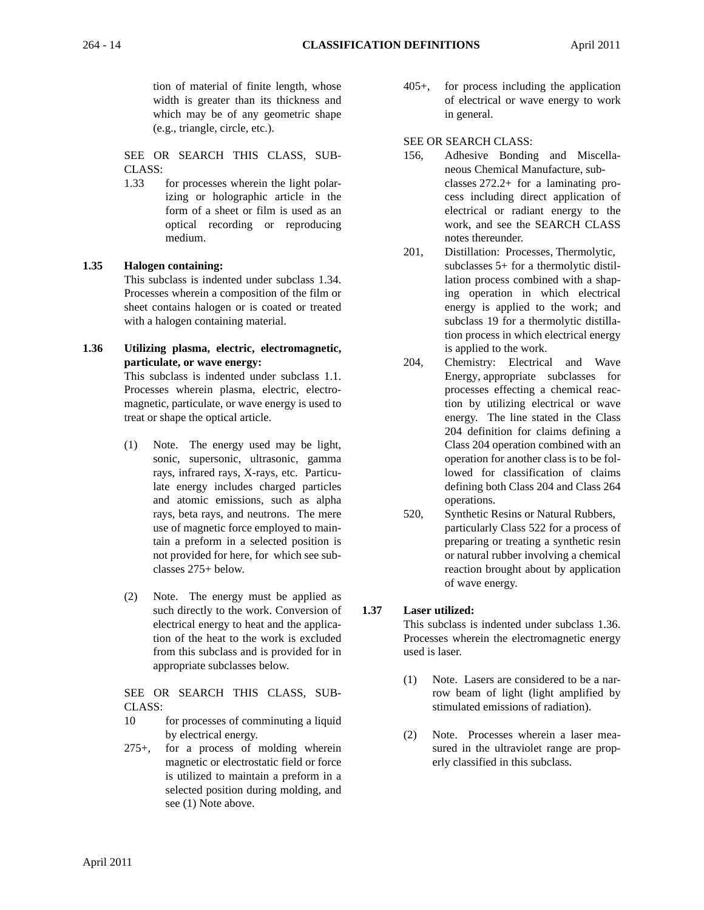tion of material of finite length, whose width is greater than its thickness and which may be of any geometric shape (e.g., triangle, circle, etc.).

SEE OR SEARCH THIS CLASS, SUB-CLASS:

1.33 for processes wherein the light polarizing or holographic article in the form of a sheet or film is used as an optical recording or reproducing medium.

### **1.35 Halogen containing:**

This subclass is indented under subclass 1.34. Processes wherein a composition of the film or sheet contains halogen or is coated or treated with a halogen containing material.

### **1.36 Utilizing plasma, electric, electromagnetic, particulate, or wave energy:**

This subclass is indented under subclass 1.1. Processes wherein plasma, electric, electromagnetic, particulate, or wave energy is used to treat or shape the optical article.

- (1) Note. The energy used may be light, sonic, supersonic, ultrasonic, gamma rays, infrared rays, X-rays, etc. Particulate energy includes charged particles and atomic emissions, such as alpha rays, beta rays, and neutrons. The mere use of magnetic force employed to maintain a preform in a selected position is not provided for here, for which see subclasses 275+ below.
- (2) Note. The energy must be applied as such directly to the work. Conversion of electrical energy to heat and the application of the heat to the work is excluded from this subclass and is provided for in appropriate subclasses below.

SEE OR SEARCH THIS CLASS, SUB-CLASS:

- 10 for processes of comminuting a liquid by electrical energy.
- 275+, for a process of molding wherein magnetic or electrostatic field or force is utilized to maintain a preform in a selected position during molding, and see (1) Note above.

405+, for process including the application of electrical or wave energy to work in general.

SEE OR SEARCH CLASS:

- 156, Adhesive Bonding and Miscellaneous Chemical Manufacture, subclasses 272.2+ for a laminating process including direct application of electrical or radiant energy to the work, and see the SEARCH CLASS notes thereunder.
- 201, Distillation: Processes, Thermolytic, subclasses 5+ for a thermolytic distillation process combined with a shaping operation in which electrical energy is applied to the work; and subclass 19 for a thermolytic distillation process in which electrical energy is applied to the work.
- 204, Chemistry: Electrical and Wave Energy, appropriate subclasses for processes effecting a chemical reaction by utilizing electrical or wave energy. The line stated in the Class 204 definition for claims defining a Class 204 operation combined with an operation for another class is to be followed for classification of claims defining both Class 204 and Class 264 operations.
- 520, Synthetic Resins or Natural Rubbers, particularly Class 522 for a process of preparing or treating a synthetic resin or natural rubber involving a chemical reaction brought about by application of wave energy.

### **1.37 Laser utilized:**

This subclass is indented under subclass 1.36. Processes wherein the electromagnetic energy used is laser.

- (1) Note. Lasers are considered to be a narrow beam of light (light amplified by stimulated emissions of radiation).
- (2) Note. Processes wherein a laser measured in the ultraviolet range are properly classified in this subclass.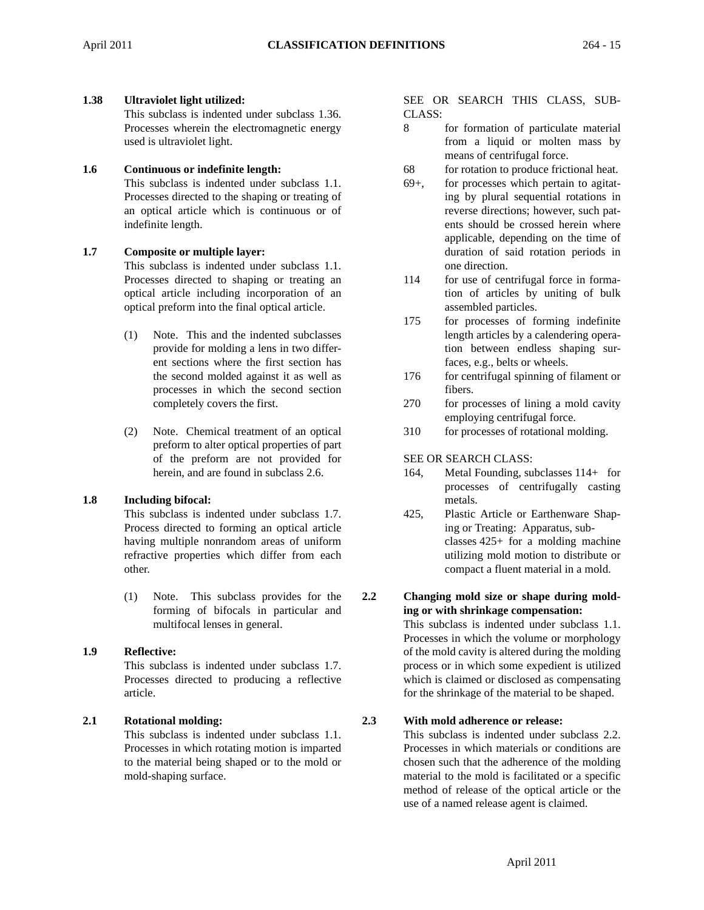### **1.38 Ultraviolet light utilized:**

This subclass is indented under subclass 1.36. Processes wherein the electromagnetic energy used is ultraviolet light.

### **1.6 Continuous or indefinite length:**

This subclass is indented under subclass 1.1. Processes directed to the shaping or treating of an optical article which is continuous or of indefinite length.

### **1.7 Composite or multiple layer:**

This subclass is indented under subclass 1.1. Processes directed to shaping or treating an optical article including incorporation of an optical preform into the final optical article.

- (1) Note. This and the indented subclasses provide for molding a lens in two different sections where the first section has the second molded against it as well as processes in which the second section completely covers the first.
- (2) Note. Chemical treatment of an optical preform to alter optical properties of part of the preform are not provided for herein, and are found in subclass 2.6.

### **1.8 Including bifocal:**

This subclass is indented under subclass 1.7. Process directed to forming an optical article having multiple nonrandom areas of uniform refractive properties which differ from each other.

(1) Note. This subclass provides for the forming of bifocals in particular and multifocal lenses in general.

# **1.9 Reflective:** This subclass is indented under subclass 1.7.

Processes directed to producing a reflective article.

### **2.1 Rotational molding:**

This subclass is indented under subclass 1.1. Processes in which rotating motion is imparted to the material being shaped or to the mold or mold-shaping surface.

### SEE OR SEARCH THIS CLASS, SUB-CLASS:

- 8 for formation of particulate material from a liquid or molten mass by means of centrifugal force.
- 68 for rotation to produce frictional heat.
- 69+, for processes which pertain to agitating by plural sequential rotations in reverse directions; however, such patents should be crossed herein where applicable, depending on the time of duration of said rotation periods in one direction.
- 114 for use of centrifugal force in formation of articles by uniting of bulk assembled particles.
- 175 for processes of forming indefinite length articles by a calendering operation between endless shaping surfaces, e.g., belts or wheels.
- 176 for centrifugal spinning of filament or fibers.
- 270 for processes of lining a mold cavity employing centrifugal force.
- 310 for processes of rotational molding.

SEE OR SEARCH CLASS:

- 164, Metal Founding, subclasses 114+ for processes of centrifugally casting metals.
- 425, Plastic Article or Earthenware Shaping or Treating: Apparatus, subclasses 425+ for a molding machine utilizing mold motion to distribute or compact a fluent material in a mold.
- **2.2 Changing mold size or shape during molding or with shrinkage compensation:**

This subclass is indented under subclass 1.1. Processes in which the volume or morphology of the mold cavity is altered during the molding process or in which some expedient is utilized which is claimed or disclosed as compensating for the shrinkage of the material to be shaped.

### **2.3 With mold adherence or release:**

This subclass is indented under subclass 2.2. Processes in which materials or conditions are chosen such that the adherence of the molding material to the mold is facilitated or a specific method of release of the optical article or the use of a named release agent is claimed.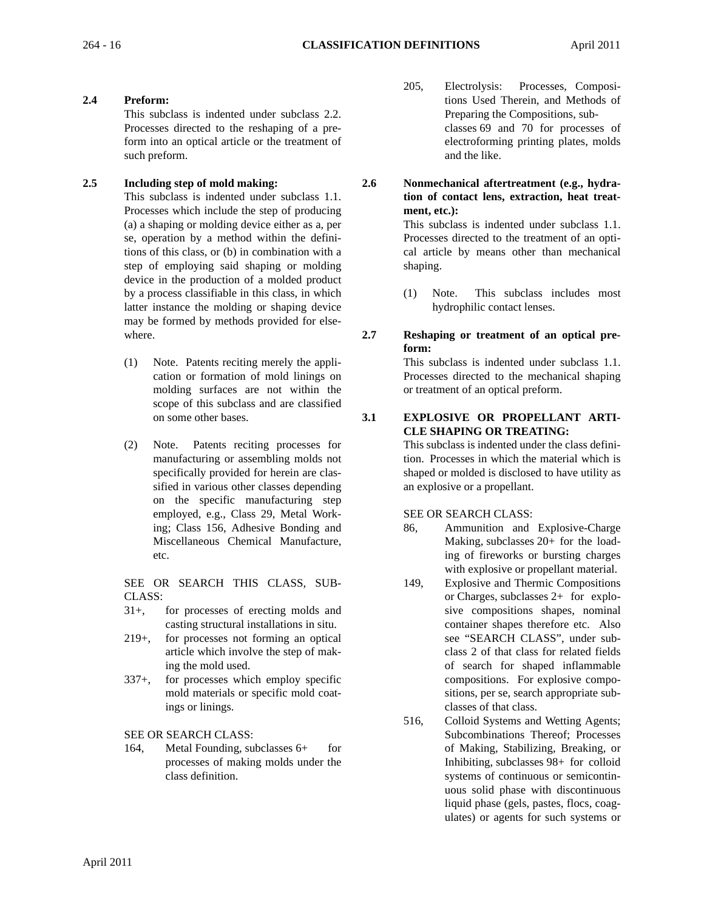### **2.4 Preform:**

This subclass is indented under subclass 2.2. Processes directed to the reshaping of a preform into an optical article or the treatment of such preform.

### **2.5 Including step of mold making:**

This subclass is indented under subclass 1.1. Processes which include the step of producing (a) a shaping or molding device either as a, per se, operation by a method within the definitions of this class, or (b) in combination with a step of employing said shaping or molding device in the production of a molded product by a process classifiable in this class, in which latter instance the molding or shaping device may be formed by methods provided for elsewhere.

- (1) Note. Patents reciting merely the application or formation of mold linings on molding surfaces are not within the scope of this subclass and are classified on some other bases.
- (2) Note. Patents reciting processes for manufacturing or assembling molds not specifically provided for herein are classified in various other classes depending on the specific manufacturing step employed, e.g., Class 29, Metal Working; Class 156, Adhesive Bonding and Miscellaneous Chemical Manufacture, etc.

SEE OR SEARCH THIS CLASS, SUB-CLASS:

- 31+, for processes of erecting molds and casting structural installations in situ.
- 219+, for processes not forming an optical article which involve the step of making the mold used.
- 337+, for processes which employ specific mold materials or specific mold coatings or linings.

SEE OR SEARCH CLASS:

164, Metal Founding, subclasses 6+ for processes of making molds under the class definition.

- 205, Electrolysis: Processes, Compositions Used Therein, and Methods of Preparing the Compositions, subclasses 69 and 70 for processes of electroforming printing plates, molds and the like.
- **2.6 Nonmechanical aftertreatment (e.g., hydration of contact lens, extraction, heat treatment, etc.):**

This subclass is indented under subclass 1.1. Processes directed to the treatment of an optical article by means other than mechanical shaping.

- (1) Note. This subclass includes most hydrophilic contact lenses.
- **2.7 Reshaping or treatment of an optical preform:**

This subclass is indented under subclass 1.1. Processes directed to the mechanical shaping or treatment of an optical preform.

#### **3.1 EXPLOSIVE OR PROPELLANT ARTI-CLE SHAPING OR TREATING:**

This subclass is indented under the class definition. Processes in which the material which is shaped or molded is disclosed to have utility as an explosive or a propellant.

SEE OR SEARCH CLASS:

- 86, Ammunition and Explosive-Charge Making, subclasses 20+ for the loading of fireworks or bursting charges with explosive or propellant material.
- 149, Explosive and Thermic Compositions or Charges, subclasses 2+ for explosive compositions shapes, nominal container shapes therefore etc. Also see "SEARCH CLASS", under subclass 2 of that class for related fields of search for shaped inflammable compositions. For explosive compositions, per se, search appropriate subclasses of that class.
- 516, Colloid Systems and Wetting Agents; Subcombinations Thereof; Processes of Making, Stabilizing, Breaking, or Inhibiting, subclasses 98+ for colloid systems of continuous or semicontinuous solid phase with discontinuous liquid phase (gels, pastes, flocs, coagulates) or agents for such systems or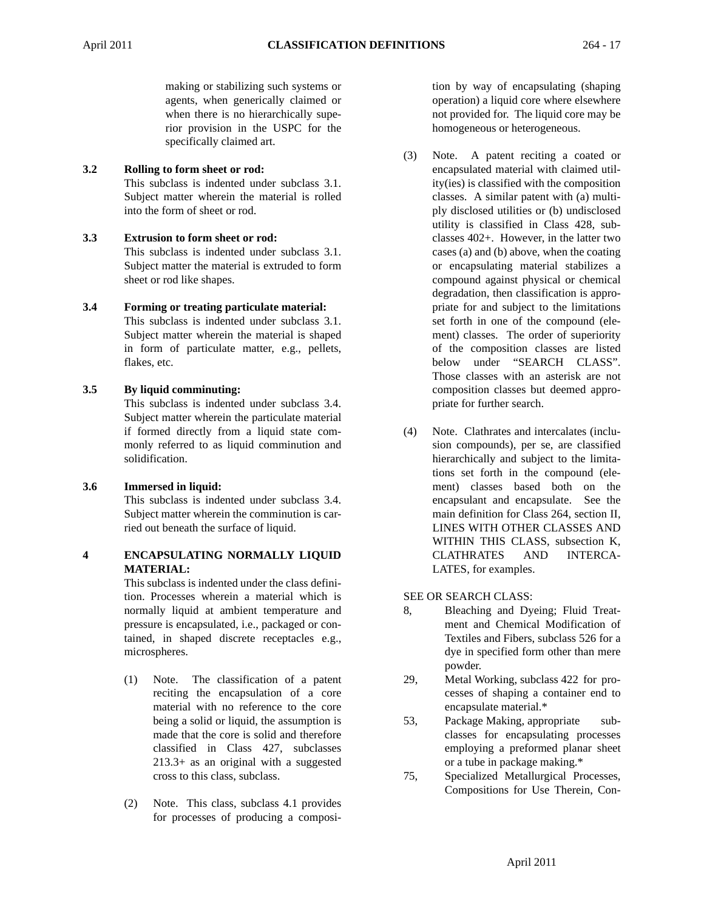making or stabilizing such systems or agents, when generically claimed or when there is no hierarchically superior provision in the USPC for the specifically claimed art.

### **3.2 Rolling to form sheet or rod:**

This subclass is indented under subclass 3.1. Subject matter wherein the material is rolled into the form of sheet or rod.

## **3.3 Extrusion to form sheet or rod:**

This subclass is indented under subclass 3.1. Subject matter the material is extruded to form sheet or rod like shapes.

**3.4 Forming or treating particulate material:** This subclass is indented under subclass 3.1. Subject matter wherein the material is shaped in form of particulate matter, e.g., pellets, flakes, etc.

### **3.5 By liquid comminuting:**

This subclass is indented under subclass 3.4. Subject matter wherein the particulate material if formed directly from a liquid state commonly referred to as liquid comminution and solidification.

### **3.6 Immersed in liquid:**

This subclass is indented under subclass 3.4. Subject matter wherein the comminution is carried out beneath the surface of liquid.

### **4 ENCAPSULATING NORMALLY LIQUID MATERIAL:**

This subclass is indented under the class definition. Processes wherein a material which is normally liquid at ambient temperature and pressure is encapsulated, i.e., packaged or contained, in shaped discrete receptacles e.g., microspheres.

- (1) Note. The classification of a patent reciting the encapsulation of a core material with no reference to the core being a solid or liquid, the assumption is made that the core is solid and therefore classified in Class 427, subclasses 213.3+ as an original with a suggested cross to this class, subclass.
- (2) Note. This class, subclass 4.1 provides for processes of producing a composi-

tion by way of encapsulating (shaping operation) a liquid core where elsewhere not provided for. The liquid core may be homogeneous or heterogeneous.

- (3) Note. A patent reciting a coated or encapsulated material with claimed utility(ies) is classified with the composition classes. A similar patent with (a) multiply disclosed utilities or (b) undisclosed utility is classified in Class 428, subclasses 402+. However, in the latter two cases (a) and (b) above, when the coating or encapsulating material stabilizes a compound against physical or chemical degradation, then classification is appropriate for and subject to the limitations set forth in one of the compound (element) classes. The order of superiority of the composition classes are listed below under "SEARCH CLASS". Those classes with an asterisk are not composition classes but deemed appropriate for further search.
- (4) Note. Clathrates and intercalates (inclusion compounds), per se, are classified hierarchically and subject to the limitations set forth in the compound (element) classes based both on the encapsulant and encapsulate. See the main definition for Class 264, section II, LINES WITH OTHER CLASSES AND WITHIN THIS CLASS, subsection K, CLATHRATES AND INTERCA-LATES, for examples.

### SEE OR SEARCH CLASS:

- 8, Bleaching and Dyeing; Fluid Treatment and Chemical Modification of Textiles and Fibers, subclass 526 for a dye in specified form other than mere powder.
- 29, Metal Working, subclass 422 for processes of shaping a container end to encapsulate material.\*
- 53, Package Making, appropriate subclasses for encapsulating processes employing a preformed planar sheet or a tube in package making.\*
- 75, Specialized Metallurgical Processes, Compositions for Use Therein, Con-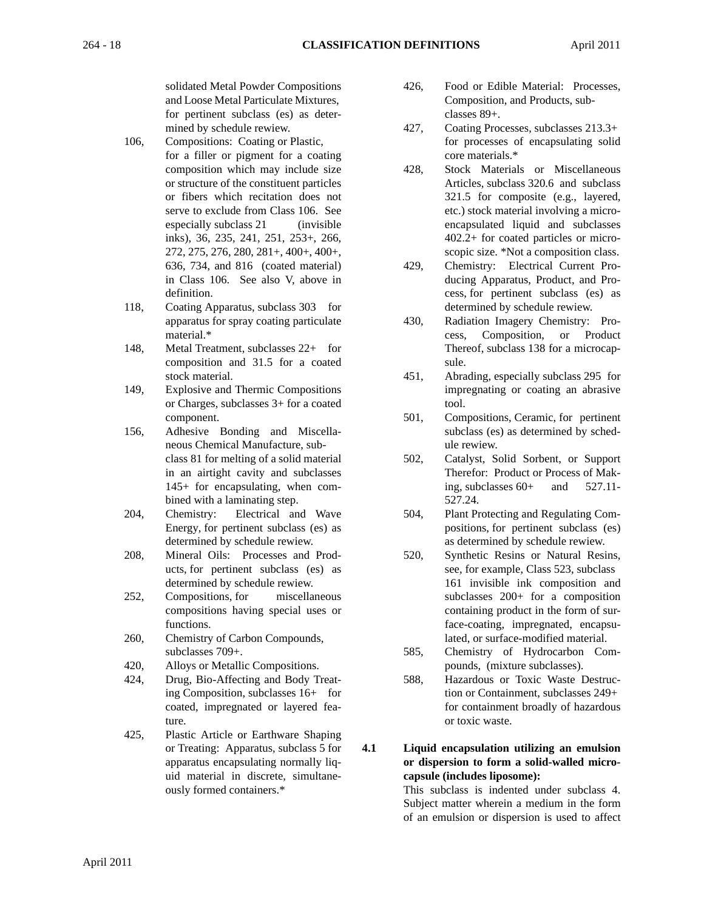solidated Metal Powder Compositions and Loose Metal Particulate Mixtures, for pertinent subclass (es) as determined by schedule rewiew.

- 106, Compositions: Coating or Plastic, for a filler or pigment for a coating composition which may include size or structure of the constituent particles or fibers which recitation does not serve to exclude from Class 106. See especially subclass 21 (invisible inks), 36, 235, 241, 251, 253+, 266, 272, 275, 276, 280, 281+, 400+, 400+, 636, 734, and 816 (coated material) in Class 106. See also V, above in definition.
- 118, Coating Apparatus, subclass 303 for apparatus for spray coating particulate material.\*
- 148, Metal Treatment, subclasses 22+ for composition and 31.5 for a coated stock material.
- 149, Explosive and Thermic Compositions or Charges, subclasses 3+ for a coated component.
- 156, Adhesive Bonding and Miscellaneous Chemical Manufacture, subclass 81 for melting of a solid material in an airtight cavity and subclasses 145+ for encapsulating, when combined with a laminating step.
- 204, Chemistry: Electrical and Wave Energy, for pertinent subclass (es) as determined by schedule rewiew.
- 208, Mineral Oils: Processes and Products, for pertinent subclass (es) as determined by schedule rewiew.
- 252, Compositions, for miscellaneous compositions having special uses or functions.
- 260, Chemistry of Carbon Compounds, subclasses 709+.
- 420, Alloys or Metallic Compositions.
- 424, Drug, Bio-Affecting and Body Treating Composition, subclasses 16+ for coated, impregnated or layered feature.
- 425, Plastic Article or Earthware Shaping or Treating: Apparatus, subclass 5 for apparatus encapsulating normally liquid material in discrete, simultaneously formed containers.\*
- 426, Food or Edible Material: Processes, Composition, and Products, subclasses 89+.
- 427, Coating Processes, subclasses 213.3+ for processes of encapsulating solid core materials.\*
- 428, Stock Materials or Miscellaneous Articles, subclass 320.6 and subclass 321.5 for composite (e.g., layered, etc.) stock material involving a microencapsulated liquid and subclasses 402.2+ for coated particles or microscopic size. \*Not a composition class.
- 429, Chemistry: Electrical Current Producing Apparatus, Product, and Process, for pertinent subclass (es) as determined by schedule rewiew.
- 430, Radiation Imagery Chemistry: Process, Composition, or Product Thereof, subclass 138 for a microcapsule.
- 451, Abrading, especially subclass 295 for impregnating or coating an abrasive tool.
- 501, Compositions, Ceramic, for pertinent subclass (es) as determined by schedule rewiew.
- 502, Catalyst, Solid Sorbent, or Support Therefor: Product or Process of Making, subclasses 60+ and 527.11- 527.24.
- 504, Plant Protecting and Regulating Compositions, for pertinent subclass (es) as determined by schedule rewiew.
- 520, Synthetic Resins or Natural Resins, see, for example, Class 523, subclass 161 invisible ink composition and subclasses 200+ for a composition containing product in the form of surface-coating, impregnated, encapsulated, or surface-modified material.
- 585, Chemistry of Hydrocarbon Compounds, (mixture subclasses).
- 588, Hazardous or Toxic Waste Destruction or Containment, subclasses 249+ for containment broadly of hazardous or toxic waste.
- **4.1 Liquid encapsulation utilizing an emulsion or dispersion to form a solid-walled microcapsule (includes liposome):**

This subclass is indented under subclass 4. Subject matter wherein a medium in the form of an emulsion or dispersion is used to affect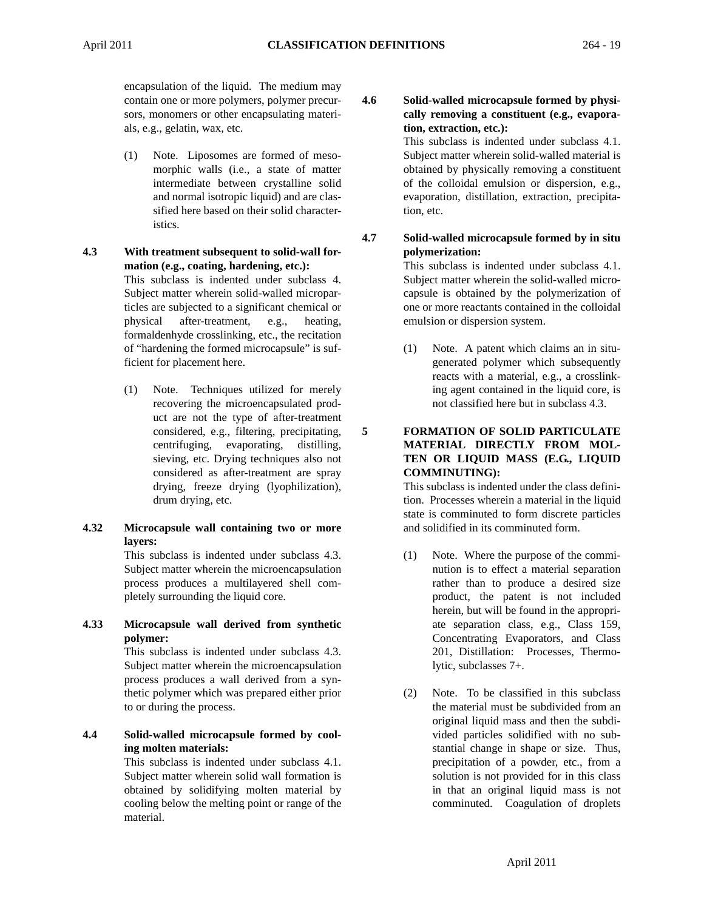encapsulation of the liquid. The medium may contain one or more polymers, polymer precursors, monomers or other encapsulating materials, e.g., gelatin, wax, etc.

- (1) Note. Liposomes are formed of mesomorphic walls (i.e., a state of matter intermediate between crystalline solid and normal isotropic liquid) and are classified here based on their solid characteristics.
- **4.3 With treatment subsequent to solid-wall formation (e.g., coating, hardening, etc.):**  This subclass is indented under subclass 4. Subject matter wherein solid-walled microparticles are subjected to a significant chemical or physical after-treatment, e.g., heating, formaldenhyde crosslinking, etc., the recitation of "hardening the formed microcapsule" is sufficient for placement here.
	- (1) Note. Techniques utilized for merely recovering the microencapsulated product are not the type of after-treatment considered, e.g., filtering, precipitating, centrifuging, evaporating, distilling, sieving, etc. Drying techniques also not considered as after-treatment are spray drying, freeze drying (lyophilization), drum drying, etc.

### **4.32 Microcapsule wall containing two or more layers:**

This subclass is indented under subclass 4.3. Subject matter wherein the microencapsulation process produces a multilayered shell completely surrounding the liquid core.

**4.33 Microcapsule wall derived from synthetic polymer:**

> This subclass is indented under subclass 4.3. Subject matter wherein the microencapsulation process produces a wall derived from a synthetic polymer which was prepared either prior to or during the process.

### **4.4 Solid-walled microcapsule formed by cooling molten materials:**

This subclass is indented under subclass 4.1. Subject matter wherein solid wall formation is obtained by solidifying molten material by cooling below the melting point or range of the material.

**4.6 Solid-walled microcapsule formed by physically removing a constituent (e.g., evaporation, extraction, etc.):**

This subclass is indented under subclass 4.1. Subject matter wherein solid-walled material is obtained by physically removing a constituent of the colloidal emulsion or dispersion, e.g., evaporation, distillation, extraction, precipitation, etc.

**4.7 Solid-walled microcapsule formed by in situ polymerization:**

> This subclass is indented under subclass 4.1. Subject matter wherein the solid-walled microcapsule is obtained by the polymerization of one or more reactants contained in the colloidal emulsion or dispersion system.

> (1) Note. A patent which claims an in situgenerated polymer which subsequently reacts with a material, e.g., a crosslinking agent contained in the liquid core, is not classified here but in subclass 4.3.

### **5 FORMATION OF SOLID PARTICULATE MATERIAL DIRECTLY FROM MOL-TEN OR LIQUID MASS (E.G., LIQUID COMMINUTING):**

This subclass is indented under the class definition. Processes wherein a material in the liquid state is comminuted to form discrete particles and solidified in its comminuted form.

- (1) Note. Where the purpose of the comminution is to effect a material separation rather than to produce a desired size product, the patent is not included herein, but will be found in the appropriate separation class, e.g., Class 159, Concentrating Evaporators, and Class 201, Distillation: Processes, Thermolytic, subclasses 7+.
- (2) Note. To be classified in this subclass the material must be subdivided from an original liquid mass and then the subdivided particles solidified with no substantial change in shape or size. Thus, precipitation of a powder, etc., from a solution is not provided for in this class in that an original liquid mass is not comminuted. Coagulation of droplets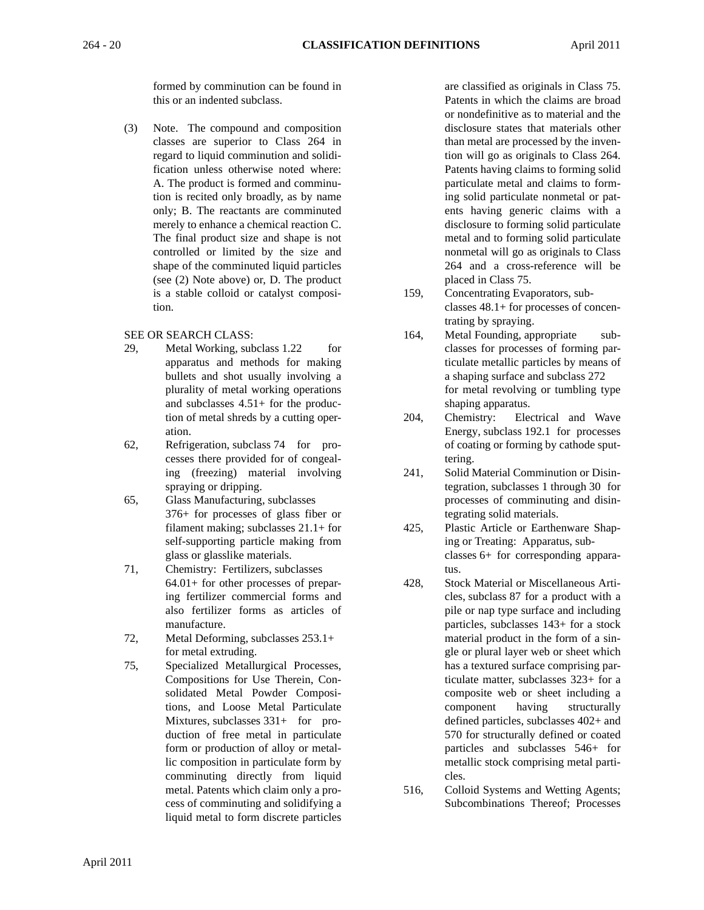formed by comminution can be found in this or an indented subclass.

(3) Note. The compound and composition classes are superior to Class 264 in regard to liquid comminution and solidification unless otherwise noted where: A. The product is formed and comminution is recited only broadly, as by name only; B. The reactants are comminuted merely to enhance a chemical reaction C. The final product size and shape is not controlled or limited by the size and shape of the comminuted liquid particles (see (2) Note above) or, D. The product is a stable colloid or catalyst composition.

### SEE OR SEARCH CLASS:

- 29, Metal Working, subclass 1.22 for apparatus and methods for making bullets and shot usually involving a plurality of metal working operations and subclasses 4.51+ for the production of metal shreds by a cutting operation.
- 62, Refrigeration, subclass 74 for processes there provided for of congealing (freezing) material involving spraying or dripping.
- 65, Glass Manufacturing, subclasses 376+ for processes of glass fiber or filament making; subclasses 21.1+ for self-supporting particle making from glass or glasslike materials.
- 71, Chemistry: Fertilizers, subclasses 64.01+ for other processes of preparing fertilizer commercial forms and also fertilizer forms as articles of manufacture.
- 72, Metal Deforming, subclasses 253.1+ for metal extruding.
- 75, Specialized Metallurgical Processes, Compositions for Use Therein, Consolidated Metal Powder Compositions, and Loose Metal Particulate Mixtures, subclasses 331+ for production of free metal in particulate form or production of alloy or metallic composition in particulate form by comminuting directly from liquid metal. Patents which claim only a process of comminuting and solidifying a liquid metal to form discrete particles

are classified as originals in Class 75. Patents in which the claims are broad or nondefinitive as to material and the disclosure states that materials other than metal are processed by the invention will go as originals to Class 264. Patents having claims to forming solid particulate metal and claims to forming solid particulate nonmetal or patents having generic claims with a disclosure to forming solid particulate metal and to forming solid particulate nonmetal will go as originals to Class 264 and a cross-reference will be placed in Class 75.

- 159, Concentrating Evaporators, subclasses 48.1+ for processes of concentrating by spraying.
- 164, Metal Founding, appropriate subclasses for processes of forming particulate metallic particles by means of a shaping surface and subclass 272 for metal revolving or tumbling type shaping apparatus.
- 204, Chemistry: Electrical and Wave Energy, subclass 192.1 for processes of coating or forming by cathode sputtering.
- 241, Solid Material Comminution or Disintegration, subclasses 1 through 30 for processes of comminuting and disintegrating solid materials.
- 425, Plastic Article or Earthenware Shaping or Treating: Apparatus, subclasses 6+ for corresponding apparatus.
- 428, Stock Material or Miscellaneous Articles, subclass 87 for a product with a pile or nap type surface and including particles, subclasses 143+ for a stock material product in the form of a single or plural layer web or sheet which has a textured surface comprising particulate matter, subclasses 323+ for a composite web or sheet including a component having structurally defined particles, subclasses 402+ and 570 for structurally defined or coated particles and subclasses 546+ for metallic stock comprising metal particles.
- 516, Colloid Systems and Wetting Agents; Subcombinations Thereof; Processes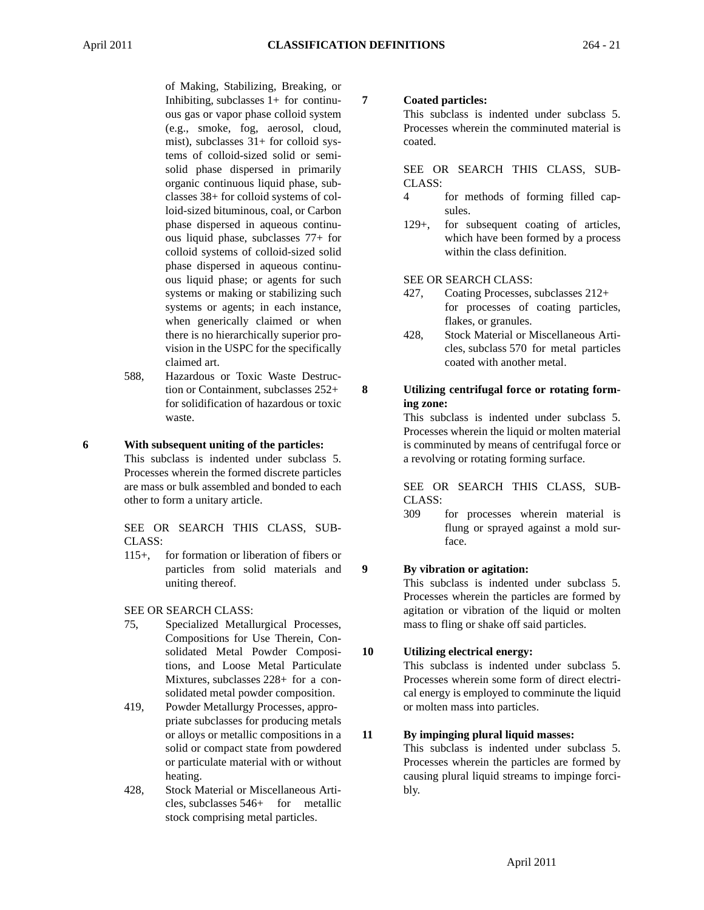of Making, Stabilizing, Breaking, or Inhibiting, subclasses 1+ for continuous gas or vapor phase colloid system (e.g., smoke, fog, aerosol, cloud, mist), subclasses 31+ for colloid systems of colloid-sized solid or semisolid phase dispersed in primarily organic continuous liquid phase, subclasses 38+ for colloid systems of colloid-sized bituminous, coal, or Carbon phase dispersed in aqueous continuous liquid phase, subclasses 77+ for colloid systems of colloid-sized solid phase dispersed in aqueous continuous liquid phase; or agents for such systems or making or stabilizing such systems or agents; in each instance, when generically claimed or when there is no hierarchically superior provision in the USPC for the specifically claimed art.

588, Hazardous or Toxic Waste Destruction or Containment, subclasses 252+ for solidification of hazardous or toxic waste.

#### **6 With subsequent uniting of the particles:**

This subclass is indented under subclass 5. Processes wherein the formed discrete particles are mass or bulk assembled and bonded to each other to form a unitary article.

SEE OR SEARCH THIS CLASS, SUB-CLASS:

115+, for formation or liberation of fibers or particles from solid materials and uniting thereof.

SEE OR SEARCH CLASS:

- 75, Specialized Metallurgical Processes, Compositions for Use Therein, Consolidated Metal Powder Compositions, and Loose Metal Particulate Mixtures, subclasses 228+ for a consolidated metal powder composition.
- 419, Powder Metallurgy Processes, appropriate subclasses for producing metals or alloys or metallic compositions in a solid or compact state from powdered or particulate material with or without heating.
- 428, Stock Material or Miscellaneous Articles, subclasses 546+ for metallic stock comprising metal particles.

### **7 Coated particles:**

This subclass is indented under subclass 5. Processes wherein the comminuted material is coated.

SEE OR SEARCH THIS CLASS, SUB-CLASS:

- 4 for methods of forming filled capsules.
- 129+, for subsequent coating of articles, which have been formed by a process within the class definition.

SEE OR SEARCH CLASS:

- 427, Coating Processes, subclasses 212+ for processes of coating particles, flakes, or granules.
- 428, Stock Material or Miscellaneous Articles, subclass 570 for metal particles coated with another metal.

### **8 Utilizing centrifugal force or rotating forming zone:**

This subclass is indented under subclass 5. Processes wherein the liquid or molten material is comminuted by means of centrifugal force or a revolving or rotating forming surface.

SEE OR SEARCH THIS CLASS, SUB-CLASS:

309 for processes wherein material is flung or sprayed against a mold surface.

### **9 By vibration or agitation:**

This subclass is indented under subclass 5. Processes wherein the particles are formed by agitation or vibration of the liquid or molten mass to fling or shake off said particles.

### **10 Utilizing electrical energy:**

This subclass is indented under subclass 5. Processes wherein some form of direct electrical energy is employed to comminute the liquid or molten mass into particles.

### **11 By impinging plural liquid masses:**

This subclass is indented under subclass 5. Processes wherein the particles are formed by causing plural liquid streams to impinge forcibly.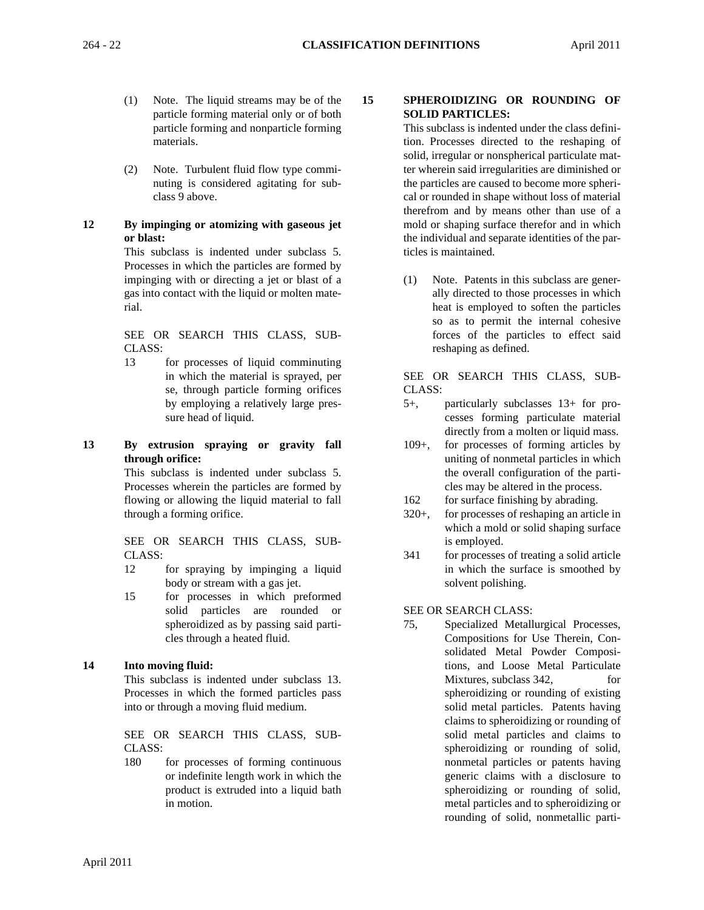- (1) Note. The liquid streams may be of the particle forming material only or of both particle forming and nonparticle forming materials.
- (2) Note. Turbulent fluid flow type comminuting is considered agitating for subclass 9 above.

### **12 By impinging or atomizing with gaseous jet or blast:**

This subclass is indented under subclass 5. Processes in which the particles are formed by impinging with or directing a jet or blast of a gas into contact with the liquid or molten material.

SEE OR SEARCH THIS CLASS, SUB-CLASS:

- 13 for processes of liquid comminuting in which the material is sprayed, per se, through particle forming orifices by employing a relatively large pressure head of liquid.
- **13 By extrusion spraying or gravity fall through orifice:**

This subclass is indented under subclass 5. Processes wherein the particles are formed by flowing or allowing the liquid material to fall through a forming orifice.

SEE OR SEARCH THIS CLASS, SUB-CLASS:

- 12 for spraying by impinging a liquid body or stream with a gas jet.
- 15 for processes in which preformed solid particles are rounded or spheroidized as by passing said particles through a heated fluid.

### **14 Into moving fluid:**

This subclass is indented under subclass 13. Processes in which the formed particles pass into or through a moving fluid medium.

SEE OR SEARCH THIS CLASS, SUB-CLASS:

180 for processes of forming continuous or indefinite length work in which the product is extruded into a liquid bath in motion.

### **15 SPHEROIDIZING OR ROUNDING OF SOLID PARTICLES:**

This subclass is indented under the class definition. Processes directed to the reshaping of solid, irregular or nonspherical particulate matter wherein said irregularities are diminished or the particles are caused to become more spherical or rounded in shape without loss of material therefrom and by means other than use of a mold or shaping surface therefor and in which the individual and separate identities of the particles is maintained.

(1) Note. Patents in this subclass are generally directed to those processes in which heat is employed to soften the particles so as to permit the internal cohesive forces of the particles to effect said reshaping as defined.

SEE OR SEARCH THIS CLASS, SUB-CLASS:

- 5+, particularly subclasses 13+ for processes forming particulate material directly from a molten or liquid mass.
- 109+, for processes of forming articles by uniting of nonmetal particles in which the overall configuration of the particles may be altered in the process.
- 162 for surface finishing by abrading.
- 320+, for processes of reshaping an article in which a mold or solid shaping surface is employed.
- 341 for processes of treating a solid article in which the surface is smoothed by solvent polishing.

### SEE OR SEARCH CLASS:

75, Specialized Metallurgical Processes, Compositions for Use Therein, Consolidated Metal Powder Compositions, and Loose Metal Particulate Mixtures, subclass 342, for spheroidizing or rounding of existing solid metal particles. Patents having claims to spheroidizing or rounding of solid metal particles and claims to spheroidizing or rounding of solid, nonmetal particles or patents having generic claims with a disclosure to spheroidizing or rounding of solid, metal particles and to spheroidizing or rounding of solid, nonmetallic parti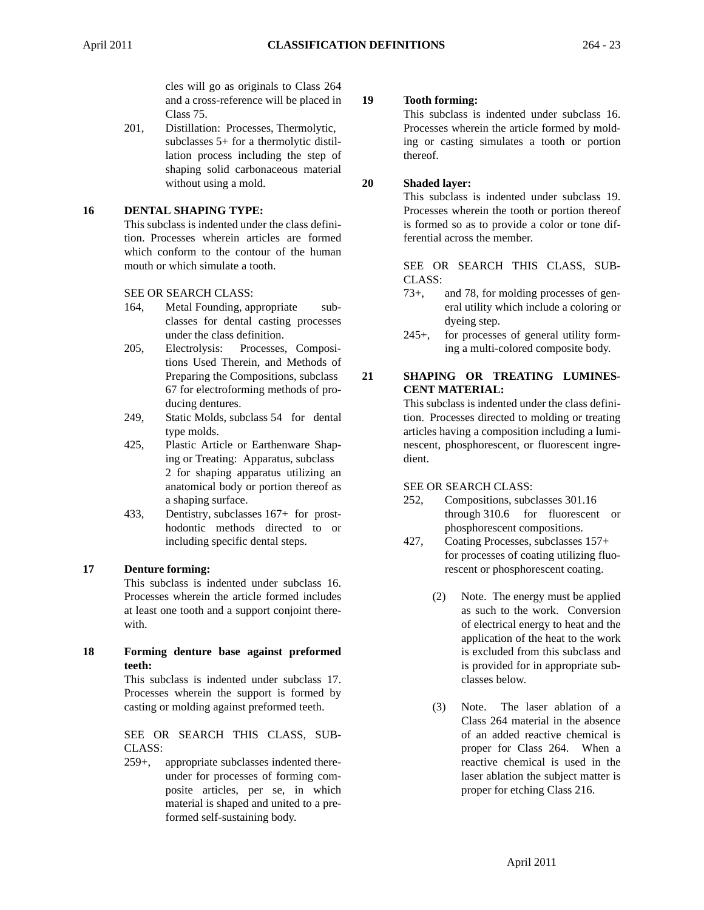cles will go as originals to Class 264 and a cross-reference will be placed in Class 75.

201, Distillation: Processes, Thermolytic, subclasses 5+ for a thermolytic distillation process including the step of shaping solid carbonaceous material without using a mold.

### **16 DENTAL SHAPING TYPE:**

This subclass is indented under the class definition. Processes wherein articles are formed which conform to the contour of the human mouth or which simulate a tooth.

SEE OR SEARCH CLASS:

- 164, Metal Founding, appropriate subclasses for dental casting processes under the class definition.
- 205, Electrolysis: Processes, Compositions Used Therein, and Methods of Preparing the Compositions, subclass 67 for electroforming methods of producing dentures.
- 249, Static Molds, subclass 54 for dental type molds.
- 425, Plastic Article or Earthenware Shaping or Treating: Apparatus, subclass 2 for shaping apparatus utilizing an anatomical body or portion thereof as a shaping surface.
- 433, Dentistry, subclasses 167+ for prosthodontic methods directed to or including specific dental steps.

### **17 Denture forming:**

This subclass is indented under subclass 16. Processes wherein the article formed includes at least one tooth and a support conjoint therewith.

**18 Forming denture base against preformed teeth:**

This subclass is indented under subclass 17. Processes wherein the support is formed by casting or molding against preformed teeth.

SEE OR SEARCH THIS CLASS, SUB-CLASS:

259+, appropriate subclasses indented thereunder for processes of forming composite articles, per se, in which material is shaped and united to a preformed self-sustaining body.

### **19 Tooth forming:**

This subclass is indented under subclass 16. Processes wherein the article formed by molding or casting simulates a tooth or portion thereof.

**20 Shaded layer:**

This subclass is indented under subclass 19. Processes wherein the tooth or portion thereof is formed so as to provide a color or tone differential across the member.

SEE OR SEARCH THIS CLASS, SUB-CLASS:

- 73+, and 78, for molding processes of general utility which include a coloring or dyeing step.
- 245+, for processes of general utility forming a multi-colored composite body.

#### **21 SHAPING OR TREATING LUMINES-CENT MATERIAL:**

This subclass is indented under the class definition. Processes directed to molding or treating articles having a composition including a luminescent, phosphorescent, or fluorescent ingredient.

### SEE OR SEARCH CLASS:

- 252, Compositions, subclasses 301.16 through 310.6 for fluorescent or phosphorescent compositions.
- 427, Coating Processes, subclasses 157+ for processes of coating utilizing fluorescent or phosphorescent coating.
	- (2) Note. The energy must be applied as such to the work. Conversion of electrical energy to heat and the application of the heat to the work is excluded from this subclass and is provided for in appropriate subclasses below.
	- (3) Note. The laser ablation of a Class 264 material in the absence of an added reactive chemical is proper for Class 264. When a reactive chemical is used in the laser ablation the subject matter is proper for etching Class 216.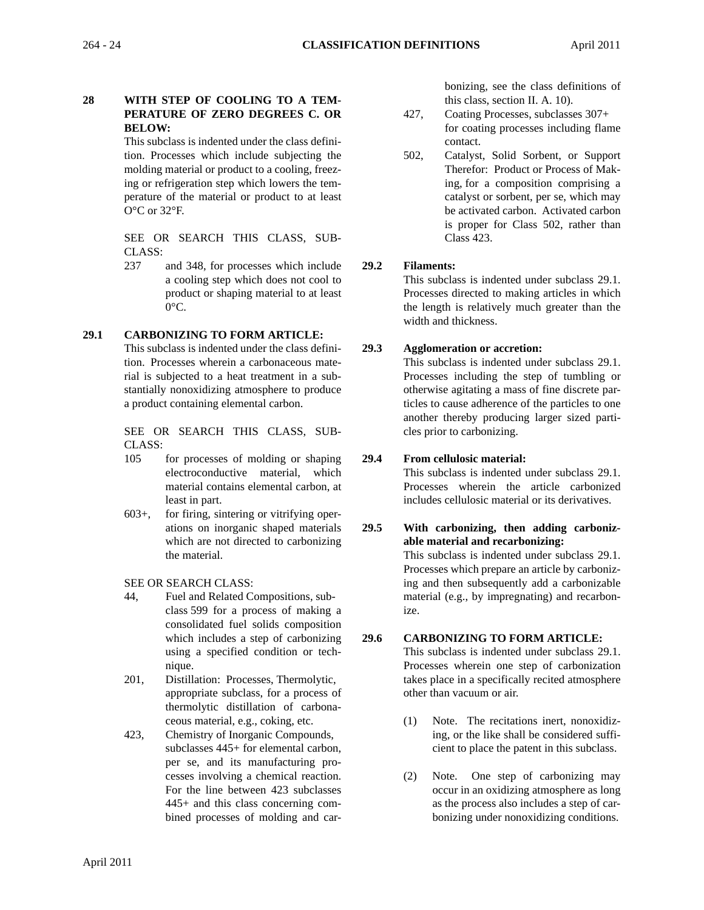### **28 WITH STEP OF COOLING TO A TEM-PERATURE OF ZERO DEGREES C. OR BELOW:**

This subclass is indented under the class definition. Processes which include subjecting the molding material or product to a cooling, freezing or refrigeration step which lowers the temperature of the material or product to at least O°C or 32°F.

SEE OR SEARCH THIS CLASS, SUB-CLASS:

237 and 348, for processes which include a cooling step which does not cool to product or shaping material to at least  $0^{\circ}$ C.

### **29.1 CARBONIZING TO FORM ARTICLE:**

This subclass is indented under the class definition. Processes wherein a carbonaceous material is subjected to a heat treatment in a substantially nonoxidizing atmosphere to produce a product containing elemental carbon.

SEE OR SEARCH THIS CLASS, SUB-CLASS:

- 105 for processes of molding or shaping electroconductive material, which material contains elemental carbon, at least in part.
- 603+, for firing, sintering or vitrifying operations on inorganic shaped materials which are not directed to carbonizing the material.

### SEE OR SEARCH CLASS:

- 44, Fuel and Related Compositions, subclass 599 for a process of making a consolidated fuel solids composition which includes a step of carbonizing using a specified condition or technique.
- 201, Distillation: Processes, Thermolytic, appropriate subclass, for a process of thermolytic distillation of carbonaceous material, e.g., coking, etc.
- 423, Chemistry of Inorganic Compounds, subclasses 445+ for elemental carbon, per se, and its manufacturing processes involving a chemical reaction. For the line between 423 subclasses 445+ and this class concerning combined processes of molding and car-

bonizing, see the class definitions of this class, section II. A. 10).

- 427, Coating Processes, subclasses 307+ for coating processes including flame contact.
- 502, Catalyst, Solid Sorbent, or Support Therefor: Product or Process of Making, for a composition comprising a catalyst or sorbent, per se, which may be activated carbon. Activated carbon is proper for Class 502, rather than Class 423.

### **29.2 Filaments:**

This subclass is indented under subclass 29.1. Processes directed to making articles in which the length is relatively much greater than the width and thickness.

### **29.3 Agglomeration or accretion:**

This subclass is indented under subclass 29.1. Processes including the step of tumbling or otherwise agitating a mass of fine discrete particles to cause adherence of the particles to one another thereby producing larger sized particles prior to carbonizing.

### **29.4 From cellulosic material:**

ize.

This subclass is indented under subclass 29.1. Processes wherein the article carbonized includes cellulosic material or its derivatives.

### **29.5 With carbonizing, then adding carbonizable material and recarbonizing:** This subclass is indented under subclass 29.1. Processes which prepare an article by carbonizing and then subsequently add a carbonizable material (e.g., by impregnating) and recarbon-

### **29.6 CARBONIZING TO FORM ARTICLE:**

This subclass is indented under subclass 29.1. Processes wherein one step of carbonization takes place in a specifically recited atmosphere other than vacuum or air.

- (1) Note. The recitations inert, nonoxidizing, or the like shall be considered sufficient to place the patent in this subclass.
- (2) Note. One step of carbonizing may occur in an oxidizing atmosphere as long as the process also includes a step of carbonizing under nonoxidizing conditions.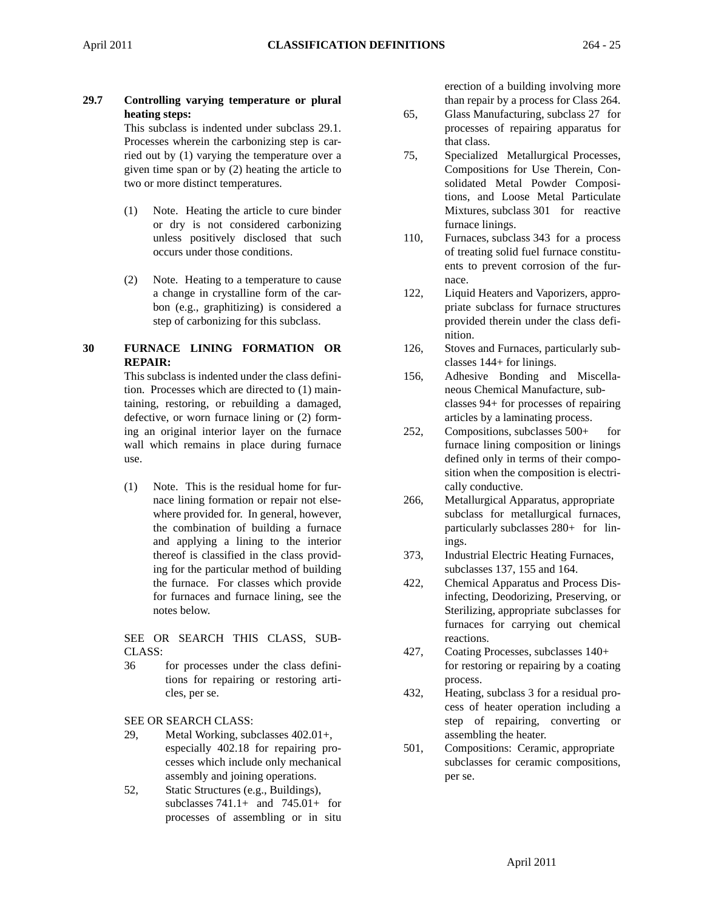### **29.7 Controlling varying temperature or plural heating steps:**

This subclass is indented under subclass 29.1. Processes wherein the carbonizing step is carried out by (1) varying the temperature over a given time span or by (2) heating the article to two or more distinct temperatures.

- (1) Note. Heating the article to cure binder or dry is not considered carbonizing unless positively disclosed that such occurs under those conditions.
- (2) Note. Heating to a temperature to cause a change in crystalline form of the carbon (e.g., graphitizing) is considered a step of carbonizing for this subclass.

### **30 FURNACE LINING FORMATION OR REPAIR:**

This subclass is indented under the class definition. Processes which are directed to (1) maintaining, restoring, or rebuilding a damaged, defective, or worn furnace lining or (2) forming an original interior layer on the furnace wall which remains in place during furnace use.

(1) Note. This is the residual home for furnace lining formation or repair not elsewhere provided for. In general, however, the combination of building a furnace and applying a lining to the interior thereof is classified in the class providing for the particular method of building the furnace. For classes which provide for furnaces and furnace lining, see the notes below.

SEE OR SEARCH THIS CLASS, SUB-CLASS:

36 for processes under the class definitions for repairing or restoring articles, per se.

SEE OR SEARCH CLASS:

- 29, Metal Working, subclasses 402.01+, especially 402.18 for repairing processes which include only mechanical assembly and joining operations.
- 52, Static Structures (e.g., Buildings), subclasses  $741.1+$  and  $745.01+$  for processes of assembling or in situ

erection of a building involving more than repair by a process for Class 264.

- 65, Glass Manufacturing, subclass 27 for processes of repairing apparatus for that class.
- 75, Specialized Metallurgical Processes, Compositions for Use Therein, Consolidated Metal Powder Compositions, and Loose Metal Particulate Mixtures, subclass 301 for reactive furnace linings.
- 110, Furnaces, subclass 343 for a process of treating solid fuel furnace constituents to prevent corrosion of the furnace.
- 122, Liquid Heaters and Vaporizers, appropriate subclass for furnace structures provided therein under the class definition.
- 126, Stoves and Furnaces, particularly subclasses 144+ for linings.
- 156, Adhesive Bonding and Miscellaneous Chemical Manufacture, subclasses 94+ for processes of repairing articles by a laminating process.
- 252, Compositions, subclasses 500+ for furnace lining composition or linings defined only in terms of their composition when the composition is electrically conductive.
- 266, Metallurgical Apparatus, appropriate subclass for metallurgical furnaces, particularly subclasses 280+ for linings.
- 373, Industrial Electric Heating Furnaces, subclasses 137, 155 and 164.
- 422, Chemical Apparatus and Process Disinfecting, Deodorizing, Preserving, or Sterilizing, appropriate subclasses for furnaces for carrying out chemical reactions.
- 427, Coating Processes, subclasses 140+ for restoring or repairing by a coating process.
- 432, Heating, subclass 3 for a residual process of heater operation including a step of repairing, converting or assembling the heater.
- 501, Compositions: Ceramic, appropriate subclasses for ceramic compositions, per se.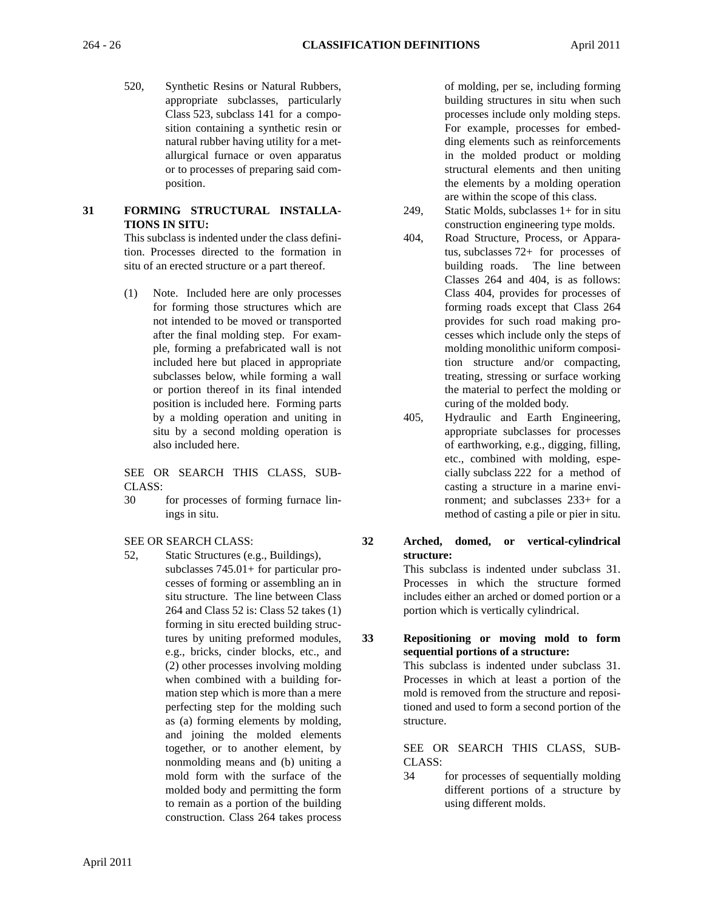520, Synthetic Resins or Natural Rubbers, appropriate subclasses, particularly Class 523, subclass 141 for a composition containing a synthetic resin or natural rubber having utility for a metallurgical furnace or oven apparatus or to processes of preparing said composition.

### **31 FORMING STRUCTURAL INSTALLA-TIONS IN SITU:**

This subclass is indented under the class definition. Processes directed to the formation in situ of an erected structure or a part thereof.

(1) Note. Included here are only processes for forming those structures which are not intended to be moved or transported after the final molding step. For example, forming a prefabricated wall is not included here but placed in appropriate subclasses below, while forming a wall or portion thereof in its final intended position is included here. Forming parts by a molding operation and uniting in situ by a second molding operation is also included here.

SEE OR SEARCH THIS CLASS, SUB-CLASS:

30 for processes of forming furnace linings in situ.

SEE OR SEARCH CLASS:

52, Static Structures (e.g., Buildings), subclasses 745.01+ for particular processes of forming or assembling an in situ structure. The line between Class 264 and Class 52 is: Class 52 takes (1) forming in situ erected building structures by uniting preformed modules, e.g., bricks, cinder blocks, etc., and (2) other processes involving molding when combined with a building formation step which is more than a mere perfecting step for the molding such as (a) forming elements by molding, and joining the molded elements together, or to another element, by nonmolding means and (b) uniting a mold form with the surface of the molded body and permitting the form to remain as a portion of the building construction. Class 264 takes process

of molding, per se, including forming building structures in situ when such processes include only molding steps. For example, processes for embedding elements such as reinforcements in the molded product or molding structural elements and then uniting the elements by a molding operation are within the scope of this class.

- 249, Static Molds, subclasses 1+ for in situ construction engineering type molds.
- 404, Road Structure, Process, or Apparatus, subclasses 72+ for processes of building roads. The line between Classes 264 and 404, is as follows: Class 404, provides for processes of forming roads except that Class 264 provides for such road making processes which include only the steps of molding monolithic uniform composition structure and/or compacting, treating, stressing or surface working the material to perfect the molding or curing of the molded body.
- 405, Hydraulic and Earth Engineering, appropriate subclasses for processes of earthworking, e.g., digging, filling, etc., combined with molding, especially subclass 222 for a method of casting a structure in a marine environment; and subclasses 233+ for a method of casting a pile or pier in situ.
- **32 Arched, domed, or vertical-cylindrical structure:**

This subclass is indented under subclass 31. Processes in which the structure formed includes either an arched or domed portion or a portion which is vertically cylindrical.

**33 Repositioning or moving mold to form sequential portions of a structure:** 

> This subclass is indented under subclass 31. Processes in which at least a portion of the mold is removed from the structure and repositioned and used to form a second portion of the structure.

SEE OR SEARCH THIS CLASS, SUB-CLASS:

34 for processes of sequentially molding different portions of a structure by using different molds.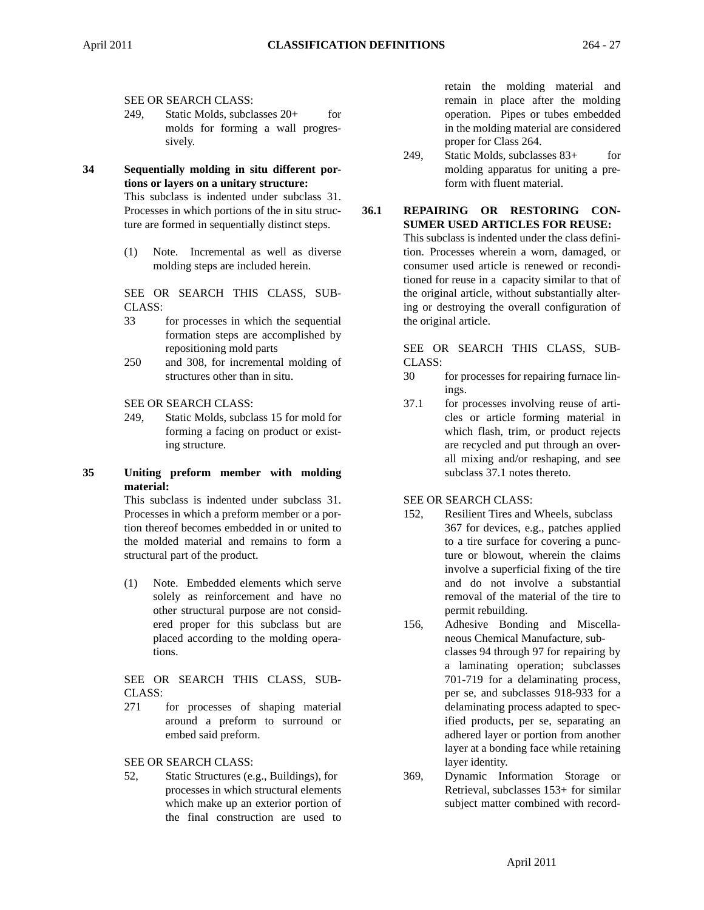SEE OR SEARCH CLASS:

- 249, Static Molds, subclasses 20+ for molds for forming a wall progressively.
- **34 Sequentially molding in situ different portions or layers on a unitary structure:** This subclass is indented under subclass 31. Processes in which portions of the in situ structure are formed in sequentially distinct steps.
	- (1) Note. Incremental as well as diverse molding steps are included herein.

SEE OR SEARCH THIS CLASS, SUB-CLASS:

- 33 for processes in which the sequential formation steps are accomplished by repositioning mold parts
- 250 and 308, for incremental molding of structures other than in situ.

SEE OR SEARCH CLASS:

- 249, Static Molds, subclass 15 for mold for forming a facing on product or existing structure.
- **35 Uniting preform member with molding material:**

This subclass is indented under subclass 31. Processes in which a preform member or a portion thereof becomes embedded in or united to the molded material and remains to form a structural part of the product.

(1) Note. Embedded elements which serve solely as reinforcement and have no other structural purpose are not considered proper for this subclass but are placed according to the molding operations.

SEE OR SEARCH THIS CLASS, SUB-CLASS:

271 for processes of shaping material around a preform to surround or embed said preform.

SEE OR SEARCH CLASS:

52, Static Structures (e.g., Buildings), for processes in which structural elements which make up an exterior portion of the final construction are used to

retain the molding material and remain in place after the molding operation. Pipes or tubes embedded in the molding material are considered proper for Class 264.

249, Static Molds, subclasses 83+ for molding apparatus for uniting a preform with fluent material.

### **36.1 REPAIRING OR RESTORING CON-SUMER USED ARTICLES FOR REUSE:** This subclass is indented under the class definition. Processes wherein a worn, damaged, or consumer used article is renewed or reconditioned for reuse in a capacity similar to that of the original article, without substantially altering or destroying the overall configuration of the original article.

SEE OR SEARCH THIS CLASS, SUB-CLASS:

- 30 for processes for repairing furnace linings.
- 37.1 for processes involving reuse of articles or article forming material in which flash, trim, or product rejects are recycled and put through an overall mixing and/or reshaping, and see subclass 37.1 notes thereto.

SEE OR SEARCH CLASS:

- 152, Resilient Tires and Wheels, subclass 367 for devices, e.g., patches applied to a tire surface for covering a puncture or blowout, wherein the claims involve a superficial fixing of the tire and do not involve a substantial removal of the material of the tire to permit rebuilding.
- 156, Adhesive Bonding and Miscellaneous Chemical Manufacture, subclasses 94 through 97 for repairing by a laminating operation; subclasses 701-719 for a delaminating process, per se, and subclasses 918-933 for a delaminating process adapted to specified products, per se, separating an adhered layer or portion from another layer at a bonding face while retaining layer identity.
- 369, Dynamic Information Storage or Retrieval, subclasses 153+ for similar subject matter combined with record-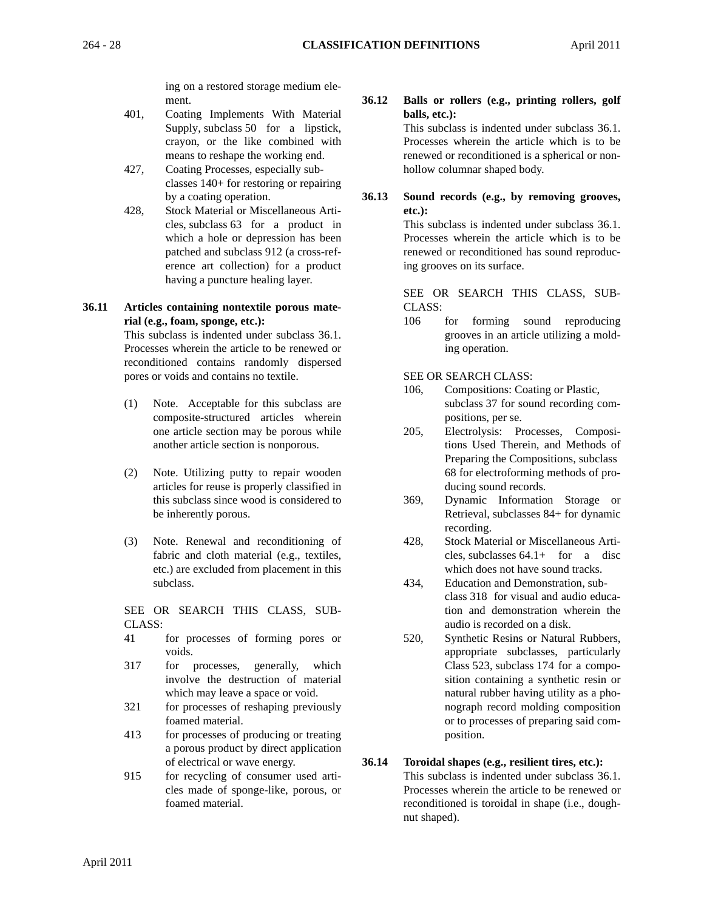ing on a restored storage medium element.

- 401, Coating Implements With Material Supply, subclass 50 for a lipstick, crayon, or the like combined with means to reshape the working end.
- 427, Coating Processes, especially subclasses 140+ for restoring or repairing by a coating operation.
- 428, Stock Material or Miscellaneous Articles, subclass 63 for a product in which a hole or depression has been patched and subclass 912 (a cross-reference art collection) for a product having a puncture healing layer.

### **36.11 Articles containing nontextile porous material (e.g., foam, sponge, etc.):**

This subclass is indented under subclass 36.1. Processes wherein the article to be renewed or reconditioned contains randomly dispersed pores or voids and contains no textile.

- (1) Note. Acceptable for this subclass are composite-structured articles wherein one article section may be porous while another article section is nonporous.
- (2) Note. Utilizing putty to repair wooden articles for reuse is properly classified in this subclass since wood is considered to be inherently porous.
- (3) Note. Renewal and reconditioning of fabric and cloth material (e.g., textiles, etc.) are excluded from placement in this subclass.

SEE OR SEARCH THIS CLASS, SUB-CLASS:

- 41 for processes of forming pores or voids.
- 317 for processes, generally, which involve the destruction of material which may leave a space or void.
- 321 for processes of reshaping previously foamed material.
- 413 for processes of producing or treating a porous product by direct application of electrical or wave energy.
- 915 for recycling of consumer used articles made of sponge-like, porous, or foamed material.

### **36.12 Balls or rollers (e.g., printing rollers, golf balls, etc.):**

This subclass is indented under subclass 36.1. Processes wherein the article which is to be renewed or reconditioned is a spherical or nonhollow columnar shaped body.

### **36.13 Sound records (e.g., by removing grooves, etc.):**

This subclass is indented under subclass 36.1. Processes wherein the article which is to be renewed or reconditioned has sound reproducing grooves on its surface.

SEE OR SEARCH THIS CLASS, SUB-CLASS:

106 for forming sound reproducing grooves in an article utilizing a molding operation.

SEE OR SEARCH CLASS:

- 106, Compositions: Coating or Plastic, subclass 37 for sound recording compositions, per se.
- 205, Electrolysis: Processes, Compositions Used Therein, and Methods of Preparing the Compositions, subclass 68 for electroforming methods of producing sound records.
- 369, Dynamic Information Storage or Retrieval, subclasses 84+ for dynamic recording.
- 428, Stock Material or Miscellaneous Articles, subclasses  $64.1+$  for a disc which does not have sound tracks.
- 434, Education and Demonstration, subclass 318 for visual and audio education and demonstration wherein the audio is recorded on a disk.
- 520, Synthetic Resins or Natural Rubbers, appropriate subclasses, particularly Class 523, subclass 174 for a composition containing a synthetic resin or natural rubber having utility as a phonograph record molding composition or to processes of preparing said composition.

### **36.14 Toroidal shapes (e.g., resilient tires, etc.):** This subclass is indented under subclass 36.1. Processes wherein the article to be renewed or reconditioned is toroidal in shape (i.e., doughnut shaped).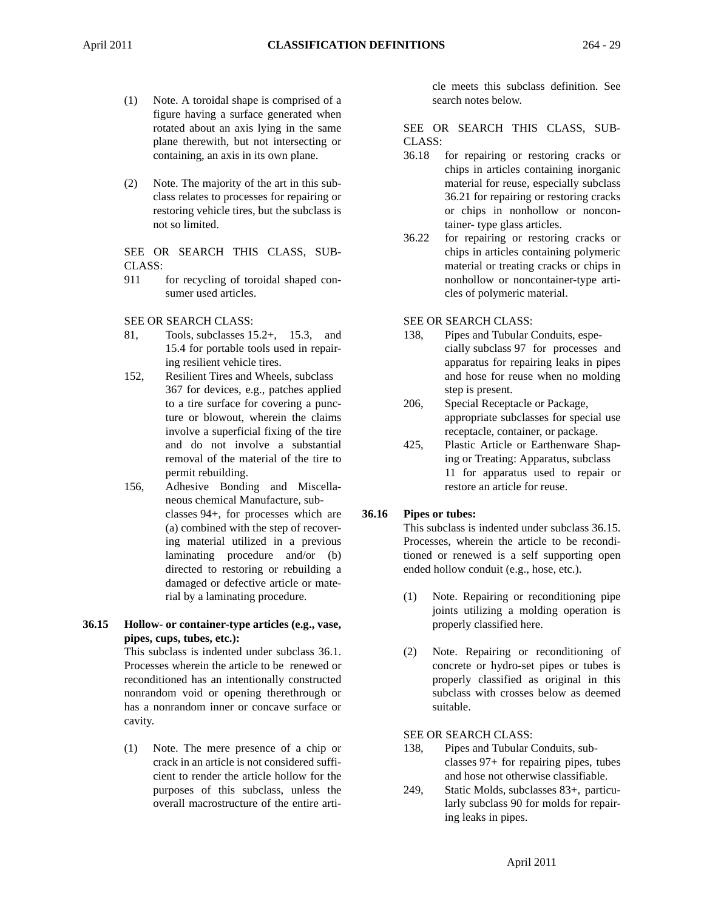- (1) Note. A toroidal shape is comprised of a figure having a surface generated when rotated about an axis lying in the same plane therewith, but not intersecting or containing, an axis in its own plane.
- (2) Note. The majority of the art in this subclass relates to processes for repairing or restoring vehicle tires, but the subclass is not so limited.

SEE OR SEARCH THIS CLASS, SUB-CLASS:

911 for recycling of toroidal shaped consumer used articles.

SEE OR SEARCH CLASS:

- 81, Tools, subclasses 15.2+, 15.3, and 15.4 for portable tools used in repairing resilient vehicle tires.
- 152, Resilient Tires and Wheels, subclass 367 for devices, e.g., patches applied to a tire surface for covering a puncture or blowout, wherein the claims involve a superficial fixing of the tire and do not involve a substantial removal of the material of the tire to permit rebuilding.
- 156, Adhesive Bonding and Miscellaneous chemical Manufacture, subclasses 94+, for processes which are (a) combined with the step of recovering material utilized in a previous laminating procedure and/or (b) directed to restoring or rebuilding a damaged or defective article or material by a laminating procedure.

### **36.15 Hollow- or container-type articles (e.g., vase, pipes, cups, tubes, etc.):**

This subclass is indented under subclass 36.1. Processes wherein the article to be renewed or reconditioned has an intentionally constructed nonrandom void or opening therethrough or has a nonrandom inner or concave surface or cavity.

(1) Note. The mere presence of a chip or crack in an article is not considered sufficient to render the article hollow for the purposes of this subclass, unless the overall macrostructure of the entire article meets this subclass definition. See search notes below.

SEE OR SEARCH THIS CLASS, SUB-CLASS:

- 36.18 for repairing or restoring cracks or chips in articles containing inorganic material for reuse, especially subclass 36.21 for repairing or restoring cracks or chips in nonhollow or noncontainer- type glass articles.
- 36.22 for repairing or restoring cracks or chips in articles containing polymeric material or treating cracks or chips in nonhollow or noncontainer-type articles of polymeric material.

SEE OR SEARCH CLASS:

- 138, Pipes and Tubular Conduits, especially subclass 97 for processes and apparatus for repairing leaks in pipes and hose for reuse when no molding step is present.
- 206, Special Receptacle or Package, appropriate subclasses for special use receptacle, container, or package.
- 425, Plastic Article or Earthenware Shaping or Treating: Apparatus, subclass 11 for apparatus used to repair or restore an article for reuse.

### **36.16 Pipes or tubes:**

This subclass is indented under subclass 36.15. Processes, wherein the article to be reconditioned or renewed is a self supporting open ended hollow conduit (e.g., hose, etc.).

- (1) Note. Repairing or reconditioning pipe joints utilizing a molding operation is properly classified here.
- (2) Note. Repairing or reconditioning of concrete or hydro-set pipes or tubes is properly classified as original in this subclass with crosses below as deemed suitable.

SEE OR SEARCH CLASS:

- 138, Pipes and Tubular Conduits, subclasses 97+ for repairing pipes, tubes and hose not otherwise classifiable.
- 249, Static Molds, subclasses 83+, particularly subclass 90 for molds for repairing leaks in pipes.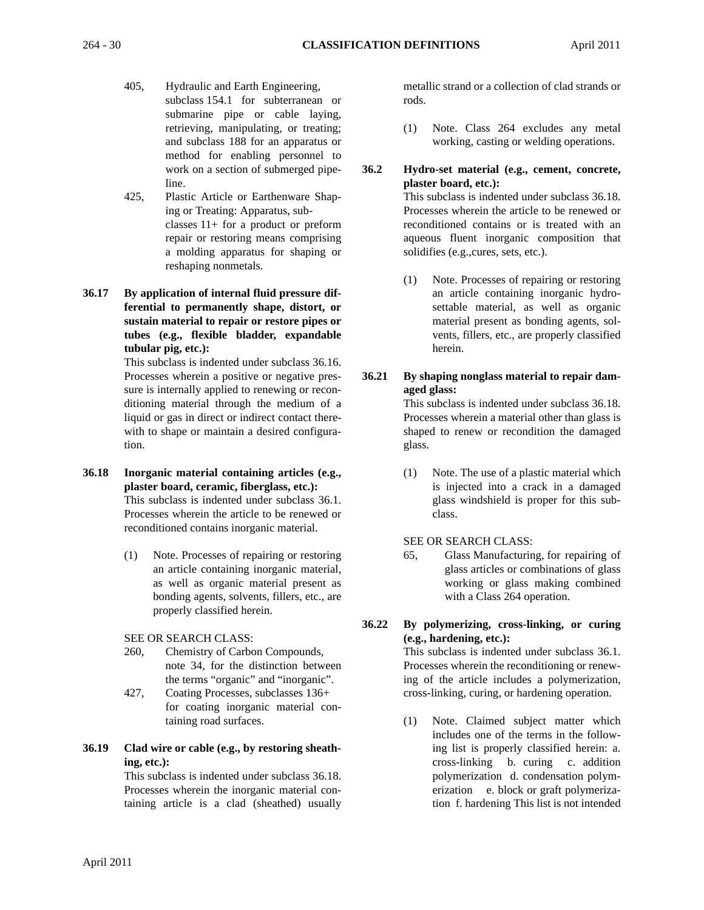- 405, Hydraulic and Earth Engineering, subclass 154.1 for subterranean or submarine pipe or cable laying, retrieving, manipulating, or treating; and subclass 188 for an apparatus or method for enabling personnel to work on a section of submerged pipeline.
- 425, Plastic Article or Earthenware Shaping or Treating: Apparatus, subclasses 11+ for a product or preform repair or restoring means comprising a molding apparatus for shaping or reshaping nonmetals.
- **36.17 By application of internal fluid pressure differential to permanently shape, distort, or sustain material to repair or restore pipes or tubes (e.g., flexible bladder, expandable tubular pig, etc.):**

This subclass is indented under subclass 36.16. Processes wherein a positive or negative pressure is internally applied to renewing or reconditioning material through the medium of a liquid or gas in direct or indirect contact therewith to shape or maintain a desired configuration.

- **36.18 Inorganic material containing articles (e.g., plaster board, ceramic, fiberglass, etc.):** This subclass is indented under subclass 36.1. Processes wherein the article to be renewed or reconditioned contains inorganic material.
	- (1) Note. Processes of repairing or restoring an article containing inorganic material, as well as organic material present as bonding agents, solvents, fillers, etc., are properly classified herein.
	- SEE OR SEARCH CLASS:
	- 260, Chemistry of Carbon Compounds, note 34, for the distinction between the terms "organic" and "inorganic".
	- 427, Coating Processes, subclasses 136+ for coating inorganic material containing road surfaces.
- **36.19 Clad wire or cable (e.g., by restoring sheathing, etc.):**

This subclass is indented under subclass 36.18. Processes wherein the inorganic material containing article is a clad (sheathed) usually metallic strand or a collection of clad strands or rods.

- (1) Note. Class 264 excludes any metal working, casting or welding operations.
- **36.2 Hydro-set material (e.g., cement, concrete, plaster board, etc.):**

This subclass is indented under subclass 36.18. Processes wherein the article to be renewed or reconditioned contains or is treated with an aqueous fluent inorganic composition that solidifies (e.g.,cures, sets, etc.).

(1) Note. Processes of repairing or restoring an article containing inorganic hydrosettable material, as well as organic material present as bonding agents, solvents, fillers, etc., are properly classified herein.

# **36.21 By shaping nonglass material to repair damaged glass:**

This subclass is indented under subclass 36.18. Processes wherein a material other than glass is shaped to renew or recondition the damaged glass.

(1) Note. The use of a plastic material which is injected into a crack in a damaged glass windshield is proper for this subclass.

### SEE OR SEARCH CLASS:

65, Glass Manufacturing, for repairing of glass articles or combinations of glass working or glass making combined with a Class 264 operation.

### **36.22 By polymerizing, cross-linking, or curing (e.g., hardening, etc.):**

This subclass is indented under subclass 36.1. Processes wherein the reconditioning or renewing of the article includes a polymerization, cross-linking, curing, or hardening operation.

(1) Note. Claimed subject matter which includes one of the terms in the following list is properly classified herein: a. cross-linking b. curing c. addition polymerization d. condensation polymerization e. block or graft polymerization f. hardening This list is not intended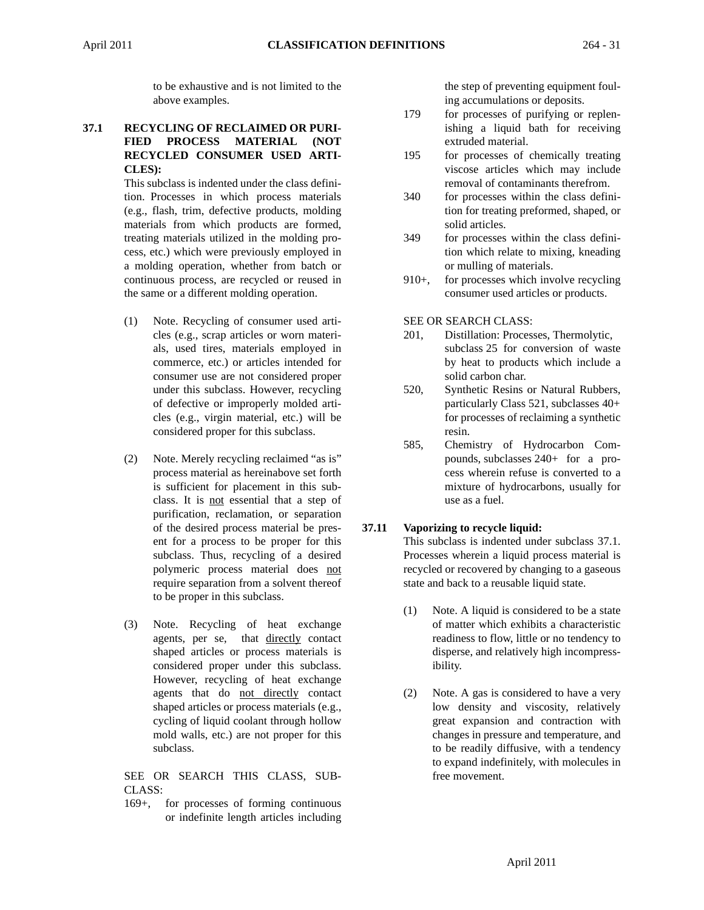to be exhaustive and is not limited to the above examples.

### **37.1 RECYCLING OF RECLAIMED OR PURI-FIED PROCESS MATERIAL (NOT RECYCLED CONSUMER USED ARTI-CLES):**

This subclass is indented under the class definition. Processes in which process materials (e.g., flash, trim, defective products, molding materials from which products are formed, treating materials utilized in the molding process, etc.) which were previously employed in a molding operation, whether from batch or continuous process, are recycled or reused in the same or a different molding operation.

- (1) Note. Recycling of consumer used articles (e.g., scrap articles or worn materials, used tires, materials employed in commerce, etc.) or articles intended for consumer use are not considered proper under this subclass. However, recycling of defective or improperly molded articles (e.g., virgin material, etc.) will be considered proper for this subclass.
- (2) Note. Merely recycling reclaimed "as is" process material as hereinabove set forth is sufficient for placement in this subclass. It is not essential that a step of purification, reclamation, or separation of the desired process material be present for a process to be proper for this subclass. Thus, recycling of a desired polymeric process material does not require separation from a solvent thereof to be proper in this subclass.
- (3) Note. Recycling of heat exchange agents, per se, that directly contact shaped articles or process materials is considered proper under this subclass. However, recycling of heat exchange agents that do not directly contact shaped articles or process materials (e.g., cycling of liquid coolant through hollow mold walls, etc.) are not proper for this subclass.

SEE OR SEARCH THIS CLASS, SUB-CLASS:

169+, for processes of forming continuous or indefinite length articles including the step of preventing equipment fouling accumulations or deposits.

- 179 for processes of purifying or replenishing a liquid bath for receiving extruded material.
- 195 for processes of chemically treating viscose articles which may include removal of contaminants therefrom.
- 340 for processes within the class definition for treating preformed, shaped, or solid articles.
- 349 for processes within the class definition which relate to mixing, kneading or mulling of materials.
- 910+, for processes which involve recycling consumer used articles or products.

SEE OR SEARCH CLASS:

- 201, Distillation: Processes, Thermolytic, subclass 25 for conversion of waste by heat to products which include a solid carbon char.
- 520, Synthetic Resins or Natural Rubbers, particularly Class 521, subclasses 40+ for processes of reclaiming a synthetic resin.
- 585, Chemistry of Hydrocarbon Compounds, subclasses 240+ for a process wherein refuse is converted to a mixture of hydrocarbons, usually for use as a fuel.

### **37.11 Vaporizing to recycle liquid:**

This subclass is indented under subclass 37.1. Processes wherein a liquid process material is recycled or recovered by changing to a gaseous state and back to a reusable liquid state.

- (1) Note. A liquid is considered to be a state of matter which exhibits a characteristic readiness to flow, little or no tendency to disperse, and relatively high incompressibility.
- (2) Note. A gas is considered to have a very low density and viscosity, relatively great expansion and contraction with changes in pressure and temperature, and to be readily diffusive, with a tendency to expand indefinitely, with molecules in free movement.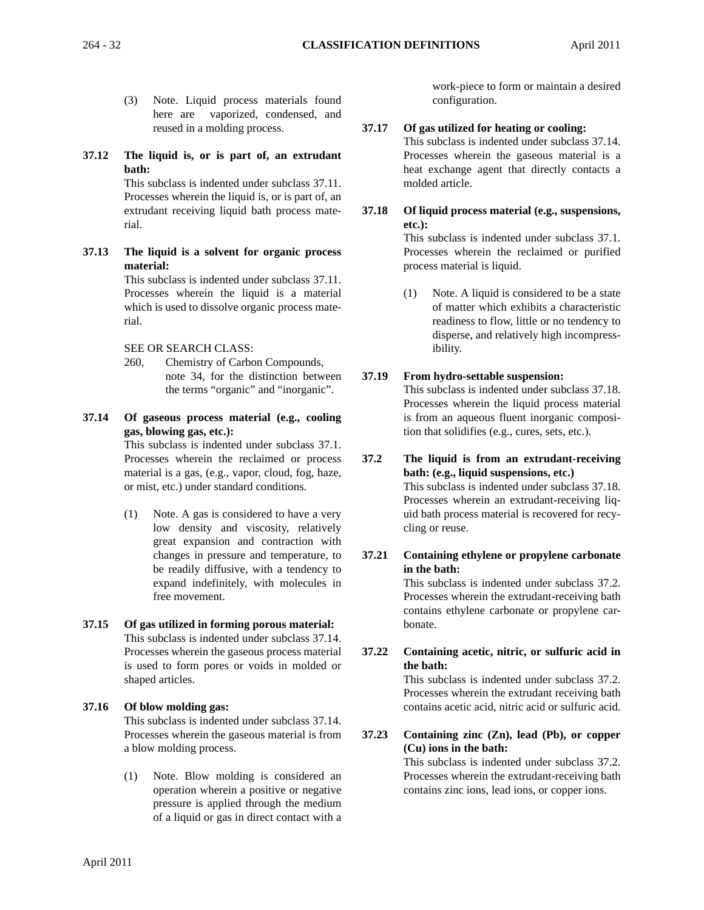- (3) Note. Liquid process materials found here are vaporized, condensed, and reused in a molding process.
- **37.12 The liquid is, or is part of, an extrudant bath:**

This subclass is indented under subclass 37.11. Processes wherein the liquid is, or is part of, an extrudant receiving liquid bath process material.

**37.13 The liquid is a solvent for organic process material:** This subclass is indented under subclass 37.11.

Processes wherein the liquid is a material which is used to dissolve organic process material.

SEE OR SEARCH CLASS:

- 260, Chemistry of Carbon Compounds, note 34, for the distinction between the terms "organic" and "inorganic".
- **37.14 Of gaseous process material (e.g., cooling gas, blowing gas, etc.):**

This subclass is indented under subclass 37.1. Processes wherein the reclaimed or process material is a gas, (e.g., vapor, cloud, fog, haze, or mist, etc.) under standard conditions.

- (1) Note. A gas is considered to have a very low density and viscosity, relatively great expansion and contraction with changes in pressure and temperature, to be readily diffusive, with a tendency to expand indefinitely, with molecules in free movement.
- **37.15 Of gas utilized in forming porous material:** This subclass is indented under subclass 37.14. Processes wherein the gaseous process material is used to form pores or voids in molded or shaped articles.
- **37.16 Of blow molding gas:** This subclass is indented under subclass 37.14. Processes wherein the gaseous material is from a blow molding process.
	- (1) Note. Blow molding is considered an operation wherein a positive or negative pressure is applied through the medium of a liquid or gas in direct contact with a

work-piece to form or maintain a desired configuration.

### **37.17 Of gas utilized for heating or cooling:**

This subclass is indented under subclass 37.14. Processes wherein the gaseous material is a heat exchange agent that directly contacts a molded article.

**37.18 Of liquid process material (e.g., suspensions, etc.):**

This subclass is indented under subclass 37.1. Processes wherein the reclaimed or purified process material is liquid.

(1) Note. A liquid is considered to be a state of matter which exhibits a characteristic readiness to flow, little or no tendency to disperse, and relatively high incompressibility.

### **37.19 From hydro-settable suspension:**

This subclass is indented under subclass 37.18. Processes wherein the liquid process material is from an aqueous fluent inorganic composition that solidifies (e.g., cures, sets, etc.).

**37.2 The liquid is from an extrudant-receiving bath: (e.g., liquid suspensions, etc.)** This subclass is indented under subclass 37.18. Processes wherein an extrudant-receiving liq-

uid bath process material is recovered for recycling or reuse.

**37.21 Containing ethylene or propylene carbonate in the bath:**

This subclass is indented under subclass 37.2. Processes wherein the extrudant-receiving bath contains ethylene carbonate or propylene carbonate.

**37.22 Containing acetic, nitric, or sulfuric acid in the bath:**

This subclass is indented under subclass 37.2. Processes wherein the extrudant receiving bath contains acetic acid, nitric acid or sulfuric acid.

**37.23 Containing zinc (Zn), lead (Pb), or copper (Cu) ions in the bath:**

> This subclass is indented under subclass 37.2. Processes wherein the extrudant-receiving bath contains zinc ions, lead ions, or copper ions.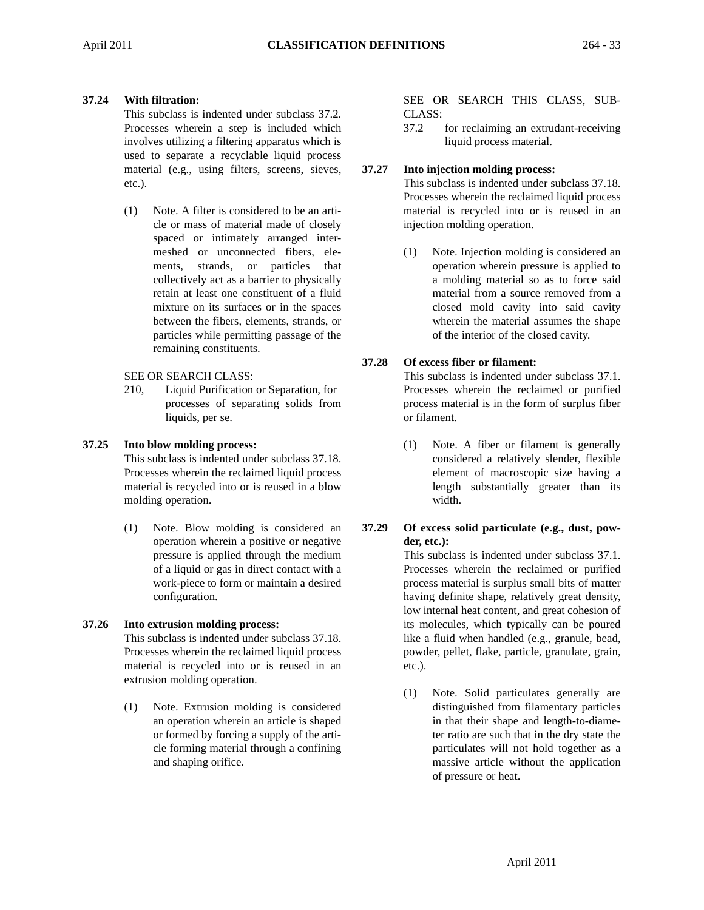### **37.24 With filtration:**

This subclass is indented under subclass 37.2. Processes wherein a step is included which involves utilizing a filtering apparatus which is used to separate a recyclable liquid process material (e.g., using filters, screens, sieves, etc.).

(1) Note. A filter is considered to be an article or mass of material made of closely spaced or intimately arranged intermeshed or unconnected fibers, elements, strands, or particles that collectively act as a barrier to physically retain at least one constituent of a fluid mixture on its surfaces or in the spaces between the fibers, elements, strands, or particles while permitting passage of the remaining constituents.

### SEE OR SEARCH CLASS:

210, Liquid Purification or Separation, for processes of separating solids from liquids, per se.

### **37.25 Into blow molding process:**

This subclass is indented under subclass 37.18. Processes wherein the reclaimed liquid process material is recycled into or is reused in a blow molding operation.

(1) Note. Blow molding is considered an operation wherein a positive or negative pressure is applied through the medium of a liquid or gas in direct contact with a work-piece to form or maintain a desired configuration.

### **37.26 Into extrusion molding process:**

This subclass is indented under subclass 37.18. Processes wherein the reclaimed liquid process material is recycled into or is reused in an extrusion molding operation.

(1) Note. Extrusion molding is considered an operation wherein an article is shaped or formed by forcing a supply of the article forming material through a confining and shaping orifice.

#### SEE OR SEARCH THIS CLASS, SUB-CLASS:

37.2 for reclaiming an extrudant-receiving liquid process material.

#### **37.27 Into injection molding process:**

This subclass is indented under subclass 37.18. Processes wherein the reclaimed liquid process material is recycled into or is reused in an injection molding operation.

(1) Note. Injection molding is considered an operation wherein pressure is applied to a molding material so as to force said material from a source removed from a closed mold cavity into said cavity wherein the material assumes the shape of the interior of the closed cavity.

### **37.28 Of excess fiber or filament:**

This subclass is indented under subclass 37.1. Processes wherein the reclaimed or purified process material is in the form of surplus fiber or filament.

(1) Note. A fiber or filament is generally considered a relatively slender, flexible element of macroscopic size having a length substantially greater than its width.

### **37.29 Of excess solid particulate (e.g., dust, powder, etc.):**

This subclass is indented under subclass 37.1. Processes wherein the reclaimed or purified process material is surplus small bits of matter having definite shape, relatively great density, low internal heat content, and great cohesion of its molecules, which typically can be poured like a fluid when handled (e.g., granule, bead, powder, pellet, flake, particle, granulate, grain, etc.).

(1) Note. Solid particulates generally are distinguished from filamentary particles in that their shape and length-to-diameter ratio are such that in the dry state the particulates will not hold together as a massive article without the application of pressure or heat.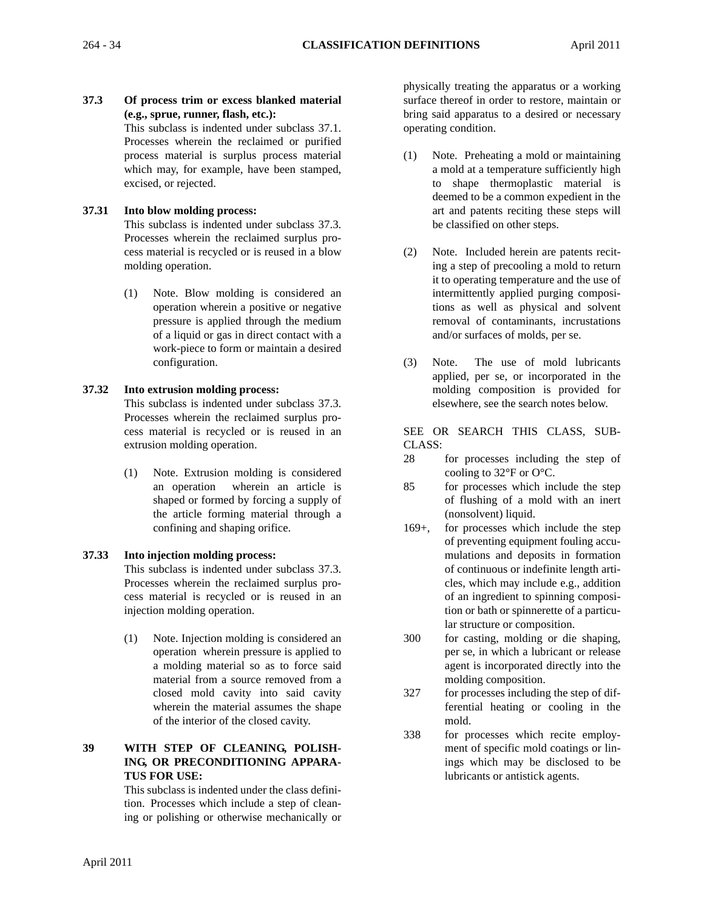**37.3 Of process trim or excess blanked material (e.g., sprue, runner, flash, etc.):**

This subclass is indented under subclass 37.1. Processes wherein the reclaimed or purified process material is surplus process material which may, for example, have been stamped, excised, or rejected.

### **37.31 Into blow molding process:**

This subclass is indented under subclass 37.3. Processes wherein the reclaimed surplus process material is recycled or is reused in a blow molding operation.

(1) Note. Blow molding is considered an operation wherein a positive or negative pressure is applied through the medium of a liquid or gas in direct contact with a work-piece to form or maintain a desired configuration.

### **37.32 Into extrusion molding process:**

This subclass is indented under subclass 37.3. Processes wherein the reclaimed surplus process material is recycled or is reused in an extrusion molding operation.

(1) Note. Extrusion molding is considered an operation wherein an article is shaped or formed by forcing a supply of the article forming material through a confining and shaping orifice.

### **37.33 Into injection molding process:**

This subclass is indented under subclass 37.3. Processes wherein the reclaimed surplus process material is recycled or is reused in an injection molding operation.

(1) Note. Injection molding is considered an operation wherein pressure is applied to a molding material so as to force said material from a source removed from a closed mold cavity into said cavity wherein the material assumes the shape of the interior of the closed cavity.

### **39 WITH STEP OF CLEANING, POLISH-ING, OR PRECONDITIONING APPARA-TUS FOR USE:**

This subclass is indented under the class definition. Processes which include a step of cleaning or polishing or otherwise mechanically or physically treating the apparatus or a working surface thereof in order to restore, maintain or bring said apparatus to a desired or necessary operating condition.

- (1) Note. Preheating a mold or maintaining a mold at a temperature sufficiently high to shape thermoplastic material is deemed to be a common expedient in the art and patents reciting these steps will be classified on other steps.
- (2) Note. Included herein are patents reciting a step of precooling a mold to return it to operating temperature and the use of intermittently applied purging compositions as well as physical and solvent removal of contaminants, incrustations and/or surfaces of molds, per se.
- (3) Note. The use of mold lubricants applied, per se, or incorporated in the molding composition is provided for elsewhere, see the search notes below.

SEE OR SEARCH THIS CLASS, SUB-CLASS:

- 28 for processes including the step of cooling to 32°F or O°C.
- 85 for processes which include the step of flushing of a mold with an inert (nonsolvent) liquid.
- 169+, for processes which include the step of preventing equipment fouling accumulations and deposits in formation of continuous or indefinite length articles, which may include e.g., addition of an ingredient to spinning composition or bath or spinnerette of a particular structure or composition.
- 300 for casting, molding or die shaping, per se, in which a lubricant or release agent is incorporated directly into the molding composition.
- 327 for processes including the step of differential heating or cooling in the mold.
- 338 for processes which recite employment of specific mold coatings or linings which may be disclosed to be lubricants or antistick agents.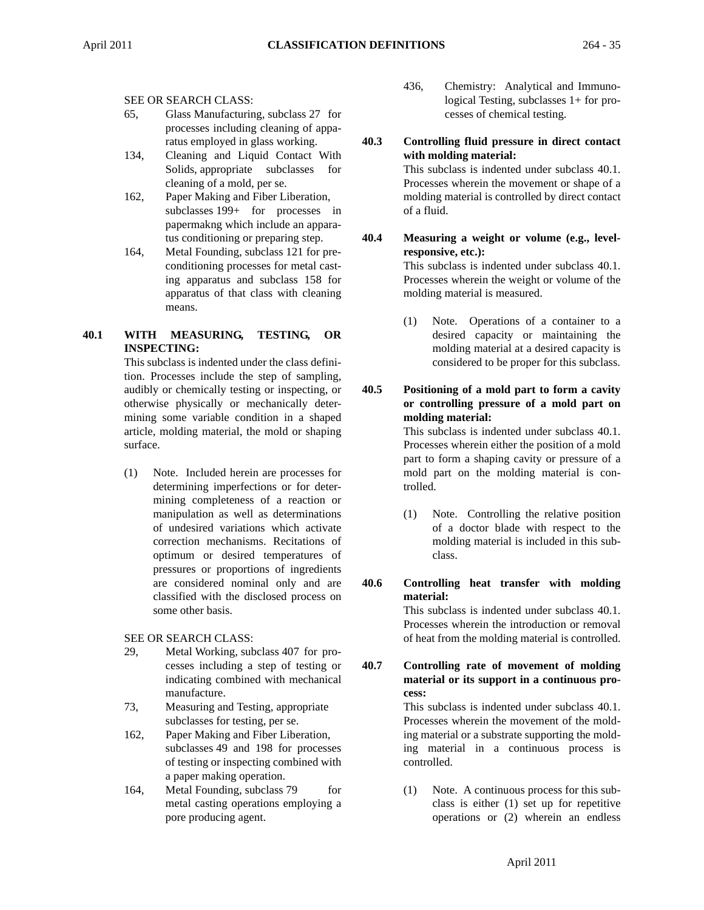### SEE OR SEARCH CLASS:

- 65, Glass Manufacturing, subclass 27 for processes including cleaning of apparatus employed in glass working.
- 134, Cleaning and Liquid Contact With Solids, appropriate subclasses for cleaning of a mold, per se.
- 162, Paper Making and Fiber Liberation, subclasses 199+ for processes in papermakng which include an apparatus conditioning or preparing step.
- 164, Metal Founding, subclass 121 for preconditioning processes for metal casting apparatus and subclass 158 for apparatus of that class with cleaning means.

### **40.1 WITH MEASURING, TESTING, OR INSPECTING:**

This subclass is indented under the class definition. Processes include the step of sampling, audibly or chemically testing or inspecting, or otherwise physically or mechanically determining some variable condition in a shaped article, molding material, the mold or shaping surface.

- (1) Note. Included herein are processes for determining imperfections or for determining completeness of a reaction or manipulation as well as determinations of undesired variations which activate correction mechanisms. Recitations of optimum or desired temperatures of pressures or proportions of ingredients are considered nominal only and are classified with the disclosed process on some other basis.
- SEE OR SEARCH CLASS:
- 29, Metal Working, subclass 407 for processes including a step of testing or indicating combined with mechanical manufacture.
- 73, Measuring and Testing, appropriate subclasses for testing, per se.
- 162, Paper Making and Fiber Liberation, subclasses 49 and 198 for processes of testing or inspecting combined with a paper making operation.
- 164, Metal Founding, subclass 79 for metal casting operations employing a pore producing agent.
- 436, Chemistry: Analytical and Immunological Testing, subclasses 1+ for processes of chemical testing.
- **40.3 Controlling fluid pressure in direct contact with molding material:**

This subclass is indented under subclass 40.1. Processes wherein the movement or shape of a molding material is controlled by direct contact of a fluid.

**40.4 Measuring a weight or volume (e.g., levelresponsive, etc.):**

> This subclass is indented under subclass 40.1. Processes wherein the weight or volume of the molding material is measured.

- (1) Note. Operations of a container to a desired capacity or maintaining the molding material at a desired capacity is considered to be proper for this subclass.
- **40.5 Positioning of a mold part to form a cavity or controlling pressure of a mold part on molding material:**

This subclass is indented under subclass 40.1. Processes wherein either the position of a mold part to form a shaping cavity or pressure of a mold part on the molding material is controlled.

- (1) Note. Controlling the relative position of a doctor blade with respect to the molding material is included in this subclass.
- **40.6 Controlling heat transfer with molding material:**

This subclass is indented under subclass 40.1. Processes wherein the introduction or removal of heat from the molding material is controlled.

**40.7 Controlling rate of movement of molding material or its support in a continuous process:**

> This subclass is indented under subclass 40.1. Processes wherein the movement of the molding material or a substrate supporting the molding material in a continuous process is controlled.

> (1) Note. A continuous process for this subclass is either (1) set up for repetitive operations or (2) wherein an endless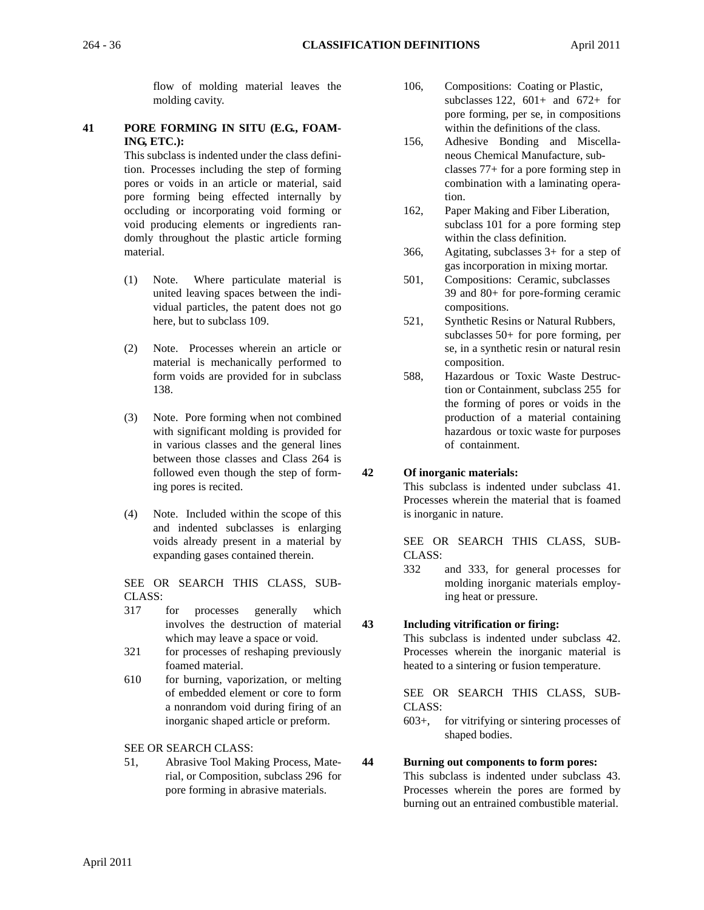flow of molding material leaves the molding cavity.

### **41 PORE FORMING IN SITU (E.G., FOAM-ING, ETC.):**

This subclass is indented under the class definition. Processes including the step of forming pores or voids in an article or material, said pore forming being effected internally by occluding or incorporating void forming or void producing elements or ingredients randomly throughout the plastic article forming material.

- (1) Note. Where particulate material is united leaving spaces between the individual particles, the patent does not go here, but to subclass 109.
- (2) Note. Processes wherein an article or material is mechanically performed to form voids are provided for in subclass 138.
- (3) Note. Pore forming when not combined with significant molding is provided for in various classes and the general lines between those classes and Class 264 is followed even though the step of forming pores is recited.
- (4) Note. Included within the scope of this and indented subclasses is enlarging voids already present in a material by expanding gases contained therein.

SEE OR SEARCH THIS CLASS, SUB-CLASS:

317 for processes generally which involves the destruction of material which may leave a space or void.

- 321 for processes of reshaping previously foamed material.
- 610 for burning, vaporization, or melting of embedded element or core to form a nonrandom void during firing of an inorganic shaped article or preform.

SEE OR SEARCH CLASS:

51, Abrasive Tool Making Process, Material, or Composition, subclass 296 for pore forming in abrasive materials.

- 106, Compositions: Coating or Plastic, subclasses  $122$ ,  $601+$  and  $672+$  for pore forming, per se, in compositions within the definitions of the class.
- 156, Adhesive Bonding and Miscellaneous Chemical Manufacture, subclasses 77+ for a pore forming step in combination with a laminating operation.
- 162, Paper Making and Fiber Liberation, subclass 101 for a pore forming step within the class definition.
- 366, Agitating, subclasses 3+ for a step of gas incorporation in mixing mortar.
- 501, Compositions: Ceramic, subclasses 39 and 80+ for pore-forming ceramic compositions.
- 521, Synthetic Resins or Natural Rubbers, subclasses 50+ for pore forming, per se, in a synthetic resin or natural resin composition.
- 588, Hazardous or Toxic Waste Destruction or Containment, subclass 255 for the forming of pores or voids in the production of a material containing hazardous or toxic waste for purposes of containment.

### **42 Of inorganic materials:**

This subclass is indented under subclass 41. Processes wherein the material that is foamed is inorganic in nature.

SEE OR SEARCH THIS CLASS, SUB-CLASS:

332 and 333, for general processes for molding inorganic materials employing heat or pressure.

### **43 Including vitrification or firing:**

This subclass is indented under subclass 42. Processes wherein the inorganic material is heated to a sintering or fusion temperature.

SEE OR SEARCH THIS CLASS, SUB-CLASS:

603+, for vitrifying or sintering processes of shaped bodies.

### **44 Burning out components to form pores:**

This subclass is indented under subclass 43. Processes wherein the pores are formed by burning out an entrained combustible material.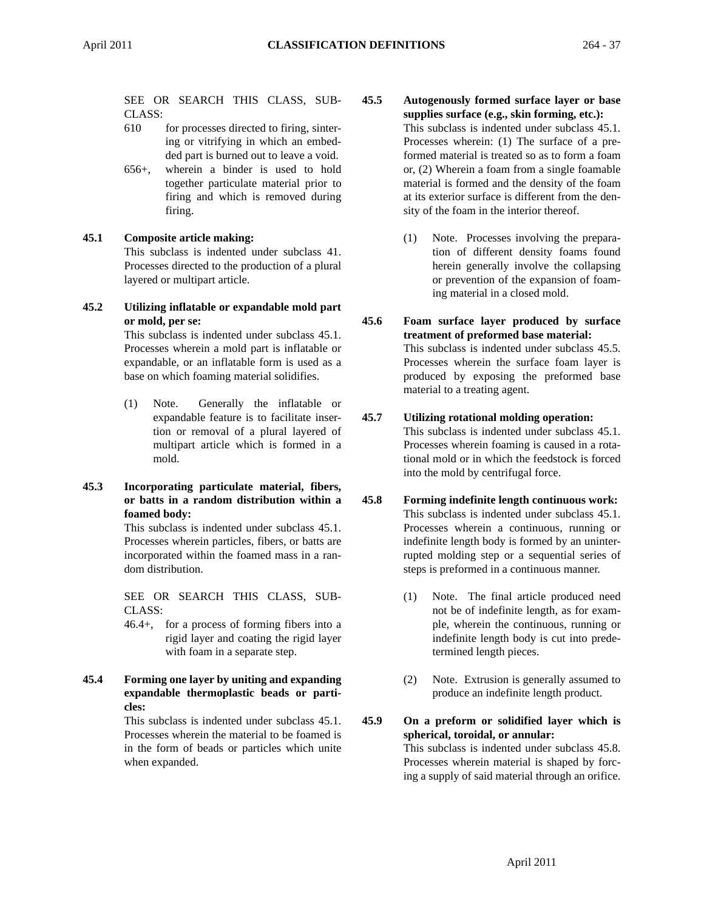SEE OR SEARCH THIS CLASS, SUB-CLASS:

- 610 for processes directed to firing, sintering or vitrifying in which an embedded part is burned out to leave a void.
- 656+, wherein a binder is used to hold together particulate material prior to firing and which is removed during firing.

# **45.1 Composite article making:**

This subclass is indented under subclass 41. Processes directed to the production of a plural layered or multipart article.

# **45.2 Utilizing inflatable or expandable mold part or mold, per se:**

This subclass is indented under subclass 45.1. Processes wherein a mold part is inflatable or expandable, or an inflatable form is used as a base on which foaming material solidifies.

- (1) Note. Generally the inflatable or expandable feature is to facilitate insertion or removal of a plural layered of multipart article which is formed in a mold.
- **45.3 Incorporating particulate material, fibers, or batts in a random distribution within a foamed body:**

This subclass is indented under subclass 45.1. Processes wherein particles, fibers, or batts are incorporated within the foamed mass in a random distribution.

SEE OR SEARCH THIS CLASS, SUB-CLASS:

- 46.4+, for a process of forming fibers into a rigid layer and coating the rigid layer with foam in a separate step.
- **45.4 Forming one layer by uniting and expanding expandable thermoplastic beads or particles:**

This subclass is indented under subclass 45.1. Processes wherein the material to be foamed is in the form of beads or particles which unite when expanded.

# **45.5 Autogenously formed surface layer or base supplies surface (e.g., skin forming, etc.):** This subclass is indented under subclass 45.1. Processes wherein: (1) The surface of a preformed material is treated so as to form a foam or, (2) Wherein a foam from a single foamable material is formed and the density of the foam at its exterior surface is different from the den-

sity of the foam in the interior thereof.

- (1) Note. Processes involving the preparation of different density foams found herein generally involve the collapsing or prevention of the expansion of foaming material in a closed mold.
- **45.6 Foam surface layer produced by surface treatment of preformed base material:** This subclass is indented under subclass 45.5. Processes wherein the surface foam layer is produced by exposing the preformed base material to a treating agent.
- **45.7 Utilizing rotational molding operation:** This subclass is indented under subclass 45.1. Processes wherein foaming is caused in a rotational mold or in which the feedstock is forced into the mold by centrifugal force.
- **45.8 Forming indefinite length continuous work:** This subclass is indented under subclass 45.1. Processes wherein a continuous, running or indefinite length body is formed by an uninterrupted molding step or a sequential series of steps is preformed in a continuous manner.
	- (1) Note. The final article produced need not be of indefinite length, as for example, wherein the continuous, running or indefinite length body is cut into predetermined length pieces.
	- (2) Note. Extrusion is generally assumed to produce an indefinite length product.
- **45.9 On a preform or solidified layer which is spherical, toroidal, or annular:** This subclass is indented under subclass 45.8. Processes wherein material is shaped by forcing a supply of said material through an orifice.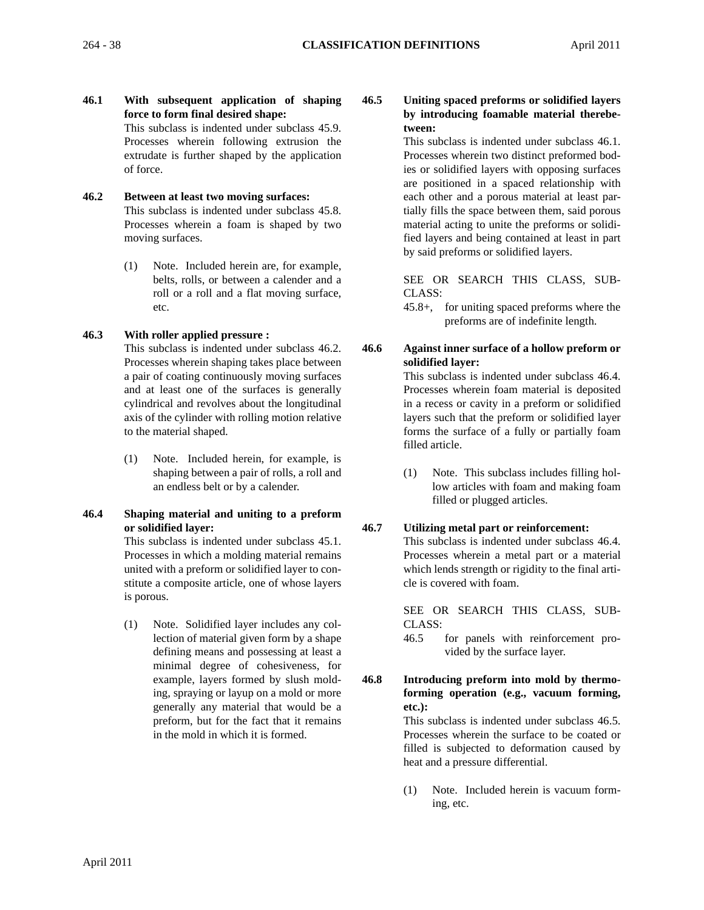**46.1 With subsequent application of shaping force to form final desired shape:**

> This subclass is indented under subclass 45.9. Processes wherein following extrusion the extrudate is further shaped by the application of force.

- **46.2 Between at least two moving surfaces:** This subclass is indented under subclass 45.8. Processes wherein a foam is shaped by two moving surfaces.
	- (1) Note. Included herein are, for example, belts, rolls, or between a calender and a roll or a roll and a flat moving surface, etc.

# **46.3 With roller applied pressure :**

This subclass is indented under subclass 46.2. Processes wherein shaping takes place between a pair of coating continuously moving surfaces and at least one of the surfaces is generally cylindrical and revolves about the longitudinal axis of the cylinder with rolling motion relative to the material shaped.

- (1) Note. Included herein, for example, is shaping between a pair of rolls, a roll and an endless belt or by a calender.
- **46.4 Shaping material and uniting to a preform or solidified layer:**

This subclass is indented under subclass 45.1. Processes in which a molding material remains united with a preform or solidified layer to constitute a composite article, one of whose layers is porous.

(1) Note. Solidified layer includes any collection of material given form by a shape defining means and possessing at least a minimal degree of cohesiveness, for example, layers formed by slush molding, spraying or layup on a mold or more generally any material that would be a preform, but for the fact that it remains in the mold in which it is formed.

# **46.5 Uniting spaced preforms or solidified layers by introducing foamable material therebetween:**

This subclass is indented under subclass 46.1. Processes wherein two distinct preformed bodies or solidified layers with opposing surfaces are positioned in a spaced relationship with each other and a porous material at least partially fills the space between them, said porous material acting to unite the preforms or solidified layers and being contained at least in part by said preforms or solidified layers.

SEE OR SEARCH THIS CLASS, SUB-CLASS:

- 45.8+, for uniting spaced preforms where the preforms are of indefinite length.
- **46.6 Against inner surface of a hollow preform or solidified layer:**

This subclass is indented under subclass 46.4. Processes wherein foam material is deposited in a recess or cavity in a preform or solidified layers such that the preform or solidified layer forms the surface of a fully or partially foam filled article.

(1) Note. This subclass includes filling hollow articles with foam and making foam filled or plugged articles.

# **46.7 Utilizing metal part or reinforcement:**

This subclass is indented under subclass 46.4. Processes wherein a metal part or a material which lends strength or rigidity to the final article is covered with foam.

SEE OR SEARCH THIS CLASS, SUB-CLASS:

46.5 for panels with reinforcement provided by the surface layer.

**46.8 Introducing preform into mold by thermoforming operation (e.g., vacuum forming, etc.):**

> This subclass is indented under subclass 46.5. Processes wherein the surface to be coated or filled is subjected to deformation caused by heat and a pressure differential.

> (1) Note. Included herein is vacuum forming, etc.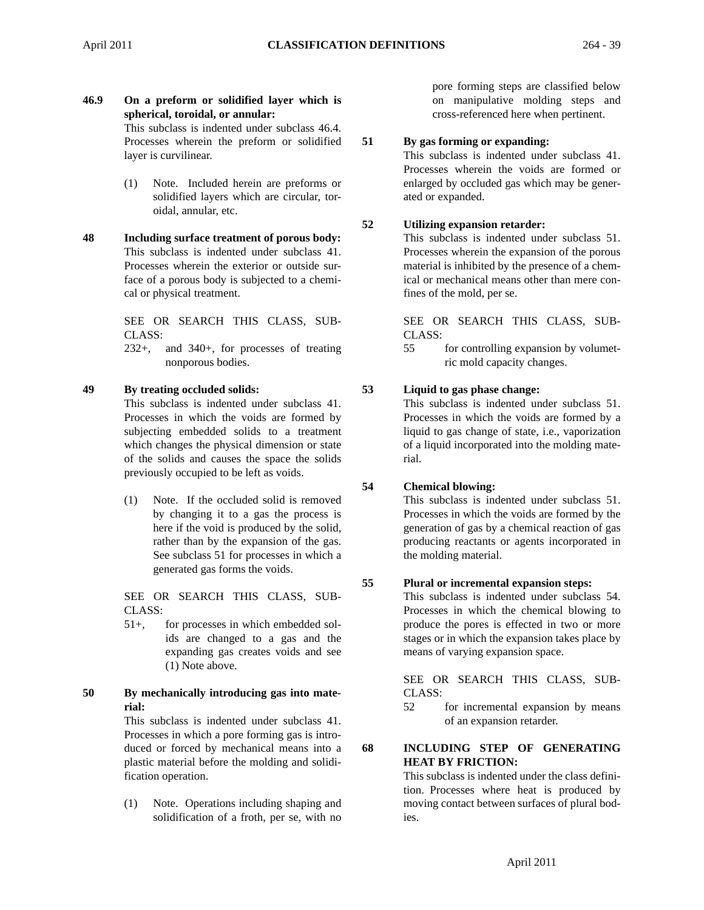**46.9 On a preform or solidified layer which is spherical, toroidal, or annular:**

> This subclass is indented under subclass 46.4. Processes wherein the preform or solidified layer is curvilinear.

- (1) Note. Included herein are preforms or solidified layers which are circular, toroidal, annular, etc.
- **48 Including surface treatment of porous body:** This subclass is indented under subclass 41. Processes wherein the exterior or outside surface of a porous body is subjected to a chemical or physical treatment.

SEE OR SEARCH THIS CLASS, SUB-CLASS:

232+, and 340+, for processes of treating nonporous bodies.

# **49 By treating occluded solids:**

This subclass is indented under subclass 41. Processes in which the voids are formed by subjecting embedded solids to a treatment which changes the physical dimension or state of the solids and causes the space the solids previously occupied to be left as voids.

(1) Note. If the occluded solid is removed by changing it to a gas the process is here if the void is produced by the solid, rather than by the expansion of the gas. See subclass 51 for processes in which a generated gas forms the voids.

SEE OR SEARCH THIS CLASS, SUB-CLASS:

- 51+, for processes in which embedded solids are changed to a gas and the expanding gas creates voids and see (1) Note above.
- **50 By mechanically introducing gas into material:**

This subclass is indented under subclass 41. Processes in which a pore forming gas is introduced or forced by mechanical means into a plastic material before the molding and solidification operation.

(1) Note. Operations including shaping and solidification of a froth, per se, with no

pore forming steps are classified below on manipulative molding steps and cross-referenced here when pertinent.

#### **51 By gas forming or expanding:**

This subclass is indented under subclass 41. Processes wherein the voids are formed or enlarged by occluded gas which may be generated or expanded.

# **52 Utilizing expansion retarder:**

This subclass is indented under subclass 51. Processes wherein the expansion of the porous material is inhibited by the presence of a chemical or mechanical means other than mere confines of the mold, per se.

SEE OR SEARCH THIS CLASS, SUB-CLASS:

55 for controlling expansion by volumetric mold capacity changes.

# **53 Liquid to gas phase change:**

This subclass is indented under subclass 51. Processes in which the voids are formed by a liquid to gas change of state, i.e., vaporization of a liquid incorporated into the molding material.

# **54 Chemical blowing:**

This subclass is indented under subclass 51. Processes in which the voids are formed by the generation of gas by a chemical reaction of gas producing reactants or agents incorporated in the molding material.

# **55 Plural or incremental expansion steps:**

This subclass is indented under subclass 54. Processes in which the chemical blowing to produce the pores is effected in two or more stages or in which the expansion takes place by means of varying expansion space.

SEE OR SEARCH THIS CLASS, SUB-CLASS:

52 for incremental expansion by means of an expansion retarder.

# **68 INCLUDING STEP OF GENERATING HEAT BY FRICTION:**

This subclass is indented under the class definition. Processes where heat is produced by moving contact between surfaces of plural bodies.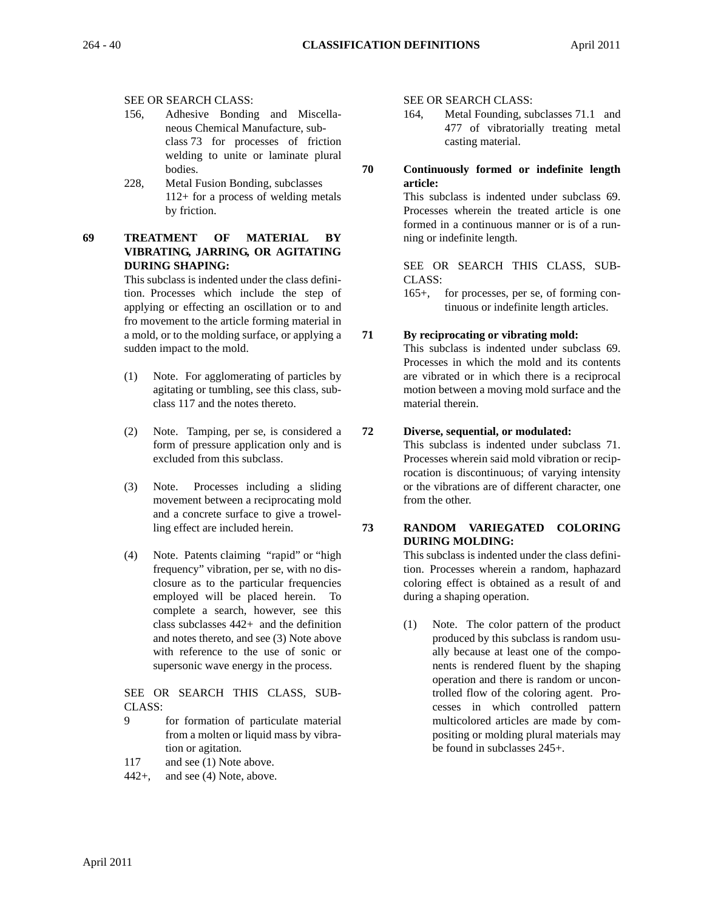#### SEE OR SEARCH CLASS:

- 156, Adhesive Bonding and Miscellaneous Chemical Manufacture, subclass 73 for processes of friction welding to unite or laminate plural bodies.
- 228, Metal Fusion Bonding, subclasses 112+ for a process of welding metals by friction.

# **69 TREATMENT OF MATERIAL BY VIBRATING, JARRING, OR AGITATING DURING SHAPING:**

This subclass is indented under the class definition. Processes which include the step of applying or effecting an oscillation or to and fro movement to the article forming material in a mold, or to the molding surface, or applying a sudden impact to the mold.

- (1) Note. For agglomerating of particles by agitating or tumbling, see this class, subclass 117 and the notes thereto.
- (2) Note. Tamping, per se, is considered a form of pressure application only and is excluded from this subclass.
- (3) Note. Processes including a sliding movement between a reciprocating mold and a concrete surface to give a trowelling effect are included herein.
- (4) Note. Patents claiming "rapid" or "high frequency" vibration, per se, with no disclosure as to the particular frequencies employed will be placed herein. To complete a search, however, see this class subclasses 442+ and the definition and notes thereto, and see (3) Note above with reference to the use of sonic or supersonic wave energy in the process.

SEE OR SEARCH THIS CLASS, SUB-CLASS:

- 9 for formation of particulate material from a molten or liquid mass by vibration or agitation.
- 117 and see (1) Note above.
- 442+, and see (4) Note, above.

SEE OR SEARCH CLASS:

- 164, Metal Founding, subclasses 71.1 and 477 of vibratorially treating metal casting material.
- 

#### **70 Continuously formed or indefinite length article:**

This subclass is indented under subclass 69. Processes wherein the treated article is one formed in a continuous manner or is of a running or indefinite length.

SEE OR SEARCH THIS CLASS, SUB-CLASS:

165+, for processes, per se, of forming continuous or indefinite length articles.

**71 By reciprocating or vibrating mold:**

This subclass is indented under subclass 69. Processes in which the mold and its contents are vibrated or in which there is a reciprocal motion between a moving mold surface and the material therein.

#### **72 Diverse, sequential, or modulated:**

This subclass is indented under subclass 71. Processes wherein said mold vibration or reciprocation is discontinuous; of varying intensity or the vibrations are of different character, one from the other.

#### **73 RANDOM VARIEGATED COLORING DURING MOLDING:**

This subclass is indented under the class definition. Processes wherein a random, haphazard coloring effect is obtained as a result of and during a shaping operation.

(1) Note. The color pattern of the product produced by this subclass is random usually because at least one of the components is rendered fluent by the shaping operation and there is random or uncontrolled flow of the coloring agent. Processes in which controlled pattern multicolored articles are made by compositing or molding plural materials may be found in subclasses 245+.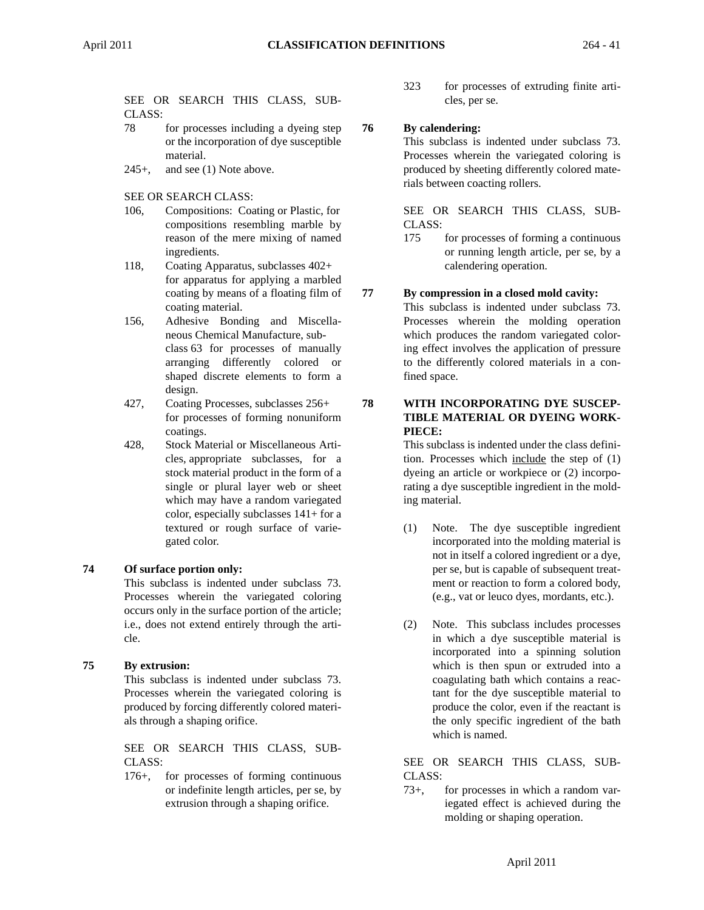### SEE OR SEARCH THIS CLASS, SUB-CLASS:

- 78 for processes including a dyeing step or the incorporation of dye susceptible material.
- 245+, and see (1) Note above.
- SEE OR SEARCH CLASS:
- 106, Compositions: Coating or Plastic, for compositions resembling marble by reason of the mere mixing of named ingredients.
- 118, Coating Apparatus, subclasses 402+ for apparatus for applying a marbled coating by means of a floating film of coating material.
- 156, Adhesive Bonding and Miscellaneous Chemical Manufacture, subclass 63 for processes of manually arranging differently colored or shaped discrete elements to form a design.
- 427, Coating Processes, subclasses 256+ for processes of forming nonuniform coatings.
- 428, Stock Material or Miscellaneous Articles, appropriate subclasses, for a stock material product in the form of a single or plural layer web or sheet which may have a random variegated color, especially subclasses 141+ for a textured or rough surface of variegated color.

# **74 Of surface portion only:**

This subclass is indented under subclass 73. Processes wherein the variegated coloring occurs only in the surface portion of the article; i.e., does not extend entirely through the article.

**75 By extrusion:**

This subclass is indented under subclass 73. Processes wherein the variegated coloring is produced by forcing differently colored materials through a shaping orifice.

SEE OR SEARCH THIS CLASS, SUB-CLASS:

176+, for processes of forming continuous or indefinite length articles, per se, by extrusion through a shaping orifice.

323 for processes of extruding finite articles, per se.

# **76 By calendering:**

This subclass is indented under subclass 73. Processes wherein the variegated coloring is produced by sheeting differently colored materials between coacting rollers.

SEE OR SEARCH THIS CLASS, SUB-CLASS:

175 for processes of forming a continuous or running length article, per se, by a calendering operation.

# **77 By compression in a closed mold cavity:**

This subclass is indented under subclass 73. Processes wherein the molding operation which produces the random variegated coloring effect involves the application of pressure to the differently colored materials in a confined space.

## **78 WITH INCORPORATING DYE SUSCEP-TIBLE MATERIAL OR DYEING WORK-PIECE:**

This subclass is indented under the class definition. Processes which include the step of (1) dyeing an article or workpiece or (2) incorporating a dye susceptible ingredient in the molding material.

- (1) Note. The dye susceptible ingredient incorporated into the molding material is not in itself a colored ingredient or a dye, per se, but is capable of subsequent treatment or reaction to form a colored body, (e.g., vat or leuco dyes, mordants, etc.).
- (2) Note. This subclass includes processes in which a dye susceptible material is incorporated into a spinning solution which is then spun or extruded into a coagulating bath which contains a reactant for the dye susceptible material to produce the color, even if the reactant is the only specific ingredient of the bath which is named.

SEE OR SEARCH THIS CLASS, SUB-CLASS:

73+, for processes in which a random variegated effect is achieved during the molding or shaping operation.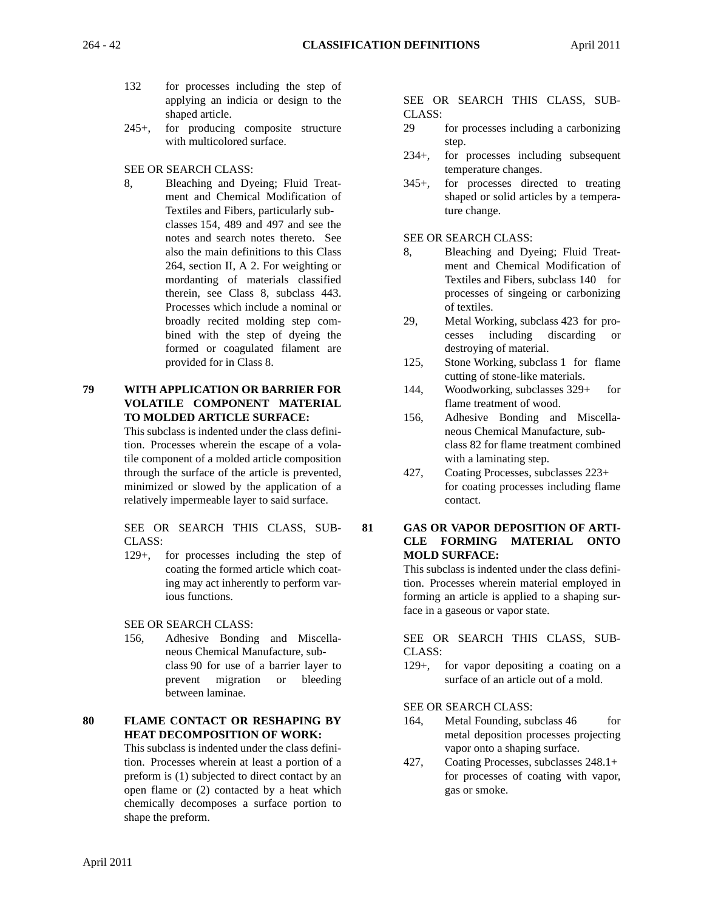- 132 for processes including the step of applying an indicia or design to the shaped article.
- 245+, for producing composite structure with multicolored surface.

SEE OR SEARCH CLASS:

8, Bleaching and Dyeing; Fluid Treatment and Chemical Modification of Textiles and Fibers, particularly subclasses 154, 489 and 497 and see the notes and search notes thereto. See also the main definitions to this Class 264, section II, A 2. For weighting or mordanting of materials classified therein, see Class 8, subclass 443. Processes which include a nominal or broadly recited molding step combined with the step of dyeing the formed or coagulated filament are provided for in Class 8.

# **79 WITH APPLICATION OR BARRIER FOR VOLATILE COMPONENT MATERIAL TO MOLDED ARTICLE SURFACE:**

This subclass is indented under the class definition. Processes wherein the escape of a volatile component of a molded article composition through the surface of the article is prevented, minimized or slowed by the application of a relatively impermeable layer to said surface.

SEE OR SEARCH THIS CLASS, SUB-CLASS:

129+, for processes including the step of coating the formed article which coating may act inherently to perform various functions.

SEE OR SEARCH CLASS:

156, Adhesive Bonding and Miscellaneous Chemical Manufacture, subclass 90 for use of a barrier layer to prevent migration or bleeding between laminae.

# **80 FLAME CONTACT OR RESHAPING BY HEAT DECOMPOSITION OF WORK:**

This subclass is indented under the class definition. Processes wherein at least a portion of a preform is (1) subjected to direct contact by an open flame or (2) contacted by a heat which chemically decomposes a surface portion to shape the preform.

SEE OR SEARCH THIS CLASS, SUB-CLASS:

- 29 for processes including a carbonizing step.
- 234+, for processes including subsequent temperature changes.
- 345+, for processes directed to treating shaped or solid articles by a temperature change.

SEE OR SEARCH CLASS:

- 8, Bleaching and Dyeing; Fluid Treatment and Chemical Modification of Textiles and Fibers, subclass 140 for processes of singeing or carbonizing of textiles.
- 29, Metal Working, subclass 423 for processes including discarding or destroying of material.
- 125, Stone Working, subclass 1 for flame cutting of stone-like materials.
- 144, Woodworking, subclasses 329+ for flame treatment of wood.
- 156, Adhesive Bonding and Miscellaneous Chemical Manufacture, subclass 82 for flame treatment combined with a laminating step.
- 427, Coating Processes, subclasses 223+ for coating processes including flame contact.

# **81 GAS OR VAPOR DEPOSITION OF ARTI-CLE FORMING MATERIAL ONTO MOLD SURFACE:**

This subclass is indented under the class definition. Processes wherein material employed in forming an article is applied to a shaping surface in a gaseous or vapor state.

SEE OR SEARCH THIS CLASS, SUB-CLASS:

129+, for vapor depositing a coating on a surface of an article out of a mold.

SEE OR SEARCH CLASS:

- 164, Metal Founding, subclass 46 for metal deposition processes projecting vapor onto a shaping surface.
- 427, Coating Processes, subclasses 248.1+ for processes of coating with vapor, gas or smoke.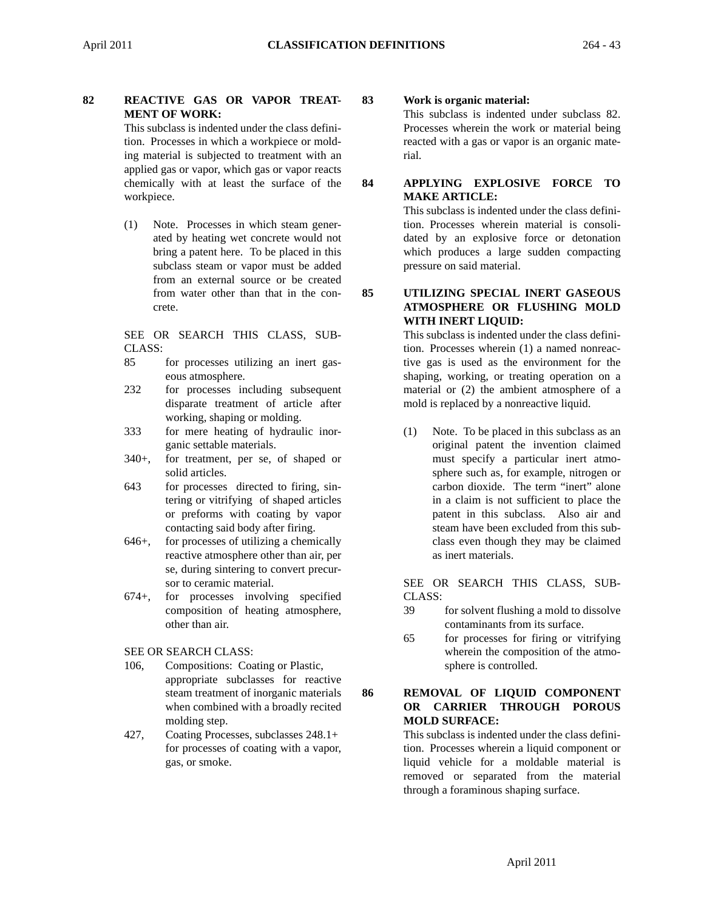# **82 REACTIVE GAS OR VAPOR TREAT-MENT OF WORK:**

This subclass is indented under the class definition. Processes in which a workpiece or molding material is subjected to treatment with an applied gas or vapor, which gas or vapor reacts chemically with at least the surface of the workpiece.

(1) Note. Processes in which steam generated by heating wet concrete would not bring a patent here. To be placed in this subclass steam or vapor must be added from an external source or be created from water other than that in the concrete.

SEE OR SEARCH THIS CLASS, SUB-CLASS:

- 85 for processes utilizing an inert gaseous atmosphere.
- 232 for processes including subsequent disparate treatment of article after working, shaping or molding.
- 333 for mere heating of hydraulic inorganic settable materials.
- 340+, for treatment, per se, of shaped or solid articles.
- 643 for processes directed to firing, sintering or vitrifying of shaped articles or preforms with coating by vapor contacting said body after firing.
- 646+, for processes of utilizing a chemically reactive atmosphere other than air, per se, during sintering to convert precursor to ceramic material.
- 674+, for processes involving specified composition of heating atmosphere, other than air.
- SEE OR SEARCH CLASS:
- 106, Compositions: Coating or Plastic, appropriate subclasses for reactive steam treatment of inorganic materials when combined with a broadly recited molding step.
- 427, Coating Processes, subclasses 248.1+ for processes of coating with a vapor, gas, or smoke.

# **83 Work is organic material:**

This subclass is indented under subclass 82. Processes wherein the work or material being reacted with a gas or vapor is an organic material.

#### **84 APPLYING EXPLOSIVE FORCE TO MAKE ARTICLE:**

This subclass is indented under the class definition. Processes wherein material is consolidated by an explosive force or detonation which produces a large sudden compacting pressure on said material.

## **85 UTILIZING SPECIAL INERT GASEOUS ATMOSPHERE OR FLUSHING MOLD WITH INERT LIQUID:**

This subclass is indented under the class definition. Processes wherein (1) a named nonreactive gas is used as the environment for the shaping, working, or treating operation on a material or (2) the ambient atmosphere of a mold is replaced by a nonreactive liquid.

(1) Note. To be placed in this subclass as an original patent the invention claimed must specify a particular inert atmosphere such as, for example, nitrogen or carbon dioxide. The term "inert" alone in a claim is not sufficient to place the patent in this subclass. Also air and steam have been excluded from this subclass even though they may be claimed as inert materials.

SEE OR SEARCH THIS CLASS, SUB-CLASS:

- 39 for solvent flushing a mold to dissolve contaminants from its surface.
- 65 for processes for firing or vitrifying wherein the composition of the atmosphere is controlled.

# **86 REMOVAL OF LIQUID COMPONENT OR CARRIER THROUGH POROUS MOLD SURFACE:**

This subclass is indented under the class definition. Processes wherein a liquid component or liquid vehicle for a moldable material is removed or separated from the material through a foraminous shaping surface.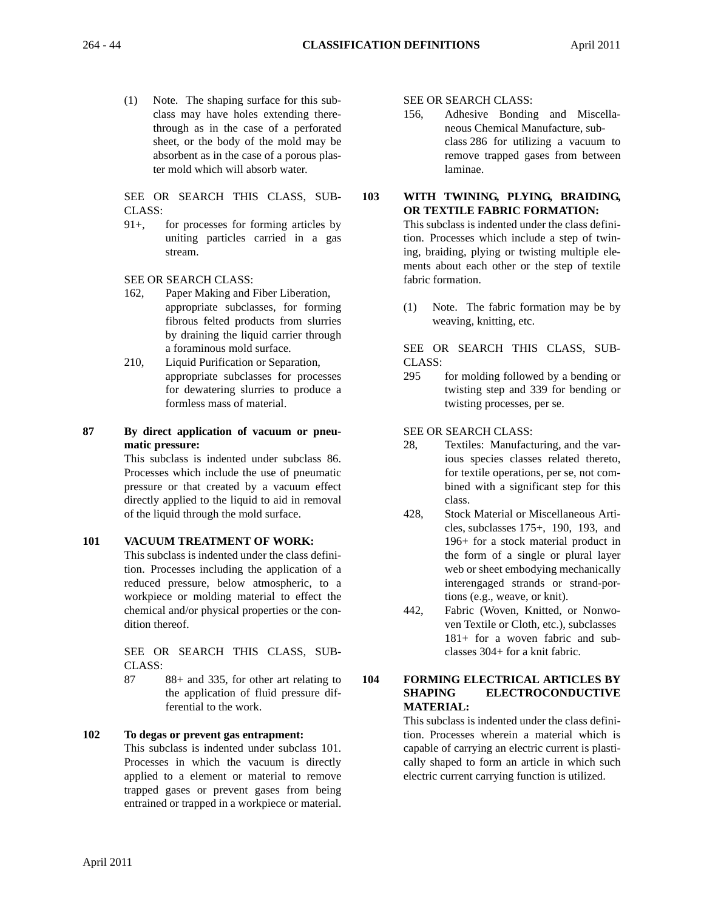(1) Note. The shaping surface for this subclass may have holes extending therethrough as in the case of a perforated sheet, or the body of the mold may be absorbent as in the case of a porous plaster mold which will absorb water.

SEE OR SEARCH THIS CLASS, SUB-CLASS:

91+, for processes for forming articles by uniting particles carried in a gas stream.

SEE OR SEARCH CLASS:

- 162, Paper Making and Fiber Liberation, appropriate subclasses, for forming fibrous felted products from slurries by draining the liquid carrier through a foraminous mold surface.
- 210, Liquid Purification or Separation, appropriate subclasses for processes for dewatering slurries to produce a formless mass of material.

### **87 By direct application of vacuum or pneumatic pressure:**

This subclass is indented under subclass 86. Processes which include the use of pneumatic pressure or that created by a vacuum effect directly applied to the liquid to aid in removal of the liquid through the mold surface.

**101 VACUUM TREATMENT OF WORK:** This subclass is indented under the class definition. Processes including the application of a reduced pressure, below atmospheric, to a workpiece or molding material to effect the chemical and/or physical properties or the condition thereof.

> SEE OR SEARCH THIS CLASS, SUB-CLASS:

- 87 88+ and 335, for other art relating to the application of fluid pressure differential to the work.
- **102 To degas or prevent gas entrapment:** This subclass is indented under subclass 101. Processes in which the vacuum is directly applied to a element or material to remove trapped gases or prevent gases from being entrained or trapped in a workpiece or material.

SEE OR SEARCH CLASS:

156, Adhesive Bonding and Miscellaneous Chemical Manufacture, subclass 286 for utilizing a vacuum to remove trapped gases from between laminae.

#### **103 WITH TWINING, PLYING, BRAIDING, OR TEXTILE FABRIC FORMATION:**

This subclass is indented under the class definition. Processes which include a step of twining, braiding, plying or twisting multiple elements about each other or the step of textile fabric formation.

(1) Note. The fabric formation may be by weaving, knitting, etc.

SEE OR SEARCH THIS CLASS, SUB-CLASS:

295 for molding followed by a bending or twisting step and 339 for bending or twisting processes, per se.

SEE OR SEARCH CLASS:

- 28, Textiles: Manufacturing, and the various species classes related thereto, for textile operations, per se, not combined with a significant step for this class.
- 428, Stock Material or Miscellaneous Articles, subclasses 175+, 190, 193, and 196+ for a stock material product in the form of a single or plural layer web or sheet embodying mechanically interengaged strands or strand-portions (e.g., weave, or knit).
- 442, Fabric (Woven, Knitted, or Nonwoven Textile or Cloth, etc.), subclasses 181+ for a woven fabric and subclasses 304+ for a knit fabric.

# **104 FORMING ELECTRICAL ARTICLES BY SHAPING ELECTROCONDUCTIVE MATERIAL:**

This subclass is indented under the class definition. Processes wherein a material which is capable of carrying an electric current is plastically shaped to form an article in which such electric current carrying function is utilized.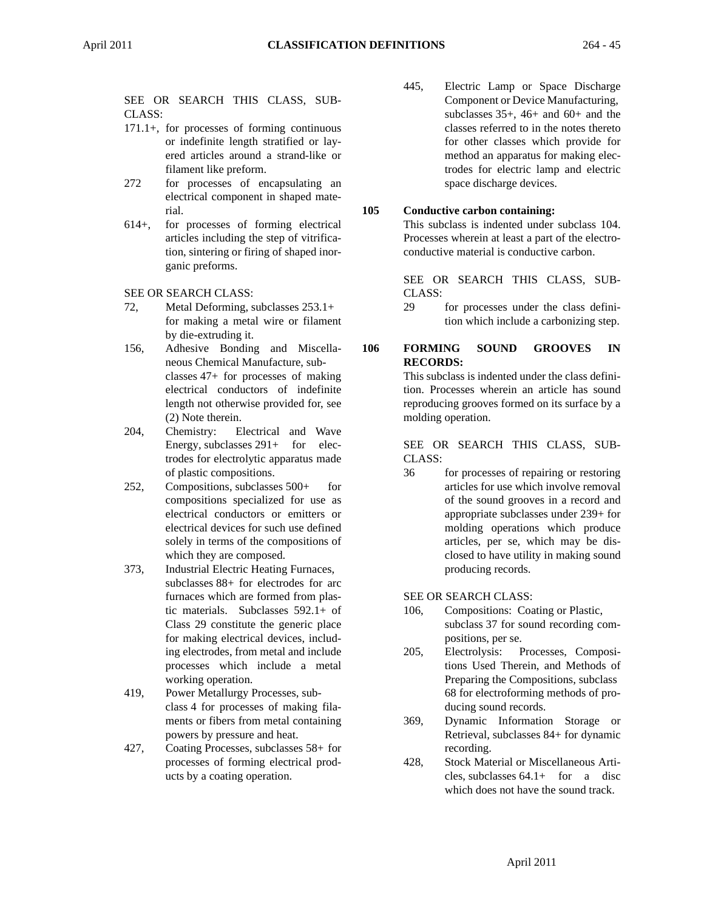# SEE OR SEARCH THIS CLASS, SUB-CLASS:

- 171.1+, for processes of forming continuous or indefinite length stratified or layered articles around a strand-like or filament like preform.
- 272 for processes of encapsulating an electrical component in shaped material.
- 614+, for processes of forming electrical articles including the step of vitrification, sintering or firing of shaped inorganic preforms.
- SEE OR SEARCH CLASS:
- 72, Metal Deforming, subclasses 253.1+ for making a metal wire or filament by die-extruding it.
- 156, Adhesive Bonding and Miscellaneous Chemical Manufacture, subclasses 47+ for processes of making electrical conductors of indefinite length not otherwise provided for, see (2) Note therein.
- 204, Chemistry: Electrical and Wave Energy, subclasses  $291+$  for electrodes for electrolytic apparatus made of plastic compositions.
- 252, Compositions, subclasses 500+ for compositions specialized for use as electrical conductors or emitters or electrical devices for such use defined solely in terms of the compositions of which they are composed.
- 373, Industrial Electric Heating Furnaces, subclasses 88+ for electrodes for arc furnaces which are formed from plastic materials. Subclasses 592.1+ of Class 29 constitute the generic place for making electrical devices, including electrodes, from metal and include processes which include a metal working operation.
- 419, Power Metallurgy Processes, subclass 4 for processes of making filaments or fibers from metal containing powers by pressure and heat.
- 427, Coating Processes, subclasses 58+ for processes of forming electrical products by a coating operation.

445, Electric Lamp or Space Discharge Component or Device Manufacturing, subclasses  $35+$ ,  $46+$  and  $60+$  and the classes referred to in the notes thereto for other classes which provide for method an apparatus for making electrodes for electric lamp and electric space discharge devices.

# **105 Conductive carbon containing:**

This subclass is indented under subclass 104. Processes wherein at least a part of the electroconductive material is conductive carbon.

SEE OR SEARCH THIS CLASS, SUB-CLASS:

29 for processes under the class definition which include a carbonizing step.

# **106 FORMING SOUND GROOVES IN RECORDS:**

This subclass is indented under the class definition. Processes wherein an article has sound reproducing grooves formed on its surface by a molding operation.

# SEE OR SEARCH THIS CLASS, SUB-CLASS:

- 36 for processes of repairing or restoring articles for use which involve removal of the sound grooves in a record and appropriate subclasses under 239+ for molding operations which produce articles, per se, which may be disclosed to have utility in making sound producing records.
- SEE OR SEARCH CLASS:
- 106, Compositions: Coating or Plastic, subclass 37 for sound recording compositions, per se.
- 205, Electrolysis: Processes, Compositions Used Therein, and Methods of Preparing the Compositions, subclass 68 for electroforming methods of producing sound records.
- 369, Dynamic Information Storage or Retrieval, subclasses 84+ for dynamic recording.
- 428, Stock Material or Miscellaneous Articles, subclasses  $64.1+$  for a disc which does not have the sound track.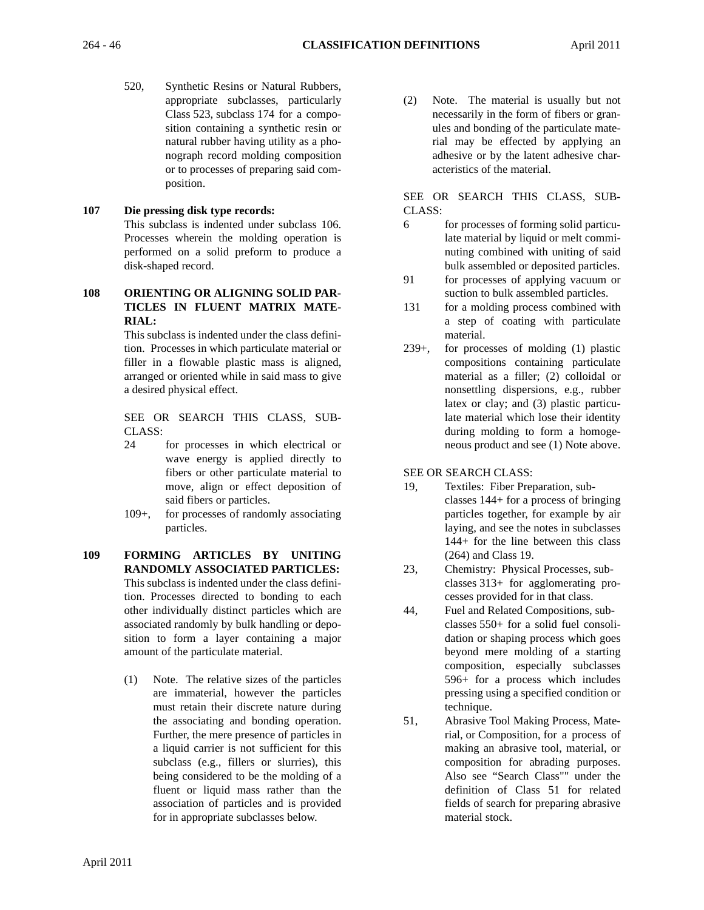520, Synthetic Resins or Natural Rubbers, appropriate subclasses, particularly Class 523, subclass 174 for a composition containing a synthetic resin or natural rubber having utility as a phonograph record molding composition or to processes of preparing said composition.

# **107 Die pressing disk type records:**

This subclass is indented under subclass 106. Processes wherein the molding operation is performed on a solid preform to produce a disk-shaped record.

**108 ORIENTING OR ALIGNING SOLID PAR-TICLES IN FLUENT MATRIX MATE-RIAL:**

> This subclass is indented under the class definition. Processes in which particulate material or filler in a flowable plastic mass is aligned, arranged or oriented while in said mass to give a desired physical effect.

> SEE OR SEARCH THIS CLASS, SUB-CLASS:

- 24 for processes in which electrical or wave energy is applied directly to fibers or other particulate material to move, align or effect deposition of said fibers or particles.
- 109+, for processes of randomly associating particles.
- **109 FORMING ARTICLES BY UNITING RANDOMLY ASSOCIATED PARTICLES:** This subclass is indented under the class definition. Processes directed to bonding to each other individually distinct particles which are associated randomly by bulk handling or deposition to form a layer containing a major amount of the particulate material.
	- (1) Note. The relative sizes of the particles are immaterial, however the particles must retain their discrete nature during the associating and bonding operation. Further, the mere presence of particles in a liquid carrier is not sufficient for this subclass (e.g., fillers or slurries), this being considered to be the molding of a fluent or liquid mass rather than the association of particles and is provided for in appropriate subclasses below.

(2) Note. The material is usually but not necessarily in the form of fibers or granules and bonding of the particulate material may be effected by applying an adhesive or by the latent adhesive characteristics of the material.

SEE OR SEARCH THIS CLASS, SUB-CLASS:

- 6 for processes of forming solid particulate material by liquid or melt comminuting combined with uniting of said bulk assembled or deposited particles.
- 91 for processes of applying vacuum or suction to bulk assembled particles.
- 131 for a molding process combined with a step of coating with particulate material.
- 239+, for processes of molding (1) plastic compositions containing particulate material as a filler; (2) colloidal or nonsettling dispersions, e.g., rubber latex or clay; and (3) plastic particulate material which lose their identity during molding to form a homogeneous product and see (1) Note above.

SEE OR SEARCH CLASS:

- 19, Textiles: Fiber Preparation, subclasses 144+ for a process of bringing particles together, for example by air laying, and see the notes in subclasses 144+ for the line between this class (264) and Class 19.
- 23, Chemistry: Physical Processes, subclasses 313+ for agglomerating processes provided for in that class.
- 44, Fuel and Related Compositions, subclasses 550+ for a solid fuel consolidation or shaping process which goes beyond mere molding of a starting composition, especially subclasses 596+ for a process which includes pressing using a specified condition or technique.
- 51, Abrasive Tool Making Process, Material, or Composition, for a process of making an abrasive tool, material, or composition for abrading purposes. Also see "Search Class"" under the definition of Class 51 for related fields of search for preparing abrasive material stock.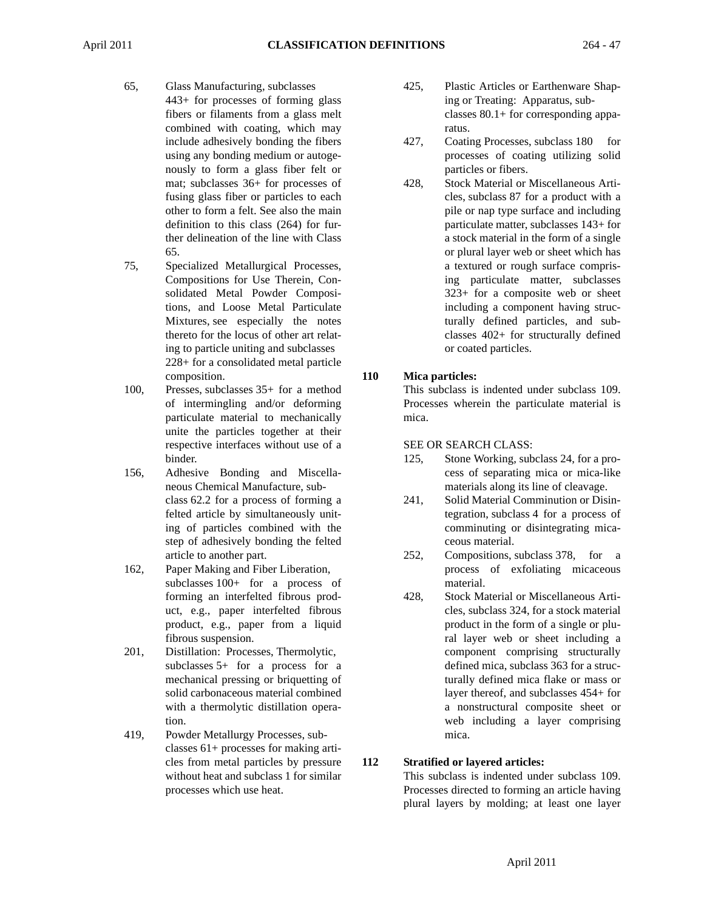- 65, Glass Manufacturing, subclasses 443+ for processes of forming glass fibers or filaments from a glass melt combined with coating, which may include adhesively bonding the fibers using any bonding medium or autogenously to form a glass fiber felt or mat; subclasses 36+ for processes of fusing glass fiber or particles to each other to form a felt. See also the main definition to this class (264) for further delineation of the line with Class 65.
- 75, Specialized Metallurgical Processes, Compositions for Use Therein, Consolidated Metal Powder Compositions, and Loose Metal Particulate Mixtures, see especially the notes thereto for the locus of other art relating to particle uniting and subclasses 228+ for a consolidated metal particle composition.
- 100, Presses, subclasses 35+ for a method of intermingling and/or deforming particulate material to mechanically unite the particles together at their respective interfaces without use of a binder.
- 156, Adhesive Bonding and Miscellaneous Chemical Manufacture, subclass 62.2 for a process of forming a felted article by simultaneously uniting of particles combined with the step of adhesively bonding the felted article to another part.
- 162, Paper Making and Fiber Liberation, subclasses 100+ for a process of forming an interfelted fibrous product, e.g., paper interfelted fibrous product, e.g., paper from a liquid fibrous suspension.
- 201, Distillation: Processes, Thermolytic, subclasses 5+ for a process for a mechanical pressing or briquetting of solid carbonaceous material combined with a thermolytic distillation operation.
- 419, Powder Metallurgy Processes, subclasses 61+ processes for making articles from metal particles by pressure without heat and subclass 1 for similar processes which use heat.
- 425, Plastic Articles or Earthenware Shaping or Treating: Apparatus, subclasses 80.1+ for corresponding apparatus.
- 427, Coating Processes, subclass 180 for processes of coating utilizing solid particles or fibers.
- 428, Stock Material or Miscellaneous Articles, subclass 87 for a product with a pile or nap type surface and including particulate matter, subclasses 143+ for a stock material in the form of a single or plural layer web or sheet which has a textured or rough surface comprising particulate matter, subclasses 323+ for a composite web or sheet including a component having structurally defined particles, and subclasses 402+ for structurally defined or coated particles.

# **110 Mica particles:**

This subclass is indented under subclass 109. Processes wherein the particulate material is mica.

# SEE OR SEARCH CLASS:

- 125, Stone Working, subclass 24, for a process of separating mica or mica-like materials along its line of cleavage.
- 241, Solid Material Comminution or Disintegration, subclass 4 for a process of comminuting or disintegrating micaceous material.
- 252, Compositions, subclass 378, for a process of exfoliating micaceous material.
- 428, Stock Material or Miscellaneous Articles, subclass 324, for a stock material product in the form of a single or plural layer web or sheet including a component comprising structurally defined mica, subclass 363 for a structurally defined mica flake or mass or layer thereof, and subclasses 454+ for a nonstructural composite sheet or web including a layer comprising mica.

# **112 Stratified or layered articles:**

This subclass is indented under subclass 109. Processes directed to forming an article having plural layers by molding; at least one layer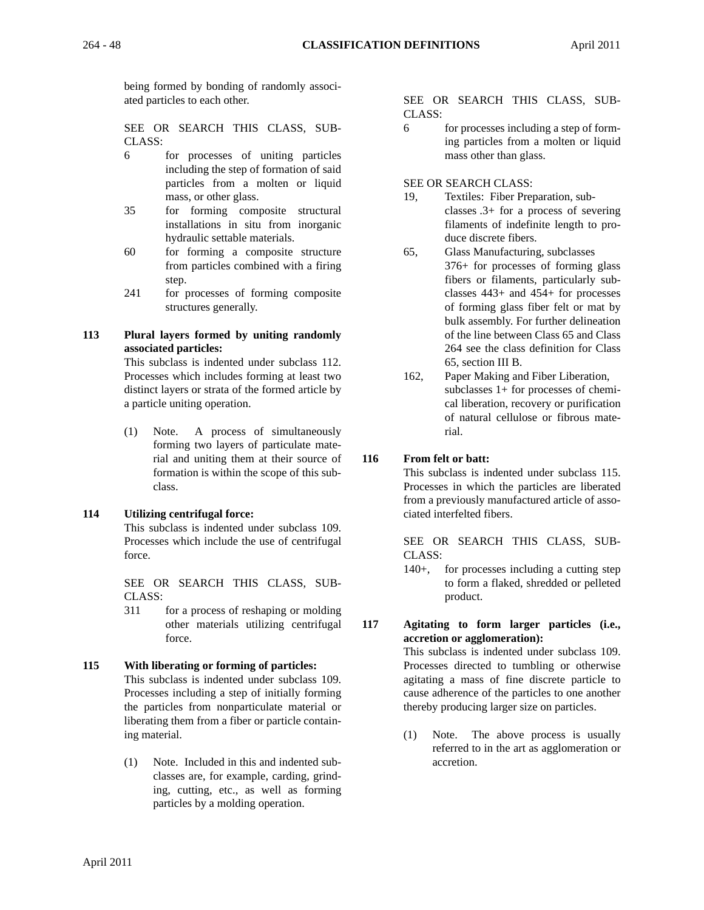being formed by bonding of randomly associated particles to each other.

SEE OR SEARCH THIS CLASS, SUB-CLASS:

- 6 for processes of uniting particles including the step of formation of said particles from a molten or liquid mass, or other glass.
- 35 for forming composite structural installations in situ from inorganic hydraulic settable materials.
- 60 for forming a composite structure from particles combined with a firing step.
- 241 for processes of forming composite structures generally.

# **113 Plural layers formed by uniting randomly associated particles:**

This subclass is indented under subclass 112. Processes which includes forming at least two distinct layers or strata of the formed article by a particle uniting operation.

(1) Note. A process of simultaneously forming two layers of particulate material and uniting them at their source of formation is within the scope of this subclass.

# **114 Utilizing centrifugal force:**

This subclass is indented under subclass 109. Processes which include the use of centrifugal force.

SEE OR SEARCH THIS CLASS, SUB-CLASS:

311 for a process of reshaping or molding other materials utilizing centrifugal force.

# **115 With liberating or forming of particles:**

This subclass is indented under subclass 109. Processes including a step of initially forming the particles from nonparticulate material or liberating them from a fiber or particle containing material.

(1) Note. Included in this and indented subclasses are, for example, carding, grinding, cutting, etc., as well as forming particles by a molding operation.

SEE OR SEARCH THIS CLASS, SUB-CLASS:

6 for processes including a step of forming particles from a molten or liquid mass other than glass.

# SEE OR SEARCH CLASS:

- 19, Textiles: Fiber Preparation, subclasses .3+ for a process of severing filaments of indefinite length to produce discrete fibers.
- 65, Glass Manufacturing, subclasses 376+ for processes of forming glass fibers or filaments, particularly subclasses 443+ and 454+ for processes of forming glass fiber felt or mat by bulk assembly. For further delineation of the line between Class 65 and Class 264 see the class definition for Class 65, section III B.
- 162, Paper Making and Fiber Liberation, subclasses 1+ for processes of chemical liberation, recovery or purification of natural cellulose or fibrous material.

# **116 From felt or batt:**

This subclass is indented under subclass 115. Processes in which the particles are liberated from a previously manufactured article of associated interfelted fibers.

SEE OR SEARCH THIS CLASS, SUB-CLASS:

140+, for processes including a cutting step to form a flaked, shredded or pelleted product.

#### **117 Agitating to form larger particles (i.e., accretion or agglomeration):**

This subclass is indented under subclass 109. Processes directed to tumbling or otherwise agitating a mass of fine discrete particle to cause adherence of the particles to one another thereby producing larger size on particles.

(1) Note. The above process is usually referred to in the art as agglomeration or accretion.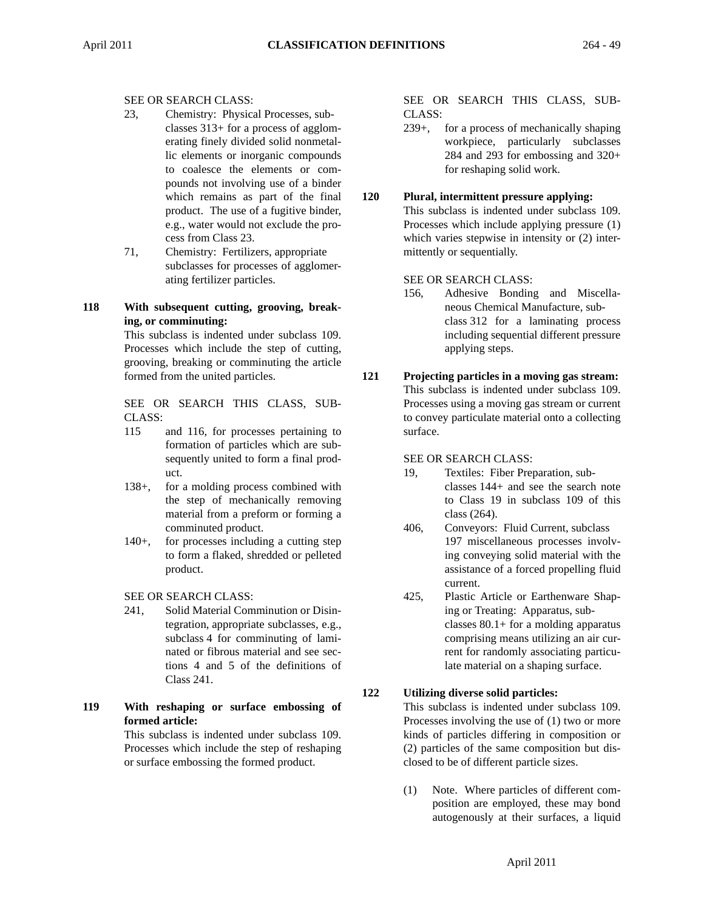### SEE OR SEARCH CLASS:

- 23, Chemistry: Physical Processes, subclasses 313+ for a process of agglomerating finely divided solid nonmetallic elements or inorganic compounds to coalesce the elements or compounds not involving use of a binder which remains as part of the final product. The use of a fugitive binder, e.g., water would not exclude the process from Class 23.
- 71, Chemistry: Fertilizers, appropriate subclasses for processes of agglomerating fertilizer particles.

# **118 With subsequent cutting, grooving, breaking, or comminuting:**

This subclass is indented under subclass 109. Processes which include the step of cutting, grooving, breaking or comminuting the article formed from the united particles.

SEE OR SEARCH THIS CLASS, SUB-CLASS:

- 115 and 116, for processes pertaining to formation of particles which are subsequently united to form a final product.
- 138+, for a molding process combined with the step of mechanically removing material from a preform or forming a comminuted product.
- 140+, for processes including a cutting step to form a flaked, shredded or pelleted product.

SEE OR SEARCH CLASS:

- 241, Solid Material Comminution or Disintegration, appropriate subclasses, e.g., subclass 4 for comminuting of laminated or fibrous material and see sections 4 and 5 of the definitions of Class 241.
- **119 With reshaping or surface embossing of formed article:**

This subclass is indented under subclass 109. Processes which include the step of reshaping or surface embossing the formed product.

SEE OR SEARCH THIS CLASS, SUB-CLASS:

239+, for a process of mechanically shaping workpiece, particularly subclasses 284 and 293 for embossing and 320+ for reshaping solid work.

#### **120 Plural, intermittent pressure applying:**

This subclass is indented under subclass 109. Processes which include applying pressure (1) which varies stepwise in intensity or (2) intermittently or sequentially.

#### SEE OR SEARCH CLASS:

- 156, Adhesive Bonding and Miscellaneous Chemical Manufacture, subclass 312 for a laminating process including sequential different pressure applying steps.
- **121 Projecting particles in a moving gas stream:** This subclass is indented under subclass 109. Processes using a moving gas stream or current to convey particulate material onto a collecting surface.

#### SEE OR SEARCH CLASS:

- 19, Textiles: Fiber Preparation, subclasses 144+ and see the search note to Class 19 in subclass 109 of this class (264).
- 406, Conveyors: Fluid Current, subclass 197 miscellaneous processes involving conveying solid material with the assistance of a forced propelling fluid current.
- 425, Plastic Article or Earthenware Shaping or Treating: Apparatus, subclasses  $80.1+$  for a molding apparatus comprising means utilizing an air current for randomly associating particulate material on a shaping surface.

# **122 Utilizing diverse solid particles:**

This subclass is indented under subclass 109. Processes involving the use of (1) two or more kinds of particles differing in composition or (2) particles of the same composition but disclosed to be of different particle sizes.

(1) Note. Where particles of different composition are employed, these may bond autogenously at their surfaces, a liquid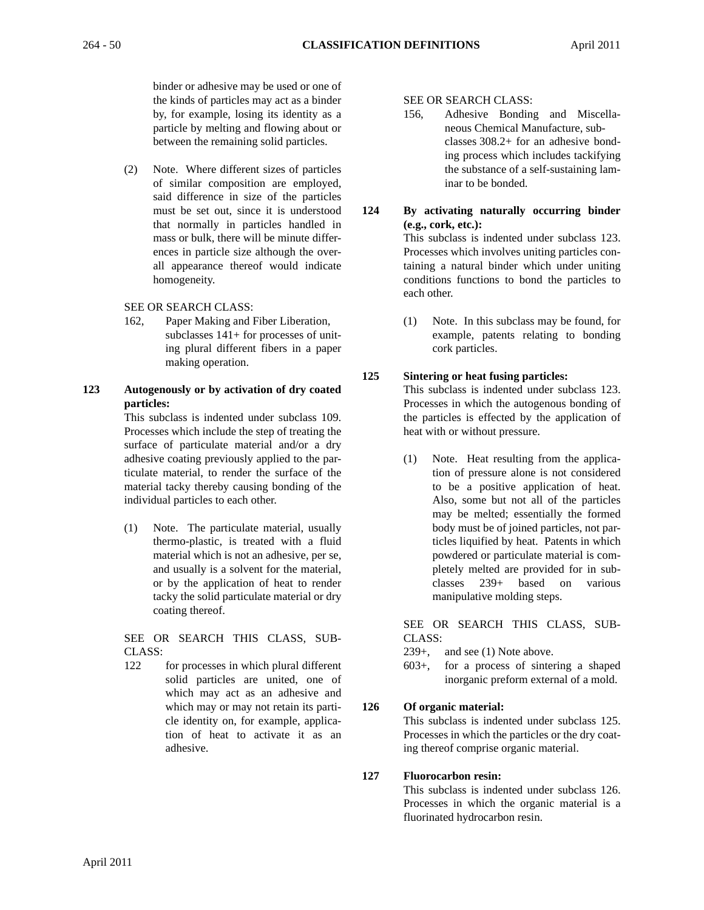binder or adhesive may be used or one of the kinds of particles may act as a binder by, for example, losing its identity as a particle by melting and flowing about or between the remaining solid particles.

(2) Note. Where different sizes of particles of similar composition are employed, said difference in size of the particles must be set out, since it is understood that normally in particles handled in mass or bulk, there will be minute differences in particle size although the overall appearance thereof would indicate homogeneity.

SEE OR SEARCH CLASS:

- 162, Paper Making and Fiber Liberation, subclasses 141+ for processes of uniting plural different fibers in a paper making operation.
- **123 Autogenously or by activation of dry coated particles:**

This subclass is indented under subclass 109. Processes which include the step of treating the surface of particulate material and/or a dry adhesive coating previously applied to the particulate material, to render the surface of the material tacky thereby causing bonding of the individual particles to each other.

(1) Note. The particulate material, usually thermo-plastic, is treated with a fluid material which is not an adhesive, per se, and usually is a solvent for the material, or by the application of heat to render tacky the solid particulate material or dry coating thereof.

SEE OR SEARCH THIS CLASS, SUB-CLASS:

122 for processes in which plural different solid particles are united, one of which may act as an adhesive and which may or may not retain its particle identity on, for example, application of heat to activate it as an adhesive.

SEE OR SEARCH CLASS:

- 156, Adhesive Bonding and Miscellaneous Chemical Manufacture, subclasses 308.2+ for an adhesive bonding process which includes tackifying the substance of a self-sustaining laminar to be bonded.
- **124 By activating naturally occurring binder (e.g., cork, etc.):**  This subclass is indented under subclass 123. Processes which involves uniting particles containing a natural binder which under uniting conditions functions to bond the particles to each other.
	- (1) Note. In this subclass may be found, for example, patents relating to bonding cork particles.

# **125 Sintering or heat fusing particles:**

This subclass is indented under subclass 123. Processes in which the autogenous bonding of the particles is effected by the application of heat with or without pressure.

(1) Note. Heat resulting from the application of pressure alone is not considered to be a positive application of heat. Also, some but not all of the particles may be melted; essentially the formed body must be of joined particles, not particles liquified by heat. Patents in which powdered or particulate material is completely melted are provided for in subclasses 239+ based on various manipulative molding steps.

SEE OR SEARCH THIS CLASS, SUB-CLASS:

- 239+, and see (1) Note above.
- 603+, for a process of sintering a shaped inorganic preform external of a mold.

# **126 Of organic material:**

This subclass is indented under subclass 125. Processes in which the particles or the dry coating thereof comprise organic material.

# **127 Fluorocarbon resin:**

This subclass is indented under subclass 126. Processes in which the organic material is a fluorinated hydrocarbon resin.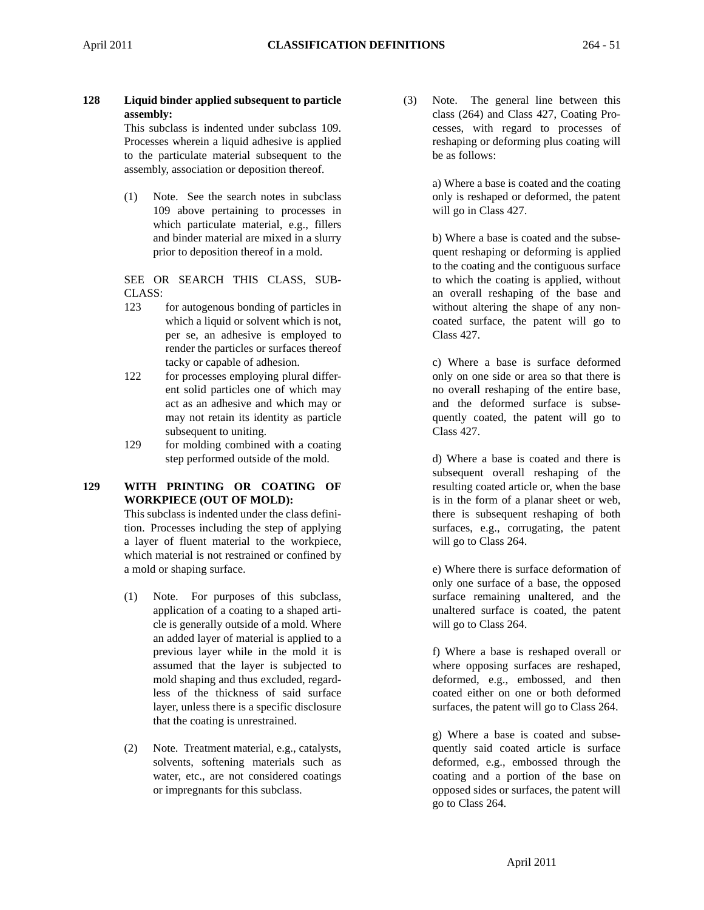**128 Liquid binder applied subsequent to particle assembly:**

This subclass is indented under subclass 109. Processes wherein a liquid adhesive is applied to the particulate material subsequent to the assembly, association or deposition thereof.

(1) Note. See the search notes in subclass 109 above pertaining to processes in which particulate material, e.g., fillers and binder material are mixed in a slurry prior to deposition thereof in a mold.

SEE OR SEARCH THIS CLASS, SUB-CLASS:

- 123 for autogenous bonding of particles in which a liquid or solvent which is not, per se, an adhesive is employed to render the particles or surfaces thereof tacky or capable of adhesion.
- 122 for processes employing plural different solid particles one of which may act as an adhesive and which may or may not retain its identity as particle subsequent to uniting.
- 129 for molding combined with a coating step performed outside of the mold.

# **129 WITH PRINTING OR COATING OF WORKPIECE (OUT OF MOLD):**

This subclass is indented under the class definition. Processes including the step of applying a layer of fluent material to the workpiece, which material is not restrained or confined by a mold or shaping surface.

- (1) Note. For purposes of this subclass, application of a coating to a shaped article is generally outside of a mold. Where an added layer of material is applied to a previous layer while in the mold it is assumed that the layer is subjected to mold shaping and thus excluded, regardless of the thickness of said surface layer, unless there is a specific disclosure that the coating is unrestrained.
- (2) Note. Treatment material, e.g., catalysts, solvents, softening materials such as water, etc., are not considered coatings or impregnants for this subclass.

(3) Note. The general line between this class (264) and Class 427, Coating Processes, with regard to processes of reshaping or deforming plus coating will be as follows:

> a) Where a base is coated and the coating only is reshaped or deformed, the patent will go in Class 427.

> b) Where a base is coated and the subsequent reshaping or deforming is applied to the coating and the contiguous surface to which the coating is applied, without an overall reshaping of the base and without altering the shape of any noncoated surface, the patent will go to Class 427.

> c) Where a base is surface deformed only on one side or area so that there is no overall reshaping of the entire base, and the deformed surface is subsequently coated, the patent will go to Class 427.

> d) Where a base is coated and there is subsequent overall reshaping of the resulting coated article or, when the base is in the form of a planar sheet or web, there is subsequent reshaping of both surfaces, e.g., corrugating, the patent will go to Class 264.

> e) Where there is surface deformation of only one surface of a base, the opposed surface remaining unaltered, and the unaltered surface is coated, the patent will go to Class 264.

> f) Where a base is reshaped overall or where opposing surfaces are reshaped, deformed, e.g., embossed, and then coated either on one or both deformed surfaces, the patent will go to Class 264.

> g) Where a base is coated and subsequently said coated article is surface deformed, e.g., embossed through the coating and a portion of the base on opposed sides or surfaces, the patent will go to Class 264.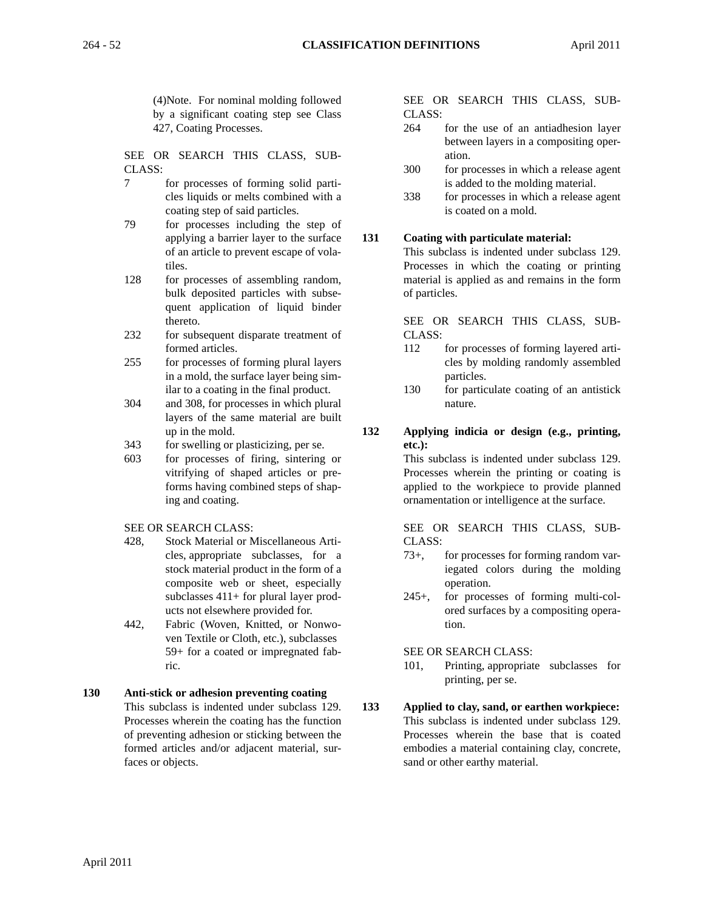(4)Note. For nominal molding followed by a significant coating step see Class 427, Coating Processes.

SEE OR SEARCH THIS CLASS, SUB-CLASS:

- 7 for processes of forming solid particles liquids or melts combined with a coating step of said particles.
- 79 for processes including the step of applying a barrier layer to the surface of an article to prevent escape of volatiles.
- 128 for processes of assembling random, bulk deposited particles with subsequent application of liquid binder thereto.
- 232 for subsequent disparate treatment of formed articles.
- 255 for processes of forming plural layers in a mold, the surface layer being similar to a coating in the final product.
- 304 and 308, for processes in which plural layers of the same material are built up in the mold.
- 343 for swelling or plasticizing, per se.
- 603 for processes of firing, sintering or vitrifying of shaped articles or preforms having combined steps of shaping and coating.

SEE OR SEARCH CLASS:

- 428, Stock Material or Miscellaneous Articles, appropriate subclasses, for a stock material product in the form of a composite web or sheet, especially subclasses 411+ for plural layer products not elsewhere provided for.
- 442, Fabric (Woven, Knitted, or Nonwoven Textile or Cloth, etc.), subclasses 59+ for a coated or impregnated fabric.
- **130 Anti-stick or adhesion preventing coating**  This subclass is indented under subclass 129. Processes wherein the coating has the function of preventing adhesion or sticking between the formed articles and/or adjacent material, surfaces or objects.

SEE OR SEARCH THIS CLASS, SUB-CLASS:

- 264 for the use of an antiadhesion layer between layers in a compositing operation.
- 300 for processes in which a release agent is added to the molding material.
- 338 for processes in which a release agent is coated on a mold.

**131 Coating with particulate material:**

This subclass is indented under subclass 129. Processes in which the coating or printing material is applied as and remains in the form of particles.

SEE OR SEARCH THIS CLASS, SUB-CLASS:

- 112 for processes of forming layered articles by molding randomly assembled particles.
- 130 for particulate coating of an antistick nature.
- **132 Applying indicia or design (e.g., printing, etc.):**

This subclass is indented under subclass 129. Processes wherein the printing or coating is applied to the workpiece to provide planned ornamentation or intelligence at the surface.

SEE OR SEARCH THIS CLASS, SUB-CLASS:

- 73+, for processes for forming random variegated colors during the molding operation.
- 245+, for processes of forming multi-colored surfaces by a compositing operation.

SEE OR SEARCH CLASS:

- 101, Printing, appropriate subclasses for printing, per se.
- **133 Applied to clay, sand, or earthen workpiece:** This subclass is indented under subclass 129. Processes wherein the base that is coated embodies a material containing clay, concrete, sand or other earthy material.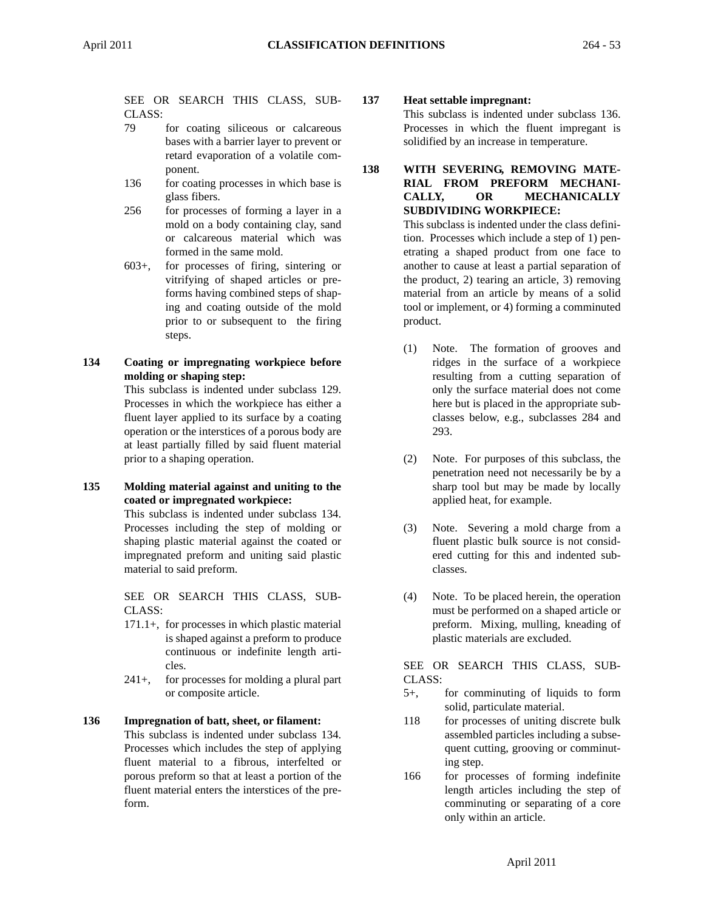SEE OR SEARCH THIS CLASS, SUB-CLASS:

- 79 for coating siliceous or calcareous bases with a barrier layer to prevent or retard evaporation of a volatile component.
- 136 for coating processes in which base is glass fibers.
- 256 for processes of forming a layer in a mold on a body containing clay, sand or calcareous material which was formed in the same mold.
- 603+, for processes of firing, sintering or vitrifying of shaped articles or preforms having combined steps of shaping and coating outside of the mold prior to or subsequent to the firing steps.
- **134 Coating or impregnating workpiece before molding or shaping step:**

This subclass is indented under subclass 129. Processes in which the workpiece has either a fluent layer applied to its surface by a coating operation or the interstices of a porous body are at least partially filled by said fluent material prior to a shaping operation.

# **135 Molding material against and uniting to the coated or impregnated workpiece:**

This subclass is indented under subclass 134. Processes including the step of molding or shaping plastic material against the coated or impregnated preform and uniting said plastic material to said preform.

SEE OR SEARCH THIS CLASS, SUB-CLASS:

- 171.1+, for processes in which plastic material is shaped against a preform to produce continuous or indefinite length articles.
- 241+, for processes for molding a plural part or composite article.
- **136 Impregnation of batt, sheet, or filament:** This subclass is indented under subclass 134. Processes which includes the step of applying fluent material to a fibrous, interfelted or porous preform so that at least a portion of the fluent material enters the interstices of the preform.

# **137 Heat settable impregnant:**

This subclass is indented under subclass 136. Processes in which the fluent impregant is solidified by an increase in temperature.

**138 WITH SEVERING, REMOVING MATE-RIAL FROM PREFORM MECHANI-CALLY, OR MECHANICALLY SUBDIVIDING WORKPIECE:**

This subclass is indented under the class definition. Processes which include a step of 1) penetrating a shaped product from one face to another to cause at least a partial separation of the product, 2) tearing an article, 3) removing material from an article by means of a solid tool or implement, or 4) forming a comminuted product.

- (1) Note. The formation of grooves and ridges in the surface of a workpiece resulting from a cutting separation of only the surface material does not come here but is placed in the appropriate subclasses below, e.g., subclasses 284 and 293.
- (2) Note. For purposes of this subclass, the penetration need not necessarily be by a sharp tool but may be made by locally applied heat, for example.
- (3) Note. Severing a mold charge from a fluent plastic bulk source is not considered cutting for this and indented subclasses.
- (4) Note. To be placed herein, the operation must be performed on a shaped article or preform. Mixing, mulling, kneading of plastic materials are excluded.

SEE OR SEARCH THIS CLASS, SUB-CLASS:

- 5+, for comminuting of liquids to form solid, particulate material.
- 118 for processes of uniting discrete bulk assembled particles including a subsequent cutting, grooving or comminuting step.
- 166 for processes of forming indefinite length articles including the step of comminuting or separating of a core only within an article.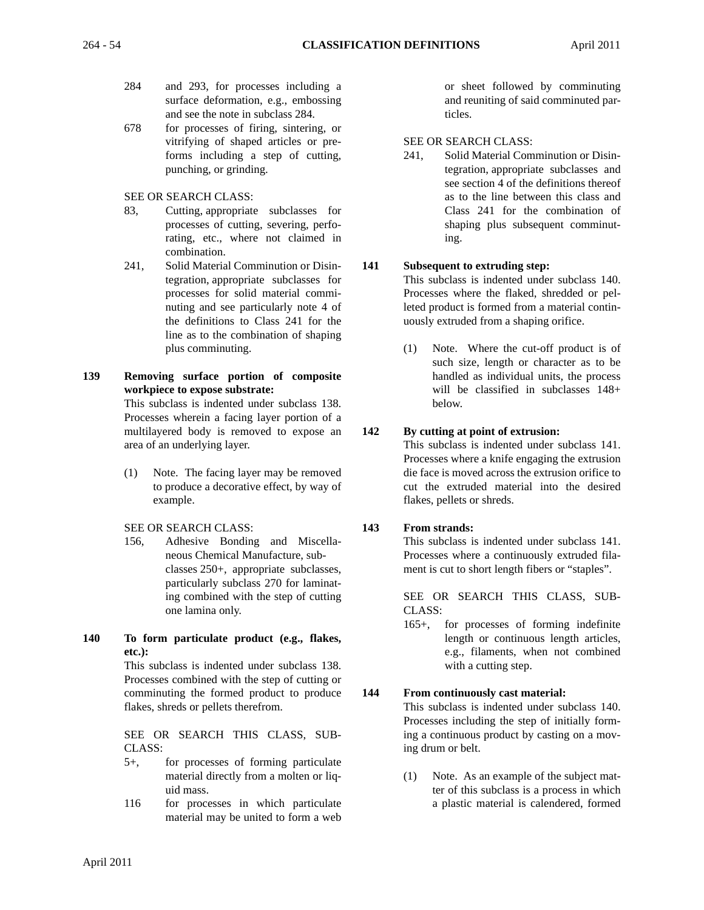- 284 and 293, for processes including a surface deformation, e.g., embossing and see the note in subclass 284.
- 678 for processes of firing, sintering, or vitrifying of shaped articles or preforms including a step of cutting, punching, or grinding.
- SEE OR SEARCH CLASS:
- 83, Cutting, appropriate subclasses for processes of cutting, severing, perforating, etc., where not claimed in combination.
- 241, Solid Material Comminution or Disintegration, appropriate subclasses for processes for solid material comminuting and see particularly note 4 of the definitions to Class 241 for the line as to the combination of shaping plus comminuting.
- **139 Removing surface portion of composite workpiece to expose substrate:** This subclass is indented under subclass 138. Processes wherein a facing layer portion of a multilayered body is removed to expose an
	- (1) Note. The facing layer may be removed to produce a decorative effect, by way of example.

SEE OR SEARCH CLASS:

area of an underlying layer.

- 156, Adhesive Bonding and Miscellaneous Chemical Manufacture, subclasses 250+, appropriate subclasses, particularly subclass 270 for laminating combined with the step of cutting one lamina only.
- **140 To form particulate product (e.g., flakes, etc.):**

This subclass is indented under subclass 138. Processes combined with the step of cutting or comminuting the formed product to produce flakes, shreds or pellets therefrom.

SEE OR SEARCH THIS CLASS, SUB-CLASS:

- 5+, for processes of forming particulate material directly from a molten or liquid mass.
- 116 for processes in which particulate material may be united to form a web

or sheet followed by comminuting and reuniting of said comminuted particles.

#### SEE OR SEARCH CLASS:

241, Solid Material Comminution or Disintegration, appropriate subclasses and see section 4 of the definitions thereof as to the line between this class and Class 241 for the combination of shaping plus subsequent comminuting.

# **141 Subsequent to extruding step:**

This subclass is indented under subclass 140. Processes where the flaked, shredded or pelleted product is formed from a material continuously extruded from a shaping orifice.

(1) Note. Where the cut-off product is of such size, length or character as to be handled as individual units, the process will be classified in subclasses 148+ below.

# **142 By cutting at point of extrusion:**

This subclass is indented under subclass 141. Processes where a knife engaging the extrusion die face is moved across the extrusion orifice to cut the extruded material into the desired flakes, pellets or shreds.

# **143 From strands:**

This subclass is indented under subclass 141. Processes where a continuously extruded filament is cut to short length fibers or "staples".

SEE OR SEARCH THIS CLASS, SUB-CLASS:

165+, for processes of forming indefinite length or continuous length articles, e.g., filaments, when not combined with a cutting step.

# **144 From continuously cast material:**

This subclass is indented under subclass 140. Processes including the step of initially forming a continuous product by casting on a moving drum or belt.

(1) Note. As an example of the subject matter of this subclass is a process in which a plastic material is calendered, formed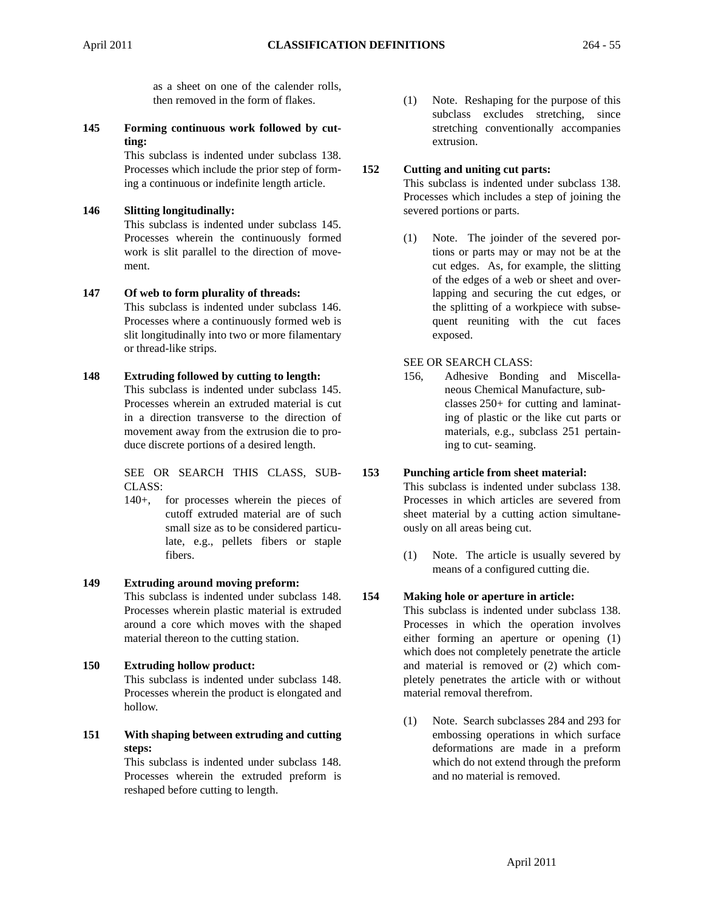as a sheet on one of the calender rolls, then removed in the form of flakes.

**145 Forming continuous work followed by cutting:**

> This subclass is indented under subclass 138. Processes which include the prior step of forming a continuous or indefinite length article.

**146 Slitting longitudinally:**

This subclass is indented under subclass 145. Processes wherein the continuously formed work is slit parallel to the direction of movement.

**147 Of web to form plurality of threads:** This subclass is indented under subclass 146. Processes where a continuously formed web is slit longitudinally into two or more filamentary or thread-like strips.

# **148 Extruding followed by cutting to length:**

This subclass is indented under subclass 145. Processes wherein an extruded material is cut in a direction transverse to the direction of movement away from the extrusion die to produce discrete portions of a desired length.

SEE OR SEARCH THIS CLASS, SUB-CLASS:

- 140+, for processes wherein the pieces of cutoff extruded material are of such small size as to be considered particulate, e.g., pellets fibers or staple fibers.
- **149 Extruding around moving preform:** This subclass is indented under subclass 148. Processes wherein plastic material is extruded around a core which moves with the shaped material thereon to the cutting station.
- **150 Extruding hollow product:**

This subclass is indented under subclass 148. Processes wherein the product is elongated and hollow.

**151 With shaping between extruding and cutting steps:** 

> This subclass is indented under subclass 148. Processes wherein the extruded preform is reshaped before cutting to length.

(1) Note. Reshaping for the purpose of this subclass excludes stretching, since stretching conventionally accompanies extrusion.

# **152 Cutting and uniting cut parts:**

This subclass is indented under subclass 138. Processes which includes a step of joining the severed portions or parts.

(1) Note. The joinder of the severed portions or parts may or may not be at the cut edges. As, for example, the slitting of the edges of a web or sheet and overlapping and securing the cut edges, or the splitting of a workpiece with subsequent reuniting with the cut faces exposed.

# SEE OR SEARCH CLASS:

156, Adhesive Bonding and Miscellaneous Chemical Manufacture, subclasses 250+ for cutting and laminating of plastic or the like cut parts or materials, e.g., subclass 251 pertaining to cut- seaming.

# **153 Punching article from sheet material:**

This subclass is indented under subclass 138. Processes in which articles are severed from sheet material by a cutting action simultaneously on all areas being cut.

(1) Note. The article is usually severed by means of a configured cutting die.

# **154 Making hole or aperture in article:**

This subclass is indented under subclass 138. Processes in which the operation involves either forming an aperture or opening (1) which does not completely penetrate the article and material is removed or (2) which completely penetrates the article with or without material removal therefrom.

(1) Note. Search subclasses 284 and 293 for embossing operations in which surface deformations are made in a preform which do not extend through the preform and no material is removed.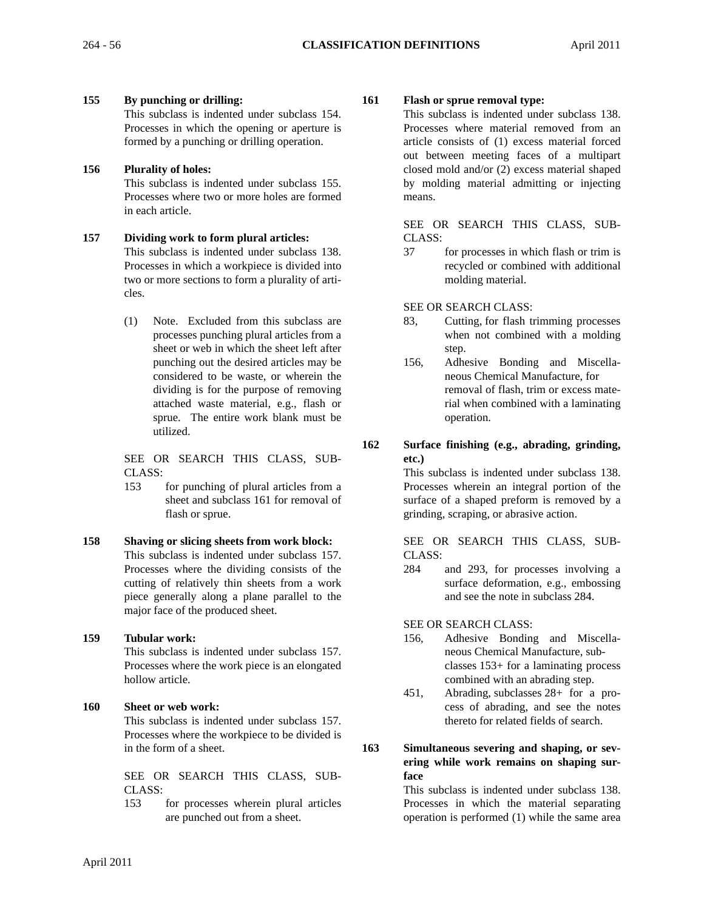# **155 By punching or drilling:**

This subclass is indented under subclass 154. Processes in which the opening or aperture is formed by a punching or drilling operation.

# **156 Plurality of holes:**

This subclass is indented under subclass 155. Processes where two or more holes are formed in each article.

# **157 Dividing work to form plural articles:**

This subclass is indented under subclass 138. Processes in which a workpiece is divided into two or more sections to form a plurality of articles.

(1) Note. Excluded from this subclass are processes punching plural articles from a sheet or web in which the sheet left after punching out the desired articles may be considered to be waste, or wherein the dividing is for the purpose of removing attached waste material, e.g., flash or sprue. The entire work blank must be utilized.

SEE OR SEARCH THIS CLASS, SUB-CLASS:

- 153 for punching of plural articles from a sheet and subclass 161 for removal of flash or sprue.
- **158 Shaving or slicing sheets from work block:** This subclass is indented under subclass 157. Processes where the dividing consists of the cutting of relatively thin sheets from a work piece generally along a plane parallel to the major face of the produced sheet.
- **159 Tubular work:** This subclass is indented under subclass 157. Processes where the work piece is an elongated hollow article.

# **160 Sheet or web work:**

This subclass is indented under subclass 157. Processes where the workpiece to be divided is in the form of a sheet.

SEE OR SEARCH THIS CLASS, SUB-CLASS:

153 for processes wherein plural articles are punched out from a sheet.

# **161 Flash or sprue removal type:**

This subclass is indented under subclass 138. Processes where material removed from an article consists of (1) excess material forced out between meeting faces of a multipart closed mold and/or (2) excess material shaped by molding material admitting or injecting means.

SEE OR SEARCH THIS CLASS, SUB-CLASS:

37 for processes in which flash or trim is recycled or combined with additional molding material.

SEE OR SEARCH CLASS:

- 83, Cutting, for flash trimming processes when not combined with a molding step.
- 156, Adhesive Bonding and Miscellaneous Chemical Manufacture, for removal of flash, trim or excess material when combined with a laminating operation.

#### **162 Surface finishing (e.g., abrading, grinding, etc.)**

This subclass is indented under subclass 138. Processes wherein an integral portion of the surface of a shaped preform is removed by a grinding, scraping, or abrasive action.

SEE OR SEARCH THIS CLASS, SUB-CLASS:

284 and 293, for processes involving a surface deformation, e.g., embossing and see the note in subclass 284.

# SEE OR SEARCH CLASS:

- 156, Adhesive Bonding and Miscellaneous Chemical Manufacture, subclasses 153+ for a laminating process combined with an abrading step.
- 451, Abrading, subclasses 28+ for a process of abrading, and see the notes thereto for related fields of search.
- **163 Simultaneous severing and shaping, or severing while work remains on shaping surface**

This subclass is indented under subclass 138. Processes in which the material separating operation is performed (1) while the same area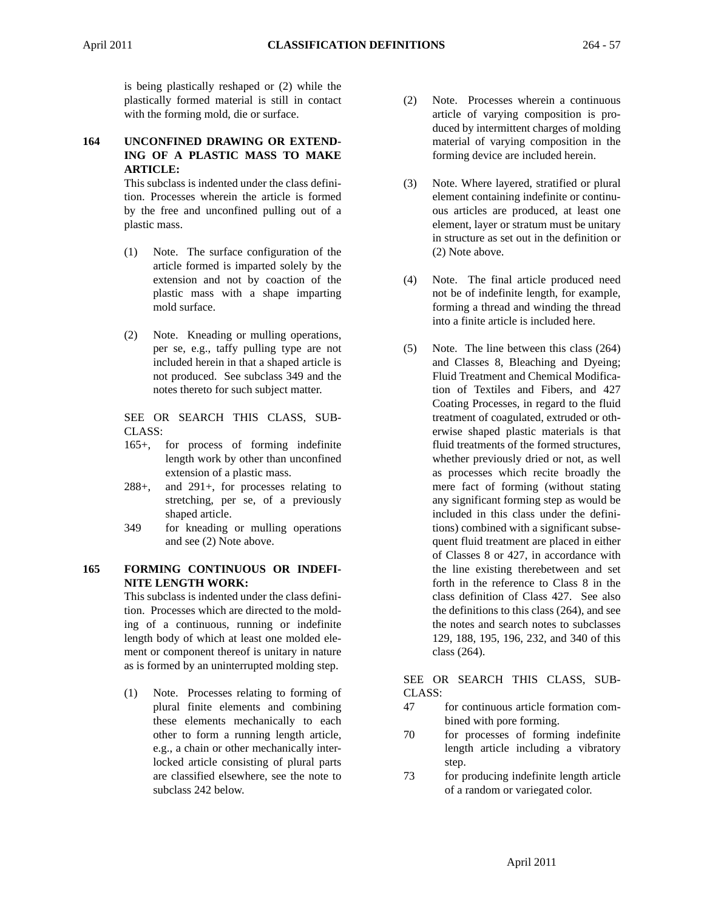is being plastically reshaped or (2) while the plastically formed material is still in contact with the forming mold, die or surface.

**164 UNCONFINED DRAWING OR EXTEND-ING OF A PLASTIC MASS TO MAKE ARTICLE:**

> This subclass is indented under the class definition. Processes wherein the article is formed by the free and unconfined pulling out of a plastic mass.

- (1) Note. The surface configuration of the article formed is imparted solely by the extension and not by coaction of the plastic mass with a shape imparting mold surface.
- (2) Note. Kneading or mulling operations, per se, e.g., taffy pulling type are not included herein in that a shaped article is not produced. See subclass 349 and the notes thereto for such subject matter.

SEE OR SEARCH THIS CLASS, SUB-CLASS:

- 165+, for process of forming indefinite length work by other than unconfined extension of a plastic mass.
- 288+, and 291+, for processes relating to stretching, per se, of a previously shaped article.
- 349 for kneading or mulling operations and see (2) Note above.

# **165 FORMING CONTINUOUS OR INDEFI-NITE LENGTH WORK:**

This subclass is indented under the class definition. Processes which are directed to the molding of a continuous, running or indefinite length body of which at least one molded element or component thereof is unitary in nature as is formed by an uninterrupted molding step.

(1) Note. Processes relating to forming of plural finite elements and combining these elements mechanically to each other to form a running length article, e.g., a chain or other mechanically interlocked article consisting of plural parts are classified elsewhere, see the note to subclass 242 below.

- (2) Note. Processes wherein a continuous article of varying composition is produced by intermittent charges of molding material of varying composition in the forming device are included herein.
- (3) Note. Where layered, stratified or plural element containing indefinite or continuous articles are produced, at least one element, layer or stratum must be unitary in structure as set out in the definition or (2) Note above.
- (4) Note. The final article produced need not be of indefinite length, for example, forming a thread and winding the thread into a finite article is included here.
- (5) Note. The line between this class (264) and Classes 8, Bleaching and Dyeing; Fluid Treatment and Chemical Modification of Textiles and Fibers, and 427 Coating Processes, in regard to the fluid treatment of coagulated, extruded or otherwise shaped plastic materials is that fluid treatments of the formed structures, whether previously dried or not, as well as processes which recite broadly the mere fact of forming (without stating any significant forming step as would be included in this class under the definitions) combined with a significant subsequent fluid treatment are placed in either of Classes 8 or 427, in accordance with the line existing therebetween and set forth in the reference to Class 8 in the class definition of Class 427. See also the definitions to this class (264), and see the notes and search notes to subclasses 129, 188, 195, 196, 232, and 340 of this class (264).

SEE OR SEARCH THIS CLASS, SUB-CLASS:

- 47 for continuous article formation combined with pore forming.
- 70 for processes of forming indefinite length article including a vibratory step.
- 73 for producing indefinite length article of a random or variegated color.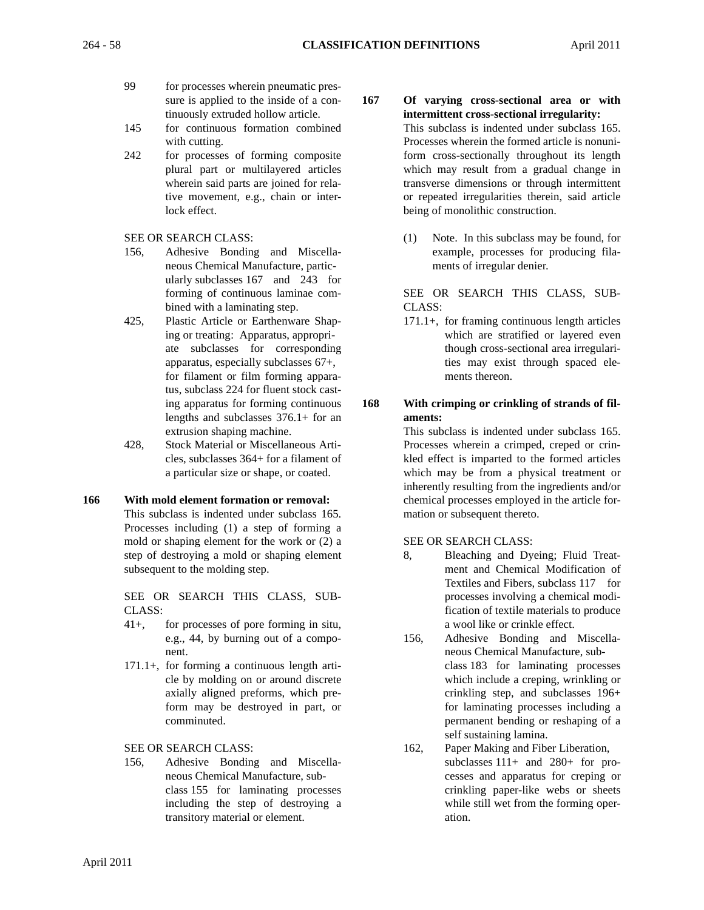- 
- 99 for processes wherein pneumatic pressure is applied to the inside of a continuously extruded hollow article.
- 145 for continuous formation combined with cutting.
- 242 for processes of forming composite plural part or multilayered articles wherein said parts are joined for relative movement, e.g., chain or interlock effect.

#### SEE OR SEARCH CLASS:

- 156, Adhesive Bonding and Miscellaneous Chemical Manufacture, particularly subclasses 167 and 243 for forming of continuous laminae combined with a laminating step.
- 425, Plastic Article or Earthenware Shaping or treating: Apparatus, appropriate subclasses for corresponding apparatus, especially subclasses 67+, for filament or film forming apparatus, subclass 224 for fluent stock casting apparatus for forming continuous lengths and subclasses 376.1+ for an extrusion shaping machine.
- 428, Stock Material or Miscellaneous Articles, subclasses 364+ for a filament of a particular size or shape, or coated.

# **166 With mold element formation or removal:**

This subclass is indented under subclass 165. Processes including (1) a step of forming a mold or shaping element for the work or (2) a step of destroying a mold or shaping element subsequent to the molding step.

SEE OR SEARCH THIS CLASS, SUB-CLASS:

- 41+, for processes of pore forming in situ, e.g., 44, by burning out of a component.
- 171.1+, for forming a continuous length article by molding on or around discrete axially aligned preforms, which preform may be destroyed in part, or comminuted.

# SEE OR SEARCH CLASS:

156, Adhesive Bonding and Miscellaneous Chemical Manufacture, subclass 155 for laminating processes including the step of destroying a transitory material or element.

**167 Of varying cross-sectional area or with intermittent cross-sectional irregularity:** This subclass is indented under subclass 165. Processes wherein the formed article is nonuniform cross-sectionally throughout its length which may result from a gradual change in transverse dimensions or through intermittent

being of monolithic construction.

(1) Note. In this subclass may be found, for example, processes for producing filaments of irregular denier.

or repeated irregularities therein, said article

SEE OR SEARCH THIS CLASS, SUB-CLASS:

- 171.1+, for framing continuous length articles which are stratified or layered even though cross-sectional area irregularities may exist through spaced elements thereon.
- **168 With crimping or crinkling of strands of filaments:**

This subclass is indented under subclass 165. Processes wherein a crimped, creped or crinkled effect is imparted to the formed articles which may be from a physical treatment or inherently resulting from the ingredients and/or chemical processes employed in the article formation or subsequent thereto.

# SEE OR SEARCH CLASS:

- 8, Bleaching and Dyeing; Fluid Treatment and Chemical Modification of Textiles and Fibers, subclass 117 for processes involving a chemical modification of textile materials to produce a wool like or crinkle effect.
- 156, Adhesive Bonding and Miscellaneous Chemical Manufacture, subclass 183 for laminating processes which include a creping, wrinkling or crinkling step, and subclasses 196+ for laminating processes including a permanent bending or reshaping of a self sustaining lamina.
- 162, Paper Making and Fiber Liberation, subclasses 111+ and 280+ for processes and apparatus for creping or crinkling paper-like webs or sheets while still wet from the forming operation.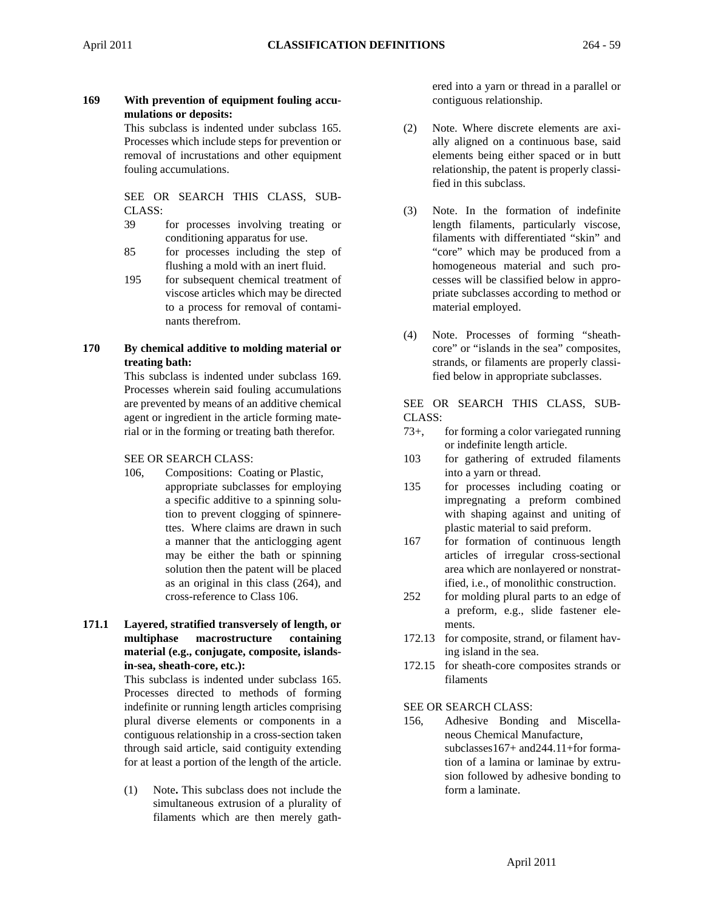**169 With prevention of equipment fouling accumulations or deposits:**

This subclass is indented under subclass 165. Processes which include steps for prevention or removal of incrustations and other equipment fouling accumulations.

SEE OR SEARCH THIS CLASS, SUB-CLASS:

- 39 for processes involving treating or conditioning apparatus for use.
- 85 for processes including the step of flushing a mold with an inert fluid.
- 195 for subsequent chemical treatment of viscose articles which may be directed to a process for removal of contaminants therefrom.
- **170 By chemical additive to molding material or treating bath:**

This subclass is indented under subclass 169. Processes wherein said fouling accumulations are prevented by means of an additive chemical agent or ingredient in the article forming material or in the forming or treating bath therefor.

SEE OR SEARCH CLASS:

- 106, Compositions: Coating or Plastic, appropriate subclasses for employing a specific additive to a spinning solution to prevent clogging of spinnerettes. Where claims are drawn in such a manner that the anticlogging agent may be either the bath or spinning solution then the patent will be placed as an original in this class (264), and cross-reference to Class 106.
- **171.1 Layered, stratified transversely of length, or multiphase macrostructure containing material (e.g., conjugate, composite, islandsin-sea, sheath-core, etc.):**

This subclass is indented under subclass 165. Processes directed to methods of forming indefinite or running length articles comprising plural diverse elements or components in a contiguous relationship in a cross-section taken through said article, said contiguity extending for at least a portion of the length of the article.

(1) Note**.** This subclass does not include the simultaneous extrusion of a plurality of filaments which are then merely gathered into a yarn or thread in a parallel or contiguous relationship.

- (2) Note. Where discrete elements are axially aligned on a continuous base, said elements being either spaced or in butt relationship, the patent is properly classified in this subclass.
- (3) Note. In the formation of indefinite length filaments, particularly viscose, filaments with differentiated "skin" and "core" which may be produced from a homogeneous material and such processes will be classified below in appropriate subclasses according to method or material employed.
- (4) Note. Processes of forming "sheathcore" or "islands in the sea" composites, strands, or filaments are properly classified below in appropriate subclasses.

SEE OR SEARCH THIS CLASS, SUB-CLASS:

- 73+, for forming a color variegated running or indefinite length article.
- 103 for gathering of extruded filaments into a yarn or thread.
- 135 for processes including coating or impregnating a preform combined with shaping against and uniting of plastic material to said preform.
- 167 for formation of continuous length articles of irregular cross-sectional area which are nonlayered or nonstratified, i.e., of monolithic construction.
- 252 for molding plural parts to an edge of a preform, e.g., slide fastener elements.
- 172.13 for composite, strand, or filament having island in the sea.
- 172.15 for sheath-core composites strands or filaments

SEE OR SEARCH CLASS:

156, Adhesive Bonding and Miscellaneous Chemical Manufacture, subclasses167+ and244.11+for formation of a lamina or laminae by extrusion followed by adhesive bonding to form a laminate.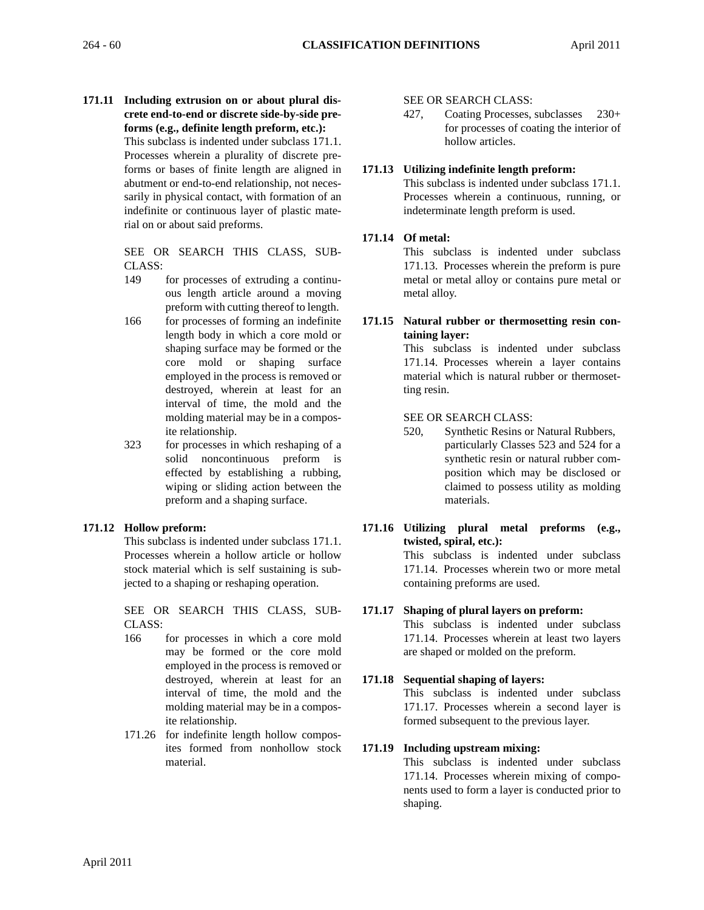**171.11 Including extrusion on or about plural discrete end-to-end or discrete side-by-side preforms (e.g., definite length preform, etc.):** This subclass is indented under subclass 171.1. Processes wherein a plurality of discrete preforms or bases of finite length are aligned in abutment or end-to-end relationship, not necessarily in physical contact, with formation of an indefinite or continuous layer of plastic material on or about said preforms.

> SEE OR SEARCH THIS CLASS, SUB-CLASS:

- 149 for processes of extruding a continuous length article around a moving preform with cutting thereof to length.
- 166 for processes of forming an indefinite length body in which a core mold or shaping surface may be formed or the core mold or shaping surface employed in the process is removed or destroyed, wherein at least for an interval of time, the mold and the molding material may be in a composite relationship.
- 323 for processes in which reshaping of a solid noncontinuous preform is effected by establishing a rubbing, wiping or sliding action between the preform and a shaping surface.

# **171.12 Hollow preform:**

This subclass is indented under subclass 171.1. Processes wherein a hollow article or hollow stock material which is self sustaining is subjected to a shaping or reshaping operation.

SEE OR SEARCH THIS CLASS, SUB-CLASS:

- 166 for processes in which a core mold may be formed or the core mold employed in the process is removed or destroyed, wherein at least for an interval of time, the mold and the molding material may be in a composite relationship.
- 171.26 for indefinite length hollow composites formed from nonhollow stock material.

#### SEE OR SEARCH CLASS:

427, Coating Processes, subclasses 230+ for processes of coating the interior of hollow articles.

#### **171.13 Utilizing indefinite length preform:**

This subclass is indented under subclass 171.1. Processes wherein a continuous, running, or indeterminate length preform is used.

# **171.14 Of metal:**

This subclass is indented under subclass 171.13. Processes wherein the preform is pure metal or metal alloy or contains pure metal or metal alloy.

**171.15 Natural rubber or thermosetting resin containing layer:**

> This subclass is indented under subclass 171.14. Processes wherein a layer contains material which is natural rubber or thermosetting resin.

### SEE OR SEARCH CLASS:

- 520, Synthetic Resins or Natural Rubbers, particularly Classes 523 and 524 for a synthetic resin or natural rubber composition which may be disclosed or claimed to possess utility as molding materials.
- **171.16 Utilizing plural metal preforms (e.g., twisted, spiral, etc.):** This subclass is indented under subclass

171.14. Processes wherein two or more metal containing preforms are used.

# **171.17 Shaping of plural layers on preform:**

This subclass is indented under subclass 171.14. Processes wherein at least two layers are shaped or molded on the preform.

# **171.18 Sequential shaping of layers:**

This subclass is indented under subclass 171.17. Processes wherein a second layer is formed subsequent to the previous layer.

#### **171.19 Including upstream mixing:**

This subclass is indented under subclass 171.14. Processes wherein mixing of components used to form a layer is conducted prior to shaping.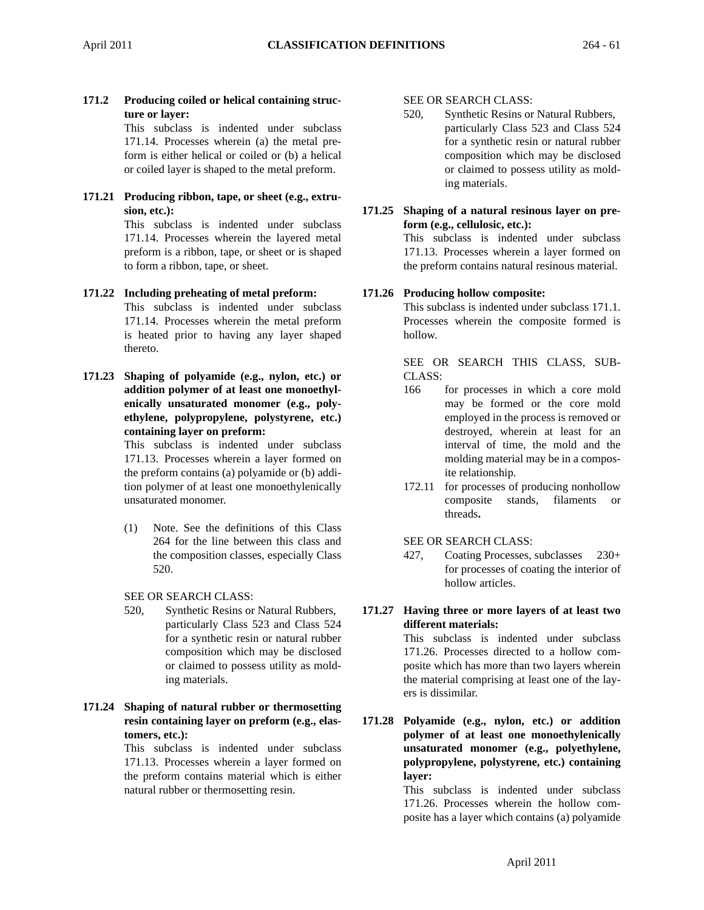**171.2 Producing coiled or helical containing structure or layer:**

This subclass is indented under subclass 171.14. Processes wherein (a) the metal preform is either helical or coiled or (b) a helical or coiled layer is shaped to the metal preform.

**171.21 Producing ribbon, tape, or sheet (e.g., extrusion, etc.):**

This subclass is indented under subclass 171.14. Processes wherein the layered metal preform is a ribbon, tape, or sheet or is shaped to form a ribbon, tape, or sheet.

# **171.22 Including preheating of metal preform:**

This subclass is indented under subclass 171.14. Processes wherein the metal preform is heated prior to having any layer shaped thereto.

**171.23 Shaping of polyamide (e.g., nylon, etc.) or addition polymer of at least one monoethylenically unsaturated monomer (e.g., polyethylene, polypropylene, polystyrene, etc.) containing layer on preform:**

> This subclass is indented under subclass 171.13. Processes wherein a layer formed on the preform contains (a) polyamide or (b) addition polymer of at least one monoethylenically unsaturated monomer.

> (1) Note. See the definitions of this Class 264 for the line between this class and the composition classes, especially Class 520.

SEE OR SEARCH CLASS:

520, Synthetic Resins or Natural Rubbers, particularly Class 523 and Class 524 for a synthetic resin or natural rubber composition which may be disclosed or claimed to possess utility as molding materials.

# **171.24 Shaping of natural rubber or thermosetting resin containing layer on preform (e.g., elastomers, etc.):**

This subclass is indented under subclass 171.13. Processes wherein a layer formed on the preform contains material which is either natural rubber or thermosetting resin.

SEE OR SEARCH CLASS:

520, Synthetic Resins or Natural Rubbers, particularly Class 523 and Class 524 for a synthetic resin or natural rubber composition which may be disclosed or claimed to possess utility as molding materials.

# **171.25 Shaping of a natural resinous layer on preform (e.g., cellulosic, etc.):**

This subclass is indented under subclass 171.13. Processes wherein a layer formed on the preform contains natural resinous material.

# **171.26 Producing hollow composite:**

This subclass is indented under subclass 171.1. Processes wherein the composite formed is hollow.

SEE OR SEARCH THIS CLASS, SUB-CLASS:

- 166 for processes in which a core mold may be formed or the core mold employed in the process is removed or destroyed, wherein at least for an interval of time, the mold and the molding material may be in a composite relationship.
- 172.11 for processes of producing nonhollow composite stands, filaments or threads**.**

SEE OR SEARCH CLASS:

- 427, Coating Processes, subclasses 230+ for processes of coating the interior of hollow articles.
- **171.27 Having three or more layers of at least two different materials:**

This subclass is indented under subclass 171.26. Processes directed to a hollow composite which has more than two layers wherein the material comprising at least one of the layers is dissimilar.

**171.28 Polyamide (e.g., nylon, etc.) or addition polymer of at least one monoethylenically unsaturated monomer (e.g., polyethylene, polypropylene, polystyrene, etc.) containing layer:**

> This subclass is indented under subclass 171.26. Processes wherein the hollow composite has a layer which contains (a) polyamide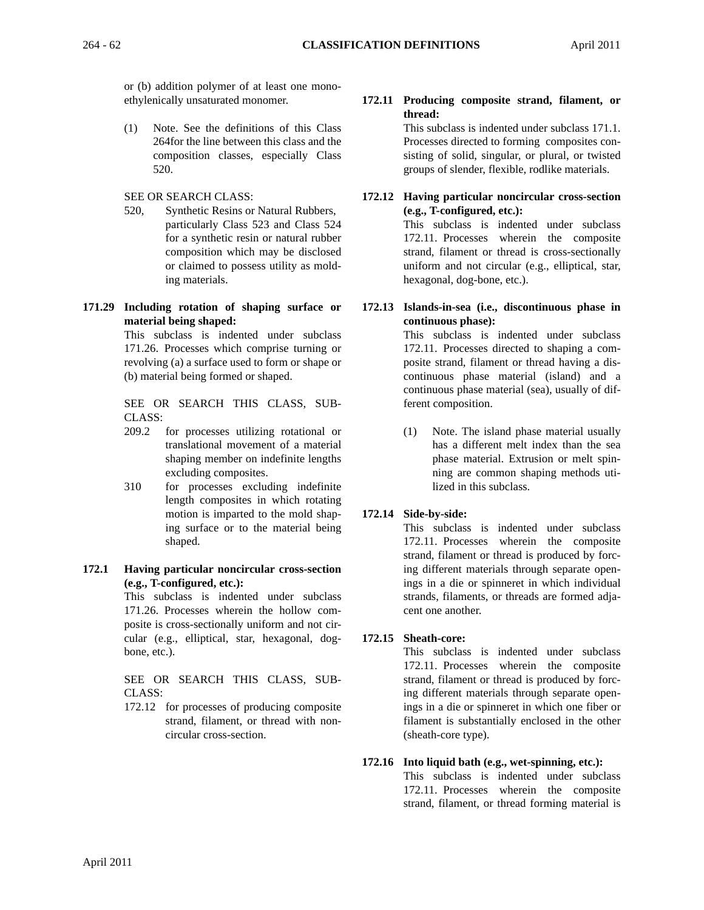or (b) addition polymer of at least one monoethylenically unsaturated monomer.

- (1) Note. See the definitions of this Class 264for the line between this class and the composition classes, especially Class 520.
- SEE OR SEARCH CLASS:
- 520, Synthetic Resins or Natural Rubbers, particularly Class 523 and Class 524 for a synthetic resin or natural rubber composition which may be disclosed or claimed to possess utility as molding materials.
- **171.29 Including rotation of shaping surface or material being shaped:**

This subclass is indented under subclass 171.26. Processes which comprise turning or revolving (a) a surface used to form or shape or (b) material being formed or shaped.

SEE OR SEARCH THIS CLASS, SUB-CLASS:

- 209.2 for processes utilizing rotational or translational movement of a material shaping member on indefinite lengths excluding composites.
- 310 for processes excluding indefinite length composites in which rotating motion is imparted to the mold shaping surface or to the material being shaped.
- **172.1 Having particular noncircular cross-section (e.g., T-configured, etc.):**

This subclass is indented under subclass 171.26. Processes wherein the hollow composite is cross-sectionally uniform and not circular (e.g., elliptical, star, hexagonal, dogbone, etc.).

SEE OR SEARCH THIS CLASS, SUB-CLASS:

172.12 for processes of producing composite strand, filament, or thread with noncircular cross-section.

# **172.11 Producing composite strand, filament, or thread:**

This subclass is indented under subclass 171.1. Processes directed to forming composites consisting of solid, singular, or plural, or twisted groups of slender, flexible, rodlike materials.

# **172.12 Having particular noncircular cross-section (e.g., T-configured, etc.):**

This subclass is indented under subclass 172.11. Processes wherein the composite strand, filament or thread is cross-sectionally uniform and not circular (e.g., elliptical, star, hexagonal, dog-bone, etc.).

# **172.13 Islands-in-sea (i.e., discontinuous phase in continuous phase):**

This subclass is indented under subclass 172.11. Processes directed to shaping a composite strand, filament or thread having a discontinuous phase material (island) and a continuous phase material (sea), usually of different composition.

(1) Note. The island phase material usually has a different melt index than the sea phase material. Extrusion or melt spinning are common shaping methods utilized in this subclass.

# **172.14 Side-by-side:**

This subclass is indented under subclass 172.11. Processes wherein the composite strand, filament or thread is produced by forcing different materials through separate openings in a die or spinneret in which individual strands, filaments, or threads are formed adjacent one another.

# **172.15 Sheath-core:**

This subclass is indented under subclass 172.11. Processes wherein the composite strand, filament or thread is produced by forcing different materials through separate openings in a die or spinneret in which one fiber or filament is substantially enclosed in the other (sheath-core type).

# **172.16 Into liquid bath (e.g., wet-spinning, etc.):**

This subclass is indented under subclass 172.11. Processes wherein the composite strand, filament, or thread forming material is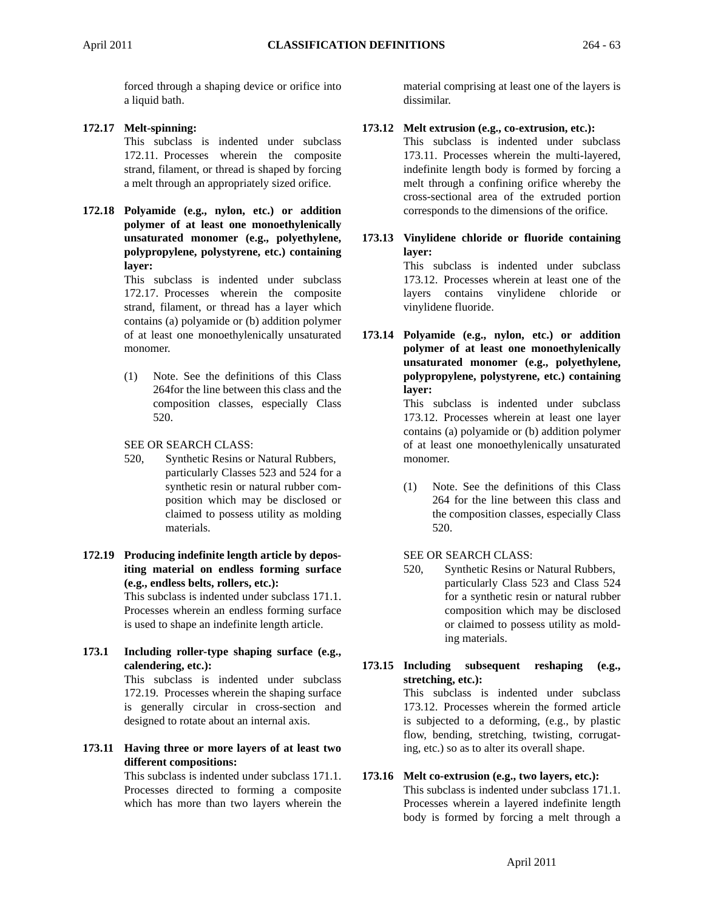forced through a shaping device or orifice into a liquid bath.

# **172.17 Melt-spinning:**

This subclass is indented under subclass 172.11. Processes wherein the composite strand, filament, or thread is shaped by forcing a melt through an appropriately sized orifice.

**172.18 Polyamide (e.g., nylon, etc.) or addition polymer of at least one monoethylenically unsaturated monomer (e.g., polyethylene, polypropylene, polystyrene, etc.) containing layer:**

> This subclass is indented under subclass 172.17. Processes wherein the composite strand, filament, or thread has a layer which contains (a) polyamide or (b) addition polymer of at least one monoethylenically unsaturated monomer.

> (1) Note. See the definitions of this Class 264for the line between this class and the composition classes, especially Class 520.

SEE OR SEARCH CLASS:

- 520, Synthetic Resins or Natural Rubbers, particularly Classes 523 and 524 for a synthetic resin or natural rubber composition which may be disclosed or claimed to possess utility as molding materials.
- **172.19 Producing indefinite length article by depositing material on endless forming surface (e.g., endless belts, rollers, etc.):**

This subclass is indented under subclass 171.1. Processes wherein an endless forming surface is used to shape an indefinite length article.

**173.1 Including roller-type shaping surface (e.g., calendering, etc.):**

This subclass is indented under subclass 172.19. Processes wherein the shaping surface is generally circular in cross-section and designed to rotate about an internal axis.

# **173.11 Having three or more layers of at least two different compositions:**

This subclass is indented under subclass 171.1. Processes directed to forming a composite which has more than two layers wherein the

material comprising at least one of the layers is dissimilar.

# **173.12 Melt extrusion (e.g., co-extrusion, etc.):**

This subclass is indented under subclass 173.11. Processes wherein the multi-layered, indefinite length body is formed by forcing a melt through a confining orifice whereby the cross-sectional area of the extruded portion corresponds to the dimensions of the orifice.

**173.13 Vinylidene chloride or fluoride containing layer:**

This subclass is indented under subclass 173.12. Processes wherein at least one of the layers contains vinylidene chloride or vinylidene fluoride.

**173.14 Polyamide (e.g., nylon, etc.) or addition polymer of at least one monoethylenically unsaturated monomer (e.g., polyethylene, polypropylene, polystyrene, etc.) containing layer:**

> This subclass is indented under subclass 173.12. Processes wherein at least one layer contains (a) polyamide or (b) addition polymer of at least one monoethylenically unsaturated monomer.

> (1) Note. See the definitions of this Class 264 for the line between this class and the composition classes, especially Class 520.

SEE OR SEARCH CLASS:

- 520, Synthetic Resins or Natural Rubbers, particularly Class 523 and Class 524 for a synthetic resin or natural rubber composition which may be disclosed or claimed to possess utility as molding materials.
- **173.15 Including subsequent reshaping (e.g., stretching, etc.):**

This subclass is indented under subclass 173.12. Processes wherein the formed article is subjected to a deforming, (e.g., by plastic flow, bending, stretching, twisting, corrugating, etc.) so as to alter its overall shape.

# **173.16 Melt co-extrusion (e.g., two layers, etc.):**

This subclass is indented under subclass 171.1. Processes wherein a layered indefinite length body is formed by forcing a melt through a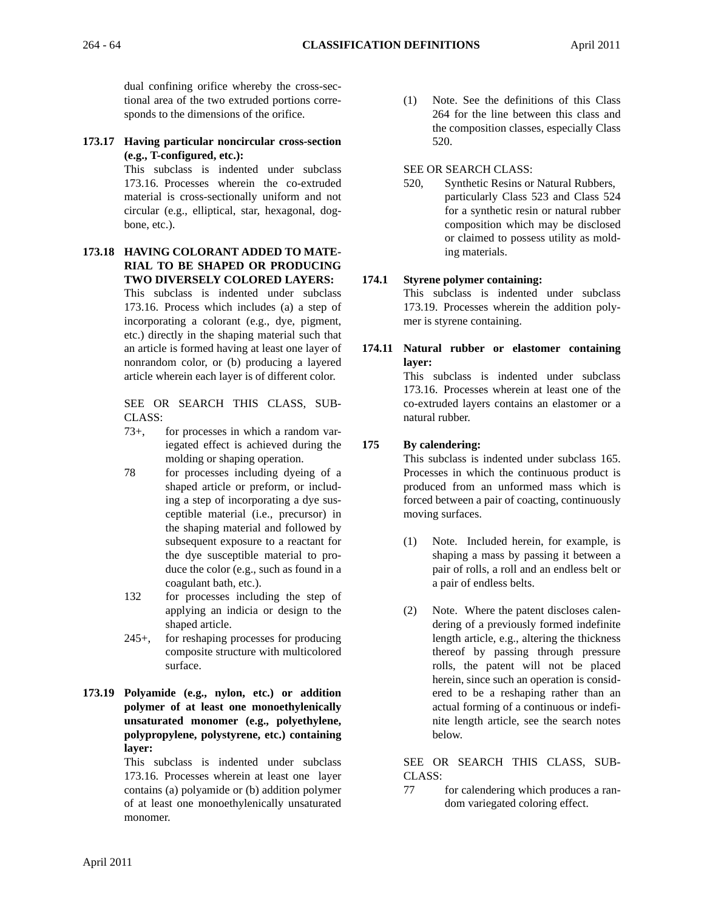dual confining orifice whereby the cross-sectional area of the two extruded portions corresponds to the dimensions of the orifice.

**173.17 Having particular noncircular cross-section (e.g., T-configured, etc.):**

> This subclass is indented under subclass 173.16. Processes wherein the co-extruded material is cross-sectionally uniform and not circular (e.g., elliptical, star, hexagonal, dogbone, etc.).

#### **173.18 HAVING COLORANT ADDED TO MATE-RIAL TO BE SHAPED OR PRODUCING TWO DIVERSELY COLORED LAYERS:**

This subclass is indented under subclass 173.16. Process which includes (a) a step of incorporating a colorant (e.g., dye, pigment, etc.) directly in the shaping material such that an article is formed having at least one layer of nonrandom color, or (b) producing a layered article wherein each layer is of different color.

SEE OR SEARCH THIS CLASS, SUB-CLASS:

- 73+, for processes in which a random variegated effect is achieved during the molding or shaping operation.
- 78 for processes including dyeing of a shaped article or preform, or including a step of incorporating a dye susceptible material (i.e., precursor) in the shaping material and followed by subsequent exposure to a reactant for the dye susceptible material to produce the color (e.g., such as found in a coagulant bath, etc.).
- 132 for processes including the step of applying an indicia or design to the shaped article.
- 245+, for reshaping processes for producing composite structure with multicolored surface.
- **173.19 Polyamide (e.g., nylon, etc.) or addition polymer of at least one monoethylenically unsaturated monomer (e.g., polyethylene, polypropylene, polystyrene, etc.) containing layer:**

This subclass is indented under subclass 173.16. Processes wherein at least one layer contains (a) polyamide or (b) addition polymer of at least one monoethylenically unsaturated monomer.

- (1) Note. See the definitions of this Class 264 for the line between this class and the composition classes, especially Class 520.
- SEE OR SEARCH CLASS:
- 520, Synthetic Resins or Natural Rubbers, particularly Class 523 and Class 524 for a synthetic resin or natural rubber composition which may be disclosed or claimed to possess utility as molding materials.

# **174.1 Styrene polymer containing:**

This subclass is indented under subclass 173.19. Processes wherein the addition polymer is styrene containing.

**174.11 Natural rubber or elastomer containing layer:**

This subclass is indented under subclass 173.16. Processes wherein at least one of the co-extruded layers contains an elastomer or a natural rubber.

# **175 By calendering:**

This subclass is indented under subclass 165. Processes in which the continuous product is produced from an unformed mass which is forced between a pair of coacting, continuously moving surfaces.

- (1) Note. Included herein, for example, is shaping a mass by passing it between a pair of rolls, a roll and an endless belt or a pair of endless belts.
- (2) Note. Where the patent discloses calendering of a previously formed indefinite length article, e.g., altering the thickness thereof by passing through pressure rolls, the patent will not be placed herein, since such an operation is considered to be a reshaping rather than an actual forming of a continuous or indefinite length article, see the search notes below.

SEE OR SEARCH THIS CLASS, SUB-CLASS:

77 for calendering which produces a random variegated coloring effect.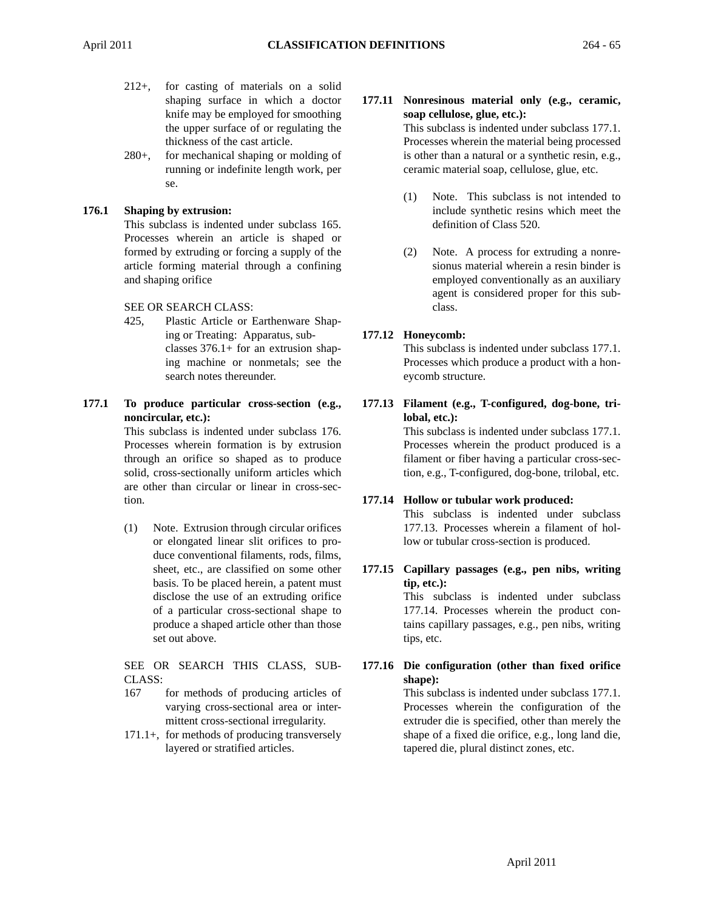- 212+, for casting of materials on a solid shaping surface in which a doctor knife may be employed for smoothing the upper surface of or regulating the thickness of the cast article.
- 280+, for mechanical shaping or molding of running or indefinite length work, per se.

# **176.1 Shaping by extrusion:**

This subclass is indented under subclass 165. Processes wherein an article is shaped or formed by extruding or forcing a supply of the article forming material through a confining and shaping orifice

# SEE OR SEARCH CLASS:

- 425, Plastic Article or Earthenware Shaping or Treating: Apparatus, subclasses 376.1+ for an extrusion shaping machine or nonmetals; see the search notes thereunder.
- **177.1 To produce particular cross-section (e.g., noncircular, etc.):**

This subclass is indented under subclass 176. Processes wherein formation is by extrusion through an orifice so shaped as to produce solid, cross-sectionally uniform articles which are other than circular or linear in cross-section.

(1) Note. Extrusion through circular orifices or elongated linear slit orifices to produce conventional filaments, rods, films, sheet, etc., are classified on some other basis. To be placed herein, a patent must disclose the use of an extruding orifice of a particular cross-sectional shape to produce a shaped article other than those set out above.

SEE OR SEARCH THIS CLASS, SUB-CLASS:

- 167 for methods of producing articles of varying cross-sectional area or intermittent cross-sectional irregularity.
- 171.1+, for methods of producing transversely layered or stratified articles.

# **177.11 Nonresinous material only (e.g., ceramic, soap cellulose, glue, etc.):**

This subclass is indented under subclass 177.1. Processes wherein the material being processed is other than a natural or a synthetic resin, e.g., ceramic material soap, cellulose, glue, etc.

- (1) Note. This subclass is not intended to include synthetic resins which meet the definition of Class 520.
- (2) Note. A process for extruding a nonresionus material wherein a resin binder is employed conventionally as an auxiliary agent is considered proper for this subclass.

# **177.12 Honeycomb:**

This subclass is indented under subclass 177.1. Processes which produce a product with a honeycomb structure.

**177.13 Filament (e.g., T-configured, dog-bone, trilobal, etc.):**

This subclass is indented under subclass 177.1. Processes wherein the product produced is a filament or fiber having a particular cross-section, e.g., T-configured, dog-bone, trilobal, etc.

# **177.14 Hollow or tubular work produced:**

This subclass is indented under subclass 177.13. Processes wherein a filament of hollow or tubular cross-section is produced.

**177.15 Capillary passages (e.g., pen nibs, writing tip, etc.):** This subclass is indented under subclass

177.14. Processes wherein the product contains capillary passages, e.g., pen nibs, writing tips, etc.

# **177.16 Die configuration (other than fixed orifice shape):**

This subclass is indented under subclass 177.1. Processes wherein the configuration of the extruder die is specified, other than merely the shape of a fixed die orifice, e.g., long land die, tapered die, plural distinct zones, etc.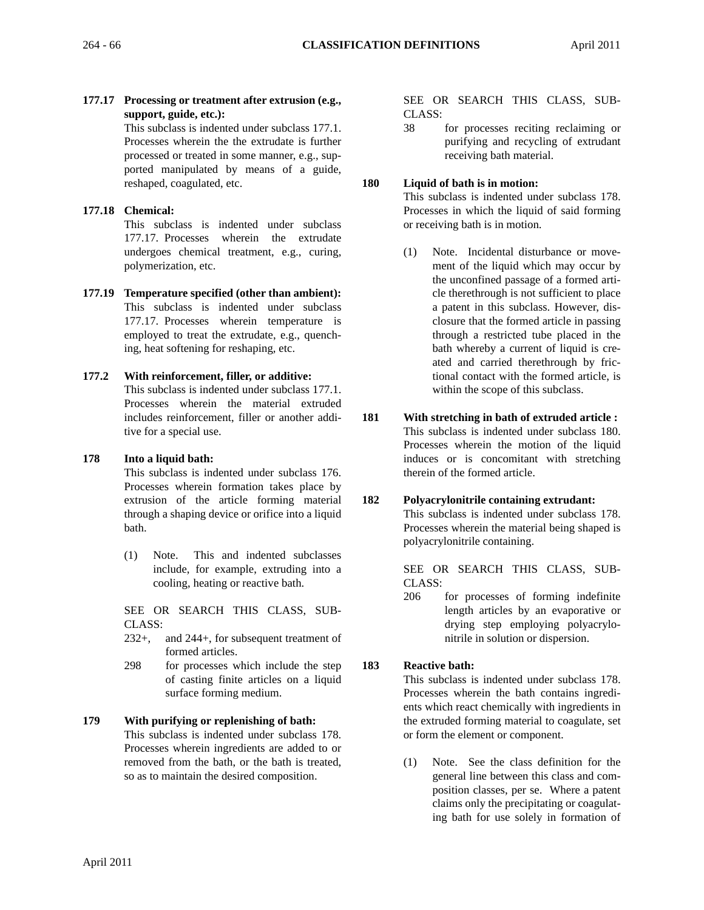**177.17 Processing or treatment after extrusion (e.g., support, guide, etc.):**

This subclass is indented under subclass 177.1. Processes wherein the the extrudate is further processed or treated in some manner, e.g., supported manipulated by means of a guide, reshaped, coagulated, etc.

# **177.18 Chemical:**

This subclass is indented under subclass 177.17. Processes wherein the extrudate undergoes chemical treatment, e.g., curing, polymerization, etc.

**177.19 Temperature specified (other than ambient):** This subclass is indented under subclass 177.17. Processes wherein temperature is employed to treat the extrudate, e.g., quenching, heat softening for reshaping, etc.

# **177.2 With reinforcement, filler, or additive:**

This subclass is indented under subclass 177.1. Processes wherein the material extruded includes reinforcement, filler or another additive for a special use.

# **178 Into a liquid bath:**

This subclass is indented under subclass 176. Processes wherein formation takes place by extrusion of the article forming material through a shaping device or orifice into a liquid bath.

(1) Note. This and indented subclasses include, for example, extruding into a cooling, heating or reactive bath.

SEE OR SEARCH THIS CLASS, SUB-CLASS:

- 232+, and 244+, for subsequent treatment of formed articles.
- 298 for processes which include the step of casting finite articles on a liquid surface forming medium.
- **179 With purifying or replenishing of bath:** This subclass is indented under subclass 178. Processes wherein ingredients are added to or removed from the bath, or the bath is treated, so as to maintain the desired composition.

SEE OR SEARCH THIS CLASS, SUB-CLASS:

38 for processes reciting reclaiming or purifying and recycling of extrudant receiving bath material.

# **180 Liquid of bath is in motion:**

This subclass is indented under subclass 178. Processes in which the liquid of said forming or receiving bath is in motion.

- (1) Note. Incidental disturbance or movement of the liquid which may occur by the unconfined passage of a formed article therethrough is not sufficient to place a patent in this subclass. However, disclosure that the formed article in passing through a restricted tube placed in the bath whereby a current of liquid is created and carried therethrough by frictional contact with the formed article, is within the scope of this subclass.
- **181 With stretching in bath of extruded article :** This subclass is indented under subclass 180. Processes wherein the motion of the liquid induces or is concomitant with stretching therein of the formed article.

# **182 Polyacrylonitrile containing extrudant:** This subclass is indented under subclass 178. Processes wherein the material being shaped is polyacrylonitrile containing.

SEE OR SEARCH THIS CLASS, SUB-CLASS:

206 for processes of forming indefinite length articles by an evaporative or drying step employing polyacrylonitrile in solution or dispersion.

# **183 Reactive bath:**

This subclass is indented under subclass 178. Processes wherein the bath contains ingredients which react chemically with ingredients in the extruded forming material to coagulate, set or form the element or component.

(1) Note. See the class definition for the general line between this class and composition classes, per se. Where a patent claims only the precipitating or coagulating bath for use solely in formation of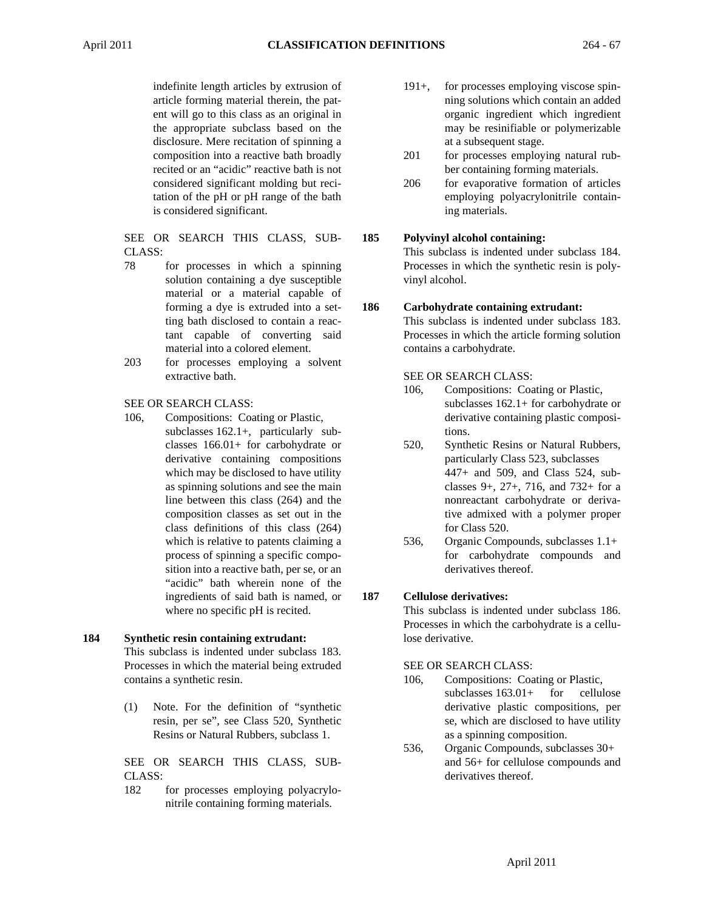indefinite length articles by extrusion of article forming material therein, the patent will go to this class as an original in the appropriate subclass based on the disclosure. Mere recitation of spinning a composition into a reactive bath broadly recited or an "acidic" reactive bath is not considered significant molding but recitation of the pH or pH range of the bath is considered significant.

SEE OR SEARCH THIS CLASS, SUB-CLASS:

- 78 for processes in which a spinning solution containing a dye susceptible material or a material capable of forming a dye is extruded into a setting bath disclosed to contain a reactant capable of converting said material into a colored element.
- 203 for processes employing a solvent extractive bath.

SEE OR SEARCH CLASS:

106, Compositions: Coating or Plastic, subclasses 162.1+, particularly subclasses 166.01+ for carbohydrate or derivative containing compositions which may be disclosed to have utility as spinning solutions and see the main line between this class (264) and the composition classes as set out in the class definitions of this class (264) which is relative to patents claiming a process of spinning a specific composition into a reactive bath, per se, or an "acidic" bath wherein none of the ingredients of said bath is named, or where no specific pH is recited.

# **184 Synthetic resin containing extrudant:**

This subclass is indented under subclass 183. Processes in which the material being extruded contains a synthetic resin.

(1) Note. For the definition of "synthetic resin, per se", see Class 520, Synthetic Resins or Natural Rubbers, subclass 1.

SEE OR SEARCH THIS CLASS, SUB-CLASS:

182 for processes employing polyacrylonitrile containing forming materials.

- 191+, for processes employing viscose spinning solutions which contain an added organic ingredient which ingredient may be resinifiable or polymerizable at a subsequent stage.
- 201 for processes employing natural rubber containing forming materials.
- 206 for evaporative formation of articles employing polyacrylonitrile containing materials.

#### **185 Polyvinyl alcohol containing:**

This subclass is indented under subclass 184. Processes in which the synthetic resin is polyvinyl alcohol.

# **186 Carbohydrate containing extrudant:**

This subclass is indented under subclass 183. Processes in which the article forming solution contains a carbohydrate.

#### SEE OR SEARCH CLASS:

- 106, Compositions: Coating or Plastic, subclasses 162.1+ for carbohydrate or derivative containing plastic compositions.
- 520, Synthetic Resins or Natural Rubbers, particularly Class 523, subclasses 447+ and 509, and Class 524, subclasses 9+, 27+, 716, and 732+ for a nonreactant carbohydrate or derivative admixed with a polymer proper for Class 520.
- 536, Organic Compounds, subclasses 1.1+ for carbohydrate compounds and derivatives thereof.

# **187 Cellulose derivatives:**

This subclass is indented under subclass 186. Processes in which the carbohydrate is a cellulose derivative.

# SEE OR SEARCH CLASS:

- 106, Compositions: Coating or Plastic, subclasses  $163.01+$  for cellulose derivative plastic compositions, per se, which are disclosed to have utility as a spinning composition.
- 536, Organic Compounds, subclasses 30+ and 56+ for cellulose compounds and derivatives thereof.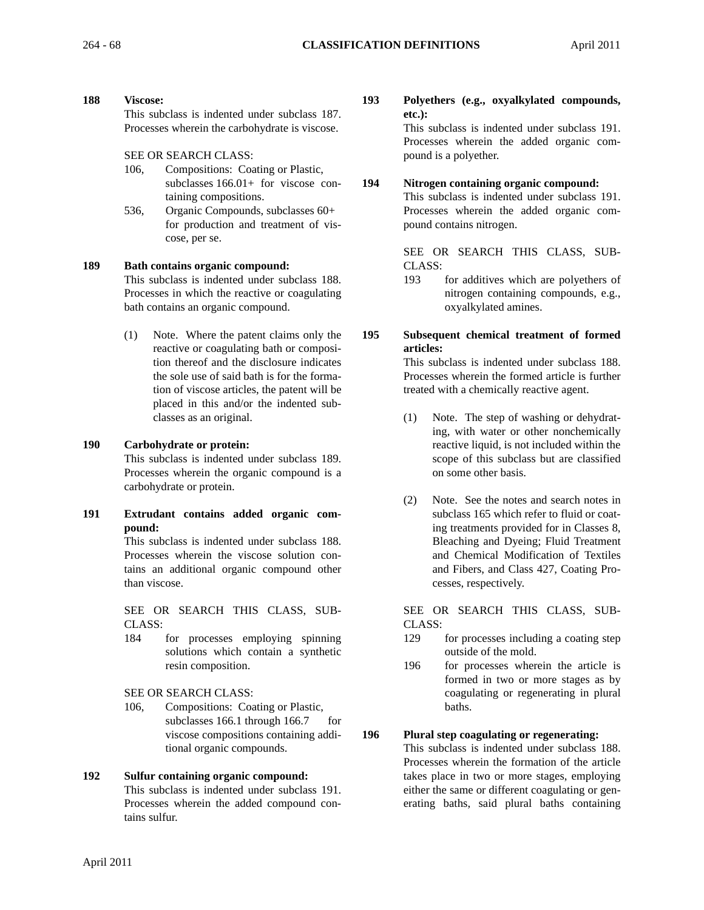**etc.):** 

CLASS:

**articles:**

pound is a polyether.

pound contains nitrogen.

#### **188 Viscose:** This subclass is indented under subclass 187.

Processes wherein the carbohydrate is viscose.

SEE OR SEARCH CLASS:

- 106, Compositions: Coating or Plastic, subclasses 166.01+ for viscose containing compositions.
- 536, Organic Compounds, subclasses 60+ for production and treatment of viscose, per se.

# **189 Bath contains organic compound:**

This subclass is indented under subclass 188. Processes in which the reactive or coagulating bath contains an organic compound.

(1) Note. Where the patent claims only the reactive or coagulating bath or composition thereof and the disclosure indicates the sole use of said bath is for the formation of viscose articles, the patent will be placed in this and/or the indented subclasses as an original.

# **190 Carbohydrate or protein:**

This subclass is indented under subclass 189. Processes wherein the organic compound is a carbohydrate or protein.

**191 Extrudant contains added organic compound:**

> This subclass is indented under subclass 188. Processes wherein the viscose solution contains an additional organic compound other than viscose.

SEE OR SEARCH THIS CLASS, SUB-CLASS:

184 for processes employing spinning solutions which contain a synthetic resin composition.

SEE OR SEARCH CLASS:

106, Compositions: Coating or Plastic, subclasses 166.1 through 166.7 for viscose compositions containing additional organic compounds.

#### **192 Sulfur containing organic compound:** This subclass is indented under subclass 191. Processes wherein the added compound con-

reactive liquid, is not included within the scope of this subclass but are classified on some other basis.

> (2) Note. See the notes and search notes in subclass 165 which refer to fluid or coating treatments provided for in Classes 8, Bleaching and Dyeing; Fluid Treatment and Chemical Modification of Textiles and Fibers, and Class 427, Coating Processes, respectively.

**193 Polyethers (e.g., oxyalkylated compounds,**

**194 Nitrogen containing organic compound:**

This subclass is indented under subclass 191. Processes wherein the added organic com-

This subclass is indented under subclass 191. Processes wherein the added organic com-

SEE OR SEARCH THIS CLASS, SUB-

193 for additives which are polyethers of

This subclass is indented under subclass 188. Processes wherein the formed article is further treated with a chemically reactive agent.

(1) Note. The step of washing or dehydrating, with water or other nonchemically

oxyalkylated amines.

**195 Subsequent chemical treatment of formed**

nitrogen containing compounds, e.g.,

SEE OR SEARCH THIS CLASS, SUB-CLASS:

- 129 for processes including a coating step outside of the mold.
- 196 for processes wherein the article is formed in two or more stages as by coagulating or regenerating in plural baths.

# **196 Plural step coagulating or regenerating:**

This subclass is indented under subclass 188. Processes wherein the formation of the article takes place in two or more stages, employing either the same or different coagulating or generating baths, said plural baths containing

tains sulfur.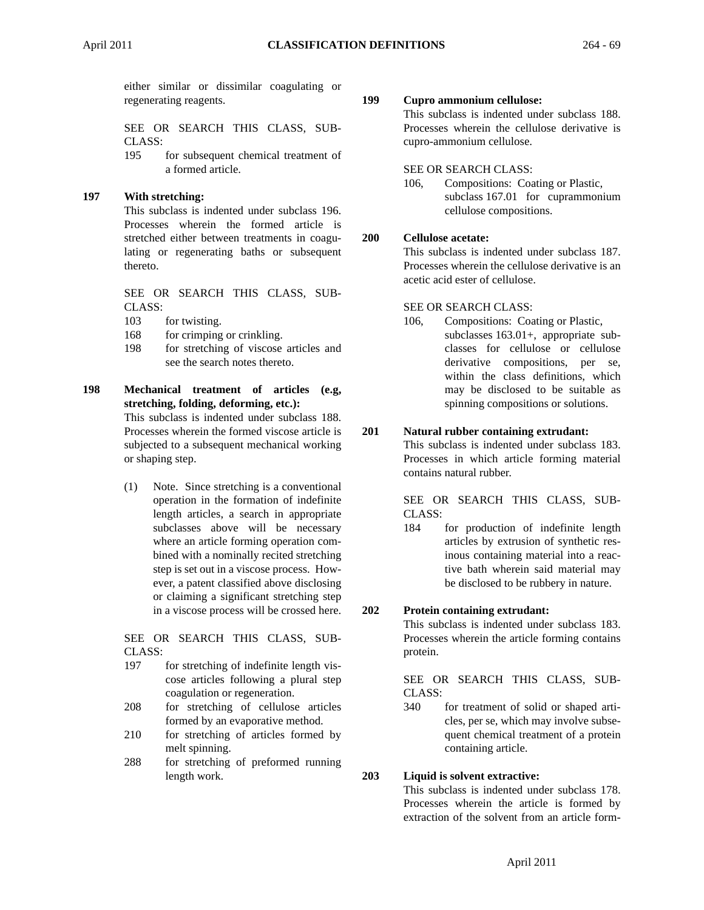either similar or dissimilar coagulating or regenerating reagents.

SEE OR SEARCH THIS CLASS, SUB-CLASS:

195 for subsequent chemical treatment of a formed article.

# **197 With stretching:**

This subclass is indented under subclass 196. Processes wherein the formed article is stretched either between treatments in coagulating or regenerating baths or subsequent thereto.

SEE OR SEARCH THIS CLASS, SUB-CLASS:

- 103 for twisting.
- 168 for crimping or crinkling.
- 198 for stretching of viscose articles and see the search notes thereto.
- **198 Mechanical treatment of articles (e.g, stretching, folding, deforming, etc.):**

This subclass is indented under subclass 188. Processes wherein the formed viscose article is subjected to a subsequent mechanical working or shaping step.

(1) Note. Since stretching is a conventional operation in the formation of indefinite length articles, a search in appropriate subclasses above will be necessary where an article forming operation combined with a nominally recited stretching step is set out in a viscose process. However, a patent classified above disclosing or claiming a significant stretching step in a viscose process will be crossed here.

SEE OR SEARCH THIS CLASS, SUB-CLASS:

- 197 for stretching of indefinite length viscose articles following a plural step coagulation or regeneration.
- 208 for stretching of cellulose articles formed by an evaporative method.
- 210 for stretching of articles formed by melt spinning.
- 288 for stretching of preformed running length work.

# **199 Cupro ammonium cellulose:**

This subclass is indented under subclass 188. Processes wherein the cellulose derivative is cupro-ammonium cellulose.

# SEE OR SEARCH CLASS:

106, Compositions: Coating or Plastic, subclass 167.01 for cuprammonium cellulose compositions.

# **200 Cellulose acetate:**

This subclass is indented under subclass 187. Processes wherein the cellulose derivative is an acetic acid ester of cellulose.

# SEE OR SEARCH CLASS:

106, Compositions: Coating or Plastic, subclasses 163.01+, appropriate subclasses for cellulose or cellulose derivative compositions, per se, within the class definitions, which may be disclosed to be suitable as spinning compositions or solutions.

# **201 Natural rubber containing extrudant:**

This subclass is indented under subclass 183. Processes in which article forming material contains natural rubber.

SEE OR SEARCH THIS CLASS, SUB-CLASS:

184 for production of indefinite length articles by extrusion of synthetic resinous containing material into a reactive bath wherein said material may be disclosed to be rubbery in nature.

# **202 Protein containing extrudant:**

This subclass is indented under subclass 183. Processes wherein the article forming contains protein.

SEE OR SEARCH THIS CLASS, SUB-CLASS:

340 for treatment of solid or shaped articles, per se, which may involve subsequent chemical treatment of a protein containing article.

# **203 Liquid is solvent extractive:**

This subclass is indented under subclass 178. Processes wherein the article is formed by extraction of the solvent from an article form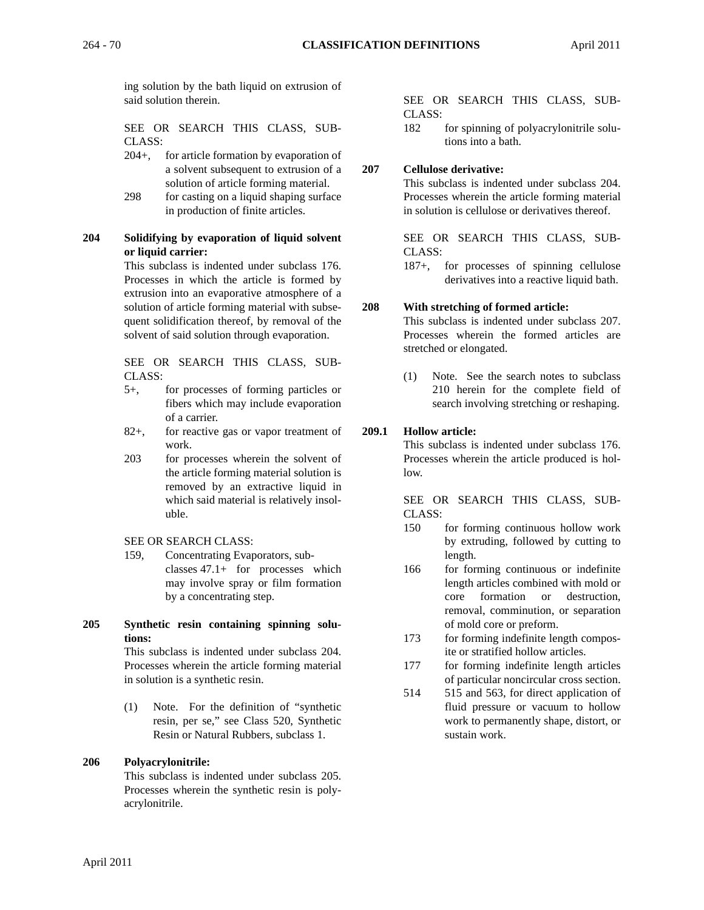ing solution by the bath liquid on extrusion of said solution therein.

SEE OR SEARCH THIS CLASS, SUB-CLASS:

- 204+, for article formation by evaporation of a solvent subsequent to extrusion of a solution of article forming material.
- 298 for casting on a liquid shaping surface in production of finite articles.

# **204 Solidifying by evaporation of liquid solvent or liquid carrier:**

This subclass is indented under subclass 176. Processes in which the article is formed by extrusion into an evaporative atmosphere of a solution of article forming material with subsequent solidification thereof, by removal of the solvent of said solution through evaporation.

SEE OR SEARCH THIS CLASS, SUB-CLASS:

- 5+, for processes of forming particles or fibers which may include evaporation of a carrier.
- 82+, for reactive gas or vapor treatment of work.
- 203 for processes wherein the solvent of the article forming material solution is removed by an extractive liquid in which said material is relatively insoluble.

#### SEE OR SEARCH CLASS:

- 159, Concentrating Evaporators, subclasses 47.1+ for processes which may involve spray or film formation by a concentrating step.
- **205 Synthetic resin containing spinning solutions:**

This subclass is indented under subclass 204. Processes wherein the article forming material in solution is a synthetic resin.

(1) Note. For the definition of "synthetic resin, per se," see Class 520, Synthetic Resin or Natural Rubbers, subclass 1.

#### **206 Polyacrylonitrile:**

This subclass is indented under subclass 205. Processes wherein the synthetic resin is polyacrylonitrile.

#### SEE OR SEARCH THIS CLASS, SUB-CLASS:

182 for spinning of polyacrylonitrile solutions into a bath.

#### **207 Cellulose derivative:**

This subclass is indented under subclass 204. Processes wherein the article forming material in solution is cellulose or derivatives thereof.

SEE OR SEARCH THIS CLASS, SUB-CLASS:

187+, for processes of spinning cellulose derivatives into a reactive liquid bath.

#### **208 With stretching of formed article:**

This subclass is indented under subclass 207. Processes wherein the formed articles are stretched or elongated.

(1) Note. See the search notes to subclass 210 herein for the complete field of search involving stretching or reshaping.

#### **209.1 Hollow article:**

This subclass is indented under subclass 176. Processes wherein the article produced is hollow.

SEE OR SEARCH THIS CLASS, SUB-CLASS:

- 150 for forming continuous hollow work by extruding, followed by cutting to length.
- 166 for forming continuous or indefinite length articles combined with mold or core formation or destruction, removal, comminution, or separation of mold core or preform.
- 173 for forming indefinite length composite or stratified hollow articles.
- 177 for forming indefinite length articles of particular noncircular cross section.
- 514 515 and 563, for direct application of fluid pressure or vacuum to hollow work to permanently shape, distort, or sustain work.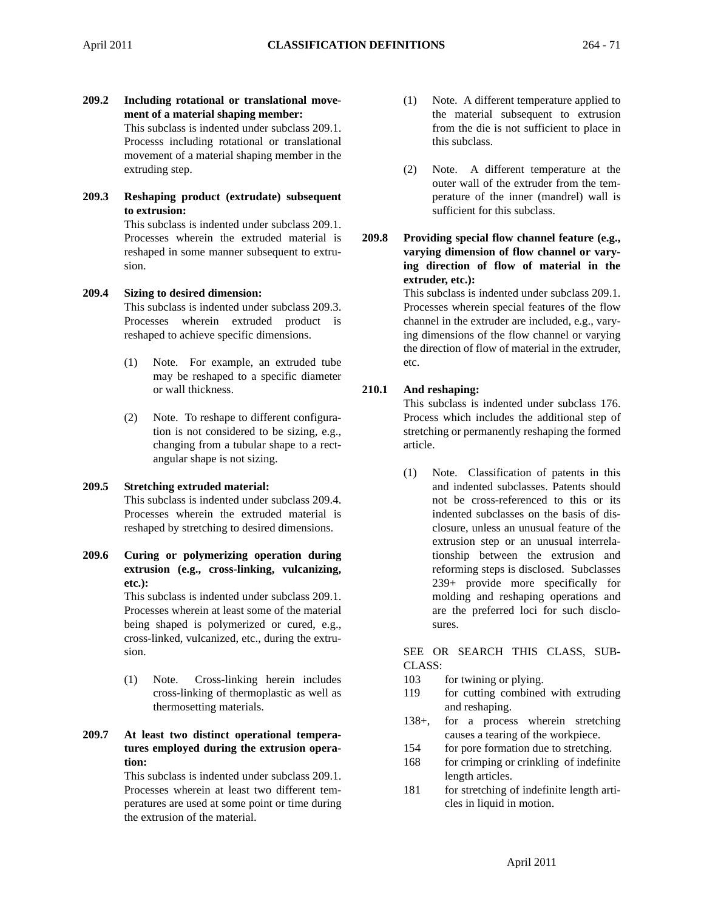**209.2 Including rotational or translational movement of a material shaping member:**

This subclass is indented under subclass 209.1. Processs including rotational or translational movement of a material shaping member in the extruding step.

**209.3 Reshaping product (extrudate) subsequent to extrusion:**

> This subclass is indented under subclass 209.1. Processes wherein the extruded material is reshaped in some manner subsequent to extrusion.

# **209.4 Sizing to desired dimension:**

This subclass is indented under subclass 209.3. Processes wherein extruded product is reshaped to achieve specific dimensions.

- (1) Note. For example, an extruded tube may be reshaped to a specific diameter or wall thickness.
- (2) Note. To reshape to different configuration is not considered to be sizing, e.g., changing from a tubular shape to a rectangular shape is not sizing.

# **209.5 Stretching extruded material:**

This subclass is indented under subclass 209.4. Processes wherein the extruded material is reshaped by stretching to desired dimensions.

**209.6 Curing or polymerizing operation during extrusion (e.g., cross-linking, vulcanizing, etc.):** 

This subclass is indented under subclass 209.1. Processes wherein at least some of the material being shaped is polymerized or cured, e.g., cross-linked, vulcanized, etc., during the extrusion.

(1) Note. Cross-linking herein includes cross-linking of thermoplastic as well as thermosetting materials.

# **209.7 At least two distinct operational temperatures employed during the extrusion operation:**

This subclass is indented under subclass 209.1. Processes wherein at least two different temperatures are used at some point or time during the extrusion of the material.

- (1) Note. A different temperature applied to the material subsequent to extrusion from the die is not sufficient to place in this subclass.
- (2) Note. A different temperature at the outer wall of the extruder from the temperature of the inner (mandrel) wall is sufficient for this subclass.
- **209.8 Providing special flow channel feature (e.g., varying dimension of flow channel or varying direction of flow of material in the extruder, etc.):**

This subclass is indented under subclass 209.1. Processes wherein special features of the flow channel in the extruder are included, e.g., varying dimensions of the flow channel or varying the direction of flow of material in the extruder, etc.

# **210.1 And reshaping:**

This subclass is indented under subclass 176. Process which includes the additional step of stretching or permanently reshaping the formed article.

(1) Note. Classification of patents in this and indented subclasses. Patents should not be cross-referenced to this or its indented subclasses on the basis of disclosure, unless an unusual feature of the extrusion step or an unusual interrelationship between the extrusion and reforming steps is disclosed. Subclasses 239+ provide more specifically for molding and reshaping operations and are the preferred loci for such disclosures.

SEE OR SEARCH THIS CLASS, SUB-CLASS:

- 103 for twining or plying.
- 119 for cutting combined with extruding and reshaping.
- 138+, for a process wherein stretching causes a tearing of the workpiece.
- 154 for pore formation due to stretching.
- 168 for crimping or crinkling of indefinite length articles.
- 181 for stretching of indefinite length articles in liquid in motion.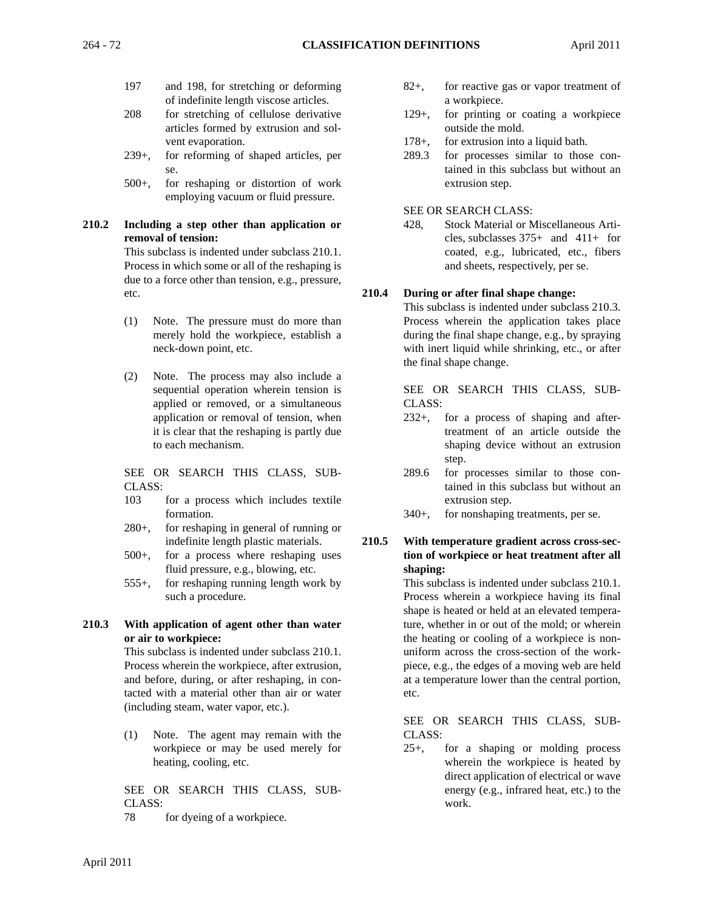- 197 and 198, for stretching or deforming of indefinite length viscose articles.
- 208 for stretching of cellulose derivative articles formed by extrusion and solvent evaporation.
- 239+, for reforming of shaped articles, per se.
- 500+, for reshaping or distortion of work employing vacuum or fluid pressure.

#### **210.2 Including a step other than application or removal of tension:**

This subclass is indented under subclass 210.1. Process in which some or all of the reshaping is due to a force other than tension, e.g., pressure, etc.

- (1) Note. The pressure must do more than merely hold the workpiece, establish a neck-down point, etc.
- (2) Note. The process may also include a sequential operation wherein tension is applied or removed, or a simultaneous application or removal of tension, when it is clear that the reshaping is partly due to each mechanism.

SEE OR SEARCH THIS CLASS, SUB-CLASS:

- 103 for a process which includes textile formation.
- 280+, for reshaping in general of running or indefinite length plastic materials.
- 500+, for a process where reshaping uses fluid pressure, e.g., blowing, etc.
- 555+, for reshaping running length work by such a procedure.

# **210.3 With application of agent other than water or air to workpiece:**

This subclass is indented under subclass 210.1. Process wherein the workpiece, after extrusion, and before, during, or after reshaping, in contacted with a material other than air or water (including steam, water vapor, etc.).

(1) Note. The agent may remain with the workpiece or may be used merely for heating, cooling, etc.

SEE OR SEARCH THIS CLASS, SUB-CLASS:

78 for dyeing of a workpiece.

- 82+, for reactive gas or vapor treatment of a workpiece.
- 129+, for printing or coating a workpiece outside the mold.
- 178+, for extrusion into a liquid bath.
- 289.3 for processes similar to those contained in this subclass but without an extrusion step.

SEE OR SEARCH CLASS:

428, Stock Material or Miscellaneous Articles, subclasses 375+ and 411+ for coated, e.g., lubricated, etc., fibers and sheets, respectively, per se.

# **210.4 During or after final shape change:**

This subclass is indented under subclass 210.3. Process wherein the application takes place during the final shape change, e.g., by spraying with inert liquid while shrinking, etc., or after the final shape change.

SEE OR SEARCH THIS CLASS, SUB-CLASS:

- 232+, for a process of shaping and aftertreatment of an article outside the shaping device without an extrusion step.
- 289.6 for processes similar to those contained in this subclass but without an extrusion step.
- 340+, for nonshaping treatments, per se.

# **210.5 With temperature gradient across cross-section of workpiece or heat treatment after all shaping:**

This subclass is indented under subclass 210.1. Process wherein a workpiece having its final shape is heated or held at an elevated temperature, whether in or out of the mold; or wherein the heating or cooling of a workpiece is nonuniform across the cross-section of the workpiece, e.g., the edges of a moving web are held at a temperature lower than the central portion, etc.

SEE OR SEARCH THIS CLASS, SUB-CLASS:

25+, for a shaping or molding process wherein the workpiece is heated by direct application of electrical or wave energy (e.g., infrared heat, etc.) to the work.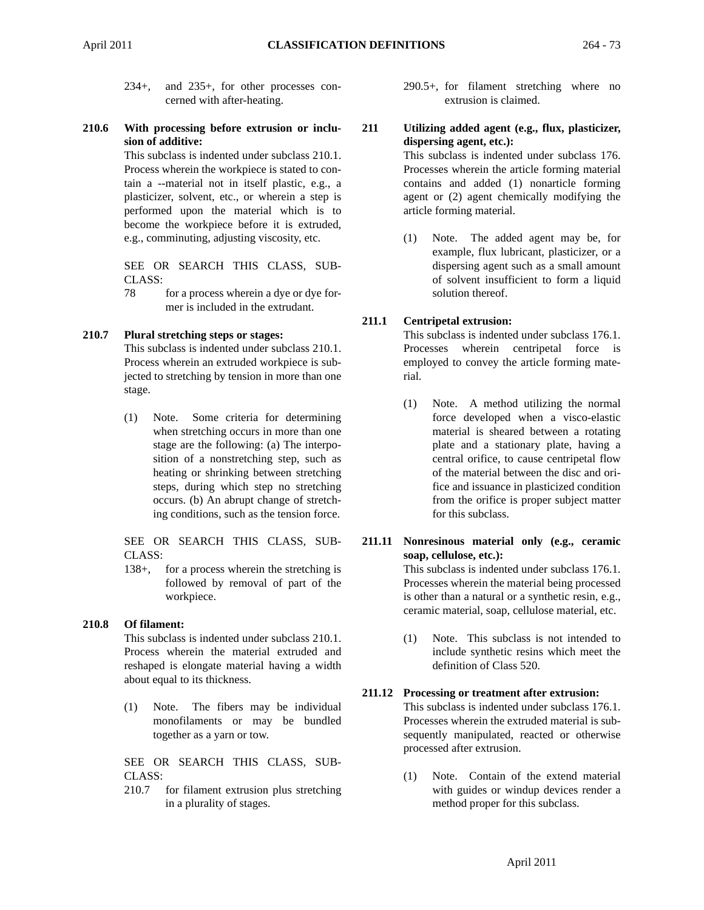234+, and 235+, for other processes concerned with after-heating.

# **210.6 With processing before extrusion or inclusion of additive:**

This subclass is indented under subclass 210.1. Process wherein the workpiece is stated to contain a --material not in itself plastic, e.g., a plasticizer, solvent, etc., or wherein a step is performed upon the material which is to become the workpiece before it is extruded, e.g., comminuting, adjusting viscosity, etc.

SEE OR SEARCH THIS CLASS, SUB-CLASS:

78 for a process wherein a dye or dye former is included in the extrudant.

# **210.7 Plural stretching steps or stages:**

This subclass is indented under subclass 210.1. Process wherein an extruded workpiece is subjected to stretching by tension in more than one stage.

(1) Note. Some criteria for determining when stretching occurs in more than one stage are the following: (a) The interposition of a nonstretching step, such as heating or shrinking between stretching steps, during which step no stretching occurs. (b) An abrupt change of stretching conditions, such as the tension force.

SEE OR SEARCH THIS CLASS, SUB-CLASS:

138+, for a process wherein the stretching is followed by removal of part of the workpiece.

# **210.8 Of filament:**

This subclass is indented under subclass 210.1. Process wherein the material extruded and reshaped is elongate material having a width about equal to its thickness.

(1) Note. The fibers may be individual monofilaments or may be bundled together as a yarn or tow.

SEE OR SEARCH THIS CLASS, SUB-CLASS:

210.7 for filament extrusion plus stretching in a plurality of stages.

290.5+, for filament stretching where no extrusion is claimed.

# **211 Utilizing added agent (e.g., flux, plasticizer, dispersing agent, etc.):**

This subclass is indented under subclass 176. Processes wherein the article forming material contains and added (1) nonarticle forming agent or (2) agent chemically modifying the article forming material.

(1) Note. The added agent may be, for example, flux lubricant, plasticizer, or a dispersing agent such as a small amount of solvent insufficient to form a liquid solution thereof.

# **211.1 Centripetal extrusion:**

This subclass is indented under subclass 176.1. Processes wherein centripetal force is employed to convey the article forming material.

(1) Note. A method utilizing the normal force developed when a visco-elastic material is sheared between a rotating plate and a stationary plate, having a central orifice, to cause centripetal flow of the material between the disc and orifice and issuance in plasticized condition from the orifice is proper subject matter for this subclass.

#### **211.11 Nonresinous material only (e.g., ceramic soap, cellulose, etc.):**

This subclass is indented under subclass 176.1. Processes wherein the material being processed is other than a natural or a synthetic resin, e.g., ceramic material, soap, cellulose material, etc.

(1) Note. This subclass is not intended to include synthetic resins which meet the definition of Class 520.

# **211.12 Processing or treatment after extrusion:**

This subclass is indented under subclass 176.1. Processes wherein the extruded material is subsequently manipulated, reacted or otherwise processed after extrusion.

(1) Note. Contain of the extend material with guides or windup devices render a method proper for this subclass.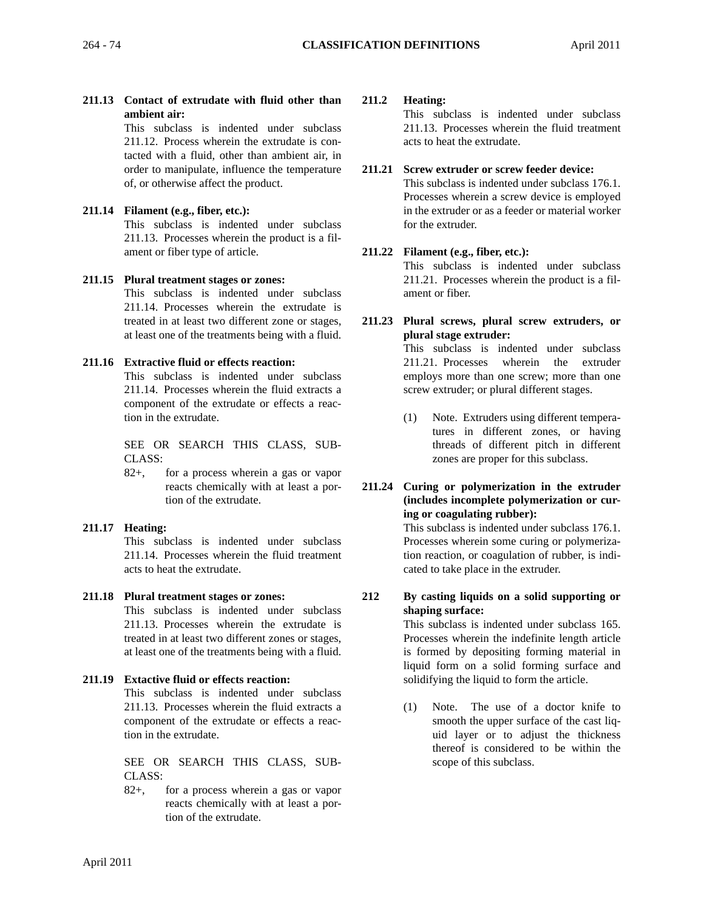**211.13 Contact of extrudate with fluid other than ambient air:**

This subclass is indented under subclass 211.12. Process wherein the extrudate is contacted with a fluid, other than ambient air, in order to manipulate, influence the temperature of, or otherwise affect the product.

# **211.14 Filament (e.g., fiber, etc.):**

This subclass is indented under subclass 211.13. Processes wherein the product is a filament or fiber type of article.

# **211.15 Plural treatment stages or zones:**

This subclass is indented under subclass 211.14. Processes wherein the extrudate is treated in at least two different zone or stages, at least one of the treatments being with a fluid.

# **211.16 Extractive fluid or effects reaction:**

This subclass is indented under subclass 211.14. Processes wherein the fluid extracts a component of the extrudate or effects a reaction in the extrudate.

SEE OR SEARCH THIS CLASS, SUB-CLASS:

82+, for a process wherein a gas or vapor reacts chemically with at least a portion of the extrudate.

# **211.17 Heating:**

This subclass is indented under subclass 211.14. Processes wherein the fluid treatment acts to heat the extrudate.

# **211.18 Plural treatment stages or zones:**

This subclass is indented under subclass 211.13. Processes wherein the extrudate is treated in at least two different zones or stages, at least one of the treatments being with a fluid.

# **211.19 Extactive fluid or effects reaction:**

This subclass is indented under subclass 211.13. Processes wherein the fluid extracts a component of the extrudate or effects a reaction in the extrudate.

SEE OR SEARCH THIS CLASS, SUB-CLASS:

82+, for a process wherein a gas or vapor reacts chemically with at least a portion of the extrudate.

# **211.2 Heating:**

This subclass is indented under subclass 211.13. Processes wherein the fluid treatment acts to heat the extrudate.

# **211.21 Screw extruder or screw feeder device:**

This subclass is indented under subclass 176.1. Processes wherein a screw device is employed in the extruder or as a feeder or material worker for the extruder.

# **211.22 Filament (e.g., fiber, etc.):**

This subclass is indented under subclass 211.21. Processes wherein the product is a filament or fiber.

**211.23 Plural screws, plural screw extruders, or plural stage extruder:**

This subclass is indented under subclass 211.21. Processes wherein the extruder employs more than one screw; more than one screw extruder; or plural different stages.

(1) Note. Extruders using different temperatures in different zones, or having threads of different pitch in different zones are proper for this subclass.

# **211.24 Curing or polymerization in the extruder (includes incomplete polymerization or curing or coagulating rubber):**

This subclass is indented under subclass 176.1. Processes wherein some curing or polymerization reaction, or coagulation of rubber, is indicated to take place in the extruder.

#### **212 By casting liquids on a solid supporting or shaping surface:**

This subclass is indented under subclass 165. Processes wherein the indefinite length article is formed by depositing forming material in liquid form on a solid forming surface and solidifying the liquid to form the article.

(1) Note. The use of a doctor knife to smooth the upper surface of the cast liquid layer or to adjust the thickness thereof is considered to be within the scope of this subclass.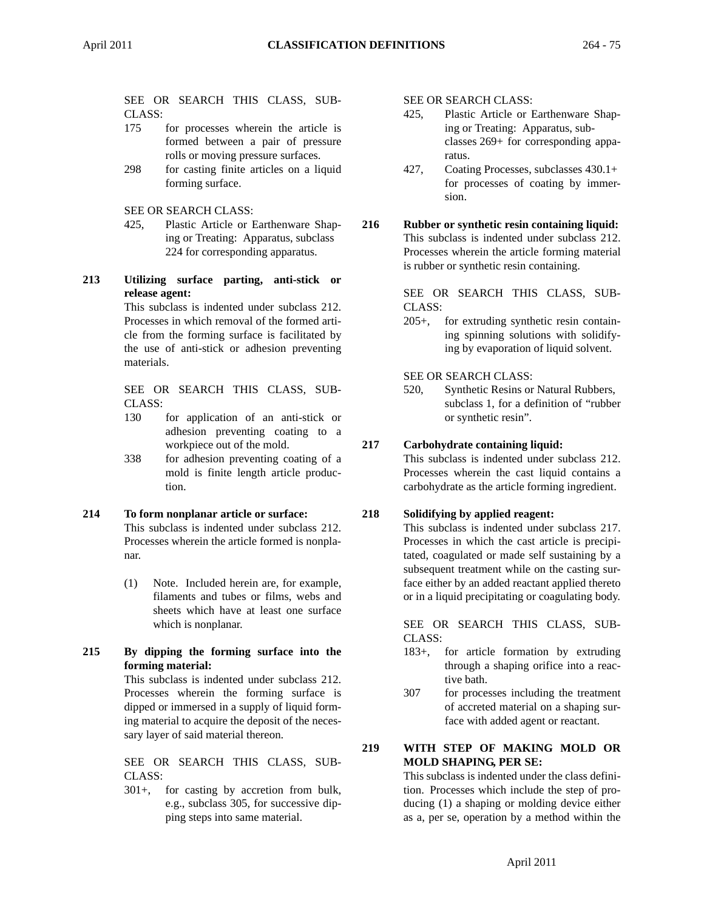SEE OR SEARCH THIS CLASS, SUB-CLASS:

- 175 for processes wherein the article is formed between a pair of pressure rolls or moving pressure surfaces.
- 298 for casting finite articles on a liquid forming surface.
- SEE OR SEARCH CLASS:
- 425, Plastic Article or Earthenware Shaping or Treating: Apparatus, subclass 224 for corresponding apparatus.
- **213 Utilizing surface parting, anti-stick or release agent:**

This subclass is indented under subclass 212. Processes in which removal of the formed article from the forming surface is facilitated by the use of anti-stick or adhesion preventing materials.

SEE OR SEARCH THIS CLASS, SUB-CLASS:

- 130 for application of an anti-stick or adhesion preventing coating to a workpiece out of the mold.
- 338 for adhesion preventing coating of a mold is finite length article production.

# **214 To form nonplanar article or surface:**

This subclass is indented under subclass 212. Processes wherein the article formed is nonplanar.

- (1) Note. Included herein are, for example, filaments and tubes or films, webs and sheets which have at least one surface which is nonplanar.
- **215 By dipping the forming surface into the forming material:**

This subclass is indented under subclass 212. Processes wherein the forming surface is dipped or immersed in a supply of liquid forming material to acquire the deposit of the necessary layer of said material thereon.

SEE OR SEARCH THIS CLASS, SUB-CLASS:

301+, for casting by accretion from bulk, e.g., subclass 305, for successive dipping steps into same material.

SEE OR SEARCH CLASS:

- 425, Plastic Article or Earthenware Shaping or Treating: Apparatus, subclasses 269+ for corresponding apparatus.
- 427, Coating Processes, subclasses 430.1+ for processes of coating by immersion.
- **216 Rubber or synthetic resin containing liquid:** This subclass is indented under subclass 212. Processes wherein the article forming material is rubber or synthetic resin containing.

SEE OR SEARCH THIS CLASS, SUB-CLASS:

205+, for extruding synthetic resin containing spinning solutions with solidifying by evaporation of liquid solvent.

SEE OR SEARCH CLASS:

520, Synthetic Resins or Natural Rubbers, subclass 1, for a definition of "rubber or synthetic resin".

# **217 Carbohydrate containing liquid:**

This subclass is indented under subclass 212. Processes wherein the cast liquid contains a carbohydrate as the article forming ingredient.

# **218 Solidifying by applied reagent:**

This subclass is indented under subclass 217. Processes in which the cast article is precipitated, coagulated or made self sustaining by a subsequent treatment while on the casting surface either by an added reactant applied thereto or in a liquid precipitating or coagulating body.

SEE OR SEARCH THIS CLASS, SUB-CLASS:

- 183+, for article formation by extruding through a shaping orifice into a reactive bath.
- 307 for processes including the treatment of accreted material on a shaping surface with added agent or reactant.

**219 WITH STEP OF MAKING MOLD OR MOLD SHAPING, PER SE:**

This subclass is indented under the class definition. Processes which include the step of producing (1) a shaping or molding device either as a, per se, operation by a method within the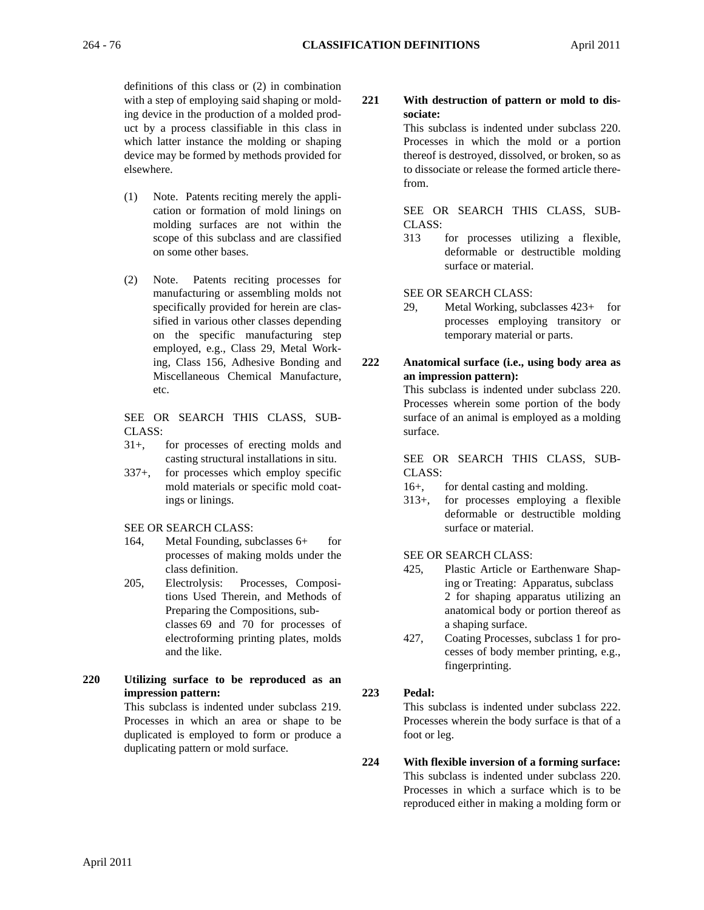definitions of this class or (2) in combination with a step of employing said shaping or molding device in the production of a molded product by a process classifiable in this class in which latter instance the molding or shaping device may be formed by methods provided for elsewhere.

- (1) Note. Patents reciting merely the application or formation of mold linings on molding surfaces are not within the scope of this subclass and are classified on some other bases.
- (2) Note. Patents reciting processes for manufacturing or assembling molds not specifically provided for herein are classified in various other classes depending on the specific manufacturing step employed, e.g., Class 29, Metal Working, Class 156, Adhesive Bonding and Miscellaneous Chemical Manufacture, etc.

SEE OR SEARCH THIS CLASS, SUB-CLASS:

- 31+, for processes of erecting molds and casting structural installations in situ.
- 337+, for processes which employ specific mold materials or specific mold coatings or linings.

SEE OR SEARCH CLASS:

- 164, Metal Founding, subclasses 6+ for processes of making molds under the class definition.
- 205, Electrolysis: Processes, Compositions Used Therein, and Methods of Preparing the Compositions, subclasses 69 and 70 for processes of electroforming printing plates, molds and the like.
- **220 Utilizing surface to be reproduced as an impression pattern:**

This subclass is indented under subclass 219. Processes in which an area or shape to be duplicated is employed to form or produce a duplicating pattern or mold surface.

**221 With destruction of pattern or mold to dissociate:**

This subclass is indented under subclass 220. Processes in which the mold or a portion thereof is destroyed, dissolved, or broken, so as to dissociate or release the formed article therefrom.

SEE OR SEARCH THIS CLASS, SUB-CLASS:

313 for processes utilizing a flexible, deformable or destructible molding surface or material.

SEE OR SEARCH CLASS:

- 29, Metal Working, subclasses 423+ for processes employing transitory or temporary material or parts.
- **222 Anatomical surface (i.e., using body area as an impression pattern):**

This subclass is indented under subclass 220. Processes wherein some portion of the body surface of an animal is employed as a molding surface.

SEE OR SEARCH THIS CLASS, SUB-CLASS:

16+, for dental casting and molding.

313+, for processes employing a flexible deformable or destructible molding surface or material.

SEE OR SEARCH CLASS:

- 425, Plastic Article or Earthenware Shaping or Treating: Apparatus, subclass 2 for shaping apparatus utilizing an anatomical body or portion thereof as a shaping surface.
- 427, Coating Processes, subclass 1 for processes of body member printing, e.g., fingerprinting.
- **223 Pedal:**

This subclass is indented under subclass 222. Processes wherein the body surface is that of a foot or leg.

**224 With flexible inversion of a forming surface:** This subclass is indented under subclass 220. Processes in which a surface which is to be reproduced either in making a molding form or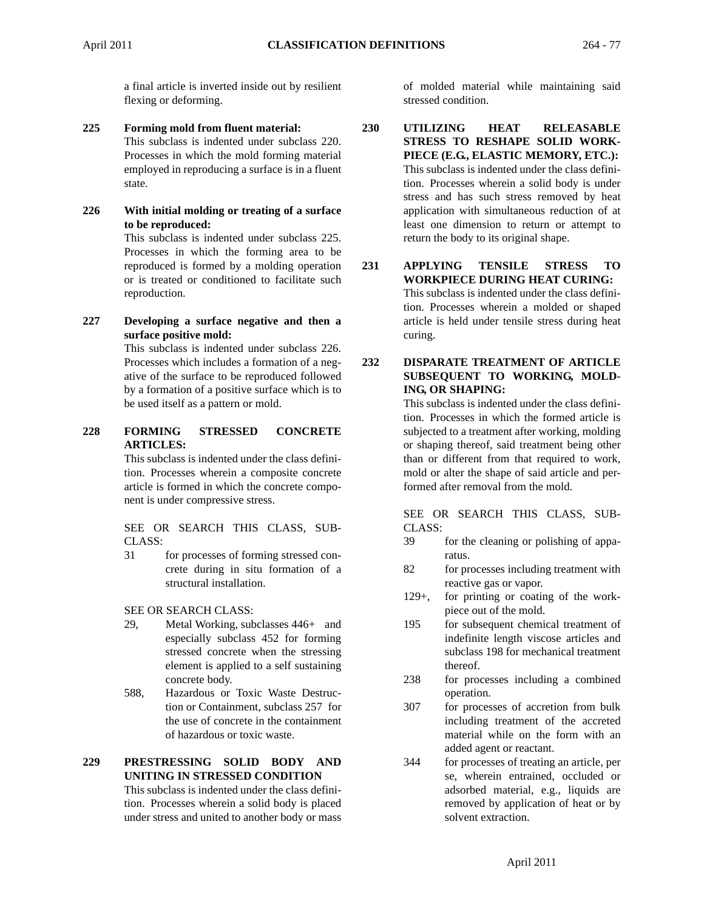a final article is inverted inside out by resilient flexing or deforming.

- **225 Forming mold from fluent material:** This subclass is indented under subclass 220. Processes in which the mold forming material employed in reproducing a surface is in a fluent state.
- **226 With initial molding or treating of a surface to be reproduced:** This subclass is indented under subclass 225. Processes in which the forming area to be reproduced is formed by a molding operation or is treated or conditioned to facilitate such reproduction.
- **227 Developing a surface negative and then a surface positive mold:**

This subclass is indented under subclass 226. Processes which includes a formation of a negative of the surface to be reproduced followed by a formation of a positive surface which is to be used itself as a pattern or mold.

# **228 FORMING STRESSED CONCRETE ARTICLES:**

This subclass is indented under the class definition. Processes wherein a composite concrete article is formed in which the concrete component is under compressive stress.

SEE OR SEARCH THIS CLASS, SUB-CLASS:

31 for processes of forming stressed concrete during in situ formation of a structural installation.

SEE OR SEARCH CLASS:

- 29, Metal Working, subclasses 446+ and especially subclass 452 for forming stressed concrete when the stressing element is applied to a self sustaining concrete body.
- 588, Hazardous or Toxic Waste Destruction or Containment, subclass 257 for the use of concrete in the containment of hazardous or toxic waste.

# **229 PRESTRESSING SOLID BODY AND UNITING IN STRESSED CONDITION**

This subclass is indented under the class definition. Processes wherein a solid body is placed under stress and united to another body or mass

of molded material while maintaining said stressed condition.

- **230 UTILIZING HEAT RELEASABLE STRESS TO RESHAPE SOLID WORK-PIECE (E.G., ELASTIC MEMORY, ETC.):** This subclass is indented under the class definition. Processes wherein a solid body is under stress and has such stress removed by heat application with simultaneous reduction of at least one dimension to return or attempt to return the body to its original shape.
- **231 APPLYING TENSILE STRESS TO WORKPIECE DURING HEAT CURING:** This subclass is indented under the class definition. Processes wherein a molded or shaped article is held under tensile stress during heat curing.

**232 DISPARATE TREATMENT OF ARTICLE SUBSEQUENT TO WORKING, MOLD-ING, OR SHAPING:**

> This subclass is indented under the class definition. Processes in which the formed article is subjected to a treatment after working, molding or shaping thereof, said treatment being other than or different from that required to work, mold or alter the shape of said article and performed after removal from the mold.

- 39 for the cleaning or polishing of apparatus.
- 82 for processes including treatment with reactive gas or vapor.
- 129+, for printing or coating of the workpiece out of the mold.
- 195 for subsequent chemical treatment of indefinite length viscose articles and subclass 198 for mechanical treatment thereof.
- 238 for processes including a combined operation.
- 307 for processes of accretion from bulk including treatment of the accreted material while on the form with an added agent or reactant.
- 344 for processes of treating an article, per se, wherein entrained, occluded or adsorbed material, e.g., liquids are removed by application of heat or by solvent extraction.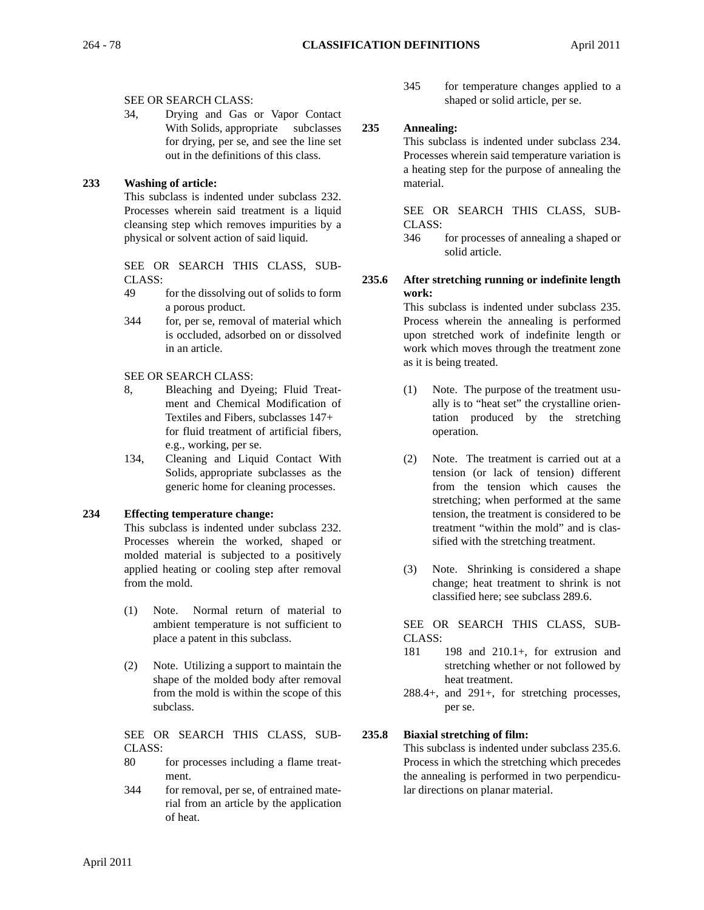# SEE OR SEARCH CLASS:

34, Drying and Gas or Vapor Contact With Solids, appropriate subclasses for drying, per se, and see the line set out in the definitions of this class.

# **233 Washing of article:**

This subclass is indented under subclass 232. Processes wherein said treatment is a liquid cleansing step which removes impurities by a physical or solvent action of said liquid.

SEE OR SEARCH THIS CLASS, SUB-CLASS:

- 49 for the dissolving out of solids to form a porous product.
- 344 for, per se, removal of material which is occluded, adsorbed on or dissolved in an article.

# SEE OR SEARCH CLASS:

- 8, Bleaching and Dyeing; Fluid Treatment and Chemical Modification of Textiles and Fibers, subclasses 147+ for fluid treatment of artificial fibers, e.g., working, per se.
- 134, Cleaning and Liquid Contact With Solids, appropriate subclasses as the generic home for cleaning processes.

# **234 Effecting temperature change:**

This subclass is indented under subclass 232. Processes wherein the worked, shaped or molded material is subjected to a positively applied heating or cooling step after removal from the mold.

- (1) Note. Normal return of material to ambient temperature is not sufficient to place a patent in this subclass.
- (2) Note. Utilizing a support to maintain the shape of the molded body after removal from the mold is within the scope of this subclass.

SEE OR SEARCH THIS CLASS, SUB-CLASS:

- 80 for processes including a flame treatment.
- 344 for removal, per se, of entrained material from an article by the application of heat.

345 for temperature changes applied to a shaped or solid article, per se.

# **235 Annealing:**

This subclass is indented under subclass 234. Processes wherein said temperature variation is a heating step for the purpose of annealing the material.

SEE OR SEARCH THIS CLASS, SUB-CLASS:

346 for processes of annealing a shaped or solid article.

# **235.6 After stretching running or indefinite length work:**

This subclass is indented under subclass 235. Process wherein the annealing is performed upon stretched work of indefinite length or work which moves through the treatment zone as it is being treated.

- (1) Note. The purpose of the treatment usually is to "heat set" the crystalline orientation produced by the stretching operation.
- (2) Note. The treatment is carried out at a tension (or lack of tension) different from the tension which causes the stretching; when performed at the same tension, the treatment is considered to be treatment "within the mold" and is classified with the stretching treatment.
- (3) Note. Shrinking is considered a shape change; heat treatment to shrink is not classified here; see subclass 289.6.

SEE OR SEARCH THIS CLASS, SUB-CLASS:

- 181 198 and 210.1+, for extrusion and stretching whether or not followed by heat treatment.
- 288.4+, and 291+, for stretching processes, per se.

# **235.8 Biaxial stretching of film:**

This subclass is indented under subclass 235.6. Process in which the stretching which precedes the annealing is performed in two perpendicular directions on planar material.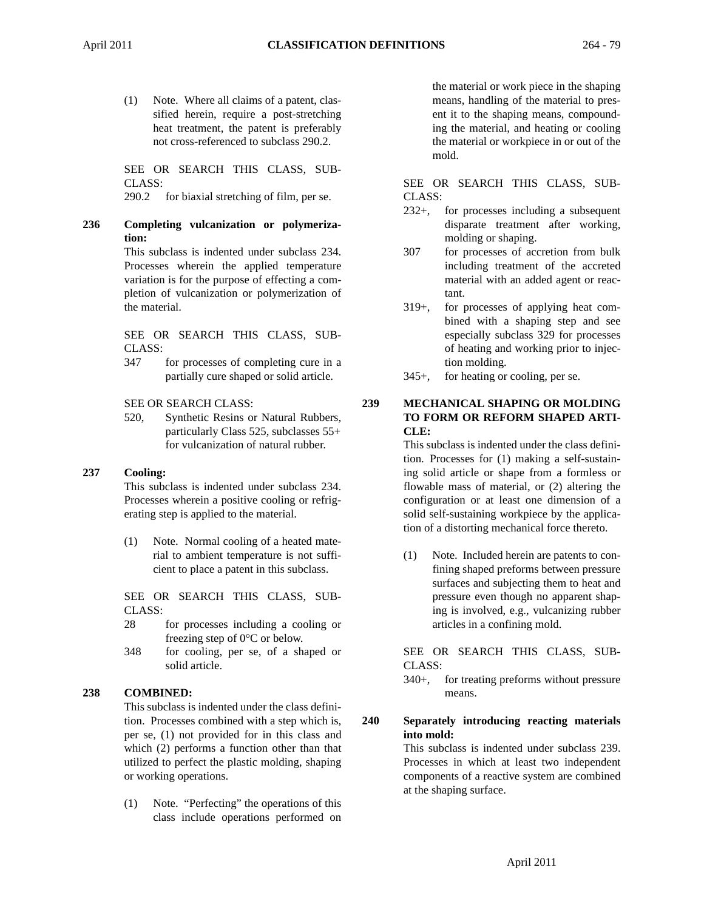(1) Note. Where all claims of a patent, classified herein, require a post-stretching heat treatment, the patent is preferably not cross-referenced to subclass 290.2.

SEE OR SEARCH THIS CLASS, SUB-CLASS:

290.2 for biaxial stretching of film, per se.

**236 Completing vulcanization or polymerization:**

> This subclass is indented under subclass 234. Processes wherein the applied temperature variation is for the purpose of effecting a completion of vulcanization or polymerization of the material.

SEE OR SEARCH THIS CLASS, SUB-CLASS:

347 for processes of completing cure in a partially cure shaped or solid article.

SEE OR SEARCH CLASS:

- 520, Synthetic Resins or Natural Rubbers, particularly Class 525, subclasses 55+ for vulcanization of natural rubber.
- **237 Cooling:**

This subclass is indented under subclass 234. Processes wherein a positive cooling or refrigerating step is applied to the material.

(1) Note. Normal cooling of a heated material to ambient temperature is not sufficient to place a patent in this subclass.

SEE OR SEARCH THIS CLASS, SUB-CLASS:

- 28 for processes including a cooling or freezing step of 0°C or below.
- 348 for cooling, per se, of a shaped or solid article.

# **238 COMBINED:**

This subclass is indented under the class definition. Processes combined with a step which is, per se, (1) not provided for in this class and which (2) performs a function other than that utilized to perfect the plastic molding, shaping or working operations.

(1) Note. "Perfecting" the operations of this class include operations performed on

the material or work piece in the shaping means, handling of the material to present it to the shaping means, compounding the material, and heating or cooling the material or workpiece in or out of the mold.

SEE OR SEARCH THIS CLASS, SUB-CLASS:

- 232+, for processes including a subsequent disparate treatment after working, molding or shaping.
- 307 for processes of accretion from bulk including treatment of the accreted material with an added agent or reactant.
- 319+, for processes of applying heat combined with a shaping step and see especially subclass 329 for processes of heating and working prior to injection molding.
- 345+, for heating or cooling, per se.

# **239 MECHANICAL SHAPING OR MOLDING TO FORM OR REFORM SHAPED ARTI-CLE:**

This subclass is indented under the class definition. Processes for (1) making a self-sustaining solid article or shape from a formless or flowable mass of material, or (2) altering the configuration or at least one dimension of a solid self-sustaining workpiece by the application of a distorting mechanical force thereto.

(1) Note. Included herein are patents to confining shaped preforms between pressure surfaces and subjecting them to heat and pressure even though no apparent shaping is involved, e.g., vulcanizing rubber articles in a confining mold.

SEE OR SEARCH THIS CLASS, SUB-CLASS:

340+, for treating preforms without pressure means.

**240 Separately introducing reacting materials into mold:**

This subclass is indented under subclass 239. Processes in which at least two independent components of a reactive system are combined at the shaping surface.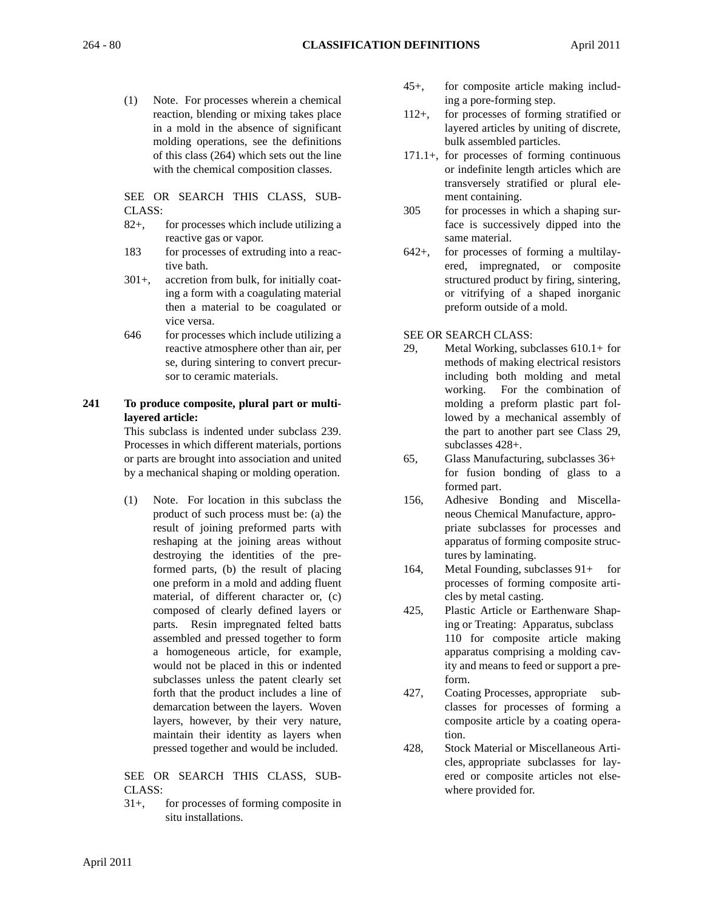(1) Note. For processes wherein a chemical reaction, blending or mixing takes place in a mold in the absence of significant molding operations, see the definitions of this class (264) which sets out the line with the chemical composition classes.

SEE OR SEARCH THIS CLASS, SUB-CLASS:

- 82+, for processes which include utilizing a reactive gas or vapor.
- 183 for processes of extruding into a reactive bath.
- 301+, accretion from bulk, for initially coating a form with a coagulating material then a material to be coagulated or vice versa.
- 646 for processes which include utilizing a reactive atmosphere other than air, per se, during sintering to convert precursor to ceramic materials.

# **241 To produce composite, plural part or multilayered article:**

This subclass is indented under subclass 239. Processes in which different materials, portions or parts are brought into association and united by a mechanical shaping or molding operation.

(1) Note. For location in this subclass the product of such process must be: (a) the result of joining preformed parts with reshaping at the joining areas without destroying the identities of the preformed parts, (b) the result of placing one preform in a mold and adding fluent material, of different character or, (c) composed of clearly defined layers or parts. Resin impregnated felted batts assembled and pressed together to form a homogeneous article, for example, would not be placed in this or indented subclasses unless the patent clearly set forth that the product includes a line of demarcation between the layers. Woven layers, however, by their very nature, maintain their identity as layers when pressed together and would be included.

SEE OR SEARCH THIS CLASS, SUB-CLASS:

31+, for processes of forming composite in situ installations.

- 45+, for composite article making including a pore-forming step.
- 112+, for processes of forming stratified or layered articles by uniting of discrete, bulk assembled particles.
- 171.1+, for processes of forming continuous or indefinite length articles which are transversely stratified or plural element containing.
- 305 for processes in which a shaping surface is successively dipped into the same material.
- 642+, for processes of forming a multilayered, impregnated, or composite structured product by firing, sintering, or vitrifying of a shaped inorganic preform outside of a mold.

# SEE OR SEARCH CLASS:

- 29, Metal Working, subclasses 610.1+ for methods of making electrical resistors including both molding and metal working. For the combination of molding a preform plastic part followed by a mechanical assembly of the part to another part see Class 29, subclasses 428+.
- 65, Glass Manufacturing, subclasses 36+ for fusion bonding of glass to a formed part.
- 156, Adhesive Bonding and Miscellaneous Chemical Manufacture, appropriate subclasses for processes and apparatus of forming composite structures by laminating.
- 164, Metal Founding, subclasses 91+ for processes of forming composite articles by metal casting.
- 425, Plastic Article or Earthenware Shaping or Treating: Apparatus, subclass 110 for composite article making apparatus comprising a molding cavity and means to feed or support a preform.
- 427, Coating Processes, appropriate subclasses for processes of forming a composite article by a coating operation.
- 428, Stock Material or Miscellaneous Articles, appropriate subclasses for layered or composite articles not elsewhere provided for.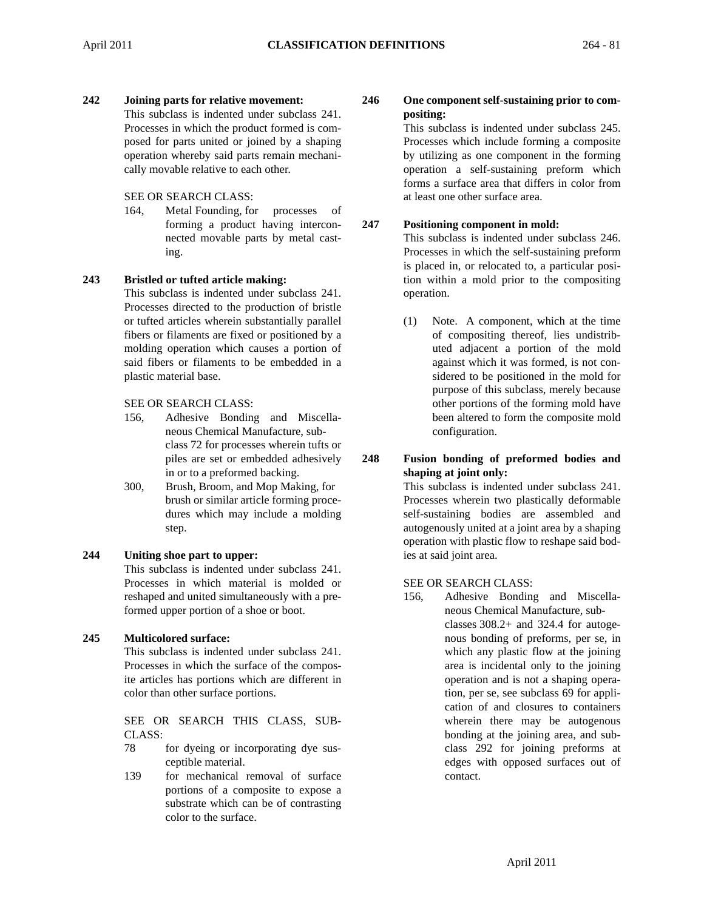#### **242 Joining parts for relative movement:**

This subclass is indented under subclass 241. Processes in which the product formed is composed for parts united or joined by a shaping operation whereby said parts remain mechanically movable relative to each other.

# SEE OR SEARCH CLASS:

164, Metal Founding, for processes of forming a product having interconnected movable parts by metal casting.

#### **243 Bristled or tufted article making:**

This subclass is indented under subclass 241. Processes directed to the production of bristle or tufted articles wherein substantially parallel fibers or filaments are fixed or positioned by a molding operation which causes a portion of said fibers or filaments to be embedded in a plastic material base.

#### SEE OR SEARCH CLASS:

- 156, Adhesive Bonding and Miscellaneous Chemical Manufacture, subclass 72 for processes wherein tufts or piles are set or embedded adhesively in or to a preformed backing.
- 300, Brush, Broom, and Mop Making, for brush or similar article forming procedures which may include a molding step.

#### **244 Uniting shoe part to upper:**

This subclass is indented under subclass 241. Processes in which material is molded or reshaped and united simultaneously with a preformed upper portion of a shoe or boot.

# **245 Multicolored surface:**

This subclass is indented under subclass 241. Processes in which the surface of the composite articles has portions which are different in color than other surface portions.

SEE OR SEARCH THIS CLASS, SUB-CLASS:

- 78 for dyeing or incorporating dye susceptible material.
- 139 for mechanical removal of surface portions of a composite to expose a substrate which can be of contrasting color to the surface.

# **246 One component self-sustaining prior to compositing:**

This subclass is indented under subclass 245. Processes which include forming a composite by utilizing as one component in the forming operation a self-sustaining preform which forms a surface area that differs in color from at least one other surface area.

#### **247 Positioning component in mold:**

This subclass is indented under subclass 246. Processes in which the self-sustaining preform is placed in, or relocated to, a particular position within a mold prior to the compositing operation.

(1) Note. A component, which at the time of compositing thereof, lies undistributed adjacent a portion of the mold against which it was formed, is not considered to be positioned in the mold for purpose of this subclass, merely because other portions of the forming mold have been altered to form the composite mold configuration.

# **248 Fusion bonding of preformed bodies and shaping at joint only:**

This subclass is indented under subclass 241. Processes wherein two plastically deformable self-sustaining bodies are assembled and autogenously united at a joint area by a shaping operation with plastic flow to reshape said bodies at said joint area.

#### SEE OR SEARCH CLASS:

156, Adhesive Bonding and Miscellaneous Chemical Manufacture, subclasses 308.2+ and 324.4 for autogenous bonding of preforms, per se, in which any plastic flow at the joining area is incidental only to the joining operation and is not a shaping operation, per se, see subclass 69 for application of and closures to containers wherein there may be autogenous bonding at the joining area, and subclass 292 for joining preforms at edges with opposed surfaces out of contact.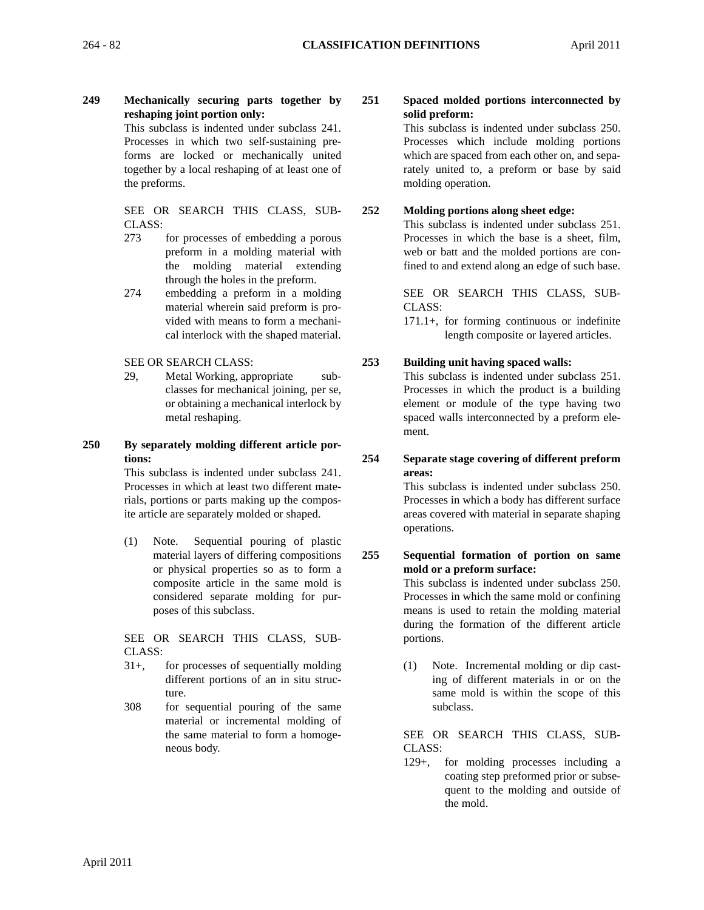**249 Mechanically securing parts together by reshaping joint portion only:**

> This subclass is indented under subclass 241. Processes in which two self-sustaining preforms are locked or mechanically united together by a local reshaping of at least one of the preforms.

SEE OR SEARCH THIS CLASS, SUB-CLASS:

- 273 for processes of embedding a porous preform in a molding material with the molding material extending through the holes in the preform.
- 274 embedding a preform in a molding material wherein said preform is provided with means to form a mechanical interlock with the shaped material.

#### SEE OR SEARCH CLASS:

- 29, Metal Working, appropriate subclasses for mechanical joining, per se, or obtaining a mechanical interlock by metal reshaping.
- **250 By separately molding different article portions:**

This subclass is indented under subclass 241. Processes in which at least two different materials, portions or parts making up the composite article are separately molded or shaped.

(1) Note. Sequential pouring of plastic material layers of differing compositions or physical properties so as to form a composite article in the same mold is considered separate molding for purposes of this subclass.

SEE OR SEARCH THIS CLASS, SUB-CLASS:

- 31+, for processes of sequentially molding different portions of an in situ structure.
- 308 for sequential pouring of the same material or incremental molding of the same material to form a homogeneous body.

**251 Spaced molded portions interconnected by solid preform:**

This subclass is indented under subclass 250. Processes which include molding portions which are spaced from each other on, and separately united to, a preform or base by said molding operation.

# **252 Molding portions along sheet edge:**

This subclass is indented under subclass 251. Processes in which the base is a sheet, film, web or batt and the molded portions are confined to and extend along an edge of such base.

SEE OR SEARCH THIS CLASS, SUB-CLASS:

171.1+, for forming continuous or indefinite length composite or layered articles.

# **253 Building unit having spaced walls:**

This subclass is indented under subclass 251. Processes in which the product is a building element or module of the type having two spaced walls interconnected by a preform element.

**254 Separate stage covering of different preform areas:**

> This subclass is indented under subclass 250. Processes in which a body has different surface areas covered with material in separate shaping operations.

**255 Sequential formation of portion on same mold or a preform surface:**

> This subclass is indented under subclass 250. Processes in which the same mold or confining means is used to retain the molding material during the formation of the different article portions.

> (1) Note. Incremental molding or dip casting of different materials in or on the same mold is within the scope of this subclass.

> SEE OR SEARCH THIS CLASS, SUB-CLASS:

> 129+, for molding processes including a coating step preformed prior or subsequent to the molding and outside of the mold.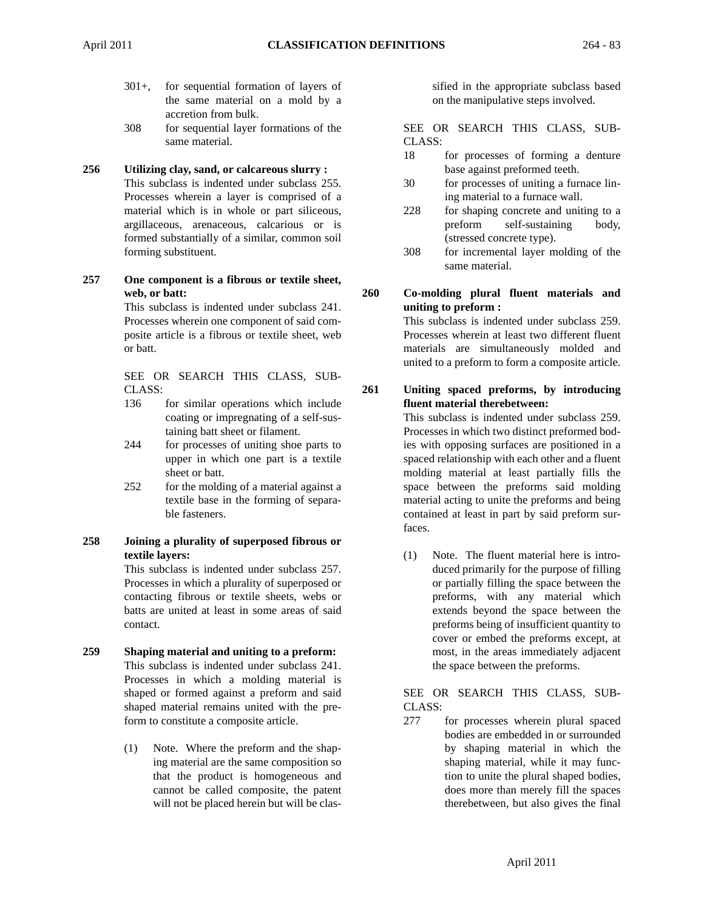- 301+, for sequential formation of layers of the same material on a mold by a accretion from bulk.
- 308 for sequential layer formations of the same material.

# **256 Utilizing clay, sand, or calcareous slurry :**

This subclass is indented under subclass 255. Processes wherein a layer is comprised of a material which is in whole or part siliceous, argillaceous, arenaceous, calcarious or is formed substantially of a similar, common soil forming substituent.

**257 One component is a fibrous or textile sheet, web, or batt:**

> This subclass is indented under subclass 241. Processes wherein one component of said composite article is a fibrous or textile sheet, web or batt.

> SEE OR SEARCH THIS CLASS, SUB-CLASS:

- 136 for similar operations which include coating or impregnating of a self-sustaining batt sheet or filament.
- 244 for processes of uniting shoe parts to upper in which one part is a textile sheet or batt.
- 252 for the molding of a material against a textile base in the forming of separable fasteners.

# **258 Joining a plurality of superposed fibrous or textile layers:**

This subclass is indented under subclass 257. Processes in which a plurality of superposed or contacting fibrous or textile sheets, webs or batts are united at least in some areas of said contact.

- **259 Shaping material and uniting to a preform:** This subclass is indented under subclass 241. Processes in which a molding material is shaped or formed against a preform and said shaped material remains united with the preform to constitute a composite article.
	- (1) Note. Where the preform and the shaping material are the same composition so that the product is homogeneous and cannot be called composite, the patent will not be placed herein but will be clas-

sified in the appropriate subclass based on the manipulative steps involved.

SEE OR SEARCH THIS CLASS, SUB-CLASS:

- 18 for processes of forming a denture base against preformed teeth.
- 30 for processes of uniting a furnace lining material to a furnace wall.
- 228 for shaping concrete and uniting to a preform self-sustaining body, (stressed concrete type).
- 308 for incremental layer molding of the same material.

# **260 Co-molding plural fluent materials and uniting to preform :**

This subclass is indented under subclass 259. Processes wherein at least two different fluent materials are simultaneously molded and united to a preform to form a composite article.

# **261 Uniting spaced preforms, by introducing fluent material therebetween:**

This subclass is indented under subclass 259. Processes in which two distinct preformed bodies with opposing surfaces are positioned in a spaced relationship with each other and a fluent molding material at least partially fills the space between the preforms said molding material acting to unite the preforms and being contained at least in part by said preform surfaces.

(1) Note. The fluent material here is introduced primarily for the purpose of filling or partially filling the space between the preforms, with any material which extends beyond the space between the preforms being of insufficient quantity to cover or embed the preforms except, at most, in the areas immediately adjacent the space between the preforms.

SEE OR SEARCH THIS CLASS, SUB-CLASS:

277 for processes wherein plural spaced bodies are embedded in or surrounded by shaping material in which the shaping material, while it may function to unite the plural shaped bodies, does more than merely fill the spaces therebetween, but also gives the final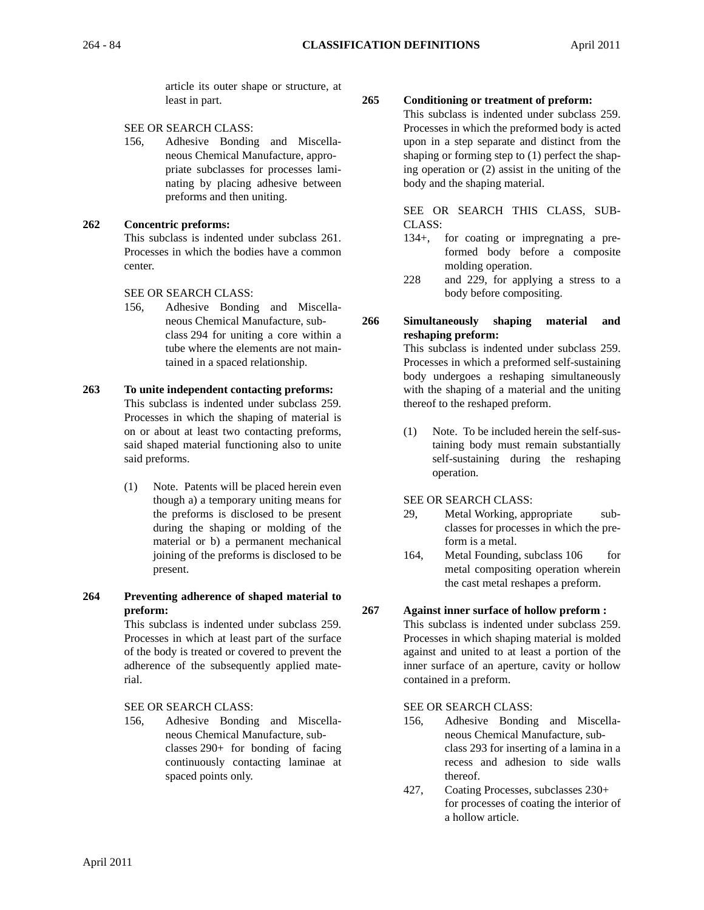article its outer shape or structure, at least in part.

# SEE OR SEARCH CLASS:

156, Adhesive Bonding and Miscellaneous Chemical Manufacture, appropriate subclasses for processes laminating by placing adhesive between preforms and then uniting.

# **262 Concentric preforms:**

This subclass is indented under subclass 261. Processes in which the bodies have a common center.

SEE OR SEARCH CLASS:

156, Adhesive Bonding and Miscellaneous Chemical Manufacture, subclass 294 for uniting a core within a tube where the elements are not maintained in a spaced relationship.

#### **263 To unite independent contacting preforms:**

This subclass is indented under subclass 259. Processes in which the shaping of material is on or about at least two contacting preforms, said shaped material functioning also to unite said preforms.

(1) Note. Patents will be placed herein even though a) a temporary uniting means for the preforms is disclosed to be present during the shaping or molding of the material or b) a permanent mechanical joining of the preforms is disclosed to be present.

# **264 Preventing adherence of shaped material to preform:**

This subclass is indented under subclass 259. Processes in which at least part of the surface of the body is treated or covered to prevent the adherence of the subsequently applied material.

SEE OR SEARCH CLASS:

156, Adhesive Bonding and Miscellaneous Chemical Manufacture, subclasses 290+ for bonding of facing continuously contacting laminae at spaced points only.

# **265 Conditioning or treatment of preform:**

This subclass is indented under subclass 259. Processes in which the preformed body is acted upon in a step separate and distinct from the shaping or forming step to (1) perfect the shaping operation or (2) assist in the uniting of the body and the shaping material.

SEE OR SEARCH THIS CLASS, SUB-CLASS:

- 134+, for coating or impregnating a preformed body before a composite molding operation.
- 228 and 229, for applying a stress to a body before compositing.
- **266 Simultaneously shaping material and reshaping preform:**

This subclass is indented under subclass 259. Processes in which a preformed self-sustaining body undergoes a reshaping simultaneously with the shaping of a material and the uniting thereof to the reshaped preform.

(1) Note. To be included herein the self-sustaining body must remain substantially self-sustaining during the reshaping operation.

SEE OR SEARCH CLASS:

- 29, Metal Working, appropriate subclasses for processes in which the preform is a metal.
- 164, Metal Founding, subclass 106 for metal compositing operation wherein the cast metal reshapes a preform.

# **267 Against inner surface of hollow preform :**

This subclass is indented under subclass 259. Processes in which shaping material is molded against and united to at least a portion of the inner surface of an aperture, cavity or hollow contained in a preform.

# SEE OR SEARCH CLASS:

- 156, Adhesive Bonding and Miscellaneous Chemical Manufacture, subclass 293 for inserting of a lamina in a recess and adhesion to side walls thereof.
- 427, Coating Processes, subclasses 230+ for processes of coating the interior of a hollow article.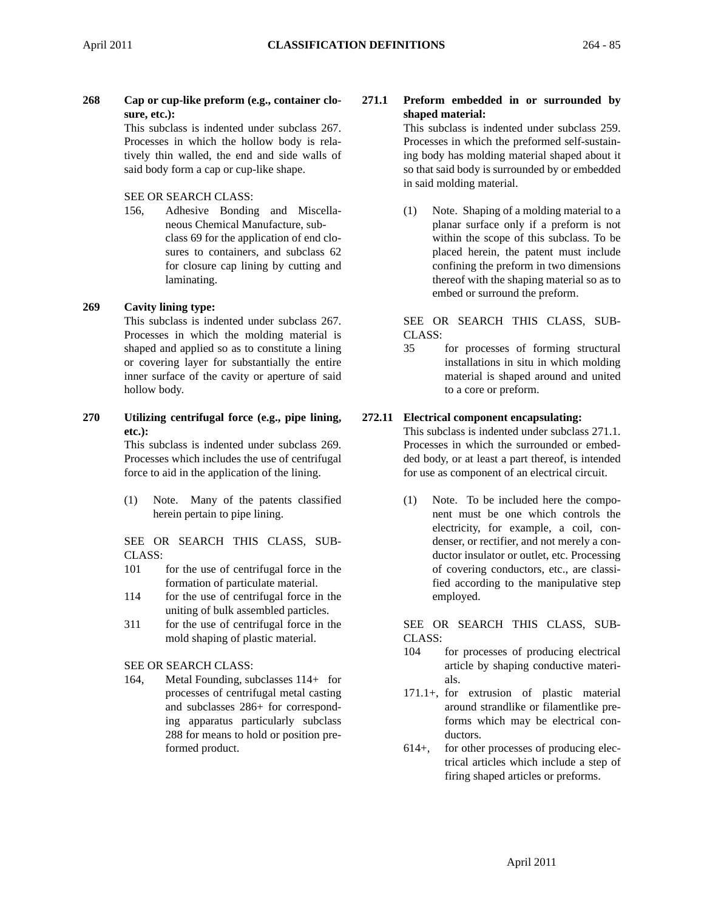**268 Cap or cup-like preform (e.g., container closure, etc.):**

This subclass is indented under subclass 267. Processes in which the hollow body is relatively thin walled, the end and side walls of said body form a cap or cup-like shape.

# SEE OR SEARCH CLASS:

156, Adhesive Bonding and Miscellaneous Chemical Manufacture, subclass 69 for the application of end closures to containers, and subclass 62 for closure cap lining by cutting and laminating.

# **269 Cavity lining type:**

This subclass is indented under subclass 267. Processes in which the molding material is shaped and applied so as to constitute a lining or covering layer for substantially the entire inner surface of the cavity or aperture of said hollow body.

**270 Utilizing centrifugal force (e.g., pipe lining, etc.):**

This subclass is indented under subclass 269. Processes which includes the use of centrifugal force to aid in the application of the lining.

(1) Note. Many of the patents classified herein pertain to pipe lining.

SEE OR SEARCH THIS CLASS, SUB-CLASS:

- 101 for the use of centrifugal force in the formation of particulate material.
- 114 for the use of centrifugal force in the uniting of bulk assembled particles.
- 311 for the use of centrifugal force in the mold shaping of plastic material.

# SEE OR SEARCH CLASS:

164, Metal Founding, subclasses 114+ for processes of centrifugal metal casting and subclasses 286+ for corresponding apparatus particularly subclass 288 for means to hold or position preformed product.

# **271.1 Preform embedded in or surrounded by shaped material:**

This subclass is indented under subclass 259. Processes in which the preformed self-sustaining body has molding material shaped about it so that said body is surrounded by or embedded in said molding material.

(1) Note. Shaping of a molding material to a planar surface only if a preform is not within the scope of this subclass. To be placed herein, the patent must include confining the preform in two dimensions thereof with the shaping material so as to embed or surround the preform.

#### SEE OR SEARCH THIS CLASS, SUB-CLASS:

35 for processes of forming structural installations in situ in which molding material is shaped around and united to a core or preform.

# **272.11 Electrical component encapsulating:**

This subclass is indented under subclass 271.1. Processes in which the surrounded or embedded body, or at least a part thereof, is intended for use as component of an electrical circuit.

(1) Note. To be included here the component must be one which controls the electricity, for example, a coil, condenser, or rectifier, and not merely a conductor insulator or outlet, etc. Processing of covering conductors, etc., are classified according to the manipulative step employed.

- 104 for processes of producing electrical article by shaping conductive materials.
- 171.1+, for extrusion of plastic material around strandlike or filamentlike preforms which may be electrical conductors.
- 614+, for other processes of producing electrical articles which include a step of firing shaped articles or preforms.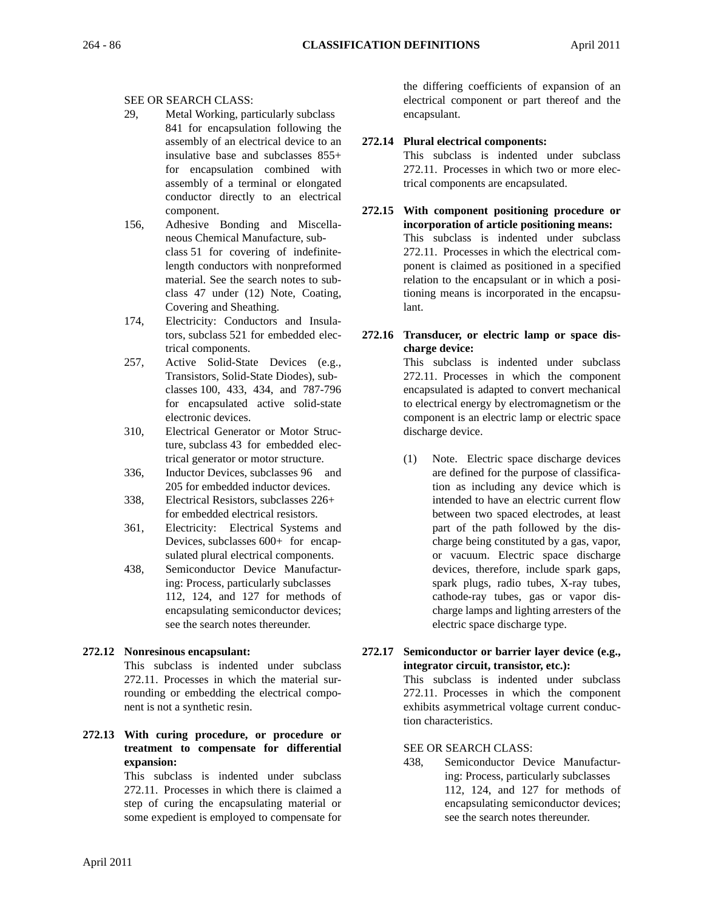# SEE OR SEARCH CLASS:

- 29, Metal Working, particularly subclass 841 for encapsulation following the assembly of an electrical device to an insulative base and subclasses 855+ for encapsulation combined with assembly of a terminal or elongated conductor directly to an electrical component.
- 156, Adhesive Bonding and Miscellaneous Chemical Manufacture, subclass 51 for covering of indefinitelength conductors with nonpreformed material. See the search notes to subclass 47 under (12) Note, Coating, Covering and Sheathing.
- 174, Electricity: Conductors and Insulators, subclass 521 for embedded electrical components.
- 257, Active Solid-State Devices (e.g., Transistors, Solid-State Diodes), subclasses 100, 433, 434, and 787-796 for encapsulated active solid-state electronic devices.
- 310, Electrical Generator or Motor Structure, subclass 43 for embedded electrical generator or motor structure.
- 336, Inductor Devices, subclasses 96 and 205 for embedded inductor devices.
- 338, Electrical Resistors, subclasses 226+ for embedded electrical resistors.
- 361, Electricity: Electrical Systems and Devices, subclasses 600+ for encapsulated plural electrical components.
- 438, Semiconductor Device Manufacturing: Process, particularly subclasses 112, 124, and 127 for methods of encapsulating semiconductor devices; see the search notes thereunder.

# **272.12 Nonresinous encapsulant:**

This subclass is indented under subclass 272.11. Processes in which the material surrounding or embedding the electrical component is not a synthetic resin.

**272.13 With curing procedure, or procedure or treatment to compensate for differential expansion:**

This subclass is indented under subclass 272.11. Processes in which there is claimed a step of curing the encapsulating material or some expedient is employed to compensate for

the differing coefficients of expansion of an electrical component or part thereof and the encapsulant.

# **272.14 Plural electrical components:**

This subclass is indented under subclass 272.11. Processes in which two or more electrical components are encapsulated.

- **272.15 With component positioning procedure or incorporation of article positioning means:** This subclass is indented under subclass 272.11. Processes in which the electrical component is claimed as positioned in a specified relation to the encapsulant or in which a positioning means is incorporated in the encapsulant.
- **272.16 Transducer, or electric lamp or space discharge device:**

This subclass is indented under subclass 272.11. Processes in which the component encapsulated is adapted to convert mechanical to electrical energy by electromagnetism or the component is an electric lamp or electric space discharge device.

(1) Note. Electric space discharge devices are defined for the purpose of classification as including any device which is intended to have an electric current flow between two spaced electrodes, at least part of the path followed by the discharge being constituted by a gas, vapor, or vacuum. Electric space discharge devices, therefore, include spark gaps, spark plugs, radio tubes, X-ray tubes, cathode-ray tubes, gas or vapor discharge lamps and lighting arresters of the electric space discharge type.

# **272.17 Semiconductor or barrier layer device (e.g., integrator circuit, transistor, etc.):**

This subclass is indented under subclass 272.11. Processes in which the component exhibits asymmetrical voltage current conduction characteristics.

# SEE OR SEARCH CLASS:

438, Semiconductor Device Manufacturing: Process, particularly subclasses 112, 124, and 127 for methods of encapsulating semiconductor devices; see the search notes thereunder.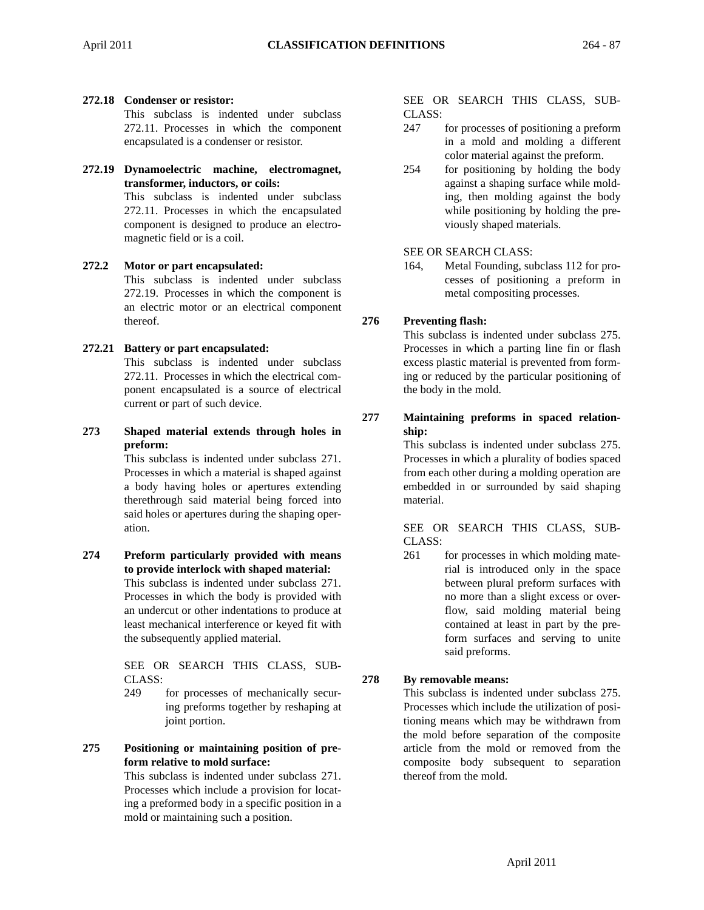# **272.18 Condenser or resistor:**

This subclass is indented under subclass 272.11. Processes in which the component encapsulated is a condenser or resistor.

**272.19 Dynamoelectric machine, electromagnet, transformer, inductors, or coils:**

This subclass is indented under subclass 272.11. Processes in which the encapsulated component is designed to produce an electromagnetic field or is a coil.

# **272.2 Motor or part encapsulated:**

This subclass is indented under subclass 272.19. Processes in which the component is an electric motor or an electrical component thereof.

# **272.21 Battery or part encapsulated:**

This subclass is indented under subclass 272.11. Processes in which the electrical component encapsulated is a source of electrical current or part of such device.

**273 Shaped material extends through holes in preform:**

> This subclass is indented under subclass 271. Processes in which a material is shaped against a body having holes or apertures extending therethrough said material being forced into said holes or apertures during the shaping operation.

**274 Preform particularly provided with means to provide interlock with shaped material:** This subclass is indented under subclass 271. Processes in which the body is provided with an undercut or other indentations to produce at least mechanical interference or keyed fit with the subsequently applied material.

> SEE OR SEARCH THIS CLASS, SUB-CLASS:

- 249 for processes of mechanically securing preforms together by reshaping at joint portion.
- **275 Positioning or maintaining position of preform relative to mold surface:**

This subclass is indented under subclass 271. Processes which include a provision for locating a preformed body in a specific position in a mold or maintaining such a position.

#### SEE OR SEARCH THIS CLASS, SUB-CLASS:

- 247 for processes of positioning a preform in a mold and molding a different color material against the preform.
- 254 for positioning by holding the body against a shaping surface while molding, then molding against the body while positioning by holding the previously shaped materials.

# SEE OR SEARCH CLASS:

164, Metal Founding, subclass 112 for processes of positioning a preform in metal compositing processes.

# **276 Preventing flash:**

This subclass is indented under subclass 275. Processes in which a parting line fin or flash excess plastic material is prevented from forming or reduced by the particular positioning of the body in the mold.

**277 Maintaining preforms in spaced relationship:**

> This subclass is indented under subclass 275. Processes in which a plurality of bodies spaced from each other during a molding operation are embedded in or surrounded by said shaping material.

> SEE OR SEARCH THIS CLASS, SUB-CLASS:

261 for processes in which molding material is introduced only in the space between plural preform surfaces with no more than a slight excess or overflow, said molding material being contained at least in part by the preform surfaces and serving to unite said preforms.

# **278 By removable means:**

This subclass is indented under subclass 275. Processes which include the utilization of positioning means which may be withdrawn from the mold before separation of the composite article from the mold or removed from the composite body subsequent to separation thereof from the mold.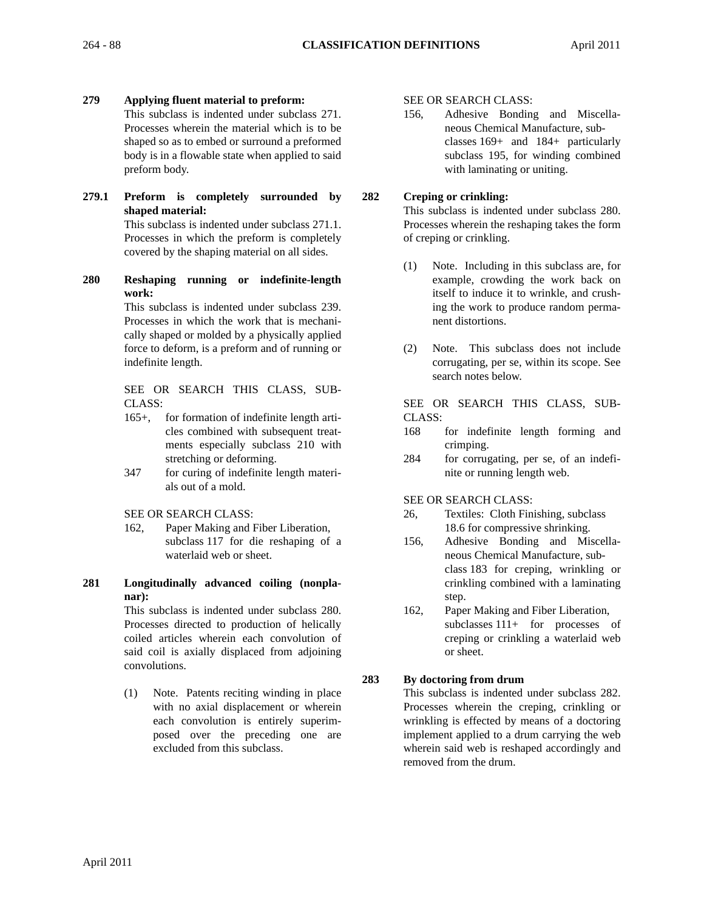# **279 Applying fluent material to preform:**

This subclass is indented under subclass 271. Processes wherein the material which is to be shaped so as to embed or surround a preformed body is in a flowable state when applied to said preform body.

**279.1 Preform is completely surrounded by shaped material:**

> This subclass is indented under subclass 271.1. Processes in which the preform is completely covered by the shaping material on all sides.

**280 Reshaping running or indefinite-length work:**

> This subclass is indented under subclass 239. Processes in which the work that is mechanically shaped or molded by a physically applied force to deform, is a preform and of running or indefinite length.

> SEE OR SEARCH THIS CLASS, SUB-CLASS:

- 165+, for formation of indefinite length articles combined with subsequent treatments especially subclass 210 with stretching or deforming.
- 347 for curing of indefinite length materials out of a mold.

# SEE OR SEARCH CLASS:

- 162, Paper Making and Fiber Liberation, subclass 117 for die reshaping of a waterlaid web or sheet.
- **281 Longitudinally advanced coiling (nonplanar):**

This subclass is indented under subclass 280. Processes directed to production of helically coiled articles wherein each convolution of said coil is axially displaced from adjoining convolutions.

(1) Note. Patents reciting winding in place with no axial displacement or wherein each convolution is entirely superimposed over the preceding one are excluded from this subclass.

SEE OR SEARCH CLASS:

156, Adhesive Bonding and Miscellaneous Chemical Manufacture, subclasses 169+ and 184+ particularly subclass 195, for winding combined with laminating or uniting.

# **282 Creping or crinkling:**

This subclass is indented under subclass 280. Processes wherein the reshaping takes the form of creping or crinkling.

- (1) Note. Including in this subclass are, for example, crowding the work back on itself to induce it to wrinkle, and crushing the work to produce random permanent distortions.
- (2) Note. This subclass does not include corrugating, per se, within its scope. See search notes below.

SEE OR SEARCH THIS CLASS, SUB-CLASS:

- 168 for indefinite length forming and crimping.
- 284 for corrugating, per se, of an indefinite or running length web.

# SEE OR SEARCH CLASS:

- 26, Textiles: Cloth Finishing, subclass 18.6 for compressive shrinking.
- 156, Adhesive Bonding and Miscellaneous Chemical Manufacture, subclass 183 for creping, wrinkling or crinkling combined with a laminating step.
- 162, Paper Making and Fiber Liberation, subclasses 111+ for processes of creping or crinkling a waterlaid web or sheet.

# **283 By doctoring from drum**

This subclass is indented under subclass 282. Processes wherein the creping, crinkling or wrinkling is effected by means of a doctoring implement applied to a drum carrying the web wherein said web is reshaped accordingly and removed from the drum.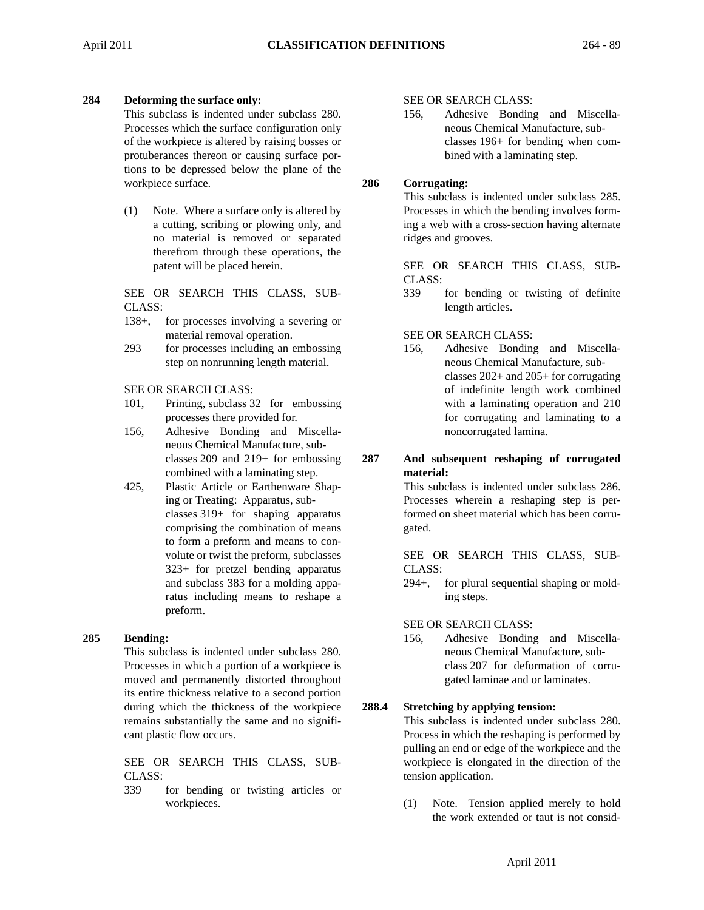# **284 Deforming the surface only:**

This subclass is indented under subclass 280. Processes which the surface configuration only of the workpiece is altered by raising bosses or protuberances thereon or causing surface portions to be depressed below the plane of the workpiece surface.

(1) Note. Where a surface only is altered by a cutting, scribing or plowing only, and no material is removed or separated therefrom through these operations, the patent will be placed herein.

SEE OR SEARCH THIS CLASS, SUB-CLASS:

- 138+, for processes involving a severing or material removal operation.
- 293 for processes including an embossing step on nonrunning length material.

SEE OR SEARCH CLASS:

- 101, Printing, subclass 32 for embossing processes there provided for.
- 156, Adhesive Bonding and Miscellaneous Chemical Manufacture, subclasses 209 and 219+ for embossing combined with a laminating step.
- 425, Plastic Article or Earthenware Shaping or Treating: Apparatus, subclasses 319+ for shaping apparatus comprising the combination of means to form a preform and means to convolute or twist the preform, subclasses 323+ for pretzel bending apparatus and subclass 383 for a molding apparatus including means to reshape a preform.

# **285 Bending:**

This subclass is indented under subclass 280. Processes in which a portion of a workpiece is moved and permanently distorted throughout its entire thickness relative to a second portion during which the thickness of the workpiece remains substantially the same and no significant plastic flow occurs.

SEE OR SEARCH THIS CLASS, SUB-CLASS:

339 for bending or twisting articles or workpieces.

SEE OR SEARCH CLASS:

156, Adhesive Bonding and Miscellaneous Chemical Manufacture, subclasses 196+ for bending when combined with a laminating step.

#### **286 Corrugating:**

This subclass is indented under subclass 285. Processes in which the bending involves forming a web with a cross-section having alternate ridges and grooves.

SEE OR SEARCH THIS CLASS, SUB-CLASS:

339 for bending or twisting of definite length articles.

# SEE OR SEARCH CLASS:

156, Adhesive Bonding and Miscellaneous Chemical Manufacture, subclasses 202+ and 205+ for corrugating of indefinite length work combined with a laminating operation and 210 for corrugating and laminating to a noncorrugated lamina.

# **287 And subsequent reshaping of corrugated material:**

This subclass is indented under subclass 286. Processes wherein a reshaping step is performed on sheet material which has been corrugated.

SEE OR SEARCH THIS CLASS, SUB-CLASS:

294+, for plural sequential shaping or molding steps.

# SEE OR SEARCH CLASS:

156, Adhesive Bonding and Miscellaneous Chemical Manufacture, subclass 207 for deformation of corrugated laminae and or laminates.

# **288.4 Stretching by applying tension:**

This subclass is indented under subclass 280. Process in which the reshaping is performed by pulling an end or edge of the workpiece and the workpiece is elongated in the direction of the tension application.

(1) Note. Tension applied merely to hold the work extended or taut is not consid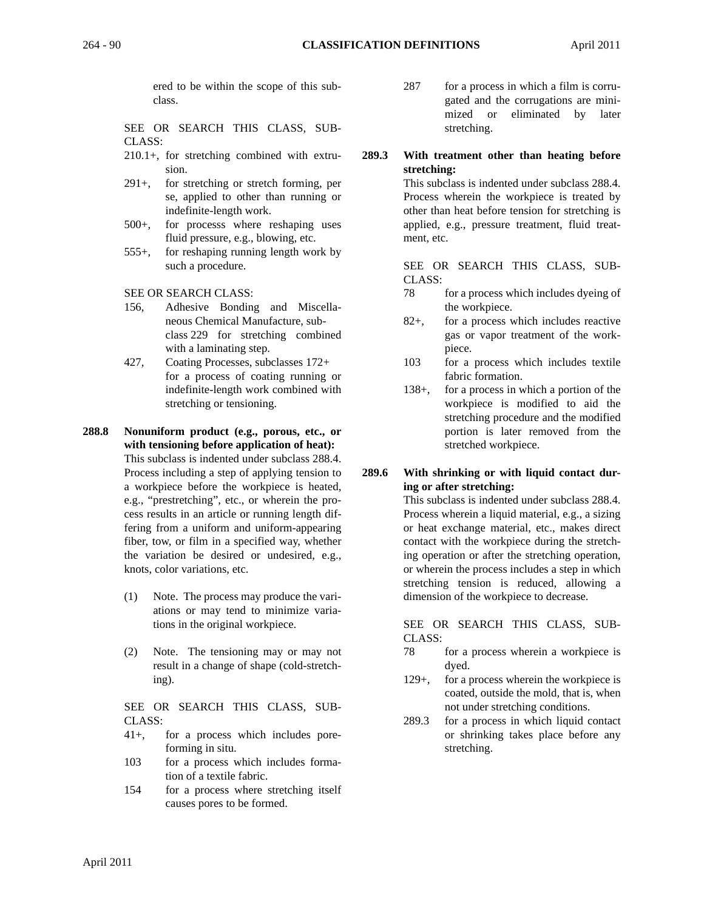ered to be within the scope of this subclass.

SEE OR SEARCH THIS CLASS, SUB-CLASS:

- 210.1+, for stretching combined with extrusion.
- 291+, for stretching or stretch forming, per se, applied to other than running or indefinite-length work.
- 500+, for processs where reshaping uses fluid pressure, e.g., blowing, etc.
- 555+, for reshaping running length work by such a procedure.

SEE OR SEARCH CLASS:

- 156, Adhesive Bonding and Miscellaneous Chemical Manufacture, subclass 229 for stretching combined with a laminating step.
- 427, Coating Processes, subclasses 172+ for a process of coating running or indefinite-length work combined with stretching or tensioning.
- **288.8 Nonuniform product (e.g., porous, etc., or with tensioning before application of heat):** This subclass is indented under subclass 288.4. Process including a step of applying tension to a workpiece before the workpiece is heated, e.g., "prestretching", etc., or wherein the process results in an article or running length differing from a uniform and uniform-appearing fiber, tow, or film in a specified way, whether the variation be desired or undesired, e.g., knots, color variations, etc.
	- (1) Note. The process may produce the variations or may tend to minimize variations in the original workpiece.
	- (2) Note. The tensioning may or may not result in a change of shape (cold-stretching).

SEE OR SEARCH THIS CLASS, SUB-CLASS:

- 41+, for a process which includes poreforming in situ.
- 103 for a process which includes formation of a textile fabric.
- 154 for a process where stretching itself causes pores to be formed.
- 287 for a process in which a film is corrugated and the corrugations are minimized or eliminated by later stretching.
- **289.3 With treatment other than heating before stretching:**

This subclass is indented under subclass 288.4. Process wherein the workpiece is treated by other than heat before tension for stretching is applied, e.g., pressure treatment, fluid treatment, etc.

SEE OR SEARCH THIS CLASS, SUB-CLASS:

- 78 for a process which includes dyeing of the workpiece.
- 82+, for a process which includes reactive gas or vapor treatment of the workpiece.
- 103 for a process which includes textile fabric formation.
- 138+, for a process in which a portion of the workpiece is modified to aid the stretching procedure and the modified portion is later removed from the stretched workpiece.

# **289.6 With shrinking or with liquid contact during or after stretching:**

This subclass is indented under subclass 288.4. Process wherein a liquid material, e.g., a sizing or heat exchange material, etc., makes direct contact with the workpiece during the stretching operation or after the stretching operation, or wherein the process includes a step in which stretching tension is reduced, allowing a dimension of the workpiece to decrease.

- 78 for a process wherein a workpiece is dyed.
- 129+, for a process wherein the workpiece is coated, outside the mold, that is, when not under stretching conditions.
- 289.3 for a process in which liquid contact or shrinking takes place before any stretching.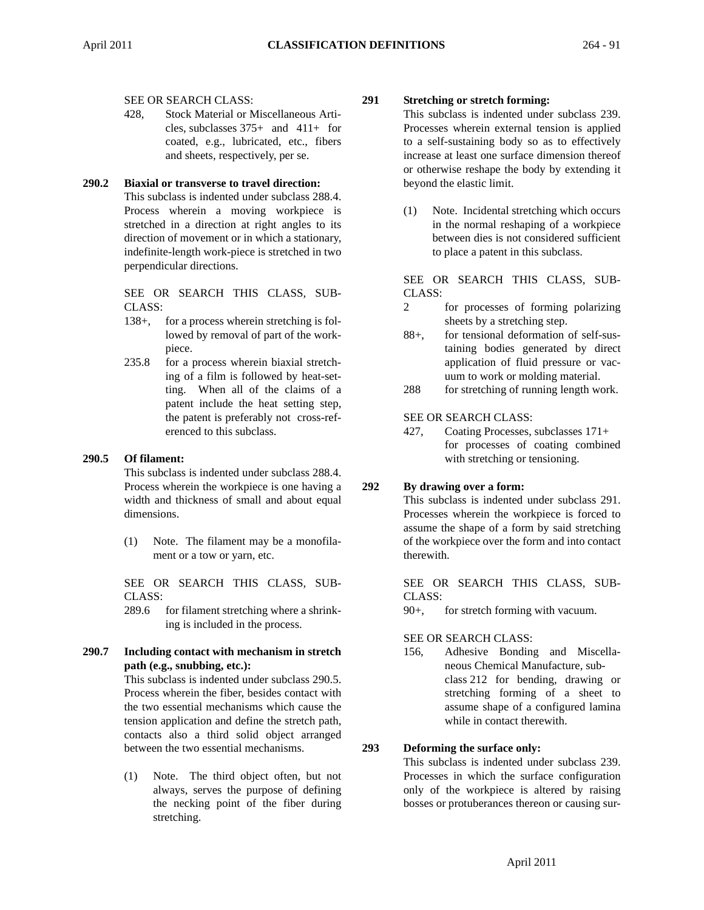#### SEE OR SEARCH CLASS:

428, Stock Material or Miscellaneous Articles, subclasses 375+ and 411+ for coated, e.g., lubricated, etc., fibers and sheets, respectively, per se.

# **290.2 Biaxial or transverse to travel direction:**

This subclass is indented under subclass 288.4. Process wherein a moving workpiece is stretched in a direction at right angles to its direction of movement or in which a stationary, indefinite-length work-piece is stretched in two perpendicular directions.

SEE OR SEARCH THIS CLASS, SUB-CLASS:

- 138+, for a process wherein stretching is followed by removal of part of the workpiece.
- 235.8 for a process wherein biaxial stretching of a film is followed by heat-setting. When all of the claims of a patent include the heat setting step, the patent is preferably not cross-referenced to this subclass.

# **290.5 Of filament:**

This subclass is indented under subclass 288.4. Process wherein the workpiece is one having a width and thickness of small and about equal dimensions.

(1) Note. The filament may be a monofilament or a tow or yarn, etc.

SEE OR SEARCH THIS CLASS, SUB-CLASS:

289.6 for filament stretching where a shrinking is included in the process.

# **290.7 Including contact with mechanism in stretch path (e.g., snubbing, etc.):**

This subclass is indented under subclass 290.5. Process wherein the fiber, besides contact with the two essential mechanisms which cause the tension application and define the stretch path, contacts also a third solid object arranged between the two essential mechanisms.

(1) Note. The third object often, but not always, serves the purpose of defining the necking point of the fiber during stretching.

# **291 Stretching or stretch forming:**

This subclass is indented under subclass 239. Processes wherein external tension is applied to a self-sustaining body so as to effectively increase at least one surface dimension thereof or otherwise reshape the body by extending it beyond the elastic limit.

(1) Note. Incidental stretching which occurs in the normal reshaping of a workpiece between dies is not considered sufficient to place a patent in this subclass.

SEE OR SEARCH THIS CLASS, SUB-CLASS:

- 2 for processes of forming polarizing sheets by a stretching step.
- 88+, for tensional deformation of self-sustaining bodies generated by direct application of fluid pressure or vacuum to work or molding material.
- 288 for stretching of running length work.

# SEE OR SEARCH CLASS:

427, Coating Processes, subclasses 171+ for processes of coating combined with stretching or tensioning.

# **292 By drawing over a form:**

This subclass is indented under subclass 291. Processes wherein the workpiece is forced to assume the shape of a form by said stretching of the workpiece over the form and into contact therewith.

SEE OR SEARCH THIS CLASS, SUB-CLASS:

90+, for stretch forming with vacuum.

# SEE OR SEARCH CLASS:

156, Adhesive Bonding and Miscellaneous Chemical Manufacture, subclass 212 for bending, drawing or stretching forming of a sheet to assume shape of a configured lamina while in contact therewith.

# **293 Deforming the surface only:**

This subclass is indented under subclass 239. Processes in which the surface configuration only of the workpiece is altered by raising bosses or protuberances thereon or causing sur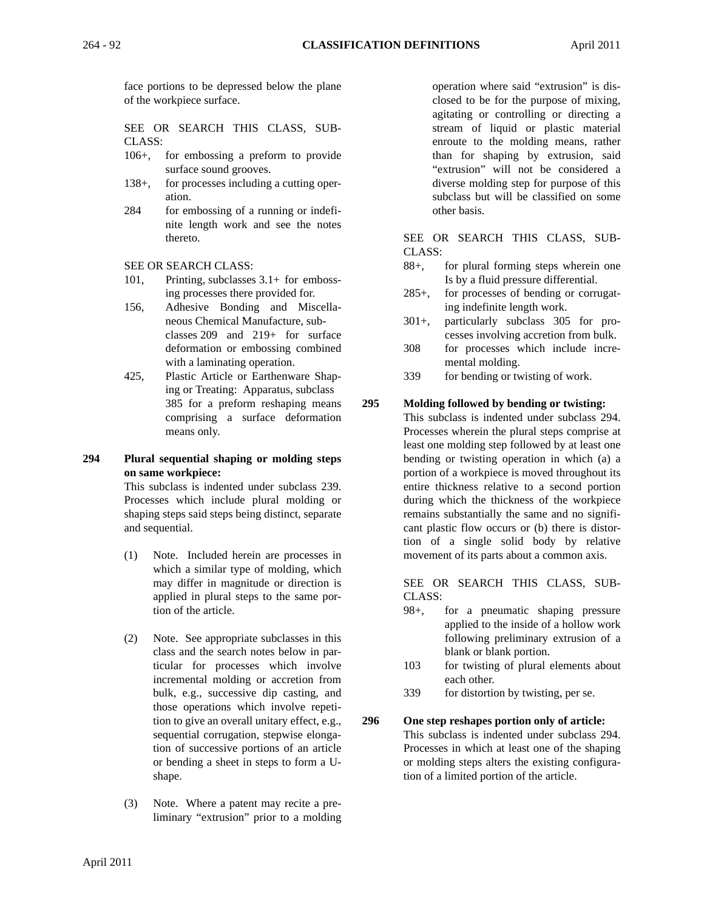face portions to be depressed below the plane of the workpiece surface.

SEE OR SEARCH THIS CLASS, SUB-CLASS:

- 106+, for embossing a preform to provide surface sound grooves.
- 138+, for processes including a cutting operation.
- 284 for embossing of a running or indefinite length work and see the notes thereto.
- SEE OR SEARCH CLASS:
- 101, Printing, subclasses 3.1+ for embossing processes there provided for.
- 156, Adhesive Bonding and Miscellaneous Chemical Manufacture, subclasses 209 and 219+ for surface deformation or embossing combined with a laminating operation.
- 425, Plastic Article or Earthenware Shaping or Treating: Apparatus, subclass 385 for a preform reshaping means comprising a surface deformation means only.

# **294 Plural sequential shaping or molding steps on same workpiece:**

This subclass is indented under subclass 239. Processes which include plural molding or shaping steps said steps being distinct, separate and sequential.

- (1) Note. Included herein are processes in which a similar type of molding, which may differ in magnitude or direction is applied in plural steps to the same portion of the article.
- (2) Note. See appropriate subclasses in this class and the search notes below in particular for processes which involve incremental molding or accretion from bulk, e.g., successive dip casting, and those operations which involve repetition to give an overall unitary effect, e.g., sequential corrugation, stepwise elongation of successive portions of an article or bending a sheet in steps to form a Ushape.
- (3) Note. Where a patent may recite a preliminary "extrusion" prior to a molding

operation where said "extrusion" is disclosed to be for the purpose of mixing, agitating or controlling or directing a stream of liquid or plastic material enroute to the molding means, rather than for shaping by extrusion, said "extrusion" will not be considered a diverse molding step for purpose of this subclass but will be classified on some other basis.

SEE OR SEARCH THIS CLASS, SUB-CLASS:

- 88+, for plural forming steps wherein one Is by a fluid pressure differential.
- 285+, for processes of bending or corrugating indefinite length work.
- 301+, particularly subclass 305 for processes involving accretion from bulk.
- 308 for processes which include incremental molding.
- 339 for bending or twisting of work.

# **295 Molding followed by bending or twisting:**

This subclass is indented under subclass 294. Processes wherein the plural steps comprise at least one molding step followed by at least one bending or twisting operation in which (a) a portion of a workpiece is moved throughout its entire thickness relative to a second portion during which the thickness of the workpiece remains substantially the same and no significant plastic flow occurs or (b) there is distortion of a single solid body by relative movement of its parts about a common axis.

- 98+, for a pneumatic shaping pressure applied to the inside of a hollow work following preliminary extrusion of a blank or blank portion.
- 103 for twisting of plural elements about each other.
- 339 for distortion by twisting, per se.

**<sup>296</sup> One step reshapes portion only of article:** This subclass is indented under subclass 294. Processes in which at least one of the shaping or molding steps alters the existing configuration of a limited portion of the article.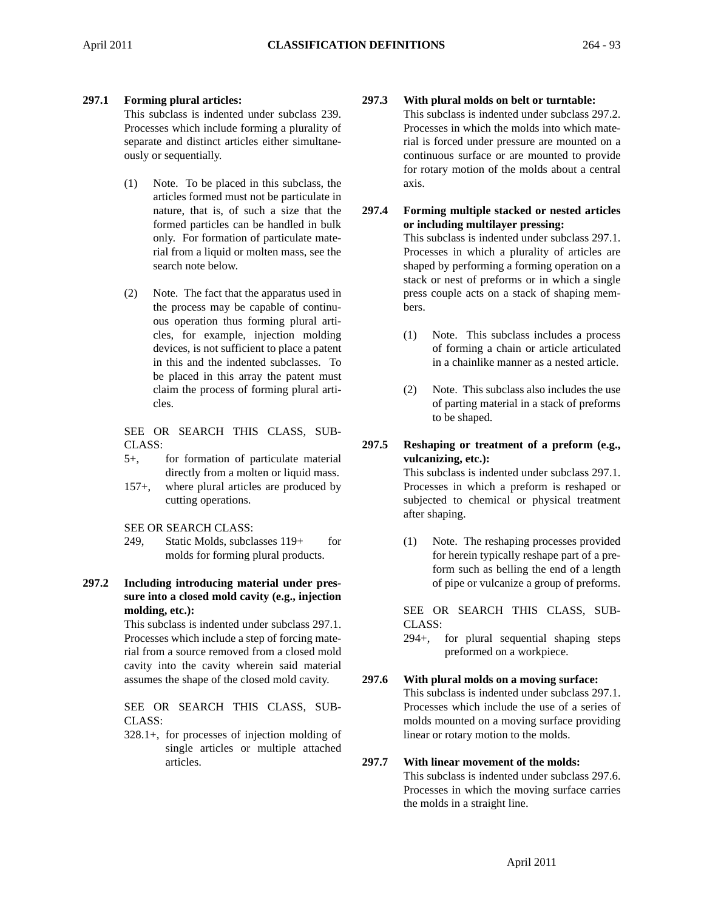# **297.1 Forming plural articles:**

This subclass is indented under subclass 239. Processes which include forming a plurality of separate and distinct articles either simultaneously or sequentially.

- (1) Note. To be placed in this subclass, the articles formed must not be particulate in nature, that is, of such a size that the formed particles can be handled in bulk only. For formation of particulate material from a liquid or molten mass, see the search note below.
- (2) Note. The fact that the apparatus used in the process may be capable of continuous operation thus forming plural articles, for example, injection molding devices, is not sufficient to place a patent in this and the indented subclasses. To be placed in this array the patent must claim the process of forming plural articles.

SEE OR SEARCH THIS CLASS, SUB-CLASS:

- 5+, for formation of particulate material directly from a molten or liquid mass.
- 157+, where plural articles are produced by cutting operations.

SEE OR SEARCH CLASS:

- 249, Static Molds, subclasses 119+ for molds for forming plural products.
- **297.2 Including introducing material under pressure into a closed mold cavity (e.g., injection molding, etc.):**

This subclass is indented under subclass 297.1. Processes which include a step of forcing material from a source removed from a closed mold cavity into the cavity wherein said material assumes the shape of the closed mold cavity.

SEE OR SEARCH THIS CLASS, SUB-CLASS:

328.1+, for processes of injection molding of single articles or multiple attached articles.

# **297.3 With plural molds on belt or turntable:** This subclass is indented under subclass 297.2. Processes in which the molds into which material is forced under pressure are mounted on a continuous surface or are mounted to provide for rotary motion of the molds about a central

axis.

- **297.4 Forming multiple stacked or nested articles or including multilayer pressing:** This subclass is indented under subclass 297.1. Processes in which a plurality of articles are shaped by performing a forming operation on a stack or nest of preforms or in which a single press couple acts on a stack of shaping members.
	- (1) Note. This subclass includes a process of forming a chain or article articulated in a chainlike manner as a nested article.
	- (2) Note. This subclass also includes the use of parting material in a stack of preforms to be shaped.
- **297.5 Reshaping or treatment of a preform (e.g., vulcanizing, etc.):**

This subclass is indented under subclass 297.1. Processes in which a preform is reshaped or subjected to chemical or physical treatment after shaping.

(1) Note. The reshaping processes provided for herein typically reshape part of a preform such as belling the end of a length of pipe or vulcanize a group of preforms.

SEE OR SEARCH THIS CLASS, SUB-CLASS:

294+, for plural sequential shaping steps preformed on a workpiece.

# **297.6 With plural molds on a moving surface:**

This subclass is indented under subclass 297.1. Processes which include the use of a series of molds mounted on a moving surface providing linear or rotary motion to the molds.

# **297.7 With linear movement of the molds:**

This subclass is indented under subclass 297.6. Processes in which the moving surface carries the molds in a straight line.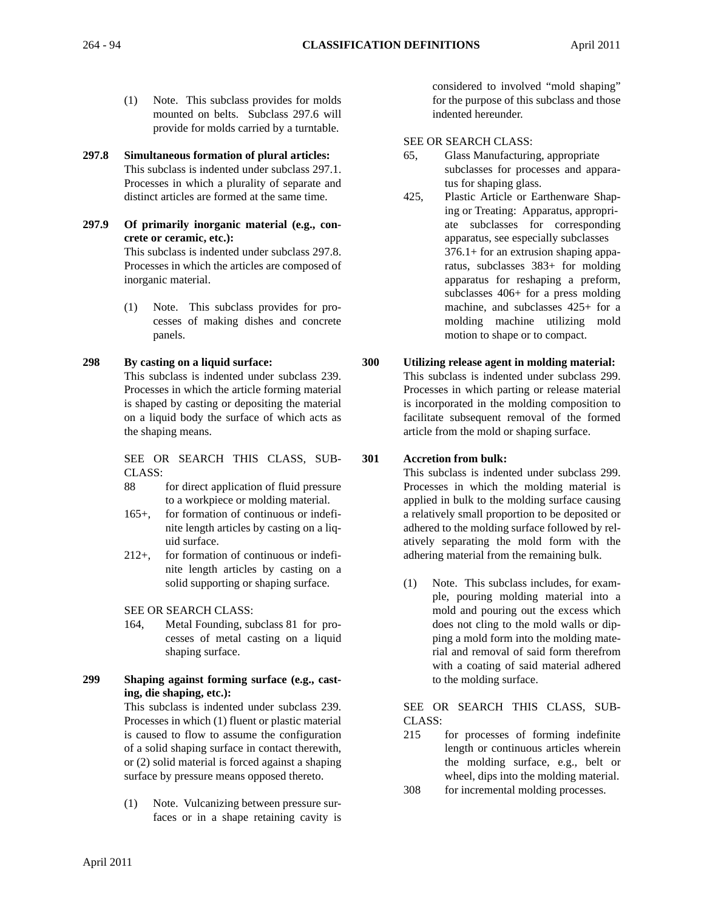- - (1) Note. This subclass provides for molds mounted on belts. Subclass 297.6 will provide for molds carried by a turntable.
- **297.8 Simultaneous formation of plural articles:** This subclass is indented under subclass 297.1. Processes in which a plurality of separate and distinct articles are formed at the same time.
- **297.9 Of primarily inorganic material (e.g., concrete or ceramic, etc.):**  This subclass is indented under subclass 297.8. Processes in which the articles are composed of inorganic material.
	- (1) Note. This subclass provides for processes of making dishes and concrete panels.

# **298 By casting on a liquid surface:**

This subclass is indented under subclass 239. Processes in which the article forming material is shaped by casting or depositing the material on a liquid body the surface of which acts as the shaping means.

SEE OR SEARCH THIS CLASS, SUB-CLASS:

- 88 for direct application of fluid pressure to a workpiece or molding material.
- 165+, for formation of continuous or indefinite length articles by casting on a liquid surface.
- 212+, for formation of continuous or indefinite length articles by casting on a solid supporting or shaping surface.

SEE OR SEARCH CLASS:

164, Metal Founding, subclass 81 for processes of metal casting on a liquid shaping surface.

# **299 Shaping against forming surface (e.g., casting, die shaping, etc.):**

This subclass is indented under subclass 239. Processes in which (1) fluent or plastic material is caused to flow to assume the configuration of a solid shaping surface in contact therewith, or (2) solid material is forced against a shaping surface by pressure means opposed thereto.

(1) Note. Vulcanizing between pressure surfaces or in a shape retaining cavity is considered to involved "mold shaping" for the purpose of this subclass and those indented hereunder.

# SEE OR SEARCH CLASS:

- 65, Glass Manufacturing, appropriate subclasses for processes and apparatus for shaping glass.
- 425, Plastic Article or Earthenware Shaping or Treating: Apparatus, appropriate subclasses for corresponding apparatus, see especially subclasses 376.1+ for an extrusion shaping apparatus, subclasses 383+ for molding apparatus for reshaping a preform, subclasses 406+ for a press molding machine, and subclasses 425+ for a molding machine utilizing mold motion to shape or to compact.

#### **300 Utilizing release agent in molding material:** This subclass is indented under subclass 299.

Processes in which parting or release material is incorporated in the molding composition to facilitate subsequent removal of the formed article from the mold or shaping surface.

# **301 Accretion from bulk:**

This subclass is indented under subclass 299. Processes in which the molding material is applied in bulk to the molding surface causing a relatively small proportion to be deposited or adhered to the molding surface followed by relatively separating the mold form with the adhering material from the remaining bulk.

(1) Note. This subclass includes, for example, pouring molding material into a mold and pouring out the excess which does not cling to the mold walls or dipping a mold form into the molding material and removal of said form therefrom with a coating of said material adhered to the molding surface.

- 215 for processes of forming indefinite length or continuous articles wherein the molding surface, e.g., belt or wheel, dips into the molding material.
- 308 for incremental molding processes.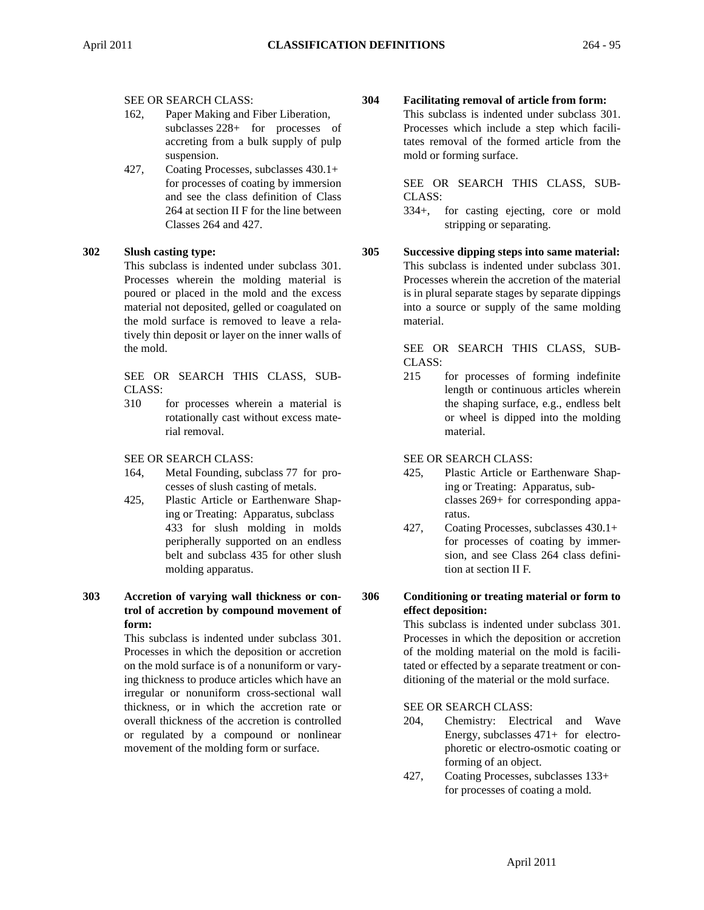#### SEE OR SEARCH CLASS:

- 162, Paper Making and Fiber Liberation, subclasses 228+ for processes of accreting from a bulk supply of pulp suspension.
- 427, Coating Processes, subclasses 430.1+ for processes of coating by immersion and see the class definition of Class 264 at section II F for the line between Classes 264 and 427.

# **302 Slush casting type:**

This subclass is indented under subclass 301. Processes wherein the molding material is poured or placed in the mold and the excess material not deposited, gelled or coagulated on the mold surface is removed to leave a relatively thin deposit or layer on the inner walls of the mold.

SEE OR SEARCH THIS CLASS, SUB-CLASS:

310 for processes wherein a material is rotationally cast without excess material removal.

SEE OR SEARCH CLASS:

- 164, Metal Founding, subclass 77 for processes of slush casting of metals.
- 425, Plastic Article or Earthenware Shaping or Treating: Apparatus, subclass 433 for slush molding in molds peripherally supported on an endless belt and subclass 435 for other slush molding apparatus.
- **303 Accretion of varying wall thickness or control of accretion by compound movement of form:**

This subclass is indented under subclass 301. Processes in which the deposition or accretion on the mold surface is of a nonuniform or varying thickness to produce articles which have an irregular or nonuniform cross-sectional wall thickness, or in which the accretion rate or overall thickness of the accretion is controlled or regulated by a compound or nonlinear movement of the molding form or surface.

# **304 Facilitating removal of article from form:**

This subclass is indented under subclass 301. Processes which include a step which facilitates removal of the formed article from the mold or forming surface.

#### SEE OR SEARCH THIS CLASS, SUB-CLASS:

334+, for casting ejecting, core or mold stripping or separating.

**305 Successive dipping steps into same material:** This subclass is indented under subclass 301. Processes wherein the accretion of the material is in plural separate stages by separate dippings into a source or supply of the same molding material.

> SEE OR SEARCH THIS CLASS, SUB-CLASS:

> 215 for processes of forming indefinite length or continuous articles wherein the shaping surface, e.g., endless belt or wheel is dipped into the molding material.

SEE OR SEARCH CLASS:

- 425, Plastic Article or Earthenware Shaping or Treating: Apparatus, subclasses 269+ for corresponding apparatus.
- 427, Coating Processes, subclasses 430.1+ for processes of coating by immersion, and see Class 264 class definition at section II F.

# **306 Conditioning or treating material or form to effect deposition:**

This subclass is indented under subclass 301. Processes in which the deposition or accretion of the molding material on the mold is facilitated or effected by a separate treatment or conditioning of the material or the mold surface.

SEE OR SEARCH CLASS:

- 204, Chemistry: Electrical and Wave Energy, subclasses 471+ for electrophoretic or electro-osmotic coating or forming of an object.
- 427, Coating Processes, subclasses 133+ for processes of coating a mold.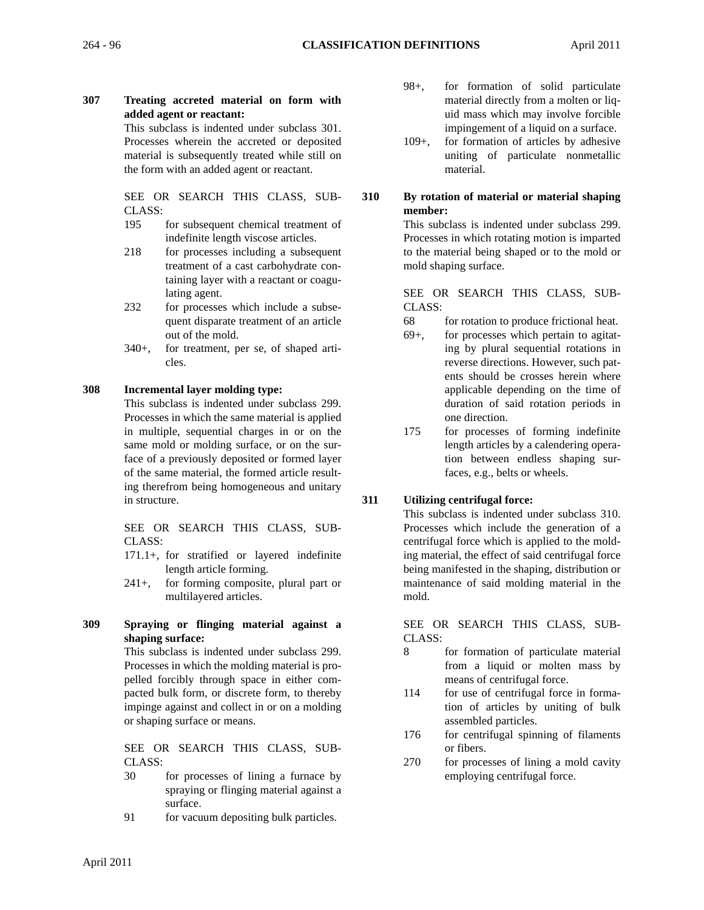# **307 Treating accreted material on form with added agent or reactant:**

This subclass is indented under subclass 301. Processes wherein the accreted or deposited material is subsequently treated while still on the form with an added agent or reactant.

SEE OR SEARCH THIS CLASS, SUB-CLASS:

- 195 for subsequent chemical treatment of indefinite length viscose articles.
- 218 for processes including a subsequent treatment of a cast carbohydrate containing layer with a reactant or coagulating agent.
- 232 for processes which include a subsequent disparate treatment of an article out of the mold.
- 340+, for treatment, per se, of shaped articles.

# **308 Incremental layer molding type:**

This subclass is indented under subclass 299. Processes in which the same material is applied in multiple, sequential charges in or on the same mold or molding surface, or on the surface of a previously deposited or formed layer of the same material, the formed article resulting therefrom being homogeneous and unitary in structure.

SEE OR SEARCH THIS CLASS, SUB-CLASS:

- 171.1+, for stratified or layered indefinite length article forming.
- 241+, for forming composite, plural part or multilayered articles.
- **309 Spraying or flinging material against a shaping surface:**

This subclass is indented under subclass 299. Processes in which the molding material is propelled forcibly through space in either compacted bulk form, or discrete form, to thereby impinge against and collect in or on a molding or shaping surface or means.

SEE OR SEARCH THIS CLASS, SUB-CLASS:

- 30 for processes of lining a furnace by spraying or flinging material against a surface.
- 91 for vacuum depositing bulk particles.
- 98+, for formation of solid particulate material directly from a molten or liquid mass which may involve forcible impingement of a liquid on a surface.
- 109+, for formation of articles by adhesive uniting of particulate nonmetallic material.
- **310 By rotation of material or material shaping member:**

This subclass is indented under subclass 299. Processes in which rotating motion is imparted to the material being shaped or to the mold or mold shaping surface.

SEE OR SEARCH THIS CLASS, SUB-CLASS:

- 68 for rotation to produce frictional heat.
- 69+, for processes which pertain to agitating by plural sequential rotations in reverse directions. However, such patents should be crosses herein where applicable depending on the time of duration of said rotation periods in one direction.
- 175 for processes of forming indefinite length articles by a calendering operation between endless shaping surfaces, e.g., belts or wheels.

# **311 Utilizing centrifugal force:**

This subclass is indented under subclass 310. Processes which include the generation of a centrifugal force which is applied to the molding material, the effect of said centrifugal force being manifested in the shaping, distribution or maintenance of said molding material in the mold.

- 8 for formation of particulate material from a liquid or molten mass by means of centrifugal force.
- 114 for use of centrifugal force in formation of articles by uniting of bulk assembled particles.
- 176 for centrifugal spinning of filaments or fibers.
- 270 for processes of lining a mold cavity employing centrifugal force.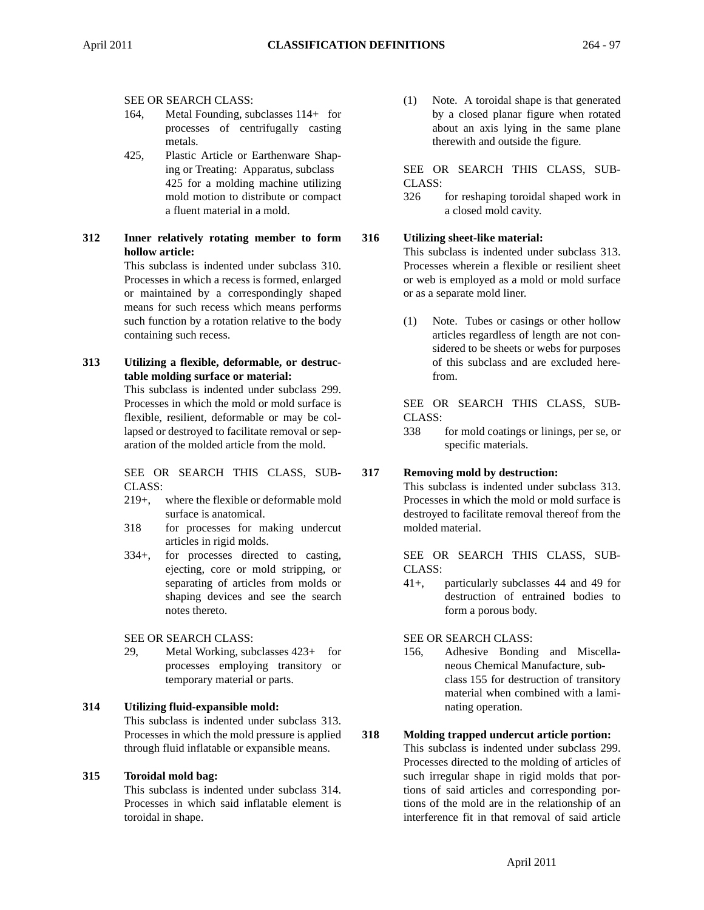#### SEE OR SEARCH CLASS:

- 164, Metal Founding, subclasses 114+ for processes of centrifugally casting metals.
- 425, Plastic Article or Earthenware Shaping or Treating: Apparatus, subclass 425 for a molding machine utilizing mold motion to distribute or compact a fluent material in a mold.

# **312 Inner relatively rotating member to form hollow article:**

This subclass is indented under subclass 310. Processes in which a recess is formed, enlarged or maintained by a correspondingly shaped means for such recess which means performs such function by a rotation relative to the body containing such recess.

# **313 Utilizing a flexible, deformable, or destructable molding surface or material:**

This subclass is indented under subclass 299. Processes in which the mold or mold surface is flexible, resilient, deformable or may be collapsed or destroyed to facilitate removal or separation of the molded article from the mold.

SEE OR SEARCH THIS CLASS, SUB-CLASS:

- 219+, where the flexible or deformable mold surface is anatomical.
- 318 for processes for making undercut articles in rigid molds.
- 334+, for processes directed to casting, ejecting, core or mold stripping, or separating of articles from molds or shaping devices and see the search notes thereto.

# SEE OR SEARCH CLASS:

29, Metal Working, subclasses 423+ for processes employing transitory or temporary material or parts.

# **314 Utilizing fluid-expansible mold:**

This subclass is indented under subclass 313. Processes in which the mold pressure is applied through fluid inflatable or expansible means.

# **315 Toroidal mold bag:**

This subclass is indented under subclass 314. Processes in which said inflatable element is toroidal in shape.

(1) Note. A toroidal shape is that generated by a closed planar figure when rotated about an axis lying in the same plane therewith and outside the figure.

SEE OR SEARCH THIS CLASS, SUB-CLASS:

326 for reshaping toroidal shaped work in a closed mold cavity.

**316 Utilizing sheet-like material:**

This subclass is indented under subclass 313. Processes wherein a flexible or resilient sheet or web is employed as a mold or mold surface or as a separate mold liner.

(1) Note. Tubes or casings or other hollow articles regardless of length are not considered to be sheets or webs for purposes of this subclass and are excluded herefrom.

SEE OR SEARCH THIS CLASS, SUB-CLASS:

338 for mold coatings or linings, per se, or specific materials.

# **317 Removing mold by destruction:**

This subclass is indented under subclass 313. Processes in which the mold or mold surface is destroyed to facilitate removal thereof from the molded material.

SEE OR SEARCH THIS CLASS, SUB-CLASS:

41+, particularly subclasses 44 and 49 for destruction of entrained bodies to form a porous body.

# SEE OR SEARCH CLASS:

156, Adhesive Bonding and Miscellaneous Chemical Manufacture, subclass 155 for destruction of transitory material when combined with a laminating operation.

# **318 Molding trapped undercut article portion:**

This subclass is indented under subclass 299. Processes directed to the molding of articles of such irregular shape in rigid molds that portions of said articles and corresponding portions of the mold are in the relationship of an interference fit in that removal of said article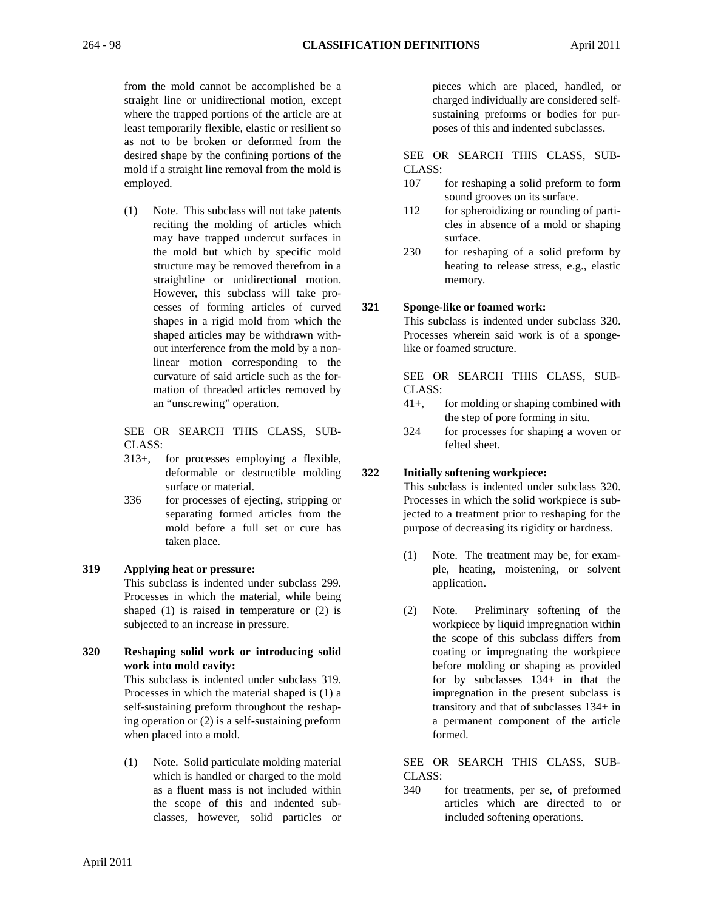from the mold cannot be accomplished be a straight line or unidirectional motion, except where the trapped portions of the article are at least temporarily flexible, elastic or resilient so as not to be broken or deformed from the desired shape by the confining portions of the mold if a straight line removal from the mold is employed.

(1) Note. This subclass will not take patents reciting the molding of articles which may have trapped undercut surfaces in the mold but which by specific mold structure may be removed therefrom in a straightline or unidirectional motion. However, this subclass will take processes of forming articles of curved shapes in a rigid mold from which the shaped articles may be withdrawn without interference from the mold by a nonlinear motion corresponding to the curvature of said article such as the formation of threaded articles removed by an "unscrewing" operation.

SEE OR SEARCH THIS CLASS, SUB-CLASS:

- 313+, for processes employing a flexible, deformable or destructible molding surface or material.
- 336 for processes of ejecting, stripping or separating formed articles from the mold before a full set or cure has taken place.

# **319 Applying heat or pressure:**

This subclass is indented under subclass 299. Processes in which the material, while being shaped (1) is raised in temperature or (2) is subjected to an increase in pressure.

**320 Reshaping solid work or introducing solid work into mold cavity:**

This subclass is indented under subclass 319. Processes in which the material shaped is (1) a self-sustaining preform throughout the reshaping operation or (2) is a self-sustaining preform when placed into a mold.

(1) Note. Solid particulate molding material which is handled or charged to the mold as a fluent mass is not included within the scope of this and indented subclasses, however, solid particles or

pieces which are placed, handled, or charged individually are considered selfsustaining preforms or bodies for purposes of this and indented subclasses.

SEE OR SEARCH THIS CLASS, SUB-CLASS:

- 107 for reshaping a solid preform to form sound grooves on its surface.
- 112 for spheroidizing or rounding of particles in absence of a mold or shaping surface.
- 230 for reshaping of a solid preform by heating to release stress, e.g., elastic memory.

# **321 Sponge-like or foamed work:**

This subclass is indented under subclass 320. Processes wherein said work is of a spongelike or foamed structure.

SEE OR SEARCH THIS CLASS, SUB-CLASS:

- 41+, for molding or shaping combined with the step of pore forming in situ.
- 324 for processes for shaping a woven or felted sheet.

# **322 Initially softening workpiece:**

This subclass is indented under subclass 320. Processes in which the solid workpiece is subjected to a treatment prior to reshaping for the purpose of decreasing its rigidity or hardness.

- (1) Note. The treatment may be, for example, heating, moistening, or solvent application.
- (2) Note. Preliminary softening of the workpiece by liquid impregnation within the scope of this subclass differs from coating or impregnating the workpiece before molding or shaping as provided for by subclasses 134+ in that the impregnation in the present subclass is transitory and that of subclasses 134+ in a permanent component of the article formed.

SEE OR SEARCH THIS CLASS, SUB-CLASS:

340 for treatments, per se, of preformed articles which are directed to or included softening operations.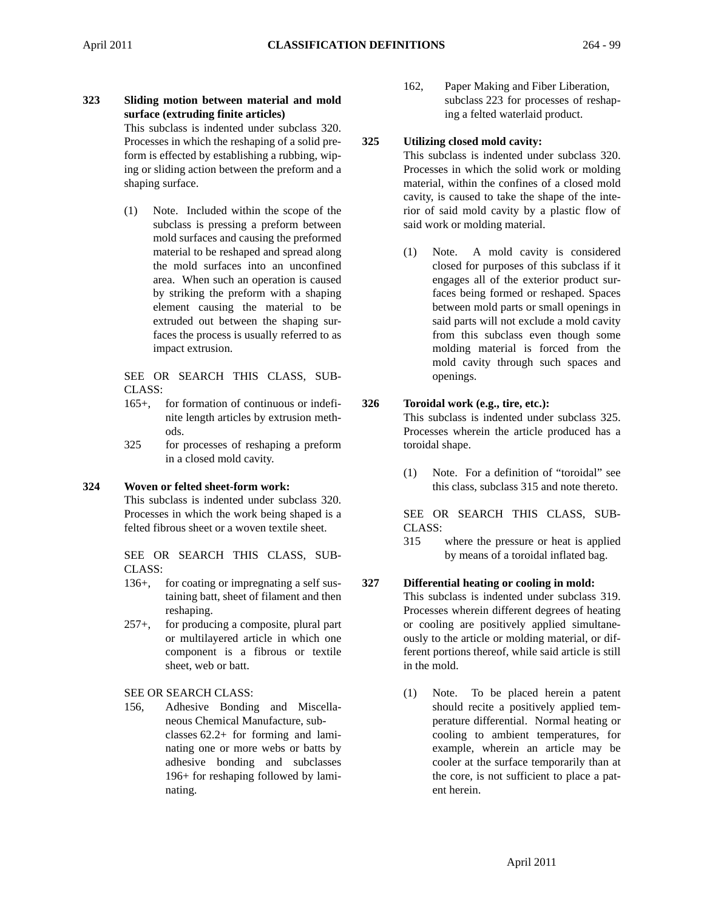# **323 Sliding motion between material and mold surface (extruding finite articles)**

This subclass is indented under subclass 320. Processes in which the reshaping of a solid preform is effected by establishing a rubbing, wiping or sliding action between the preform and a shaping surface.

(1) Note. Included within the scope of the subclass is pressing a preform between mold surfaces and causing the preformed material to be reshaped and spread along the mold surfaces into an unconfined area. When such an operation is caused by striking the preform with a shaping element causing the material to be extruded out between the shaping surfaces the process is usually referred to as impact extrusion.

SEE OR SEARCH THIS CLASS, SUB-CLASS:

- 165+, for formation of continuous or indefinite length articles by extrusion methods.
- 325 for processes of reshaping a preform in a closed mold cavity.

# **324 Woven or felted sheet-form work:**

This subclass is indented under subclass 320. Processes in which the work being shaped is a felted fibrous sheet or a woven textile sheet.

SEE OR SEARCH THIS CLASS, SUB-CLASS:

- 136+, for coating or impregnating a self sustaining batt, sheet of filament and then reshaping.
- 257+, for producing a composite, plural part or multilayered article in which one component is a fibrous or textile sheet, web or batt.

SEE OR SEARCH CLASS:

156, Adhesive Bonding and Miscellaneous Chemical Manufacture, subclasses 62.2+ for forming and laminating one or more webs or batts by adhesive bonding and subclasses 196+ for reshaping followed by laminating.

162, Paper Making and Fiber Liberation, subclass 223 for processes of reshaping a felted waterlaid product.

# **325 Utilizing closed mold cavity:**

- This subclass is indented under subclass 320. Processes in which the solid work or molding material, within the confines of a closed mold cavity, is caused to take the shape of the interior of said mold cavity by a plastic flow of said work or molding material.
	- (1) Note. A mold cavity is considered closed for purposes of this subclass if it engages all of the exterior product surfaces being formed or reshaped. Spaces between mold parts or small openings in said parts will not exclude a mold cavity from this subclass even though some molding material is forced from the mold cavity through such spaces and openings.

# **326 Toroidal work (e.g., tire, etc.):**

This subclass is indented under subclass 325. Processes wherein the article produced has a toroidal shape.

(1) Note. For a definition of "toroidal" see this class, subclass 315 and note thereto.

SEE OR SEARCH THIS CLASS, SUB-CLASS:

315 where the pressure or heat is applied by means of a toroidal inflated bag.

# **327 Differential heating or cooling in mold:**

This subclass is indented under subclass 319. Processes wherein different degrees of heating or cooling are positively applied simultaneously to the article or molding material, or different portions thereof, while said article is still in the mold.

(1) Note. To be placed herein a patent should recite a positively applied temperature differential. Normal heating or cooling to ambient temperatures, for example, wherein an article may be cooler at the surface temporarily than at the core, is not sufficient to place a patent herein.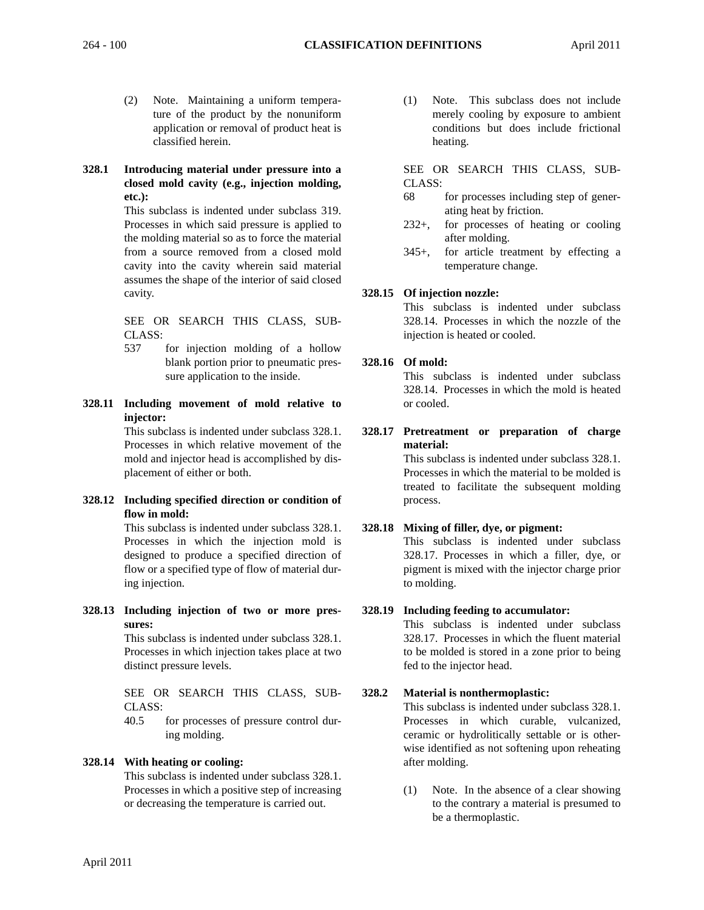- (2) Note. Maintaining a uniform temperature of the product by the nonuniform application or removal of product heat is classified herein.
- **328.1 Introducing material under pressure into a closed mold cavity (e.g., injection molding, etc.):**

This subclass is indented under subclass 319. Processes in which said pressure is applied to the molding material so as to force the material from a source removed from a closed mold cavity into the cavity wherein said material assumes the shape of the interior of said closed cavity.

SEE OR SEARCH THIS CLASS, SUB-CLASS:

- 537 for injection molding of a hollow blank portion prior to pneumatic pressure application to the inside.
- **328.11 Including movement of mold relative to injector:**

This subclass is indented under subclass 328.1. Processes in which relative movement of the mold and injector head is accomplished by displacement of either or both.

**328.12 Including specified direction or condition of flow in mold:**

> This subclass is indented under subclass 328.1. Processes in which the injection mold is designed to produce a specified direction of flow or a specified type of flow of material during injection.

**328.13 Including injection of two or more pressures:**

This subclass is indented under subclass 328.1. Processes in which injection takes place at two distinct pressure levels.

SEE OR SEARCH THIS CLASS, SUB-CLASS:

40.5 for processes of pressure control during molding.

# **328.14 With heating or cooling:**

This subclass is indented under subclass 328.1. Processes in which a positive step of increasing or decreasing the temperature is carried out.

(1) Note. This subclass does not include merely cooling by exposure to ambient conditions but does include frictional heating.

SEE OR SEARCH THIS CLASS, SUB-CLASS:

- 68 for processes including step of generating heat by friction.
- 232+, for processes of heating or cooling after molding.
- 345+, for article treatment by effecting a temperature change.

#### **328.15 Of injection nozzle:**

This subclass is indented under subclass 328.14. Processes in which the nozzle of the injection is heated or cooled.

#### **328.16 Of mold:**

This subclass is indented under subclass 328.14. Processes in which the mold is heated or cooled.

**328.17 Pretreatment or preparation of charge material:**

> This subclass is indented under subclass 328.1. Processes in which the material to be molded is treated to facilitate the subsequent molding process.

# **328.18 Mixing of filler, dye, or pigment:**

This subclass is indented under subclass 328.17. Processes in which a filler, dye, or pigment is mixed with the injector charge prior to molding.

#### **328.19 Including feeding to accumulator:**

This subclass is indented under subclass 328.17. Processes in which the fluent material to be molded is stored in a zone prior to being fed to the injector head.

#### **328.2 Material is nonthermoplastic:**

This subclass is indented under subclass 328.1. Processes in which curable, vulcanized, ceramic or hydrolitically settable or is otherwise identified as not softening upon reheating after molding.

(1) Note. In the absence of a clear showing to the contrary a material is presumed to be a thermoplastic.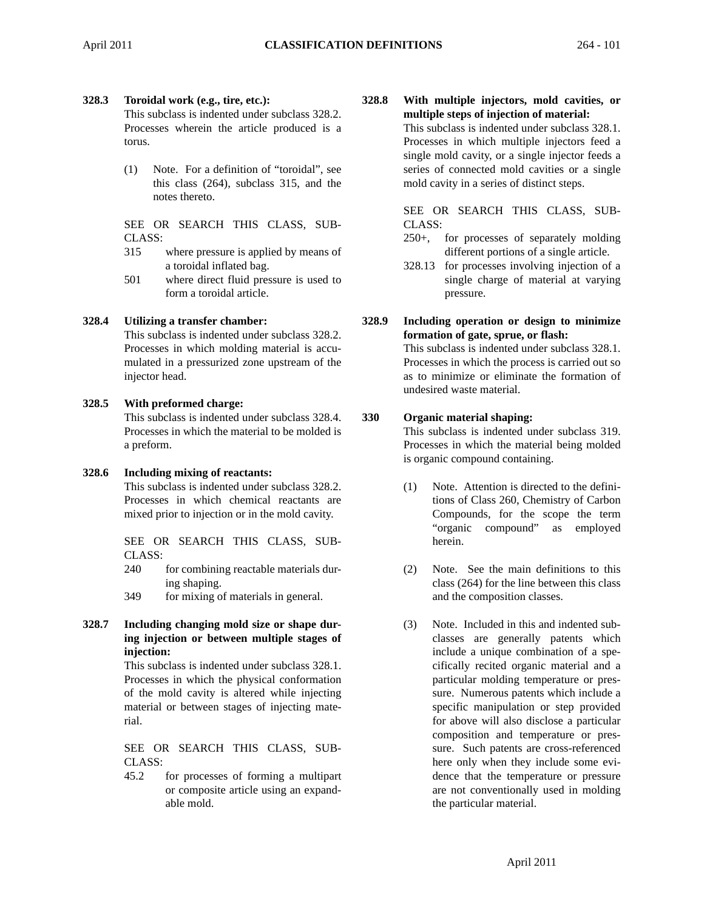# **328.3 Toroidal work (e.g., tire, etc.):**

This subclass is indented under subclass 328.2. Processes wherein the article produced is a torus.

(1) Note. For a definition of "toroidal", see this class (264), subclass 315, and the notes thereto.

SEE OR SEARCH THIS CLASS, SUB-CLASS:

- 315 where pressure is applied by means of a toroidal inflated bag.
- 501 where direct fluid pressure is used to form a toroidal article.

# **328.4 Utilizing a transfer chamber:**

This subclass is indented under subclass 328.2. Processes in which molding material is accumulated in a pressurized zone upstream of the injector head.

# **328.5 With preformed charge:**

This subclass is indented under subclass 328.4. Processes in which the material to be molded is a preform.

# **328.6 Including mixing of reactants:**

This subclass is indented under subclass 328.2. Processes in which chemical reactants are mixed prior to injection or in the mold cavity.

SEE OR SEARCH THIS CLASS, SUB-CLASS:

- 240 for combining reactable materials during shaping.
- 349 for mixing of materials in general.
- **328.7 Including changing mold size or shape during injection or between multiple stages of injection:**

This subclass is indented under subclass 328.1. Processes in which the physical conformation of the mold cavity is altered while injecting material or between stages of injecting material.

SEE OR SEARCH THIS CLASS, SUB-CLASS:

45.2 for processes of forming a multipart or composite article using an expandable mold.

**328.8 With multiple injectors, mold cavities, or multiple steps of injection of material:**

> This subclass is indented under subclass 328.1. Processes in which multiple injectors feed a single mold cavity, or a single injector feeds a series of connected mold cavities or a single mold cavity in a series of distinct steps.

> SEE OR SEARCH THIS CLASS, SUB-CLASS:

- 250+, for processes of separately molding different portions of a single article.
- 328.13 for processes involving injection of a single charge of material at varying pressure.
- **328.9 Including operation or design to minimize formation of gate, sprue, or flash:**

This subclass is indented under subclass 328.1. Processes in which the process is carried out so as to minimize or eliminate the formation of undesired waste material.

# **330 Organic material shaping:**

This subclass is indented under subclass 319. Processes in which the material being molded is organic compound containing.

- (1) Note. Attention is directed to the definitions of Class 260, Chemistry of Carbon Compounds, for the scope the term "organic compound" as employed herein.
- (2) Note. See the main definitions to this class (264) for the line between this class and the composition classes.
- (3) Note. Included in this and indented subclasses are generally patents which include a unique combination of a specifically recited organic material and a particular molding temperature or pressure. Numerous patents which include a specific manipulation or step provided for above will also disclose a particular composition and temperature or pressure. Such patents are cross-referenced here only when they include some evidence that the temperature or pressure are not conventionally used in molding the particular material.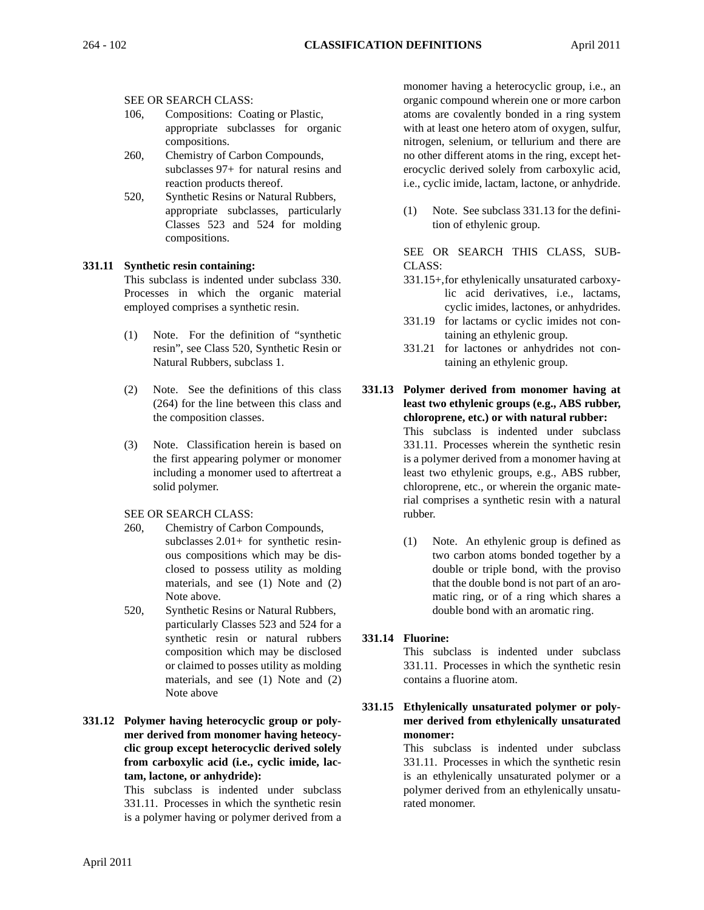# SEE OR SEARCH CLASS:

- 106, Compositions: Coating or Plastic, appropriate subclasses for organic compositions.
- 260, Chemistry of Carbon Compounds, subclasses 97+ for natural resins and reaction products thereof.
- 520, Synthetic Resins or Natural Rubbers, appropriate subclasses, particularly Classes 523 and 524 for molding compositions.

#### **331.11 Synthetic resin containing:**

This subclass is indented under subclass 330. Processes in which the organic material employed comprises a synthetic resin.

- (1) Note. For the definition of "synthetic resin", see Class 520, Synthetic Resin or Natural Rubbers, subclass 1.
- (2) Note. See the definitions of this class (264) for the line between this class and the composition classes.
- (3) Note. Classification herein is based on the first appearing polymer or monomer including a monomer used to aftertreat a solid polymer.

SEE OR SEARCH CLASS:

- 260, Chemistry of Carbon Compounds, subclasses 2.01+ for synthetic resinous compositions which may be disclosed to possess utility as molding materials, and see (1) Note and (2) Note above.
- 520, Synthetic Resins or Natural Rubbers, particularly Classes 523 and 524 for a synthetic resin or natural rubbers composition which may be disclosed or claimed to posses utility as molding materials, and see (1) Note and (2) Note above
- **331.12 Polymer having heterocyclic group or polymer derived from monomer having heteocyclic group except heterocyclic derived solely from carboxylic acid (i.e., cyclic imide, lactam, lactone, or anhydride):**

This subclass is indented under subclass 331.11. Processes in which the synthetic resin is a polymer having or polymer derived from a monomer having a heterocyclic group, i.e., an organic compound wherein one or more carbon atoms are covalently bonded in a ring system with at least one hetero atom of oxygen, sulfur, nitrogen, selenium, or tellurium and there are no other different atoms in the ring, except heterocyclic derived solely from carboxylic acid, i.e., cyclic imide, lactam, lactone, or anhydride.

(1) Note. See subclass 331.13 for the definition of ethylenic group.

SEE OR SEARCH THIS CLASS, SUB-CLASS:

- 331.15+,for ethylenically unsaturated carboxylic acid derivatives, i.e., lactams, cyclic imides, lactones, or anhydrides.
- 331.19 for lactams or cyclic imides not containing an ethylenic group.
- 331.21 for lactones or anhydrides not containing an ethylenic group.

**331.13 Polymer derived from monomer having at least two ethylenic groups (e.g., ABS rubber, chloroprene, etc.) or with natural rubber:** This subclass is indented under subclass 331.11. Processes wherein the synthetic resin is a polymer derived from a monomer having at least two ethylenic groups, e.g., ABS rubber, chloroprene, etc., or wherein the organic material comprises a synthetic resin with a natural rubber.

> (1) Note. An ethylenic group is defined as two carbon atoms bonded together by a double or triple bond, with the proviso that the double bond is not part of an aromatic ring, or of a ring which shares a double bond with an aromatic ring.

#### **331.14 Fluorine:**

This subclass is indented under subclass 331.11. Processes in which the synthetic resin contains a fluorine atom.

**331.15 Ethylenically unsaturated polymer or polymer derived from ethylenically unsaturated monomer:**

> This subclass is indented under subclass 331.11. Processes in which the synthetic resin is an ethylenically unsaturated polymer or a polymer derived from an ethylenically unsaturated monomer.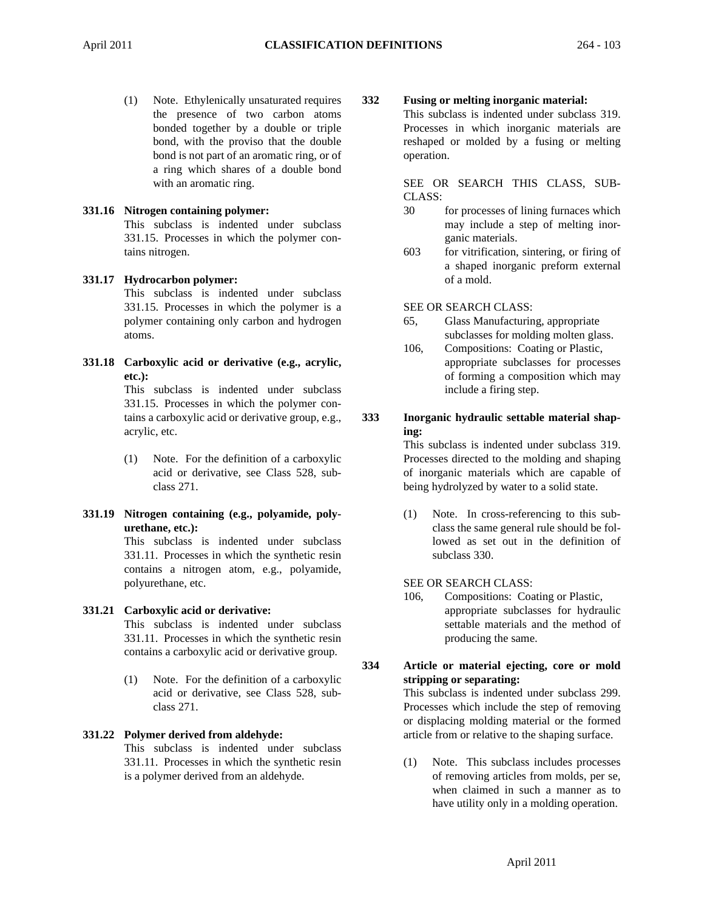(1) Note. Ethylenically unsaturated requires the presence of two carbon atoms bonded together by a double or triple bond, with the proviso that the double bond is not part of an aromatic ring, or of a ring which shares of a double bond with an aromatic ring.

# **331.16 Nitrogen containing polymer:**

This subclass is indented under subclass 331.15. Processes in which the polymer contains nitrogen.

# **331.17 Hydrocarbon polymer:**

This subclass is indented under subclass 331.15. Processes in which the polymer is a polymer containing only carbon and hydrogen atoms.

**331.18 Carboxylic acid or derivative (e.g., acrylic, etc.):**

This subclass is indented under subclass 331.15. Processes in which the polymer contains a carboxylic acid or derivative group, e.g., acrylic, etc.

- (1) Note. For the definition of a carboxylic acid or derivative, see Class 528, subclass 271.
- **331.19 Nitrogen containing (e.g., polyamide, polyurethane, etc.):**

This subclass is indented under subclass 331.11. Processes in which the synthetic resin contains a nitrogen atom, e.g., polyamide, polyurethane, etc.

#### **331.21 Carboxylic acid or derivative:**

This subclass is indented under subclass 331.11. Processes in which the synthetic resin contains a carboxylic acid or derivative group.

(1) Note. For the definition of a carboxylic acid or derivative, see Class 528, subclass 271.

# **331.22 Polymer derived from aldehyde:**

This subclass is indented under subclass 331.11. Processes in which the synthetic resin is a polymer derived from an aldehyde.

# **332 Fusing or melting inorganic material:**

This subclass is indented under subclass 319. Processes in which inorganic materials are reshaped or molded by a fusing or melting operation.

SEE OR SEARCH THIS CLASS, SUB-CLASS:

- 30 for processes of lining furnaces which may include a step of melting inorganic materials.
- 603 for vitrification, sintering, or firing of a shaped inorganic preform external of a mold.

SEE OR SEARCH CLASS:

- 65, Glass Manufacturing, appropriate subclasses for molding molten glass.
- 106, Compositions: Coating or Plastic, appropriate subclasses for processes of forming a composition which may include a firing step.
- **333 Inorganic hydraulic settable material shaping:**

This subclass is indented under subclass 319. Processes directed to the molding and shaping of inorganic materials which are capable of being hydrolyzed by water to a solid state.

(1) Note. In cross-referencing to this subclass the same general rule should be followed as set out in the definition of subclass 330.

#### SEE OR SEARCH CLASS:

- 106, Compositions: Coating or Plastic, appropriate subclasses for hydraulic settable materials and the method of producing the same.
- **334 Article or material ejecting, core or mold stripping or separating:** This subclass is indented under subclass 299. Processes which include the step of removing or displacing molding material or the formed
	- (1) Note. This subclass includes processes of removing articles from molds, per se, when claimed in such a manner as to have utility only in a molding operation.

article from or relative to the shaping surface.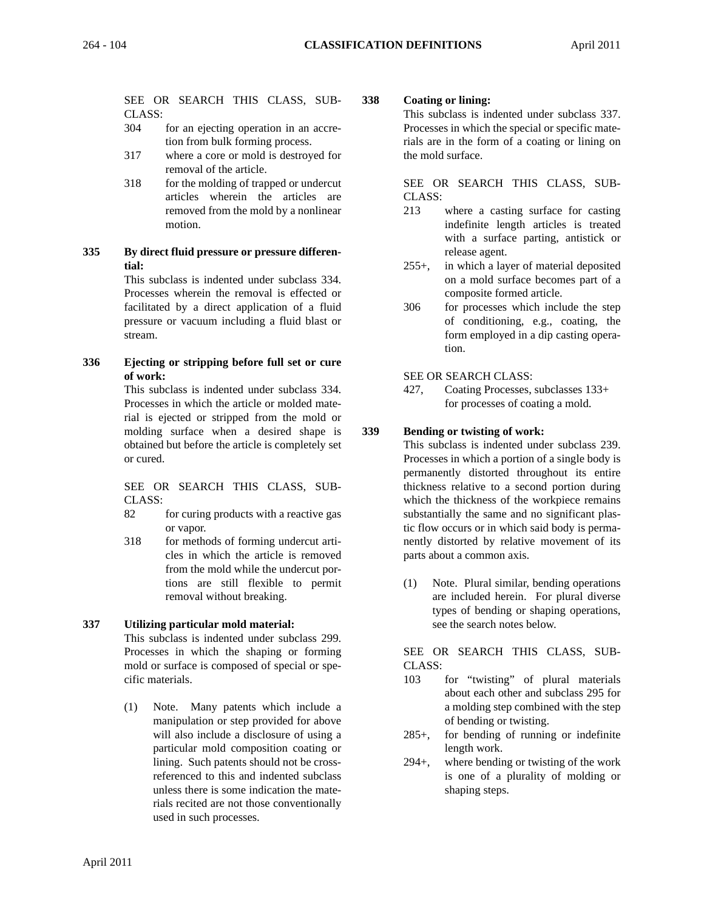SEE OR SEARCH THIS CLASS, SUB-CLASS:

- 304 for an ejecting operation in an accretion from bulk forming process.
- 317 where a core or mold is destroyed for removal of the article.
- 318 for the molding of trapped or undercut articles wherein the articles are removed from the mold by a nonlinear motion.
- **335 By direct fluid pressure or pressure differential:**

This subclass is indented under subclass 334. Processes wherein the removal is effected or facilitated by a direct application of a fluid pressure or vacuum including a fluid blast or stream.

**336 Ejecting or stripping before full set or cure of work:**

This subclass is indented under subclass 334. Processes in which the article or molded material is ejected or stripped from the mold or molding surface when a desired shape is obtained but before the article is completely set or cured.

SEE OR SEARCH THIS CLASS, SUB-CLASS:

- 82 for curing products with a reactive gas or vapor.
- 318 for methods of forming undercut articles in which the article is removed from the mold while the undercut portions are still flexible to permit removal without breaking.

# **337 Utilizing particular mold material:**

This subclass is indented under subclass 299. Processes in which the shaping or forming mold or surface is composed of special or specific materials.

(1) Note. Many patents which include a manipulation or step provided for above will also include a disclosure of using a particular mold composition coating or lining. Such patents should not be crossreferenced to this and indented subclass unless there is some indication the materials recited are not those conventionally used in such processes.

# **338 Coating or lining:**

This subclass is indented under subclass 337. Processes in which the special or specific materials are in the form of a coating or lining on the mold surface.

SEE OR SEARCH THIS CLASS, SUB-CLASS:

- 213 where a casting surface for casting indefinite length articles is treated with a surface parting, antistick or release agent.
- 255+, in which a layer of material deposited on a mold surface becomes part of a composite formed article.
- 306 for processes which include the step of conditioning, e.g., coating, the form employed in a dip casting operation.

SEE OR SEARCH CLASS:

427, Coating Processes, subclasses 133+ for processes of coating a mold.

# **339 Bending or twisting of work:**

This subclass is indented under subclass 239. Processes in which a portion of a single body is permanently distorted throughout its entire thickness relative to a second portion during which the thickness of the workpiece remains substantially the same and no significant plastic flow occurs or in which said body is permanently distorted by relative movement of its parts about a common axis.

(1) Note. Plural similar, bending operations are included herein. For plural diverse types of bending or shaping operations, see the search notes below.

- 103 for "twisting" of plural materials about each other and subclass 295 for a molding step combined with the step of bending or twisting.
- 285+, for bending of running or indefinite length work.
- 294+, where bending or twisting of the work is one of a plurality of molding or shaping steps.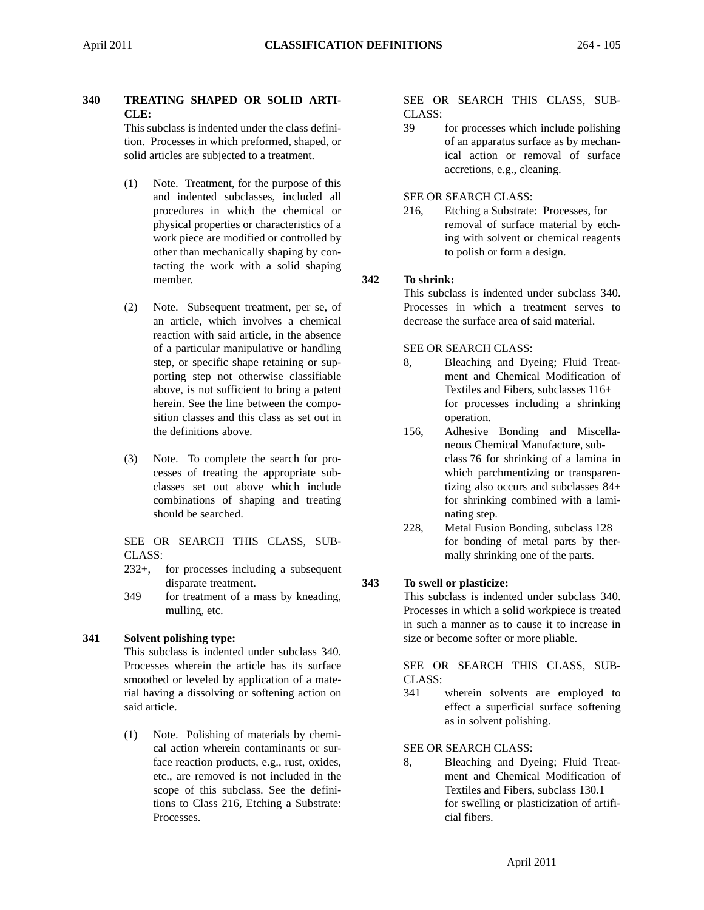# **340 TREATING SHAPED OR SOLID ARTI-CLE:**

This subclass is indented under the class definition. Processes in which preformed, shaped, or solid articles are subjected to a treatment.

- (1) Note. Treatment, for the purpose of this and indented subclasses, included all procedures in which the chemical or physical properties or characteristics of a work piece are modified or controlled by other than mechanically shaping by contacting the work with a solid shaping member.
- (2) Note. Subsequent treatment, per se, of an article, which involves a chemical reaction with said article, in the absence of a particular manipulative or handling step, or specific shape retaining or supporting step not otherwise classifiable above, is not sufficient to bring a patent herein. See the line between the composition classes and this class as set out in the definitions above.
- (3) Note. To complete the search for processes of treating the appropriate subclasses set out above which include combinations of shaping and treating should be searched.

SEE OR SEARCH THIS CLASS, SUB-CLASS:

- 232+, for processes including a subsequent disparate treatment.
- 349 for treatment of a mass by kneading, mulling, etc.

# **341 Solvent polishing type:**

This subclass is indented under subclass 340. Processes wherein the article has its surface smoothed or leveled by application of a material having a dissolving or softening action on said article.

(1) Note. Polishing of materials by chemical action wherein contaminants or surface reaction products, e.g., rust, oxides, etc., are removed is not included in the scope of this subclass. See the definitions to Class 216, Etching a Substrate: Processes.

SEE OR SEARCH THIS CLASS, SUB-CLASS:

39 for processes which include polishing of an apparatus surface as by mechanical action or removal of surface accretions, e.g., cleaning.

#### SEE OR SEARCH CLASS:

216, Etching a Substrate: Processes, for removal of surface material by etching with solvent or chemical reagents to polish or form a design.

#### **342 To shrink:**

This subclass is indented under subclass 340. Processes in which a treatment serves to decrease the surface area of said material.

#### SEE OR SEARCH CLASS:

- 8, Bleaching and Dyeing; Fluid Treatment and Chemical Modification of Textiles and Fibers, subclasses 116+ for processes including a shrinking operation.
- 156, Adhesive Bonding and Miscellaneous Chemical Manufacture, subclass 76 for shrinking of a lamina in which parchmentizing or transparentizing also occurs and subclasses 84+ for shrinking combined with a laminating step.
- 228, Metal Fusion Bonding, subclass 128 for bonding of metal parts by thermally shrinking one of the parts.

# **343 To swell or plasticize:**

This subclass is indented under subclass 340. Processes in which a solid workpiece is treated in such a manner as to cause it to increase in size or become softer or more pliable.

SEE OR SEARCH THIS CLASS, SUB-CLASS:

341 wherein solvents are employed to effect a superficial surface softening as in solvent polishing.

# SEE OR SEARCH CLASS:

8, Bleaching and Dyeing; Fluid Treatment and Chemical Modification of Textiles and Fibers, subclass 130.1 for swelling or plasticization of artificial fibers.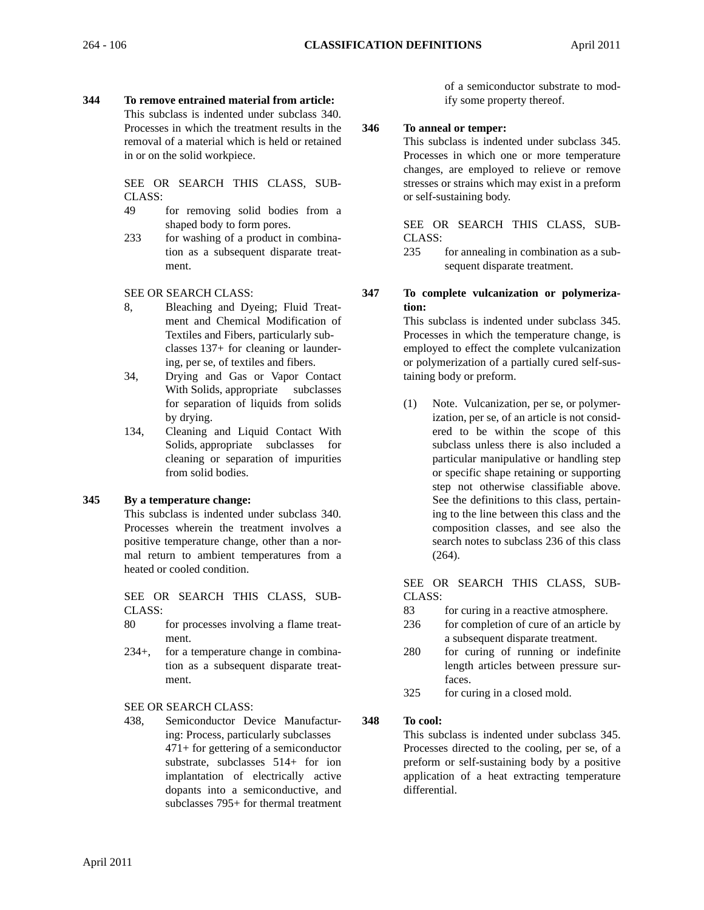**344 To remove entrained material from article:** This subclass is indented under subclass 340. Processes in which the treatment results in the removal of a material which is held or retained in or on the solid workpiece.

> SEE OR SEARCH THIS CLASS, SUB-CLASS:

- 49 for removing solid bodies from a shaped body to form pores.
- 233 for washing of a product in combination as a subsequent disparate treatment.
- SEE OR SEARCH CLASS:
- 8, Bleaching and Dyeing; Fluid Treatment and Chemical Modification of Textiles and Fibers, particularly subclasses 137+ for cleaning or laundering, per se, of textiles and fibers.
- 34, Drying and Gas or Vapor Contact With Solids, appropriate subclasses for separation of liquids from solids by drying.
- 134, Cleaning and Liquid Contact With Solids, appropriate subclasses for cleaning or separation of impurities from solid bodies.

# **345 By a temperature change:**

This subclass is indented under subclass 340. Processes wherein the treatment involves a positive temperature change, other than a normal return to ambient temperatures from a heated or cooled condition.

SEE OR SEARCH THIS CLASS, SUB-CLASS:

- 80 for processes involving a flame treatment.
- 234+, for a temperature change in combination as a subsequent disparate treatment.
- SEE OR SEARCH CLASS:
- 438, Semiconductor Device Manufacturing: Process, particularly subclasses 471+ for gettering of a semiconductor substrate, subclasses 514+ for ion implantation of electrically active dopants into a semiconductive, and subclasses 795+ for thermal treatment

of a semiconductor substrate to modify some property thereof.

#### **346 To anneal or temper:**

This subclass is indented under subclass 345. Processes in which one or more temperature changes, are employed to relieve or remove stresses or strains which may exist in a preform or self-sustaining body.

SEE OR SEARCH THIS CLASS, SUB-CLASS:

235 for annealing in combination as a subsequent disparate treatment.

#### **347 To complete vulcanization or polymerization:**

This subclass is indented under subclass 345. Processes in which the temperature change, is employed to effect the complete vulcanization or polymerization of a partially cured self-sustaining body or preform.

(1) Note. Vulcanization, per se, or polymerization, per se, of an article is not considered to be within the scope of this subclass unless there is also included a particular manipulative or handling step or specific shape retaining or supporting step not otherwise classifiable above. See the definitions to this class, pertaining to the line between this class and the composition classes, and see also the search notes to subclass 236 of this class (264).

SEE OR SEARCH THIS CLASS, SUB-CLASS:

- 83 for curing in a reactive atmosphere.
- 236 for completion of cure of an article by a subsequent disparate treatment.
- 280 for curing of running or indefinite length articles between pressure surfaces.
- 325 for curing in a closed mold.

# **348 To cool:**

This subclass is indented under subclass 345. Processes directed to the cooling, per se, of a preform or self-sustaining body by a positive application of a heat extracting temperature differential.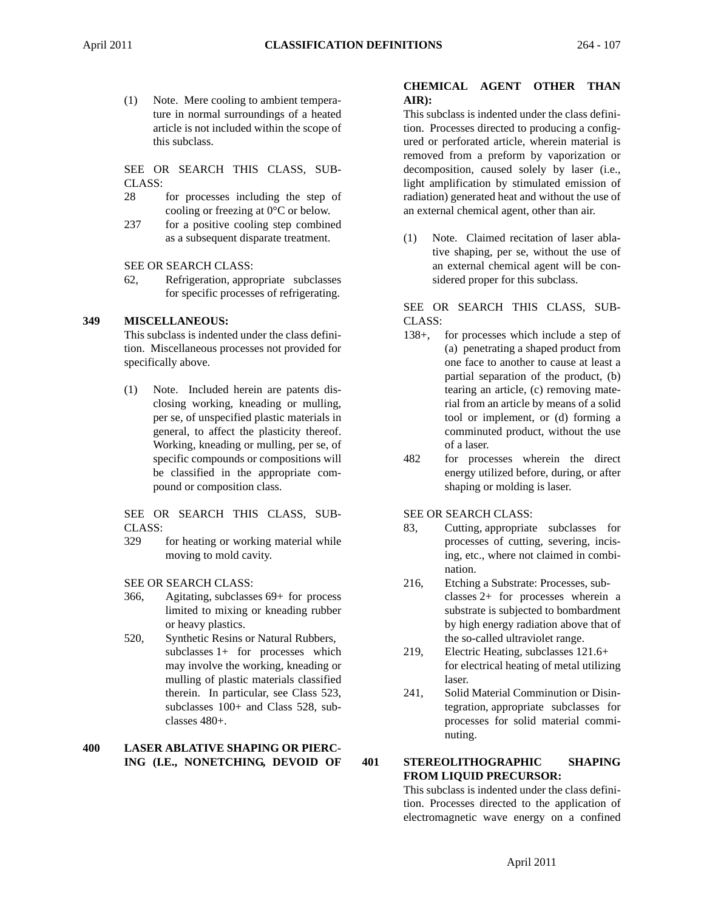(1) Note. Mere cooling to ambient temperature in normal surroundings of a heated article is not included within the scope of this subclass.

SEE OR SEARCH THIS CLASS, SUB-CLASS:

- 28 for processes including the step of cooling or freezing at 0°C or below.
- 237 for a positive cooling step combined as a subsequent disparate treatment.

SEE OR SEARCH CLASS:

62, Refrigeration, appropriate subclasses for specific processes of refrigerating.

#### **349 MISCELLANEOUS:**

This subclass is indented under the class definition. Miscellaneous processes not provided for specifically above.

(1) Note. Included herein are patents disclosing working, kneading or mulling, per se, of unspecified plastic materials in general, to affect the plasticity thereof. Working, kneading or mulling, per se, of specific compounds or compositions will be classified in the appropriate compound or composition class.

SEE OR SEARCH THIS CLASS, SUB-CLASS:

329 for heating or working material while moving to mold cavity.

SEE OR SEARCH CLASS:

- 366, Agitating, subclasses 69+ for process limited to mixing or kneading rubber or heavy plastics.
- 520, Synthetic Resins or Natural Rubbers, subclasses 1+ for processes which may involve the working, kneading or mulling of plastic materials classified therein. In particular, see Class 523, subclasses 100+ and Class 528, subclasses 480+.

# **400 LASER ABLATIVE SHAPING OR PIERC-ING (I.E., NONETCHING, DEVOID OF**

# **CHEMICAL AGENT OTHER THAN AIR):**

This subclass is indented under the class definition. Processes directed to producing a configured or perforated article, wherein material is removed from a preform by vaporization or decomposition, caused solely by laser (i.e., light amplification by stimulated emission of radiation) generated heat and without the use of an external chemical agent, other than air.

(1) Note. Claimed recitation of laser ablative shaping, per se, without the use of an external chemical agent will be considered proper for this subclass.

# SEE OR SEARCH THIS CLASS, SUB-CLASS:

- 138+, for processes which include a step of (a) penetrating a shaped product from one face to another to cause at least a partial separation of the product, (b) tearing an article, (c) removing material from an article by means of a solid tool or implement, or (d) forming a comminuted product, without the use of a laser.
- 482 for processes wherein the direct energy utilized before, during, or after shaping or molding is laser.

SEE OR SEARCH CLASS:

- 83, Cutting, appropriate subclasses for processes of cutting, severing, incising, etc., where not claimed in combination.
- 216, Etching a Substrate: Processes, subclasses 2+ for processes wherein a substrate is subjected to bombardment by high energy radiation above that of the so-called ultraviolet range.
- 219, Electric Heating, subclasses 121.6+ for electrical heating of metal utilizing laser.
- 241, Solid Material Comminution or Disintegration, appropriate subclasses for processes for solid material comminuting.

**401 STEREOLITHOGRAPHIC SHAPING FROM LIQUID PRECURSOR:**

> This subclass is indented under the class definition. Processes directed to the application of electromagnetic wave energy on a confined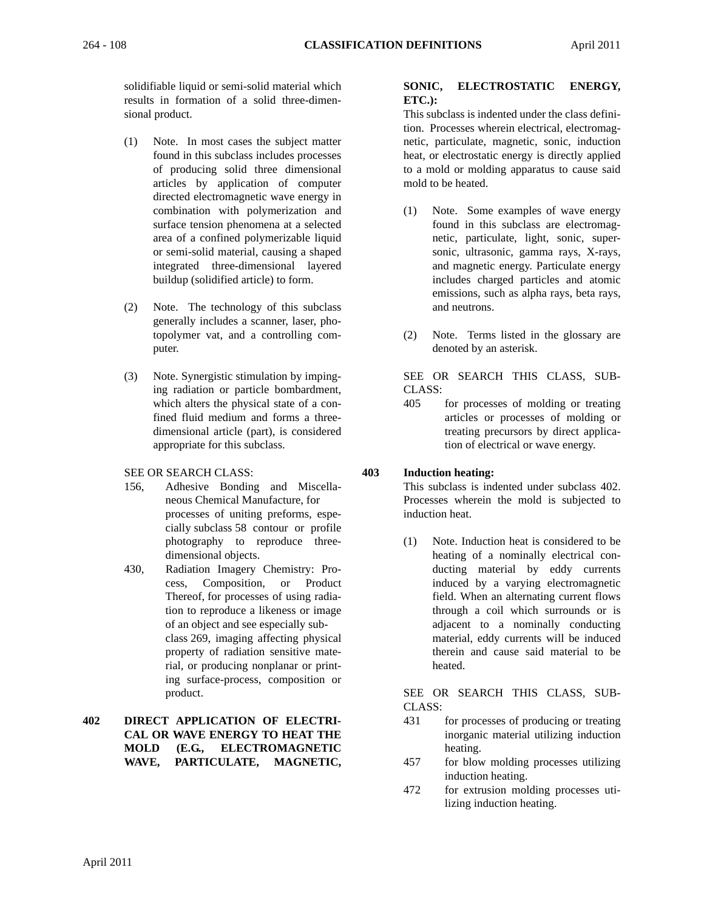solidifiable liquid or semi-solid material which results in formation of a solid three-dimensional product.

- (1) Note. In most cases the subject matter found in this subclass includes processes of producing solid three dimensional articles by application of computer directed electromagnetic wave energy in combination with polymerization and surface tension phenomena at a selected area of a confined polymerizable liquid or semi-solid material, causing a shaped integrated three-dimensional layered buildup (solidified article) to form.
- (2) Note. The technology of this subclass generally includes a scanner, laser, photopolymer vat, and a controlling computer.
- (3) Note. Synergistic stimulation by impinging radiation or particle bombardment, which alters the physical state of a confined fluid medium and forms a threedimensional article (part), is considered appropriate for this subclass.

SEE OR SEARCH CLASS:

- 156, Adhesive Bonding and Miscellaneous Chemical Manufacture, for processes of uniting preforms, especially subclass 58 contour or profile photography to reproduce threedimensional objects.
- 430, Radiation Imagery Chemistry: Process, Composition, or Product Thereof, for processes of using radiation to reproduce a likeness or image of an object and see especially subclass 269, imaging affecting physical property of radiation sensitive material, or producing nonplanar or printing surface-process, composition or product.

# **402 DIRECT APPLICATION OF ELECTRI-CAL OR WAVE ENERGY TO HEAT THE MOLD (E.G., ELECTROMAGNETIC WAVE, PARTICULATE, MAGNETIC,**

# **SONIC, ELECTROSTATIC ENERGY, ETC.):**

This subclass is indented under the class definition. Processes wherein electrical, electromagnetic, particulate, magnetic, sonic, induction heat, or electrostatic energy is directly applied to a mold or molding apparatus to cause said mold to be heated.

- (1) Note. Some examples of wave energy found in this subclass are electromagnetic, particulate, light, sonic, supersonic, ultrasonic, gamma rays, X-rays, and magnetic energy. Particulate energy includes charged particles and atomic emissions, such as alpha rays, beta rays, and neutrons.
- (2) Note. Terms listed in the glossary are denoted by an asterisk.

SEE OR SEARCH THIS CLASS, SUB-CLASS:

405 for processes of molding or treating articles or processes of molding or treating precursors by direct application of electrical or wave energy.

# **403 Induction heating:**

This subclass is indented under subclass 402. Processes wherein the mold is subjected to induction heat.

(1) Note. Induction heat is considered to be heating of a nominally electrical conducting material by eddy currents induced by a varying electromagnetic field. When an alternating current flows through a coil which surrounds or is adjacent to a nominally conducting material, eddy currents will be induced therein and cause said material to be heated.

- 431 for processes of producing or treating inorganic material utilizing induction heating.
- 457 for blow molding processes utilizing induction heating.
- 472 for extrusion molding processes utilizing induction heating.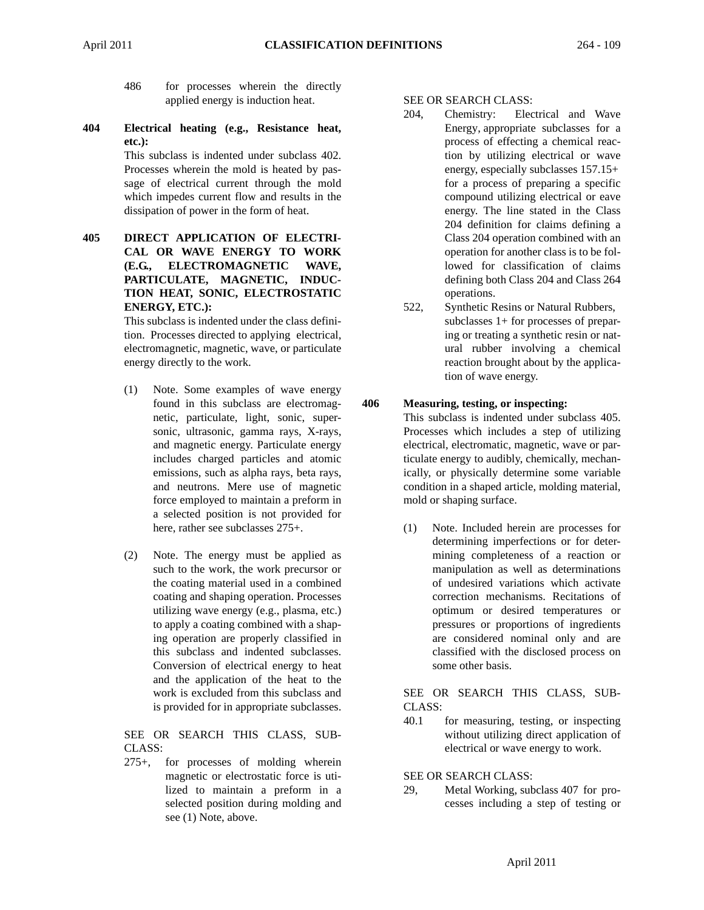- 486 for processes wherein the directly applied energy is induction heat.
- **404 Electrical heating (e.g., Resistance heat, etc.):** This subclass is indented under subclass 402.

Processes wherein the mold is heated by passage of electrical current through the mold which impedes current flow and results in the dissipation of power in the form of heat.

**405 DIRECT APPLICATION OF ELECTRI-CAL OR WAVE ENERGY TO WORK (E.G., ELECTROMAGNETIC WAVE, PARTICULATE, MAGNETIC, INDUC-TION HEAT, SONIC, ELECTROSTATIC ENERGY, ETC.):**

> This subclass is indented under the class definition. Processes directed to applying electrical, electromagnetic, magnetic, wave, or particulate energy directly to the work.

- (1) Note. Some examples of wave energy found in this subclass are electromagnetic, particulate, light, sonic, supersonic, ultrasonic, gamma rays, X-rays, and magnetic energy. Particulate energy includes charged particles and atomic emissions, such as alpha rays, beta rays, and neutrons. Mere use of magnetic force employed to maintain a preform in a selected position is not provided for here, rather see subclasses 275+.
- (2) Note. The energy must be applied as such to the work, the work precursor or the coating material used in a combined coating and shaping operation. Processes utilizing wave energy (e.g., plasma, etc.) to apply a coating combined with a shaping operation are properly classified in this subclass and indented subclasses. Conversion of electrical energy to heat and the application of the heat to the work is excluded from this subclass and is provided for in appropriate subclasses.

SEE OR SEARCH THIS CLASS, SUB-CLASS:

275+, for processes of molding wherein magnetic or electrostatic force is utilized to maintain a preform in a selected position during molding and see (1) Note, above.

SEE OR SEARCH CLASS:

- 204, Chemistry: Electrical and Wave Energy, appropriate subclasses for a process of effecting a chemical reaction by utilizing electrical or wave energy, especially subclasses 157.15+ for a process of preparing a specific compound utilizing electrical or eave energy. The line stated in the Class 204 definition for claims defining a Class 204 operation combined with an operation for another class is to be followed for classification of claims defining both Class 204 and Class 264 operations.
- 522, Synthetic Resins or Natural Rubbers, subclasses 1+ for processes of preparing or treating a synthetic resin or natural rubber involving a chemical reaction brought about by the application of wave energy.

## **406 Measuring, testing, or inspecting:**

This subclass is indented under subclass 405. Processes which includes a step of utilizing electrical, electromatic, magnetic, wave or particulate energy to audibly, chemically, mechanically, or physically determine some variable condition in a shaped article, molding material, mold or shaping surface.

(1) Note. Included herein are processes for determining imperfections or for determining completeness of a reaction or manipulation as well as determinations of undesired variations which activate correction mechanisms. Recitations of optimum or desired temperatures or pressures or proportions of ingredients are considered nominal only and are classified with the disclosed process on some other basis.

SEE OR SEARCH THIS CLASS, SUB-CLASS:

40.1 for measuring, testing, or inspecting without utilizing direct application of electrical or wave energy to work.

SEE OR SEARCH CLASS:

29, Metal Working, subclass 407 for processes including a step of testing or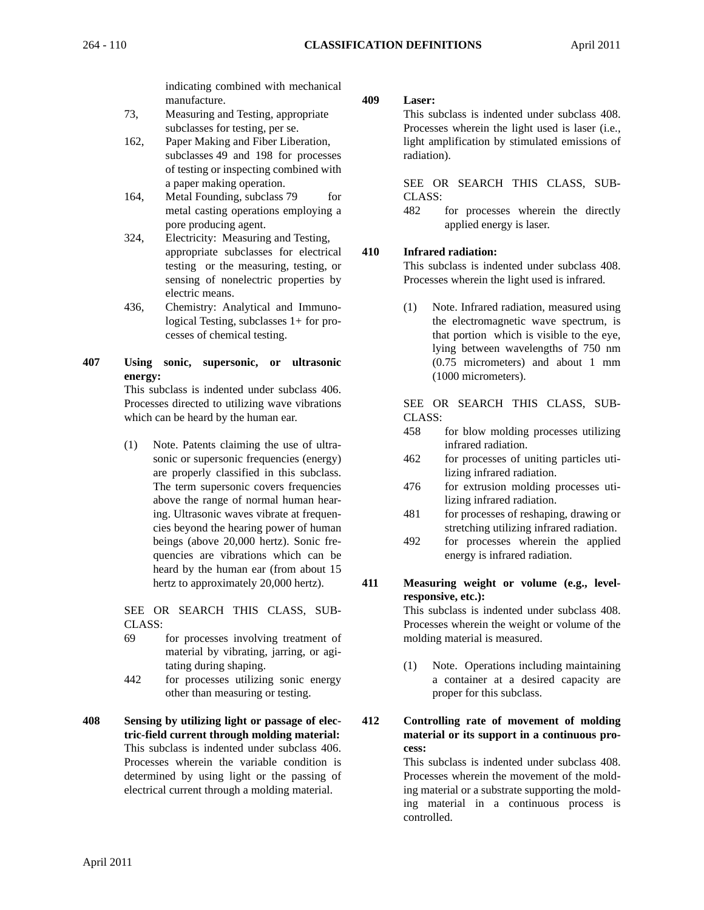indicating combined with mechanical manufacture.

- 73, Measuring and Testing, appropriate subclasses for testing, per se.
- 162, Paper Making and Fiber Liberation, subclasses 49 and 198 for processes of testing or inspecting combined with a paper making operation.
- 164, Metal Founding, subclass 79 for metal casting operations employing a pore producing agent.
- 324, Electricity: Measuring and Testing, appropriate subclasses for electrical testing or the measuring, testing, or sensing of nonelectric properties by electric means.
- 436, Chemistry: Analytical and Immunological Testing, subclasses 1+ for processes of chemical testing.
- **407 Using sonic, supersonic, or ultrasonic energy:** This subclass is indented under subclass 406.

Processes directed to utilizing wave vibrations which can be heard by the human ear.

(1) Note. Patents claiming the use of ultrasonic or supersonic frequencies (energy) are properly classified in this subclass. The term supersonic covers frequencies above the range of normal human hearing. Ultrasonic waves vibrate at frequencies beyond the hearing power of human beings (above 20,000 hertz). Sonic frequencies are vibrations which can be heard by the human ear (from about 15 hertz to approximately 20,000 hertz).

SEE OR SEARCH THIS CLASS, SUB-CLASS:

- 69 for processes involving treatment of material by vibrating, jarring, or agitating during shaping.
- 442 for processes utilizing sonic energy other than measuring or testing.
- **408 Sensing by utilizing light or passage of electric-field current through molding material:** This subclass is indented under subclass 406. Processes wherein the variable condition is determined by using light or the passing of electrical current through a molding material.

#### **409 Laser:**

This subclass is indented under subclass 408. Processes wherein the light used is laser (i.e., light amplification by stimulated emissions of radiation).

SEE OR SEARCH THIS CLASS, SUB-CLASS:

482 for processes wherein the directly applied energy is laser.

## **410 Infrared radiation:**

This subclass is indented under subclass 408. Processes wherein the light used is infrared.

(1) Note. Infrared radiation, measured using the electromagnetic wave spectrum, is that portion which is visible to the eye, lying between wavelengths of 750 nm (0.75 micrometers) and about 1 mm (1000 micrometers).

SEE OR SEARCH THIS CLASS, SUB-CLASS:

- 458 for blow molding processes utilizing infrared radiation.
- 462 for processes of uniting particles utilizing infrared radiation.
- 476 for extrusion molding processes utilizing infrared radiation.
- 481 for processes of reshaping, drawing or stretching utilizing infrared radiation.
- 492 for processes wherein the applied energy is infrared radiation.
- **411 Measuring weight or volume (e.g., levelresponsive, etc.):**

This subclass is indented under subclass 408. Processes wherein the weight or volume of the molding material is measured.

- (1) Note. Operations including maintaining a container at a desired capacity are proper for this subclass.
- **412 Controlling rate of movement of molding material or its support in a continuous process:**

This subclass is indented under subclass 408. Processes wherein the movement of the molding material or a substrate supporting the molding material in a continuous process is controlled.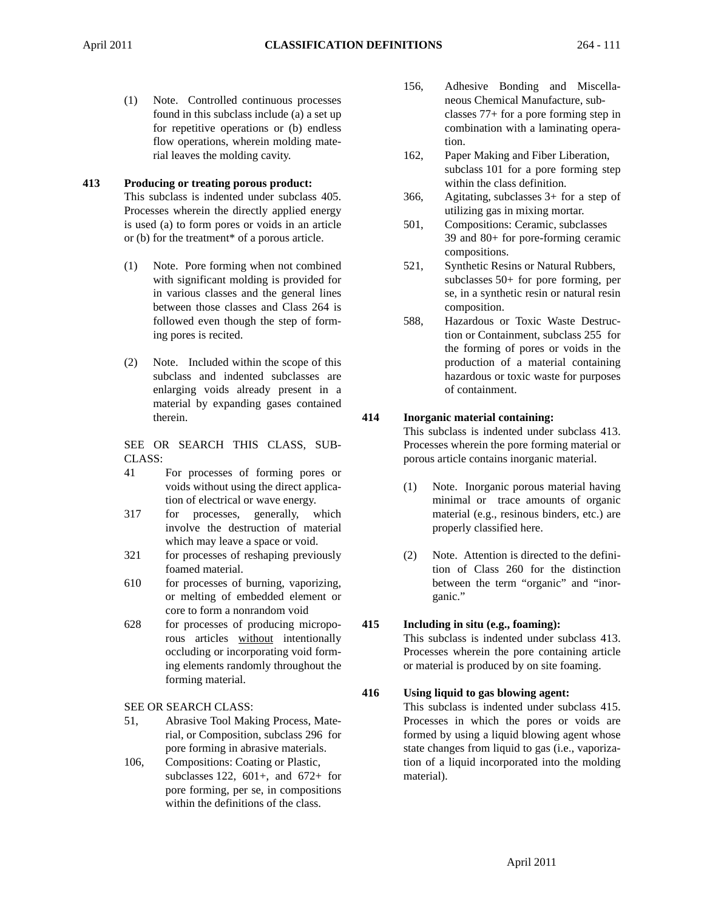(1) Note. Controlled continuous processes found in this subclass include (a) a set up for repetitive operations or (b) endless flow operations, wherein molding material leaves the molding cavity.

# **413 Producing or treating porous product:**

This subclass is indented under subclass 405. Processes wherein the directly applied energy is used (a) to form pores or voids in an article or (b) for the treatment\* of a porous article.

- (1) Note. Pore forming when not combined with significant molding is provided for in various classes and the general lines between those classes and Class 264 is followed even though the step of forming pores is recited.
- (2) Note. Included within the scope of this subclass and indented subclasses are enlarging voids already present in a material by expanding gases contained therein.

SEE OR SEARCH THIS CLASS, SUB-CLASS:

- 41 For processes of forming pores or voids without using the direct application of electrical or wave energy.
- 317 for processes, generally, which involve the destruction of material which may leave a space or void.
- 321 for processes of reshaping previously foamed material.
- 610 for processes of burning, vaporizing, or melting of embedded element or core to form a nonrandom void
- 628 for processes of producing microporous articles without intentionally occluding or incorporating void forming elements randomly throughout the forming material.

SEE OR SEARCH CLASS:

- 51, Abrasive Tool Making Process, Material, or Composition, subclass 296 for pore forming in abrasive materials.
- 106, Compositions: Coating or Plastic, subclasses 122,  $601+$ , and  $672+$  for pore forming, per se, in compositions within the definitions of the class.
- 156, Adhesive Bonding and Miscellaneous Chemical Manufacture, subclasses 77+ for a pore forming step in combination with a laminating operation.
- 162, Paper Making and Fiber Liberation, subclass 101 for a pore forming step within the class definition.
- 366, Agitating, subclasses 3+ for a step of utilizing gas in mixing mortar.
- 501, Compositions: Ceramic, subclasses 39 and 80+ for pore-forming ceramic compositions.
- 521, Synthetic Resins or Natural Rubbers, subclasses 50+ for pore forming, per se, in a synthetic resin or natural resin composition.
- 588, Hazardous or Toxic Waste Destruction or Containment, subclass 255 for the forming of pores or voids in the production of a material containing hazardous or toxic waste for purposes of containment.

## **414 Inorganic material containing:**

This subclass is indented under subclass 413. Processes wherein the pore forming material or porous article contains inorganic material.

- (1) Note. Inorganic porous material having minimal or trace amounts of organic material (e.g., resinous binders, etc.) are properly classified here.
- (2) Note. Attention is directed to the definition of Class 260 for the distinction between the term "organic" and "inorganic."

## **415 Including in situ (e.g., foaming):**

This subclass is indented under subclass 413. Processes wherein the pore containing article or material is produced by on site foaming.

## **416 Using liquid to gas blowing agent:**

This subclass is indented under subclass 415. Processes in which the pores or voids are formed by using a liquid blowing agent whose state changes from liquid to gas (i.e., vaporization of a liquid incorporated into the molding material).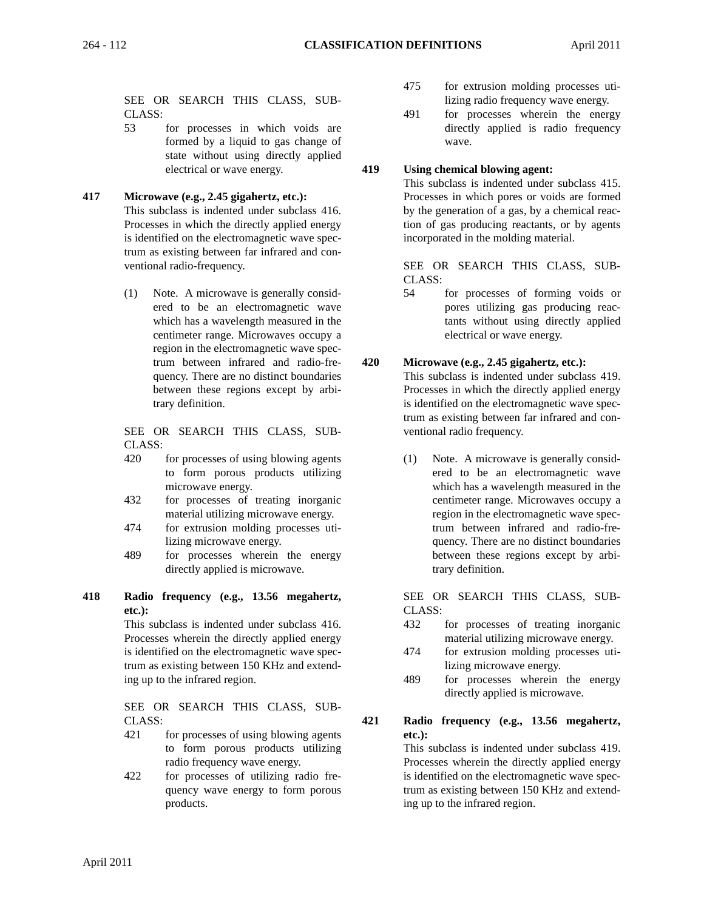SEE OR SEARCH THIS CLASS, SUB-

CLASS:

- 53 for processes in which voids are formed by a liquid to gas change of state without using directly applied electrical or wave energy.
- **417 Microwave (e.g., 2.45 gigahertz, etc.):** This subclass is indented under subclass 416. Processes in which the directly applied energy is identified on the electromagnetic wave spectrum as existing between far infrared and conventional radio-frequency.
	- (1) Note. A microwave is generally considered to be an electromagnetic wave which has a wavelength measured in the centimeter range. Microwaves occupy a region in the electromagnetic wave spectrum between infrared and radio-frequency. There are no distinct boundaries between these regions except by arbitrary definition.

SEE OR SEARCH THIS CLASS, SUB-CLASS:

- 420 for processes of using blowing agents to form porous products utilizing microwave energy.
- 432 for processes of treating inorganic material utilizing microwave energy.
- 474 for extrusion molding processes utilizing microwave energy.
- 489 for processes wherein the energy directly applied is microwave.
- **418 Radio frequency (e.g., 13.56 megahertz, etc.):**

This subclass is indented under subclass 416. Processes wherein the directly applied energy is identified on the electromagnetic wave spectrum as existing between 150 KHz and extending up to the infrared region.

SEE OR SEARCH THIS CLASS, SUB-CLASS:

- 421 for processes of using blowing agents to form porous products utilizing radio frequency wave energy.
- 422 for processes of utilizing radio frequency wave energy to form porous products.
- 475 for extrusion molding processes utilizing radio frequency wave energy.
- 491 for processes wherein the energy directly applied is radio frequency wave.

**419 Using chemical blowing agent:**

This subclass is indented under subclass 415. Processes in which pores or voids are formed by the generation of a gas, by a chemical reaction of gas producing reactants, or by agents incorporated in the molding material.

SEE OR SEARCH THIS CLASS, SUB-CLASS:

54 for processes of forming voids or pores utilizing gas producing reactants without using directly applied electrical or wave energy.

## **420 Microwave (e.g., 2.45 gigahertz, etc.):**

This subclass is indented under subclass 419. Processes in which the directly applied energy is identified on the electromagnetic wave spectrum as existing between far infrared and conventional radio frequency.

(1) Note. A microwave is generally considered to be an electromagnetic wave which has a wavelength measured in the centimeter range. Microwaves occupy a region in the electromagnetic wave spectrum between infrared and radio-frequency. There are no distinct boundaries between these regions except by arbitrary definition.

SEE OR SEARCH THIS CLASS, SUB-CLASS:

- 432 for processes of treating inorganic material utilizing microwave energy.
- 474 for extrusion molding processes utilizing microwave energy.
- 489 for processes wherein the energy directly applied is microwave.
- **421 Radio frequency (e.g., 13.56 megahertz, etc.):**

This subclass is indented under subclass 419. Processes wherein the directly applied energy is identified on the electromagnetic wave spectrum as existing between 150 KHz and extending up to the infrared region.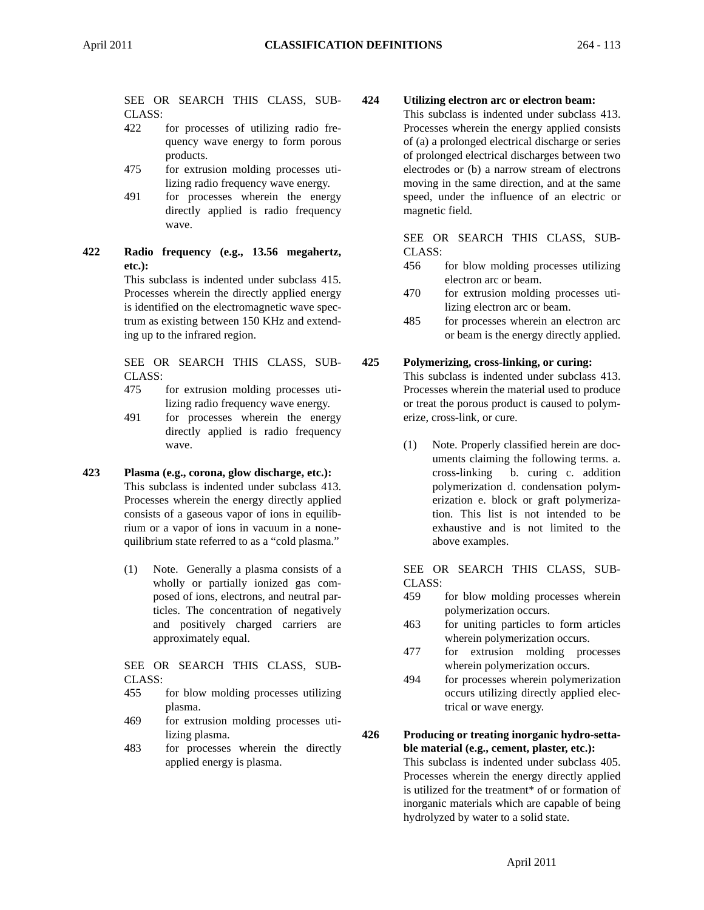SEE OR SEARCH THIS CLASS, SUB-CLASS:

- 422 for processes of utilizing radio frequency wave energy to form porous products.
- 475 for extrusion molding processes utilizing radio frequency wave energy.
- 491 for processes wherein the energy directly applied is radio frequency wave.
- **422 Radio frequency (e.g., 13.56 megahertz, etc.):**

This subclass is indented under subclass 415. Processes wherein the directly applied energy is identified on the electromagnetic wave spectrum as existing between 150 KHz and extending up to the infrared region.

SEE OR SEARCH THIS CLASS, SUB-CLASS:

- 475 for extrusion molding processes utilizing radio frequency wave energy.
- 491 for processes wherein the energy directly applied is radio frequency wave.

#### **423 Plasma (e.g., corona, glow discharge, etc.):**

This subclass is indented under subclass 413. Processes wherein the energy directly applied consists of a gaseous vapor of ions in equilibrium or a vapor of ions in vacuum in a nonequilibrium state referred to as a "cold plasma."

(1) Note. Generally a plasma consists of a wholly or partially ionized gas composed of ions, electrons, and neutral particles. The concentration of negatively and positively charged carriers are approximately equal.

SEE OR SEARCH THIS CLASS, SUB-CLASS:

- 455 for blow molding processes utilizing plasma.
- 469 for extrusion molding processes utilizing plasma.
- 483 for processes wherein the directly applied energy is plasma.

#### **424 Utilizing electron arc or electron beam:**

This subclass is indented under subclass 413. Processes wherein the energy applied consists of (a) a prolonged electrical discharge or series of prolonged electrical discharges between two electrodes or (b) a narrow stream of electrons moving in the same direction, and at the same speed, under the influence of an electric or magnetic field.

SEE OR SEARCH THIS CLASS, SUB-CLASS:

- 456 for blow molding processes utilizing electron arc or beam.
- 470 for extrusion molding processes utilizing electron arc or beam.
- 485 for processes wherein an electron arc or beam is the energy directly applied.

#### **425 Polymerizing, cross-linking, or curing:**

This subclass is indented under subclass 413. Processes wherein the material used to produce or treat the porous product is caused to polymerize, cross-link, or cure.

(1) Note. Properly classified herein are documents claiming the following terms. a. cross-linking b. curing c. addition polymerization d. condensation polymerization e. block or graft polymerization. This list is not intended to be exhaustive and is not limited to the above examples.

SEE OR SEARCH THIS CLASS, SUB-CLASS:

- 459 for blow molding processes wherein polymerization occurs.
- 463 for uniting particles to form articles wherein polymerization occurs.
- 477 for extrusion molding processes wherein polymerization occurs.
- 494 for processes wherein polymerization occurs utilizing directly applied electrical or wave energy.
- **426 Producing or treating inorganic hydro-settable material (e.g., cement, plaster, etc.):**

This subclass is indented under subclass 405. Processes wherein the energy directly applied is utilized for the treatment\* of or formation of inorganic materials which are capable of being hydrolyzed by water to a solid state.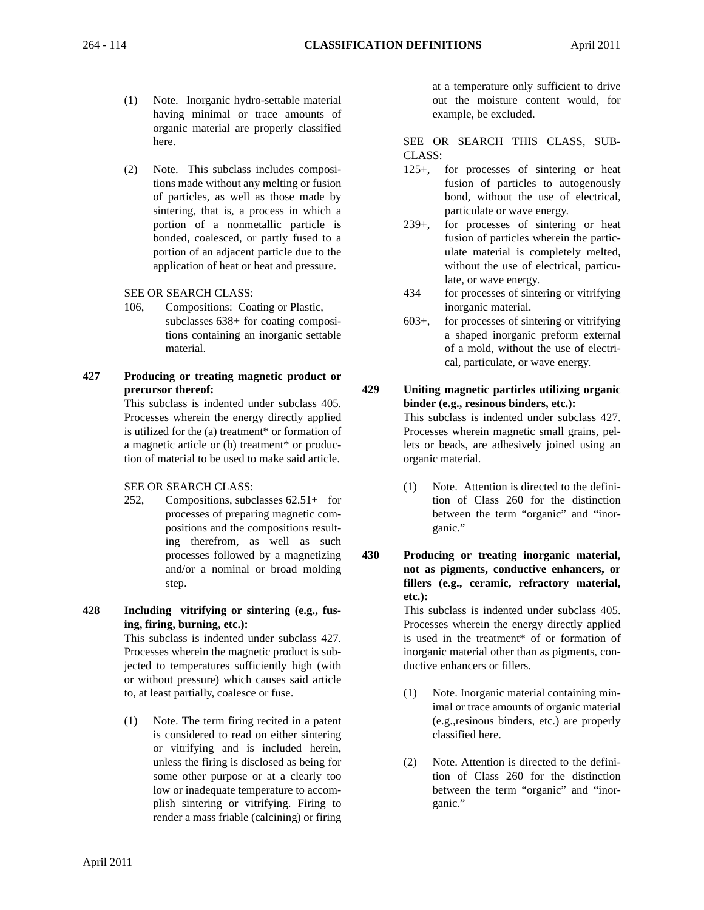- (1) Note. Inorganic hydro-settable material having minimal or trace amounts of organic material are properly classified here.
- (2) Note. This subclass includes compositions made without any melting or fusion of particles, as well as those made by sintering, that is, a process in which a portion of a nonmetallic particle is bonded, coalesced, or partly fused to a portion of an adjacent particle due to the application of heat or heat and pressure.

SEE OR SEARCH CLASS:

106, Compositions: Coating or Plastic, subclasses 638+ for coating compositions containing an inorganic settable material.

#### **427 Producing or treating magnetic product or precursor thereof:**

This subclass is indented under subclass 405. Processes wherein the energy directly applied is utilized for the (a) treatment\* or formation of a magnetic article or (b) treatment\* or production of material to be used to make said article.

SEE OR SEARCH CLASS:

- 252, Compositions, subclasses 62.51+ for processes of preparing magnetic compositions and the compositions resulting therefrom, as well as such processes followed by a magnetizing and/or a nominal or broad molding step.
- **428 Including vitrifying or sintering (e.g., fusing, firing, burning, etc.):**

This subclass is indented under subclass 427. Processes wherein the magnetic product is subjected to temperatures sufficiently high (with or without pressure) which causes said article to, at least partially, coalesce or fuse.

(1) Note. The term firing recited in a patent is considered to read on either sintering or vitrifying and is included herein, unless the firing is disclosed as being for some other purpose or at a clearly too low or inadequate temperature to accomplish sintering or vitrifying. Firing to render a mass friable (calcining) or firing

at a temperature only sufficient to drive out the moisture content would, for example, be excluded.

SEE OR SEARCH THIS CLASS, SUB-CLASS:

- 125+, for processes of sintering or heat fusion of particles to autogenously bond, without the use of electrical, particulate or wave energy.
- 239+, for processes of sintering or heat fusion of particles wherein the particulate material is completely melted, without the use of electrical, particulate, or wave energy.
- 434 for processes of sintering or vitrifying inorganic material.
- 603+, for processes of sintering or vitrifying a shaped inorganic preform external of a mold, without the use of electrical, particulate, or wave energy.
- **429 Uniting magnetic particles utilizing organic binder (e.g., resinous binders, etc.):** This subclass is indented under subclass 427. Processes wherein magnetic small grains, pel-

lets or beads, are adhesively joined using an organic material.

- (1) Note. Attention is directed to the definition of Class 260 for the distinction between the term "organic" and "inorganic."
- **430 Producing or treating inorganic material, not as pigments, conductive enhancers, or fillers (e.g., ceramic, refractory material, etc.):**

This subclass is indented under subclass 405. Processes wherein the energy directly applied is used in the treatment\* of or formation of inorganic material other than as pigments, conductive enhancers or fillers.

- (1) Note. Inorganic material containing minimal or trace amounts of organic material (e.g.,resinous binders, etc.) are properly classified here.
- (2) Note. Attention is directed to the definition of Class 260 for the distinction between the term "organic" and "inorganic."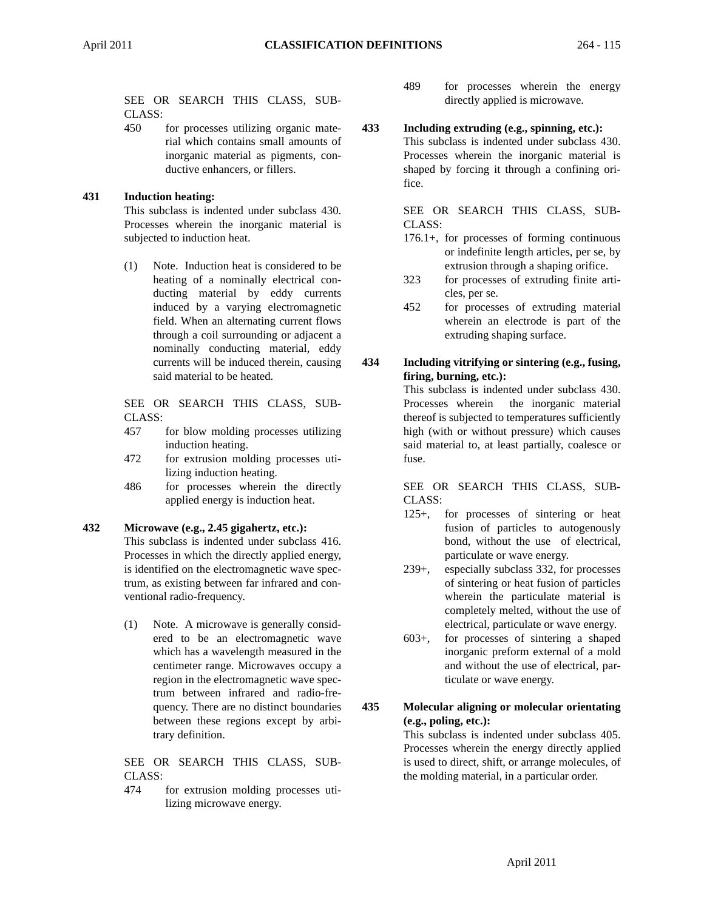SEE OR SEARCH THIS CLASS, SUB-CLASS:

450 for processes utilizing organic material which contains small amounts of inorganic material as pigments, conductive enhancers, or fillers.

## **431 Induction heating:**

This subclass is indented under subclass 430. Processes wherein the inorganic material is subjected to induction heat.

(1) Note. Induction heat is considered to be heating of a nominally electrical conducting material by eddy currents induced by a varying electromagnetic field. When an alternating current flows through a coil surrounding or adjacent a nominally conducting material, eddy currents will be induced therein, causing said material to be heated.

SEE OR SEARCH THIS CLASS, SUB-CLASS:

- 457 for blow molding processes utilizing induction heating.
- 472 for extrusion molding processes utilizing induction heating.
- 486 for processes wherein the directly applied energy is induction heat.

#### **432 Microwave (e.g., 2.45 gigahertz, etc.):**

This subclass is indented under subclass 416. Processes in which the directly applied energy, is identified on the electromagnetic wave spectrum, as existing between far infrared and conventional radio-frequency.

(1) Note. A microwave is generally considered to be an electromagnetic wave which has a wavelength measured in the centimeter range. Microwaves occupy a region in the electromagnetic wave spectrum between infrared and radio-frequency. There are no distinct boundaries between these regions except by arbitrary definition.

SEE OR SEARCH THIS CLASS, SUB-CLASS:

474 for extrusion molding processes utilizing microwave energy.

489 for processes wherein the energy directly applied is microwave.

**433 Including extruding (e.g., spinning, etc.):** This subclass is indented under subclass 430. Processes wherein the inorganic material is shaped by forcing it through a confining orifice.

> SEE OR SEARCH THIS CLASS, SUB-CLASS:

- 176.1+, for processes of forming continuous or indefinite length articles, per se, by extrusion through a shaping orifice.
- 323 for processes of extruding finite articles, per se.
- 452 for processes of extruding material wherein an electrode is part of the extruding shaping surface.
- **434 Including vitrifying or sintering (e.g., fusing, firing, burning, etc.):**

This subclass is indented under subclass 430. Processes wherein the inorganic material thereof is subjected to temperatures sufficiently high (with or without pressure) which causes said material to, at least partially, coalesce or fuse.

SEE OR SEARCH THIS CLASS, SUB-CLASS:

- 125+, for processes of sintering or heat fusion of particles to autogenously bond, without the use of electrical, particulate or wave energy.
- 239+, especially subclass 332, for processes of sintering or heat fusion of particles wherein the particulate material is completely melted, without the use of electrical, particulate or wave energy.
- 603+, for processes of sintering a shaped inorganic preform external of a mold and without the use of electrical, particulate or wave energy.
- **435 Molecular aligning or molecular orientating (e.g., poling, etc.):**

This subclass is indented under subclass 405. Processes wherein the energy directly applied is used to direct, shift, or arrange molecules, of the molding material, in a particular order.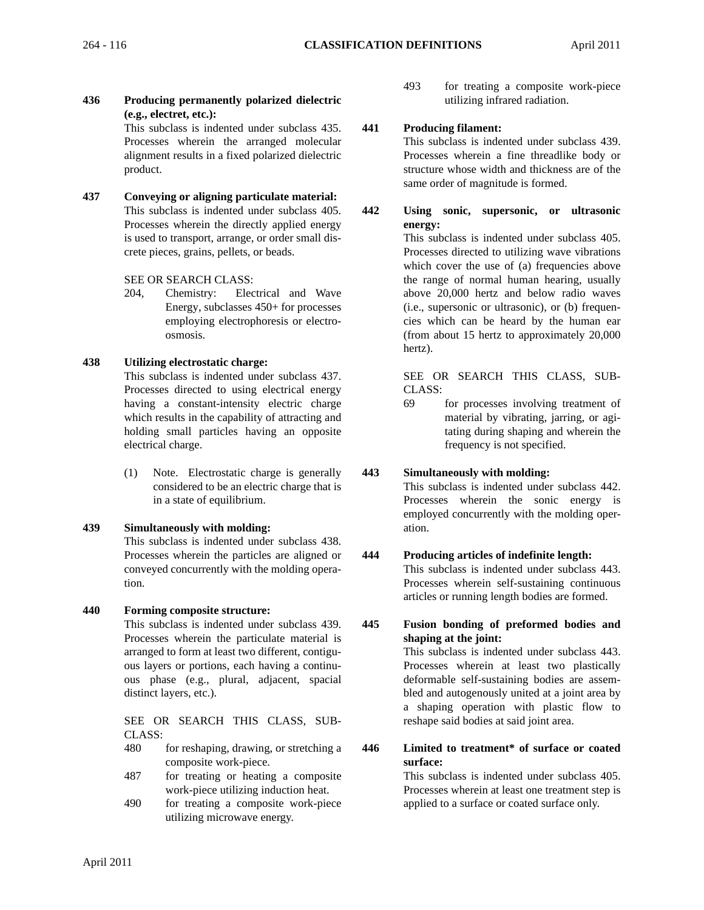**436 Producing permanently polarized dielectric (e.g., electret, etc.):**

This subclass is indented under subclass 435. Processes wherein the arranged molecular alignment results in a fixed polarized dielectric product.

**437 Conveying or aligning particulate material:** This subclass is indented under subclass 405. Processes wherein the directly applied energy is used to transport, arrange, or order small discrete pieces, grains, pellets, or beads.

SEE OR SEARCH CLASS:

204, Chemistry: Electrical and Wave Energy, subclasses 450+ for processes employing electrophoresis or electroosmosis.

#### **438 Utilizing electrostatic charge:**

This subclass is indented under subclass 437. Processes directed to using electrical energy having a constant-intensity electric charge which results in the capability of attracting and holding small particles having an opposite electrical charge.

(1) Note. Electrostatic charge is generally considered to be an electric charge that is in a state of equilibrium.

#### **439 Simultaneously with molding:**

This subclass is indented under subclass 438. Processes wherein the particles are aligned or conveyed concurrently with the molding operation.

#### **440 Forming composite structure:**

This subclass is indented under subclass 439. Processes wherein the particulate material is arranged to form at least two different, contiguous layers or portions, each having a continuous phase (e.g., plural, adjacent, spacial distinct layers, etc.).

SEE OR SEARCH THIS CLASS, SUB-CLASS:

- 480 for reshaping, drawing, or stretching a composite work-piece.
- 487 for treating or heating a composite work-piece utilizing induction heat.
- 490 for treating a composite work-piece utilizing microwave energy.

493 for treating a composite work-piece utilizing infrared radiation.

## **441 Producing filament:**

This subclass is indented under subclass 439. Processes wherein a fine threadlike body or structure whose width and thickness are of the same order of magnitude is formed.

**442 Using sonic, supersonic, or ultrasonic energy:**

> This subclass is indented under subclass 405. Processes directed to utilizing wave vibrations which cover the use of (a) frequencies above the range of normal human hearing, usually above 20,000 hertz and below radio waves (i.e., supersonic or ultrasonic), or (b) frequencies which can be heard by the human ear (from about 15 hertz to approximately 20,000 hertz).

> SEE OR SEARCH THIS CLASS, SUB-CLASS:

> 69 for processes involving treatment of material by vibrating, jarring, or agitating during shaping and wherein the frequency is not specified.

## **443 Simultaneously with molding:**

This subclass is indented under subclass 442. Processes wherein the sonic energy is employed concurrently with the molding operation.

## **444 Producing articles of indefinite length:**

This subclass is indented under subclass 443. Processes wherein self-sustaining continuous articles or running length bodies are formed.

**445 Fusion bonding of preformed bodies and shaping at the joint:**

> This subclass is indented under subclass 443. Processes wherein at least two plastically deformable self-sustaining bodies are assembled and autogenously united at a joint area by a shaping operation with plastic flow to reshape said bodies at said joint area.

**446 Limited to treatment\* of surface or coated surface:**

This subclass is indented under subclass 405. Processes wherein at least one treatment step is applied to a surface or coated surface only.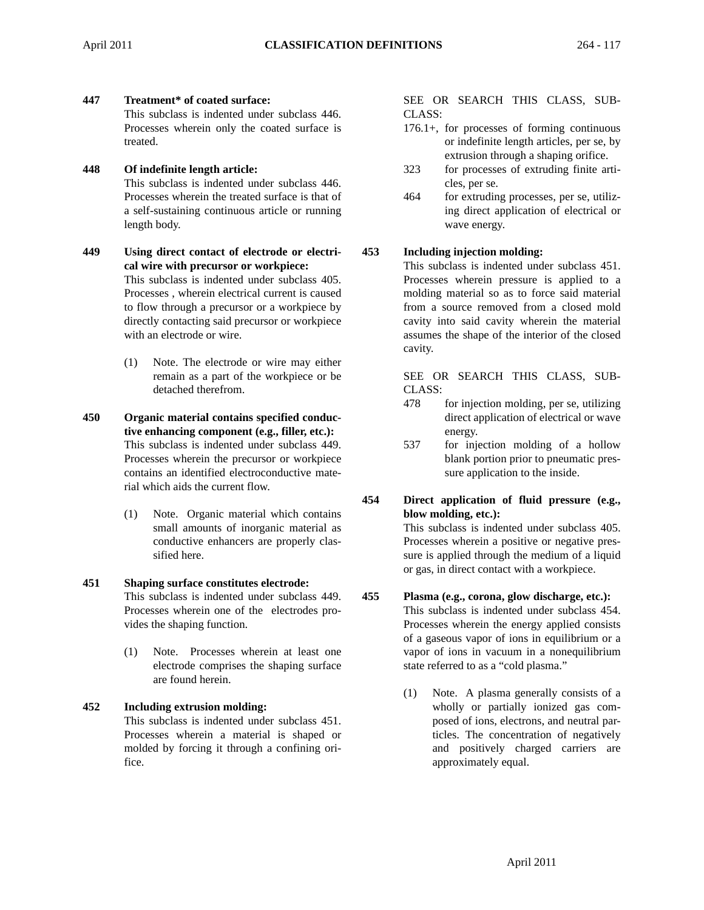#### **447 Treatment\* of coated surface:**

This subclass is indented under subclass 446. Processes wherein only the coated surface is treated.

## **448 Of indefinite length article:**

This subclass is indented under subclass 446. Processes wherein the treated surface is that of a self-sustaining continuous article or running length body.

**449 Using direct contact of electrode or electrical wire with precursor or workpiece:** This subclass is indented under subclass 405. Processes , wherein electrical current is caused to flow through a precursor or a workpiece by directly contacting said precursor or workpiece with an electrode or wire.

- (1) Note. The electrode or wire may either remain as a part of the workpiece or be detached therefrom.
- **450 Organic material contains specified conductive enhancing component (e.g., filler, etc.):** This subclass is indented under subclass 449. Processes wherein the precursor or workpiece contains an identified electroconductive material which aids the current flow.
	- (1) Note. Organic material which contains small amounts of inorganic material as conductive enhancers are properly classified here.

## **451 Shaping surface constitutes electrode:** This subclass is indented under subclass 449. Processes wherein one of the electrodes provides the shaping function.

(1) Note. Processes wherein at least one electrode comprises the shaping surface are found herein.

## **452 Including extrusion molding:**

This subclass is indented under subclass 451. Processes wherein a material is shaped or molded by forcing it through a confining orifice.

#### SEE OR SEARCH THIS CLASS, SUB-CLASS:

- 176.1+, for processes of forming continuous or indefinite length articles, per se, by extrusion through a shaping orifice.
- 323 for processes of extruding finite articles, per se.
- 464 for extruding processes, per se, utilizing direct application of electrical or wave energy.

## **453 Including injection molding:**

This subclass is indented under subclass 451. Processes wherein pressure is applied to a molding material so as to force said material from a source removed from a closed mold cavity into said cavity wherein the material assumes the shape of the interior of the closed cavity.

SEE OR SEARCH THIS CLASS, SUB-CLASS:

- 478 for injection molding, per se, utilizing direct application of electrical or wave energy.
- 537 for injection molding of a hollow blank portion prior to pneumatic pressure application to the inside.
- **454 Direct application of fluid pressure (e.g., blow molding, etc.):**

This subclass is indented under subclass 405. Processes wherein a positive or negative pressure is applied through the medium of a liquid or gas, in direct contact with a workpiece.

#### **455 Plasma (e.g., corona, glow discharge, etc.):**

This subclass is indented under subclass 454. Processes wherein the energy applied consists of a gaseous vapor of ions in equilibrium or a vapor of ions in vacuum in a nonequilibrium state referred to as a "cold plasma."

(1) Note. A plasma generally consists of a wholly or partially ionized gas composed of ions, electrons, and neutral particles. The concentration of negatively and positively charged carriers are approximately equal.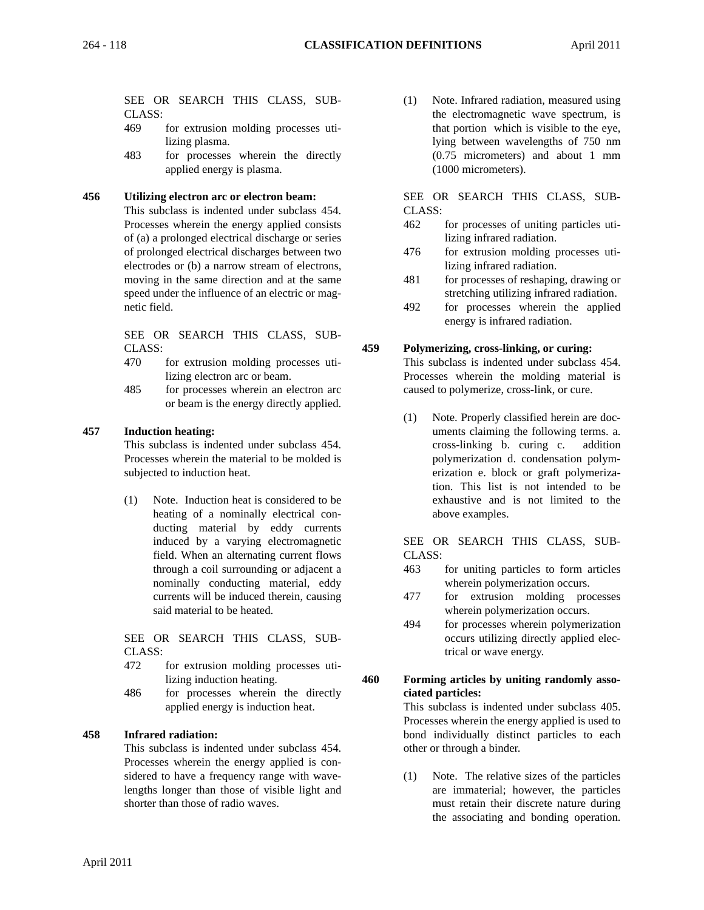SEE OR SEARCH THIS CLASS, SUB-CLASS:

- 469 for extrusion molding processes utilizing plasma.
- 483 for processes wherein the directly applied energy is plasma.

## **456 Utilizing electron arc or electron beam:**

This subclass is indented under subclass 454. Processes wherein the energy applied consists of (a) a prolonged electrical discharge or series of prolonged electrical discharges between two electrodes or (b) a narrow stream of electrons, moving in the same direction and at the same speed under the influence of an electric or magnetic field.

SEE OR SEARCH THIS CLASS, SUB-CLASS:

- 470 for extrusion molding processes utilizing electron arc or beam.
- 485 for processes wherein an electron arc or beam is the energy directly applied.

#### **457 Induction heating:**

This subclass is indented under subclass 454. Processes wherein the material to be molded is subjected to induction heat.

(1) Note. Induction heat is considered to be heating of a nominally electrical conducting material by eddy currents induced by a varying electromagnetic field. When an alternating current flows through a coil surrounding or adjacent a nominally conducting material, eddy currents will be induced therein, causing said material to be heated.

SEE OR SEARCH THIS CLASS, SUB-CLASS:

- 472 for extrusion molding processes utilizing induction heating.
- 486 for processes wherein the directly applied energy is induction heat.

## **458 Infrared radiation:**

This subclass is indented under subclass 454. Processes wherein the energy applied is considered to have a frequency range with wavelengths longer than those of visible light and shorter than those of radio waves.

(1) Note. Infrared radiation, measured using the electromagnetic wave spectrum, is that portion which is visible to the eye, lying between wavelengths of 750 nm (0.75 micrometers) and about 1 mm (1000 micrometers).

SEE OR SEARCH THIS CLASS, SUB-CLASS:

- 462 for processes of uniting particles utilizing infrared radiation.
- 476 for extrusion molding processes utilizing infrared radiation.
- 481 for processes of reshaping, drawing or stretching utilizing infrared radiation.
- 492 for processes wherein the applied energy is infrared radiation.

#### **459 Polymerizing, cross-linking, or curing:**

This subclass is indented under subclass 454. Processes wherein the molding material is caused to polymerize, cross-link, or cure.

(1) Note. Properly classified herein are documents claiming the following terms. a. cross-linking b. curing c. addition polymerization d. condensation polymerization e. block or graft polymerization. This list is not intended to be exhaustive and is not limited to the above examples.

SEE OR SEARCH THIS CLASS, SUB-CLASS:

- 463 for uniting particles to form articles wherein polymerization occurs.
- 477 for extrusion molding processes wherein polymerization occurs.
- 494 for processes wherein polymerization occurs utilizing directly applied electrical or wave energy.

## **460 Forming articles by uniting randomly associated particles:**

This subclass is indented under subclass 405. Processes wherein the energy applied is used to bond individually distinct particles to each other or through a binder.

(1) Note. The relative sizes of the particles are immaterial; however, the particles must retain their discrete nature during the associating and bonding operation.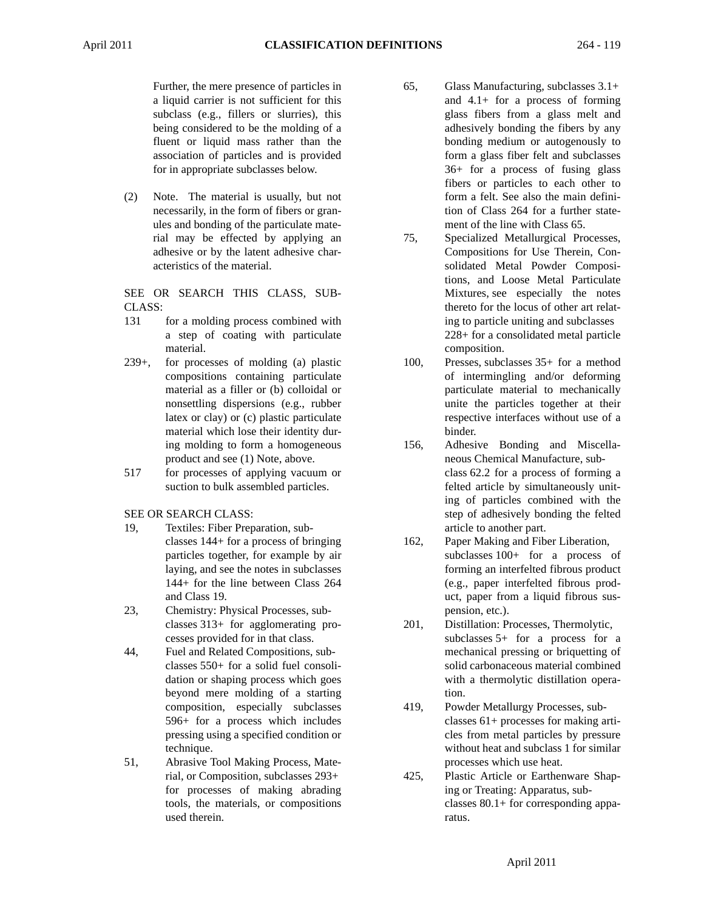Further, the mere presence of particles in a liquid carrier is not sufficient for this subclass (e.g., fillers or slurries), this being considered to be the molding of a fluent or liquid mass rather than the association of particles and is provided for in appropriate subclasses below.

(2) Note. The material is usually, but not necessarily, in the form of fibers or granules and bonding of the particulate material may be effected by applying an adhesive or by the latent adhesive characteristics of the material.

SEE OR SEARCH THIS CLASS, SUB-CLASS:

- 131 for a molding process combined with a step of coating with particulate material.
- 239+, for processes of molding (a) plastic compositions containing particulate material as a filler or (b) colloidal or nonsettling dispersions (e.g., rubber latex or clay) or (c) plastic particulate material which lose their identity during molding to form a homogeneous product and see (1) Note, above.
- 517 for processes of applying vacuum or suction to bulk assembled particles.

SEE OR SEARCH CLASS:

- 19, Textiles: Fiber Preparation, subclasses 144+ for a process of bringing particles together, for example by air laying, and see the notes in subclasses 144+ for the line between Class 264 and Class 19.
- 23, Chemistry: Physical Processes, subclasses 313+ for agglomerating processes provided for in that class.
- 44, Fuel and Related Compositions, subclasses 550+ for a solid fuel consolidation or shaping process which goes beyond mere molding of a starting composition, especially subclasses 596+ for a process which includes pressing using a specified condition or technique.
- 51, Abrasive Tool Making Process, Material, or Composition, subclasses 293+ for processes of making abrading tools, the materials, or compositions used therein.
- 65, Glass Manufacturing, subclasses 3.1+ and 4.1+ for a process of forming glass fibers from a glass melt and adhesively bonding the fibers by any bonding medium or autogenously to form a glass fiber felt and subclasses 36+ for a process of fusing glass fibers or particles to each other to form a felt. See also the main definition of Class 264 for a further statement of the line with Class 65.
- 75, Specialized Metallurgical Processes, Compositions for Use Therein, Consolidated Metal Powder Compositions, and Loose Metal Particulate Mixtures, see especially the notes thereto for the locus of other art relating to particle uniting and subclasses 228+ for a consolidated metal particle composition.
- 100, Presses, subclasses 35+ for a method of intermingling and/or deforming particulate material to mechanically unite the particles together at their respective interfaces without use of a binder.
- 156, Adhesive Bonding and Miscellaneous Chemical Manufacture, subclass 62.2 for a process of forming a felted article by simultaneously uniting of particles combined with the step of adhesively bonding the felted article to another part.
- 162, Paper Making and Fiber Liberation, subclasses 100+ for a process of forming an interfelted fibrous product (e.g., paper interfelted fibrous product, paper from a liquid fibrous suspension, etc.).
- 201, Distillation: Processes, Thermolytic, subclasses 5+ for a process for a mechanical pressing or briquetting of solid carbonaceous material combined with a thermolytic distillation operation.
- 419, Powder Metallurgy Processes, subclasses 61+ processes for making articles from metal particles by pressure without heat and subclass 1 for similar processes which use heat.
- 425, Plastic Article or Earthenware Shaping or Treating: Apparatus, subclasses 80.1+ for corresponding apparatus.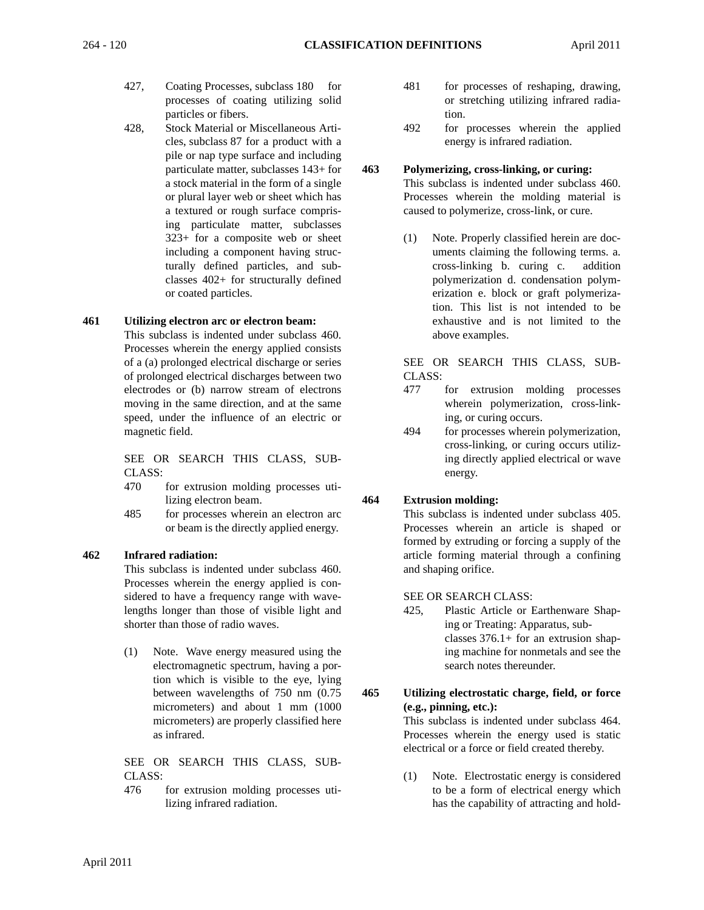- 427, Coating Processes, subclass 180 for processes of coating utilizing solid particles or fibers.
- 428, Stock Material or Miscellaneous Articles, subclass 87 for a product with a pile or nap type surface and including particulate matter, subclasses 143+ for a stock material in the form of a single or plural layer web or sheet which has a textured or rough surface comprising particulate matter, subclasses 323+ for a composite web or sheet including a component having structurally defined particles, and subclasses 402+ for structurally defined or coated particles.

#### **461 Utilizing electron arc or electron beam:**

This subclass is indented under subclass 460. Processes wherein the energy applied consists of a (a) prolonged electrical discharge or series of prolonged electrical discharges between two electrodes or (b) narrow stream of electrons moving in the same direction, and at the same speed, under the influence of an electric or magnetic field.

SEE OR SEARCH THIS CLASS, SUB-CLASS:

- 470 for extrusion molding processes utilizing electron beam.
- 485 for processes wherein an electron arc or beam is the directly applied energy.

#### **462 Infrared radiation:**

This subclass is indented under subclass 460. Processes wherein the energy applied is considered to have a frequency range with wavelengths longer than those of visible light and shorter than those of radio waves.

(1) Note. Wave energy measured using the electromagnetic spectrum, having a portion which is visible to the eye, lying between wavelengths of 750 nm (0.75 micrometers) and about 1 mm (1000 micrometers) are properly classified here as infrared.

SEE OR SEARCH THIS CLASS, SUB-CLASS:

476 for extrusion molding processes utilizing infrared radiation.

- 481 for processes of reshaping, drawing, or stretching utilizing infrared radiation.
- 492 for processes wherein the applied energy is infrared radiation.

#### **463 Polymerizing, cross-linking, or curing:**

This subclass is indented under subclass 460. Processes wherein the molding material is caused to polymerize, cross-link, or cure.

(1) Note. Properly classified herein are documents claiming the following terms. a. cross-linking b. curing c. addition polymerization d. condensation polymerization e. block or graft polymerization. This list is not intended to be exhaustive and is not limited to the above examples.

#### SEE OR SEARCH THIS CLASS, SUB-CLASS:

- 477 for extrusion molding processes wherein polymerization, cross-linking, or curing occurs.
- 494 for processes wherein polymerization, cross-linking, or curing occurs utilizing directly applied electrical or wave energy.

#### **464 Extrusion molding:**

This subclass is indented under subclass 405. Processes wherein an article is shaped or formed by extruding or forcing a supply of the article forming material through a confining and shaping orifice.

#### SEE OR SEARCH CLASS:

425, Plastic Article or Earthenware Shaping or Treating: Apparatus, subclasses 376.1+ for an extrusion shaping machine for nonmetals and see the search notes thereunder.

#### **465 Utilizing electrostatic charge, field, or force (e.g., pinning, etc.):**

This subclass is indented under subclass 464. Processes wherein the energy used is static electrical or a force or field created thereby.

(1) Note. Electrostatic energy is considered to be a form of electrical energy which has the capability of attracting and hold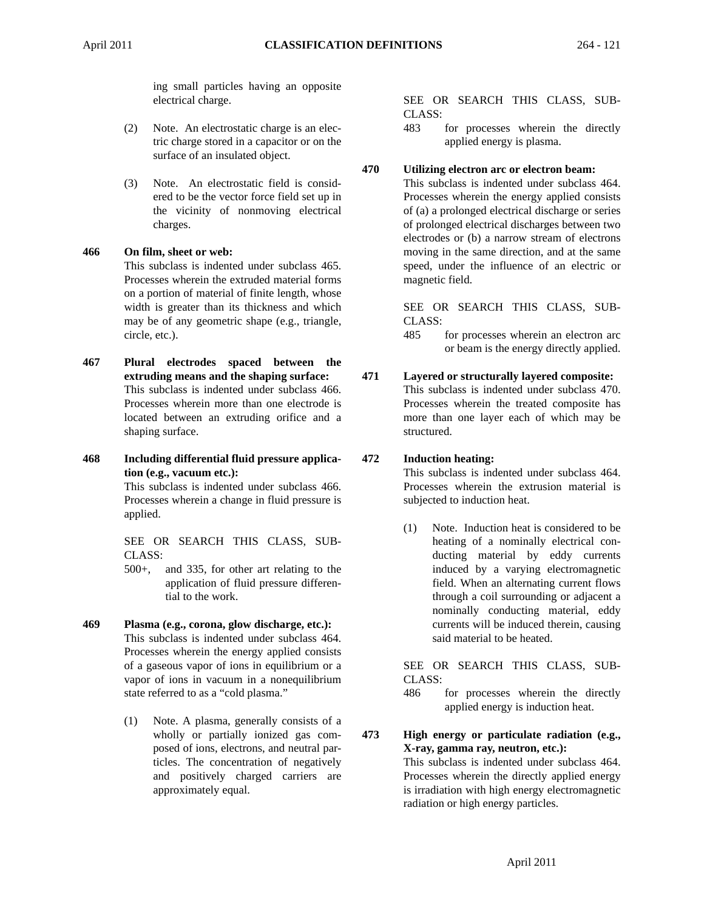ing small particles having an opposite electrical charge.

- (2) Note. An electrostatic charge is an electric charge stored in a capacitor or on the surface of an insulated object.
- (3) Note. An electrostatic field is considered to be the vector force field set up in the vicinity of nonmoving electrical charges.

## **466 On film, sheet or web:**

This subclass is indented under subclass 465. Processes wherein the extruded material forms on a portion of material of finite length, whose width is greater than its thickness and which may be of any geometric shape (e.g., triangle, circle, etc.).

**467 Plural electrodes spaced between the extruding means and the shaping surface:** This subclass is indented under subclass 466. Processes wherein more than one electrode is located between an extruding orifice and a shaping surface.

#### **468 Including differential fluid pressure application (e.g., vacuum etc.):**

This subclass is indented under subclass 466. Processes wherein a change in fluid pressure is applied.

SEE OR SEARCH THIS CLASS, SUB-CLASS:

500+, and 335, for other art relating to the application of fluid pressure differential to the work.

## **469 Plasma (e.g., corona, glow discharge, etc.):**

This subclass is indented under subclass 464. Processes wherein the energy applied consists of a gaseous vapor of ions in equilibrium or a vapor of ions in vacuum in a nonequilibrium state referred to as a "cold plasma."

(1) Note. A plasma, generally consists of a wholly or partially ionized gas composed of ions, electrons, and neutral particles. The concentration of negatively and positively charged carriers are approximately equal.

#### SEE OR SEARCH THIS CLASS, SUB-CLASS:

483 for processes wherein the directly applied energy is plasma.

#### **470 Utilizing electron arc or electron beam:**

This subclass is indented under subclass 464. Processes wherein the energy applied consists of (a) a prolonged electrical discharge or series of prolonged electrical discharges between two electrodes or (b) a narrow stream of electrons moving in the same direction, and at the same speed, under the influence of an electric or magnetic field.

SEE OR SEARCH THIS CLASS, SUB-CLASS:

485 for processes wherein an electron arc or beam is the energy directly applied.

#### **471 Layered or structurally layered composite:**

This subclass is indented under subclass 470. Processes wherein the treated composite has more than one layer each of which may be structured.

#### **472 Induction heating:**

This subclass is indented under subclass 464. Processes wherein the extrusion material is subjected to induction heat.

(1) Note. Induction heat is considered to be heating of a nominally electrical conducting material by eddy currents induced by a varying electromagnetic field. When an alternating current flows through a coil surrounding or adjacent a nominally conducting material, eddy currents will be induced therein, causing said material to be heated.

SEE OR SEARCH THIS CLASS, SUB-CLASS:

486 for processes wherein the directly applied energy is induction heat.

**473 High energy or particulate radiation (e.g., X-ray, gamma ray, neutron, etc.):** This subclass is indented under subclass 464. Processes wherein the directly applied energy is irradiation with high energy electromagnetic radiation or high energy particles.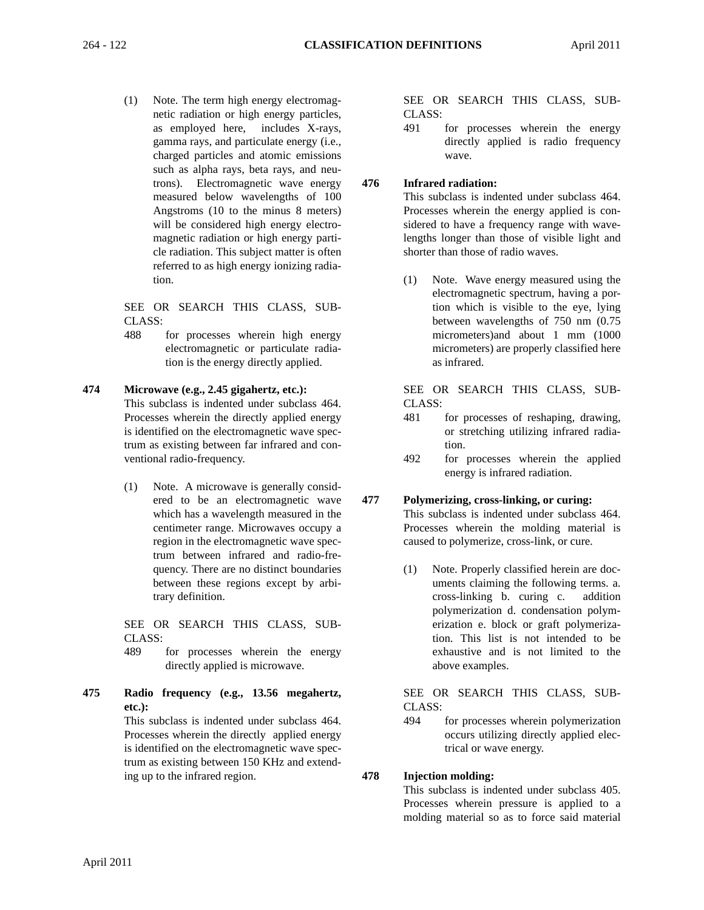(1) Note. The term high energy electromagnetic radiation or high energy particles, as employed here, includes X-rays, gamma rays, and particulate energy (i.e., charged particles and atomic emissions such as alpha rays, beta rays, and neutrons). Electromagnetic wave energy measured below wavelengths of 100 Angstroms (10 to the minus 8 meters) will be considered high energy electromagnetic radiation or high energy particle radiation. This subject matter is often referred to as high energy ionizing radia-

SEE OR SEARCH THIS CLASS, SUB-CLASS:

tion.

- 488 for processes wherein high energy electromagnetic or particulate radiation is the energy directly applied.
- **474 Microwave (e.g., 2.45 gigahertz, etc.):** This subclass is indented under subclass 464. Processes wherein the directly applied energy is identified on the electromagnetic wave spectrum as existing between far infrared and conventional radio-frequency.
	- (1) Note. A microwave is generally considered to be an electromagnetic wave which has a wavelength measured in the centimeter range. Microwaves occupy a region in the electromagnetic wave spectrum between infrared and radio-frequency. There are no distinct boundaries between these regions except by arbitrary definition.

SEE OR SEARCH THIS CLASS, SUB-CLASS:

- 489 for processes wherein the energy directly applied is microwave.
- **475 Radio frequency (e.g., 13.56 megahertz, etc.):**

This subclass is indented under subclass 464. Processes wherein the directly applied energy is identified on the electromagnetic wave spectrum as existing between 150 KHz and extending up to the infrared region.

SEE OR SEARCH THIS CLASS, SUB-CLASS:

491 for processes wherein the energy directly applied is radio frequency wave.

## **476 Infrared radiation:**

This subclass is indented under subclass 464. Processes wherein the energy applied is considered to have a frequency range with wavelengths longer than those of visible light and shorter than those of radio waves.

(1) Note. Wave energy measured using the electromagnetic spectrum, having a portion which is visible to the eye, lying between wavelengths of 750 nm (0.75 micrometers)and about 1 mm (1000 micrometers) are properly classified here as infrared.

SEE OR SEARCH THIS CLASS, SUB-CLASS:

- 481 for processes of reshaping, drawing, or stretching utilizing infrared radiation.
- 492 for processes wherein the applied energy is infrared radiation.

## **477 Polymerizing, cross-linking, or curing:**

This subclass is indented under subclass 464. Processes wherein the molding material is caused to polymerize, cross-link, or cure.

(1) Note. Properly classified herein are documents claiming the following terms. a. cross-linking b. curing c. addition polymerization d. condensation polymerization e. block or graft polymerization. This list is not intended to be exhaustive and is not limited to the above examples.

SEE OR SEARCH THIS CLASS, SUB-CLASS:

494 for processes wherein polymerization occurs utilizing directly applied electrical or wave energy.

## **478 Injection molding:**

This subclass is indented under subclass 405. Processes wherein pressure is applied to a molding material so as to force said material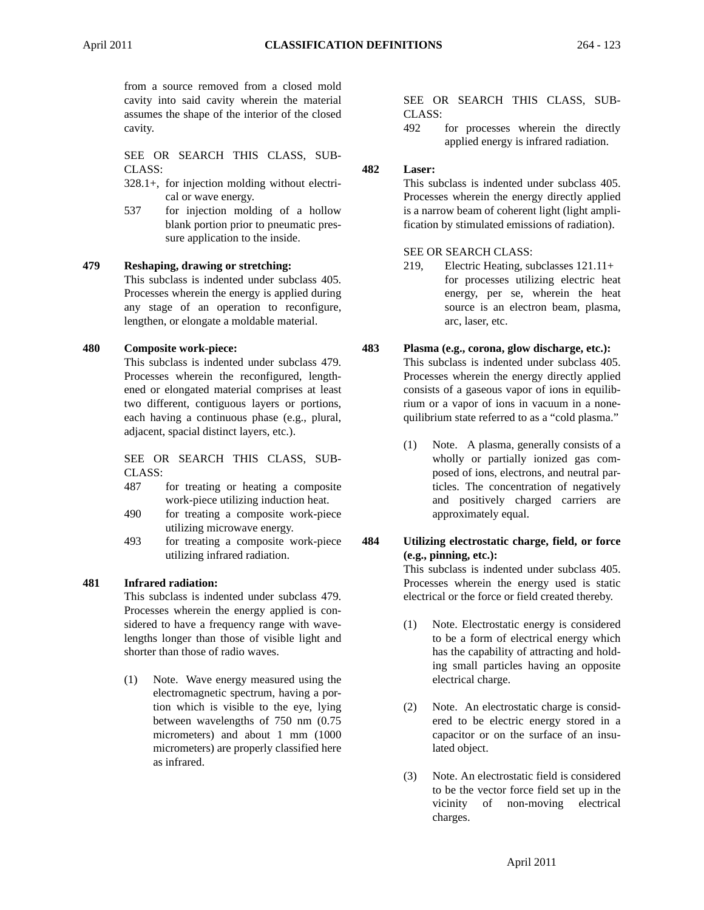from a source removed from a closed mold cavity into said cavity wherein the material assumes the shape of the interior of the closed cavity.

SEE OR SEARCH THIS CLASS, SUB-CLASS:

- 328.1+, for injection molding without electrical or wave energy.
- 537 for injection molding of a hollow blank portion prior to pneumatic pressure application to the inside.

## **479 Reshaping, drawing or stretching:**

This subclass is indented under subclass 405. Processes wherein the energy is applied during any stage of an operation to reconfigure, lengthen, or elongate a moldable material.

#### **480 Composite work-piece:**

This subclass is indented under subclass 479. Processes wherein the reconfigured, lengthened or elongated material comprises at least two different, contiguous layers or portions, each having a continuous phase (e.g., plural, adjacent, spacial distinct layers, etc.).

SEE OR SEARCH THIS CLASS, SUB-CLASS:

- 487 for treating or heating a composite work-piece utilizing induction heat.
- 490 for treating a composite work-piece utilizing microwave energy.
- 493 for treating a composite work-piece utilizing infrared radiation.

#### **481 Infrared radiation:**

This subclass is indented under subclass 479. Processes wherein the energy applied is considered to have a frequency range with wavelengths longer than those of visible light and shorter than those of radio waves.

(1) Note. Wave energy measured using the electromagnetic spectrum, having a portion which is visible to the eye, lying between wavelengths of 750 nm (0.75 micrometers) and about 1 mm (1000 micrometers) are properly classified here as infrared.

#### SEE OR SEARCH THIS CLASS, SUB-CLASS:

492 for processes wherein the directly applied energy is infrared radiation.

#### **482 Laser:**

This subclass is indented under subclass 405. Processes wherein the energy directly applied is a narrow beam of coherent light (light amplification by stimulated emissions of radiation).

#### SEE OR SEARCH CLASS:

219, Electric Heating, subclasses 121.11+ for processes utilizing electric heat energy, per se, wherein the heat source is an electron beam, plasma, arc, laser, etc.

#### **483 Plasma (e.g., corona, glow discharge, etc.):**

This subclass is indented under subclass 405. Processes wherein the energy directly applied consists of a gaseous vapor of ions in equilibrium or a vapor of ions in vacuum in a nonequilibrium state referred to as a "cold plasma."

(1) Note. A plasma, generally consists of a wholly or partially ionized gas composed of ions, electrons, and neutral particles. The concentration of negatively and positively charged carriers are approximately equal.

#### **484 Utilizing electrostatic charge, field, or force (e.g., pinning, etc.):**

This subclass is indented under subclass 405. Processes wherein the energy used is static electrical or the force or field created thereby.

- (1) Note. Electrostatic energy is considered to be a form of electrical energy which has the capability of attracting and holding small particles having an opposite electrical charge.
- (2) Note. An electrostatic charge is considered to be electric energy stored in a capacitor or on the surface of an insulated object.
- (3) Note. An electrostatic field is considered to be the vector force field set up in the vicinity of non-moving electrical charges.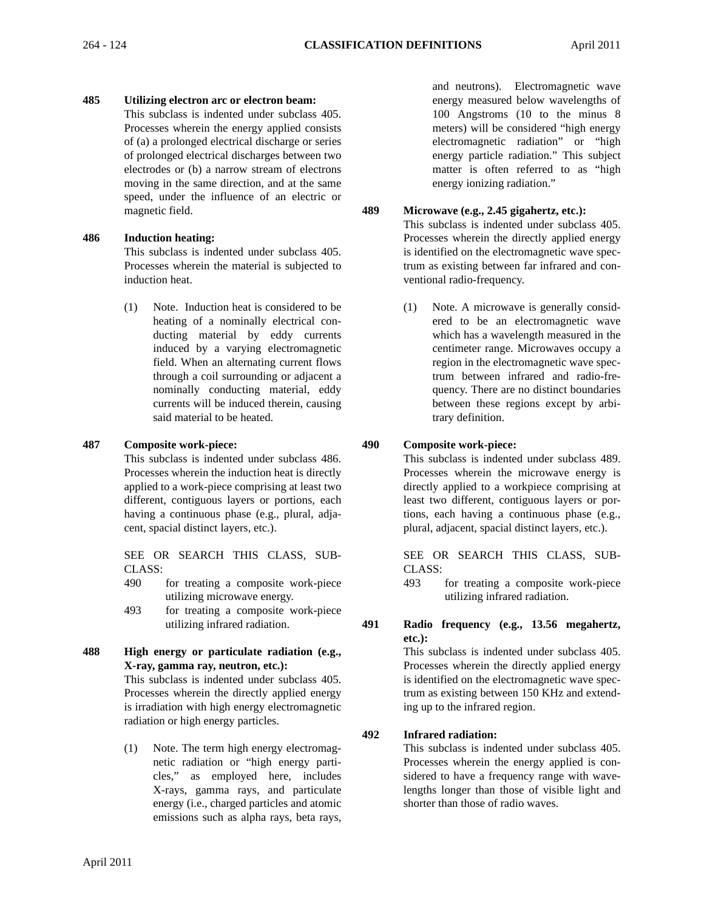#### **485 Utilizing electron arc or electron beam:**

This subclass is indented under subclass 405. Processes wherein the energy applied consists of (a) a prolonged electrical discharge or series of prolonged electrical discharges between two electrodes or (b) a narrow stream of electrons moving in the same direction, and at the same speed, under the influence of an electric or magnetic field.

#### **486 Induction heating:**

This subclass is indented under subclass 405. Processes wherein the material is subjected to induction heat.

(1) Note. Induction heat is considered to be heating of a nominally electrical conducting material by eddy currents induced by a varying electromagnetic field. When an alternating current flows through a coil surrounding or adjacent a nominally conducting material, eddy currents will be induced therein, causing said material to be heated.

## **487 Composite work-piece:**

This subclass is indented under subclass 486. Processes wherein the induction heat is directly applied to a work-piece comprising at least two different, contiguous layers or portions, each having a continuous phase (e.g., plural, adjacent, spacial distinct layers, etc.).

SEE OR SEARCH THIS CLASS, SUB-CLASS:

- 490 for treating a composite work-piece utilizing microwave energy.
- 493 for treating a composite work-piece utilizing infrared radiation.

## **488 High energy or particulate radiation (e.g., X-ray, gamma ray, neutron, etc.):**

This subclass is indented under subclass 405. Processes wherein the directly applied energy is irradiation with high energy electromagnetic radiation or high energy particles.

(1) Note. The term high energy electromagnetic radiation or "high energy particles," as employed here, includes X-rays, gamma rays, and particulate energy (i.e., charged particles and atomic emissions such as alpha rays, beta rays,

and neutrons). Electromagnetic wave energy measured below wavelengths of 100 Angstroms (10 to the minus 8 meters) will be considered "high energy electromagnetic radiation" or "high energy particle radiation." This subject matter is often referred to as "high energy ionizing radiation."

## **489 Microwave (e.g., 2.45 gigahertz, etc.):**

This subclass is indented under subclass 405. Processes wherein the directly applied energy is identified on the electromagnetic wave spectrum as existing between far infrared and conventional radio-frequency.

(1) Note. A microwave is generally considered to be an electromagnetic wave which has a wavelength measured in the centimeter range. Microwaves occupy a region in the electromagnetic wave spectrum between infrared and radio-frequency. There are no distinct boundaries between these regions except by arbitrary definition.

## **490 Composite work-piece:**

This subclass is indented under subclass 489. Processes wherein the microwave energy is directly applied to a workpiece comprising at least two different, contiguous layers or portions, each having a continuous phase (e.g., plural, adjacent, spacial distinct layers, etc.).

SEE OR SEARCH THIS CLASS, SUB-CLASS:

493 for treating a composite work-piece utilizing infrared radiation.

#### **491 Radio frequency (e.g., 13.56 megahertz, etc.):**

This subclass is indented under subclass 405. Processes wherein the directly applied energy is identified on the electromagnetic wave spectrum as existing between 150 KHz and extending up to the infrared region.

## **492 Infrared radiation:**

This subclass is indented under subclass 405. Processes wherein the energy applied is considered to have a frequency range with wavelengths longer than those of visible light and shorter than those of radio waves.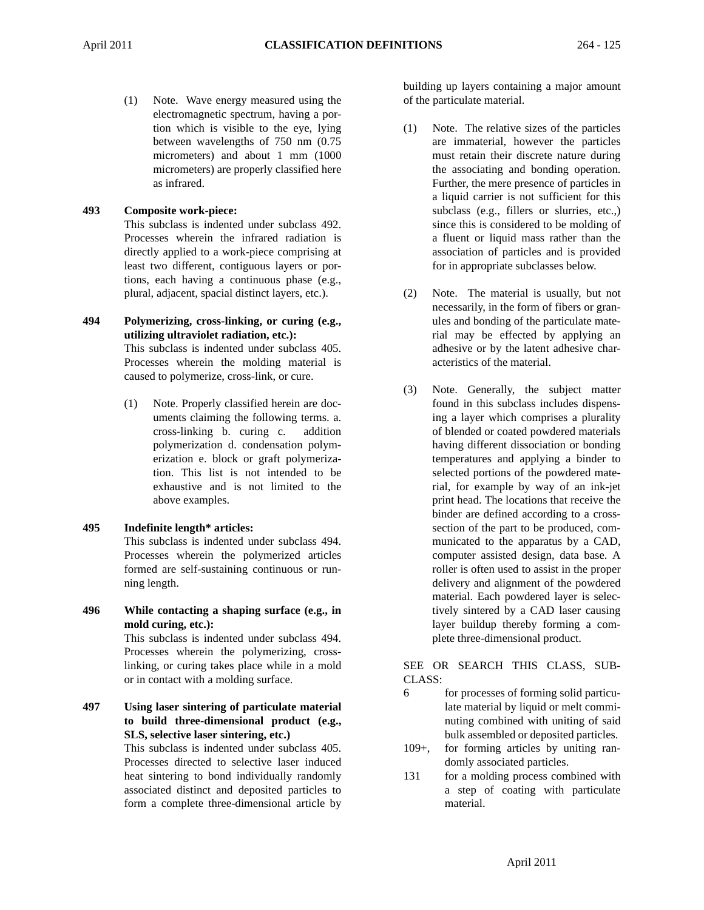(1) Note. Wave energy measured using the electromagnetic spectrum, having a portion which is visible to the eye, lying between wavelengths of 750 nm (0.75 micrometers) and about 1 mm (1000 micrometers) are properly classified here as infrared.

## **493 Composite work-piece:**

This subclass is indented under subclass 492. Processes wherein the infrared radiation is directly applied to a work-piece comprising at least two different, contiguous layers or portions, each having a continuous phase (e.g., plural, adjacent, spacial distinct layers, etc.).

**494 Polymerizing, cross-linking, or curing (e.g., utilizing ultraviolet radiation, etc.):** This subclass is indented under subclass 405. Processes wherein the molding material is caused to polymerize, cross-link, or cure.

> (1) Note. Properly classified herein are documents claiming the following terms. a. cross-linking b. curing c. addition polymerization d. condensation polymerization e. block or graft polymerization. This list is not intended to be exhaustive and is not limited to the above examples.

## **495 Indefinite length\* articles:**

This subclass is indented under subclass 494. Processes wherein the polymerized articles formed are self-sustaining continuous or running length.

**496 While contacting a shaping surface (e.g., in mold curing, etc.):**

This subclass is indented under subclass 494. Processes wherein the polymerizing, crosslinking, or curing takes place while in a mold or in contact with a molding surface.

**497 Using laser sintering of particulate material to build three-dimensional product (e.g., SLS, selective laser sintering, etc.)**

This subclass is indented under subclass 405. Processes directed to selective laser induced heat sintering to bond individually randomly associated distinct and deposited particles to form a complete three-dimensional article by

building up layers containing a major amount of the particulate material.

- (1) Note. The relative sizes of the particles are immaterial, however the particles must retain their discrete nature during the associating and bonding operation. Further, the mere presence of particles in a liquid carrier is not sufficient for this subclass (e.g., fillers or slurries, etc.,) since this is considered to be molding of a fluent or liquid mass rather than the association of particles and is provided for in appropriate subclasses below.
- (2) Note. The material is usually, but not necessarily, in the form of fibers or granules and bonding of the particulate material may be effected by applying an adhesive or by the latent adhesive characteristics of the material.
- (3) Note. Generally, the subject matter found in this subclass includes dispensing a layer which comprises a plurality of blended or coated powdered materials having different dissociation or bonding temperatures and applying a binder to selected portions of the powdered material, for example by way of an ink-jet print head. The locations that receive the binder are defined according to a crosssection of the part to be produced, communicated to the apparatus by a CAD, computer assisted design, data base. A roller is often used to assist in the proper delivery and alignment of the powdered material. Each powdered layer is selectively sintered by a CAD laser causing layer buildup thereby forming a complete three-dimensional product.

SEE OR SEARCH THIS CLASS, SUB-CLASS:

- 6 for processes of forming solid particulate material by liquid or melt comminuting combined with uniting of said bulk assembled or deposited particles.
- 109+, for forming articles by uniting randomly associated particles.
- 131 for a molding process combined with a step of coating with particulate material.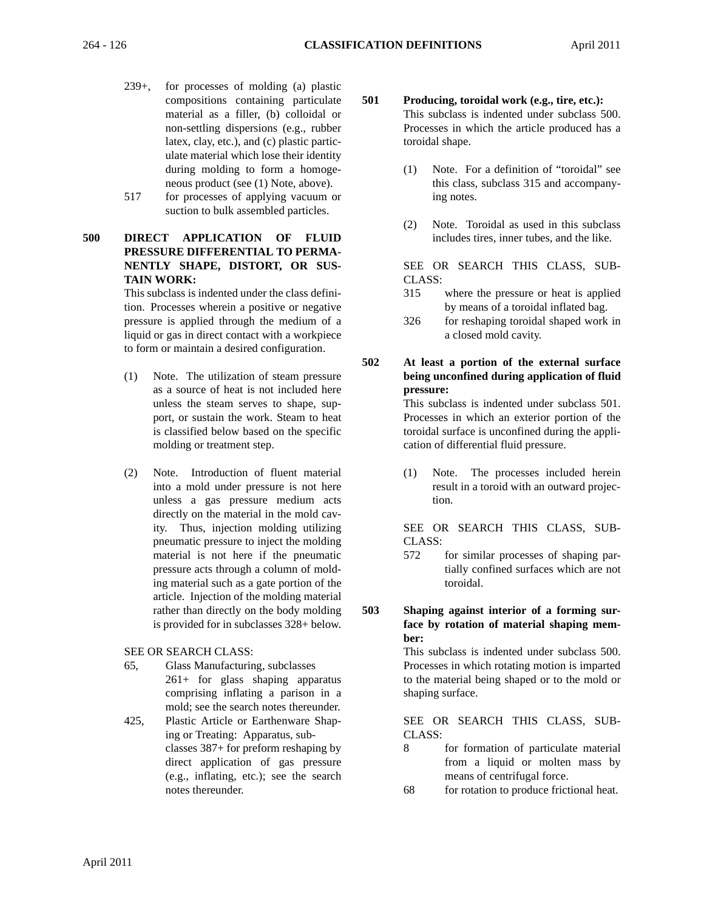- - 239+, for processes of molding (a) plastic compositions containing particulate material as a filler, (b) colloidal or non-settling dispersions (e.g., rubber latex, clay, etc.), and (c) plastic particulate material which lose their identity during molding to form a homogeneous product (see (1) Note, above).
	- 517 for processes of applying vacuum or suction to bulk assembled particles.
- **500 DIRECT APPLICATION OF FLUID PRESSURE DIFFERENTIAL TO PERMA-NENTLY SHAPE, DISTORT, OR SUS-TAIN WORK:**

This subclass is indented under the class definition. Processes wherein a positive or negative pressure is applied through the medium of a liquid or gas in direct contact with a workpiece to form or maintain a desired configuration.

- (1) Note. The utilization of steam pressure as a source of heat is not included here unless the steam serves to shape, support, or sustain the work. Steam to heat is classified below based on the specific molding or treatment step.
- (2) Note. Introduction of fluent material into a mold under pressure is not here unless a gas pressure medium acts directly on the material in the mold cavity. Thus, injection molding utilizing pneumatic pressure to inject the molding material is not here if the pneumatic pressure acts through a column of molding material such as a gate portion of the article. Injection of the molding material rather than directly on the body molding is provided for in subclasses 328+ below.

SEE OR SEARCH CLASS:

- 65, Glass Manufacturing, subclasses 261+ for glass shaping apparatus comprising inflating a parison in a mold; see the search notes thereunder.
- 425, Plastic Article or Earthenware Shaping or Treating: Apparatus, subclasses 387+ for preform reshaping by direct application of gas pressure (e.g., inflating, etc.); see the search notes thereunder.
- **501 Producing, toroidal work (e.g., tire, etc.):**  This subclass is indented under subclass 500. Processes in which the article produced has a toroidal shape.
	- (1) Note. For a definition of "toroidal" see this class, subclass 315 and accompanying notes.
	- (2) Note. Toroidal as used in this subclass includes tires, inner tubes, and the like.

SEE OR SEARCH THIS CLASS, SUB-CLASS:

- 315 where the pressure or heat is applied by means of a toroidal inflated bag.
- 326 for reshaping toroidal shaped work in a closed mold cavity.
- **502 At least a portion of the external surface being unconfined during application of fluid pressure:**

This subclass is indented under subclass 501. Processes in which an exterior portion of the toroidal surface is unconfined during the application of differential fluid pressure.

(1) Note. The processes included herein result in a toroid with an outward projection.

SEE OR SEARCH THIS CLASS, SUB-CLASS:

- 572 for similar processes of shaping partially confined surfaces which are not toroidal.
- **503 Shaping against interior of a forming surface by rotation of material shaping member:**

This subclass is indented under subclass 500. Processes in which rotating motion is imparted to the material being shaped or to the mold or shaping surface.

SEE OR SEARCH THIS CLASS, SUB-CLASS:

- 8 for formation of particulate material from a liquid or molten mass by means of centrifugal force.
- 68 for rotation to produce frictional heat.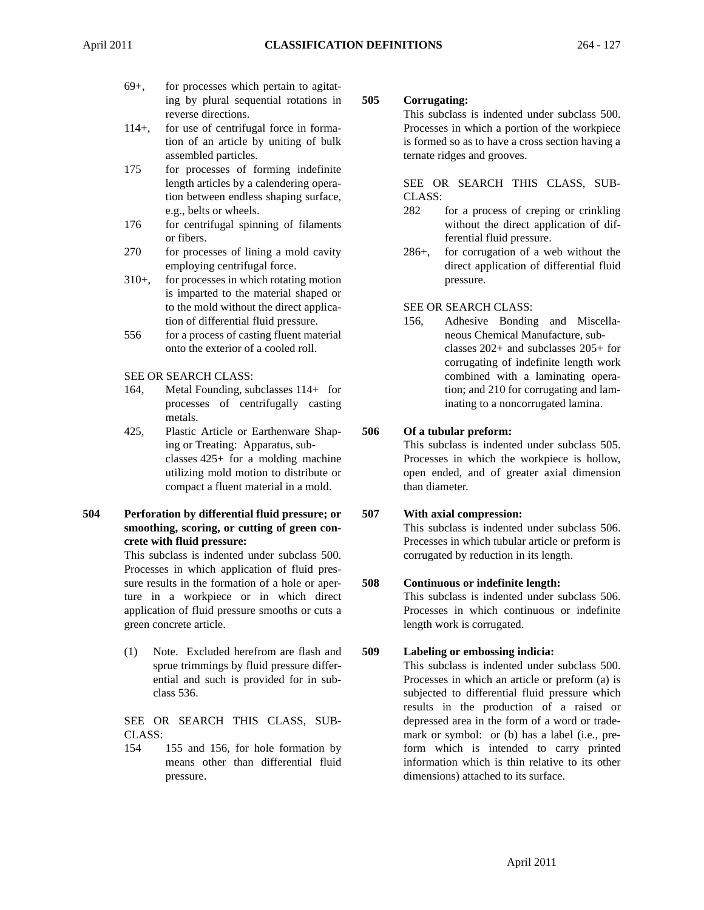- 69+, for processes which pertain to agitating by plural sequential rotations in reverse directions.
- 114+, for use of centrifugal force in formation of an article by uniting of bulk assembled particles.
- 175 for processes of forming indefinite length articles by a calendering operation between endless shaping surface, e.g., belts or wheels.
- 176 for centrifugal spinning of filaments or fibers.
- 270 for processes of lining a mold cavity employing centrifugal force.
- 310+, for processes in which rotating motion is imparted to the material shaped or to the mold without the direct application of differential fluid pressure.
- 556 for a process of casting fluent material onto the exterior of a cooled roll.

SEE OR SEARCH CLASS:

- 164, Metal Founding, subclasses 114+ for processes of centrifugally casting metals.
- 425, Plastic Article or Earthenware Shaping or Treating: Apparatus, subclasses 425+ for a molding machine utilizing mold motion to distribute or compact a fluent material in a mold.
- **504 Perforation by differential fluid pressure; or smoothing, scoring, or cutting of green concrete with fluid pressure:**

This subclass is indented under subclass 500. Processes in which application of fluid pressure results in the formation of a hole or aperture in a workpiece or in which direct application of fluid pressure smooths or cuts a green concrete article.

(1) Note. Excluded herefrom are flash and sprue trimmings by fluid pressure differential and such is provided for in subclass 536.

SEE OR SEARCH THIS CLASS, SUB-CLASS:

154 155 and 156, for hole formation by means other than differential fluid pressure.

#### **505 Corrugating:**

This subclass is indented under subclass 500. Processes in which a portion of the workpiece is formed so as to have a cross section having a ternate ridges and grooves.

SEE OR SEARCH THIS CLASS, SUB-CLASS:

- 282 for a process of creping or crinkling without the direct application of differential fluid pressure.
- 286+, for corrugation of a web without the direct application of differential fluid pressure.

#### SEE OR SEARCH CLASS:

156, Adhesive Bonding and Miscellaneous Chemical Manufacture, subclasses 202+ and subclasses 205+ for corrugating of indefinite length work combined with a laminating operation; and 210 for corrugating and laminating to a noncorrugated lamina.

#### **506 Of a tubular preform:**

This subclass is indented under subclass 505. Processes in which the workpiece is hollow, open ended, and of greater axial dimension than diameter.

#### **507 With axial compression:**

This subclass is indented under subclass 506. Precesses in which tubular article or preform is corrugated by reduction in its length.

#### **508 Continuous or indefinite length:**

This subclass is indented under subclass 506. Processes in which continuous or indefinite length work is corrugated.

## **509 Labeling or embossing indicia:**

This subclass is indented under subclass 500. Processes in which an article or preform (a) is subjected to differential fluid pressure which results in the production of a raised or depressed area in the form of a word or trademark or symbol: or (b) has a label (i.e., preform which is intended to carry printed information which is thin relative to its other dimensions) attached to its surface.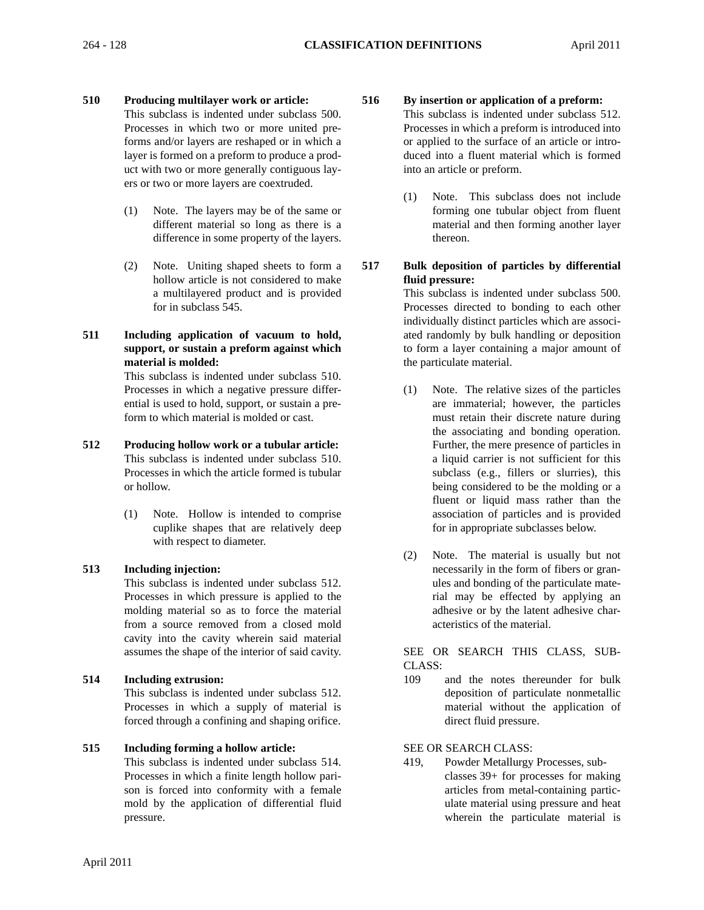## **510 Producing multilayer work or article:**

This subclass is indented under subclass 500. Processes in which two or more united preforms and/or layers are reshaped or in which a layer is formed on a preform to produce a product with two or more generally contiguous layers or two or more layers are coextruded.

- (1) Note. The layers may be of the same or different material so long as there is a difference in some property of the layers.
- (2) Note. Uniting shaped sheets to form a hollow article is not considered to make a multilayered product and is provided for in subclass 545.
- **511 Including application of vacuum to hold, support, or sustain a preform against which material is molded:**

This subclass is indented under subclass 510. Processes in which a negative pressure differential is used to hold, support, or sustain a preform to which material is molded or cast.

- **512 Producing hollow work or a tubular article:** This subclass is indented under subclass 510. Processes in which the article formed is tubular or hollow.
	- (1) Note. Hollow is intended to comprise cuplike shapes that are relatively deep with respect to diameter.

#### **513 Including injection:**

This subclass is indented under subclass 512. Processes in which pressure is applied to the molding material so as to force the material from a source removed from a closed mold cavity into the cavity wherein said material assumes the shape of the interior of said cavity.

**514 Including extrusion:** This subclass is indented under subclass 512. Processes in which a supply of material is forced through a confining and shaping orifice.

#### **515 Including forming a hollow article:**

This subclass is indented under subclass 514. Processes in which a finite length hollow parison is forced into conformity with a female mold by the application of differential fluid pressure.

- **516 By insertion or application of a preform:** This subclass is indented under subclass 512. Processes in which a preform is introduced into or applied to the surface of an article or introduced into a fluent material which is formed into an article or preform.
	- (1) Note. This subclass does not include forming one tubular object from fluent material and then forming another layer thereon.
- **517 Bulk deposition of particles by differential fluid pressure:**

This subclass is indented under subclass 500. Processes directed to bonding to each other individually distinct particles which are associated randomly by bulk handling or deposition to form a layer containing a major amount of the particulate material.

- (1) Note. The relative sizes of the particles are immaterial; however, the particles must retain their discrete nature during the associating and bonding operation. Further, the mere presence of particles in a liquid carrier is not sufficient for this subclass (e.g., fillers or slurries), this being considered to be the molding or a fluent or liquid mass rather than the association of particles and is provided for in appropriate subclasses below.
- (2) Note. The material is usually but not necessarily in the form of fibers or granules and bonding of the particulate material may be effected by applying an adhesive or by the latent adhesive characteristics of the material.

SEE OR SEARCH THIS CLASS, SUB-CLASS:

109 and the notes thereunder for bulk deposition of particulate nonmetallic material without the application of direct fluid pressure.

SEE OR SEARCH CLASS:

419, Powder Metallurgy Processes, subclasses 39+ for processes for making articles from metal-containing particulate material using pressure and heat wherein the particulate material is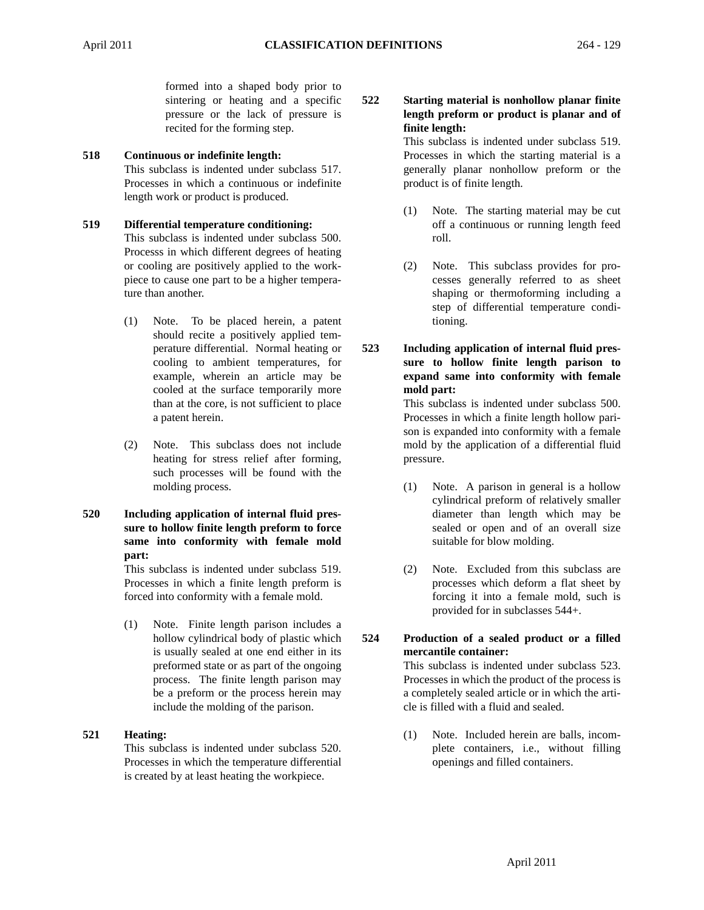formed into a shaped body prior to sintering or heating and a specific pressure or the lack of pressure is recited for the forming step.

# **518 Continuous or indefinite length:**

This subclass is indented under subclass 517. Processes in which a continuous or indefinite length work or product is produced.

## **519 Differential temperature conditioning:**

This subclass is indented under subclass 500. Processs in which different degrees of heating or cooling are positively applied to the workpiece to cause one part to be a higher temperature than another.

- (1) Note. To be placed herein, a patent should recite a positively applied temperature differential. Normal heating or cooling to ambient temperatures, for example, wherein an article may be cooled at the surface temporarily more than at the core, is not sufficient to place a patent herein.
- (2) Note. This subclass does not include heating for stress relief after forming, such processes will be found with the molding process.
- **520 Including application of internal fluid pressure to hollow finite length preform to force same into conformity with female mold part:**

This subclass is indented under subclass 519. Processes in which a finite length preform is forced into conformity with a female mold.

(1) Note. Finite length parison includes a hollow cylindrical body of plastic which is usually sealed at one end either in its preformed state or as part of the ongoing process. The finite length parison may be a preform or the process herein may include the molding of the parison.

# **521 Heating:**

This subclass is indented under subclass 520. Processes in which the temperature differential is created by at least heating the workpiece.

## **522 Starting material is nonhollow planar finite length preform or product is planar and of finite length:**

This subclass is indented under subclass 519. Processes in which the starting material is a generally planar nonhollow preform or the product is of finite length.

- (1) Note. The starting material may be cut off a continuous or running length feed roll.
- (2) Note. This subclass provides for processes generally referred to as sheet shaping or thermoforming including a step of differential temperature conditioning.
- **523 Including application of internal fluid pressure to hollow finite length parison to expand same into conformity with female mold part:**

This subclass is indented under subclass 500. Processes in which a finite length hollow parison is expanded into conformity with a female mold by the application of a differential fluid pressure.

- (1) Note. A parison in general is a hollow cylindrical preform of relatively smaller diameter than length which may be sealed or open and of an overall size suitable for blow molding.
- (2) Note. Excluded from this subclass are processes which deform a flat sheet by forcing it into a female mold, such is provided for in subclasses 544+.

**524 Production of a sealed product or a filled mercantile container:**

> This subclass is indented under subclass 523. Processes in which the product of the process is a completely sealed article or in which the article is filled with a fluid and sealed.

> (1) Note. Included herein are balls, incomplete containers, i.e., without filling openings and filled containers.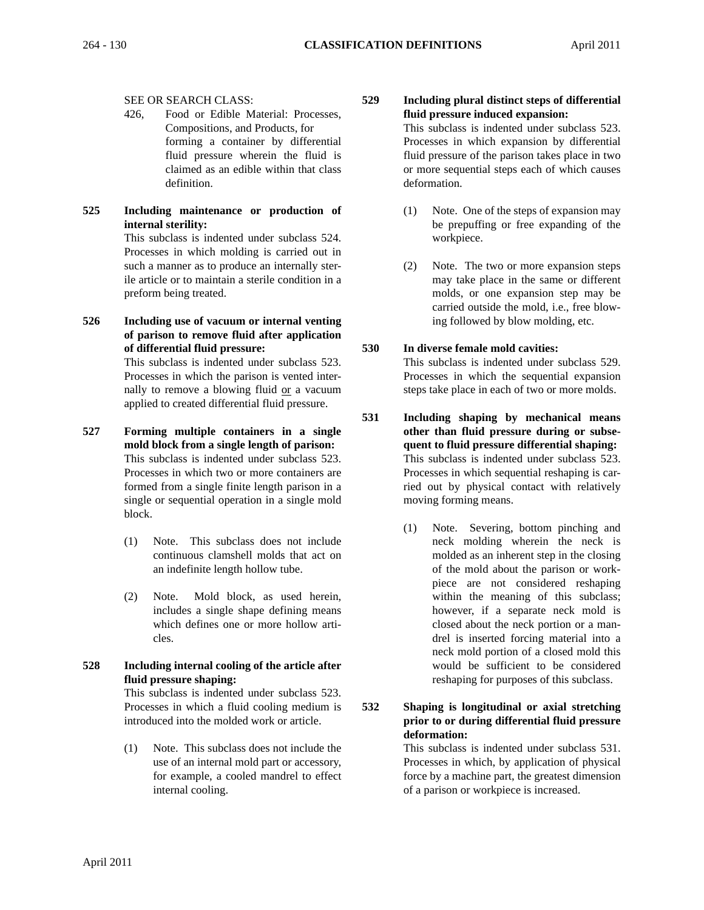#### SEE OR SEARCH CLASS:

- 426, Food or Edible Material: Processes, Compositions, and Products, for forming a container by differential fluid pressure wherein the fluid is claimed as an edible within that class definition.
- **525 Including maintenance or production of internal sterility:**

This subclass is indented under subclass 524. Processes in which molding is carried out in such a manner as to produce an internally sterile article or to maintain a sterile condition in a preform being treated.

**526 Including use of vacuum or internal venting of parison to remove fluid after application of differential fluid pressure:**

> This subclass is indented under subclass 523. Processes in which the parison is vented internally to remove a blowing fluid or a vacuum applied to created differential fluid pressure.

- **527 Forming multiple containers in a single mold block from a single length of parison:** This subclass is indented under subclass 523. Processes in which two or more containers are formed from a single finite length parison in a single or sequential operation in a single mold block.
	- (1) Note. This subclass does not include continuous clamshell molds that act on an indefinite length hollow tube.
	- (2) Note. Mold block, as used herein, includes a single shape defining means which defines one or more hollow articles.
- **528 Including internal cooling of the article after fluid pressure shaping:** This subclass is indented under subclass 523. Processes in which a fluid cooling medium is introduced into the molded work or article.
	- (1) Note. This subclass does not include the use of an internal mold part or accessory, for example, a cooled mandrel to effect internal cooling.

## **529 Including plural distinct steps of differential fluid pressure induced expansion:**

This subclass is indented under subclass 523. Processes in which expansion by differential fluid pressure of the parison takes place in two or more sequential steps each of which causes deformation.

- (1) Note. One of the steps of expansion may be prepuffing or free expanding of the workpiece.
- (2) Note. The two or more expansion steps may take place in the same or different molds, or one expansion step may be carried outside the mold, i.e., free blowing followed by blow molding, etc.

#### **530 In diverse female mold cavities:**

This subclass is indented under subclass 529. Processes in which the sequential expansion steps take place in each of two or more molds.

- **531 Including shaping by mechanical means other than fluid pressure during or subsequent to fluid pressure differential shaping:** This subclass is indented under subclass 523. Processes in which sequential reshaping is carried out by physical contact with relatively moving forming means.
	- (1) Note. Severing, bottom pinching and neck molding wherein the neck is molded as an inherent step in the closing of the mold about the parison or workpiece are not considered reshaping within the meaning of this subclass; however, if a separate neck mold is closed about the neck portion or a mandrel is inserted forcing material into a neck mold portion of a closed mold this would be sufficient to be considered reshaping for purposes of this subclass.

**532 Shaping is longitudinal or axial stretching prior to or during differential fluid pressure deformation:**

This subclass is indented under subclass 531. Processes in which, by application of physical force by a machine part, the greatest dimension of a parison or workpiece is increased.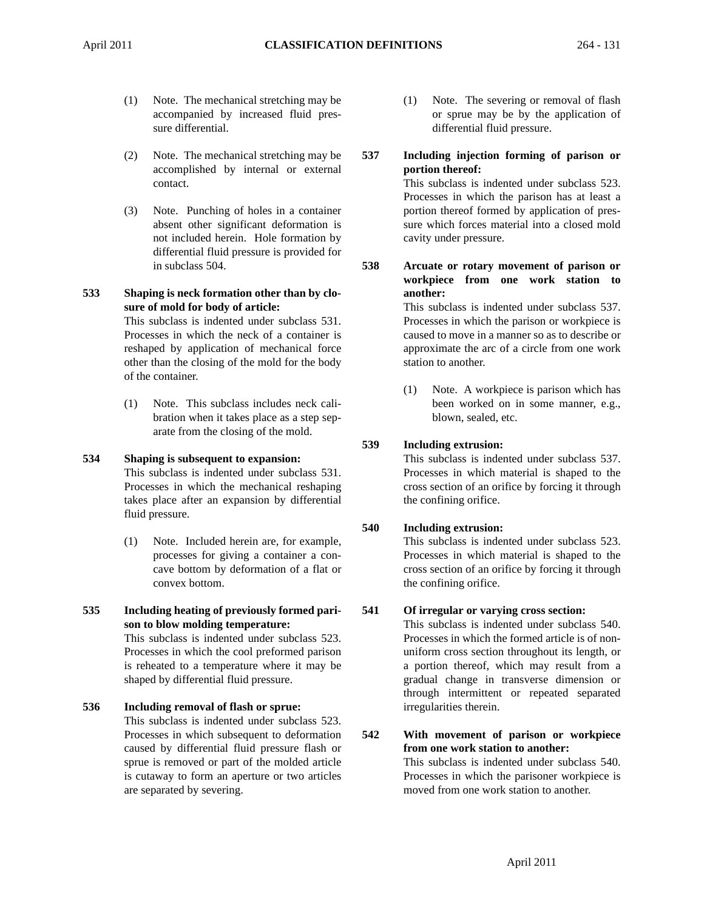- (1) Note. The mechanical stretching may be accompanied by increased fluid pressure differential.
- (2) Note. The mechanical stretching may be accomplished by internal or external contact.
- (3) Note. Punching of holes in a container absent other significant deformation is not included herein. Hole formation by differential fluid pressure is provided for in subclass 504.

#### **533 Shaping is neck formation other than by closure of mold for body of article:**

This subclass is indented under subclass 531. Processes in which the neck of a container is reshaped by application of mechanical force other than the closing of the mold for the body of the container.

(1) Note. This subclass includes neck calibration when it takes place as a step separate from the closing of the mold.

#### **534 Shaping is subsequent to expansion:**

This subclass is indented under subclass 531. Processes in which the mechanical reshaping takes place after an expansion by differential fluid pressure.

- (1) Note. Included herein are, for example, processes for giving a container a concave bottom by deformation of a flat or convex bottom.
- **535 Including heating of previously formed parison to blow molding temperature:**

This subclass is indented under subclass 523. Processes in which the cool preformed parison is reheated to a temperature where it may be shaped by differential fluid pressure.

**536 Including removal of flash or sprue:** This subclass is indented under subclass 523. Processes in which subsequent to deformation caused by differential fluid pressure flash or sprue is removed or part of the molded article is cutaway to form an aperture or two articles are separated by severing.

- (1) Note. The severing or removal of flash or sprue may be by the application of differential fluid pressure.
- **537 Including injection forming of parison or portion thereof:**

This subclass is indented under subclass 523. Processes in which the parison has at least a portion thereof formed by application of pressure which forces material into a closed mold cavity under pressure.

**538 Arcuate or rotary movement of parison or workpiece from one work station to another:**

> This subclass is indented under subclass 537. Processes in which the parison or workpiece is caused to move in a manner so as to describe or approximate the arc of a circle from one work station to another.

> (1) Note. A workpiece is parison which has been worked on in some manner, e.g., blown, sealed, etc.

## **539 Including extrusion:**

This subclass is indented under subclass 537. Processes in which material is shaped to the cross section of an orifice by forcing it through the confining orifice.

## **540 Including extrusion:**

This subclass is indented under subclass 523. Processes in which material is shaped to the cross section of an orifice by forcing it through the confining orifice.

#### **541 Of irregular or varying cross section:**

This subclass is indented under subclass 540. Processes in which the formed article is of nonuniform cross section throughout its length, or a portion thereof, which may result from a gradual change in transverse dimension or through intermittent or repeated separated irregularities therein.

**542 With movement of parison or workpiece from one work station to another:** This subclass is indented under subclass 540. Processes in which the parisoner workpiece is moved from one work station to another.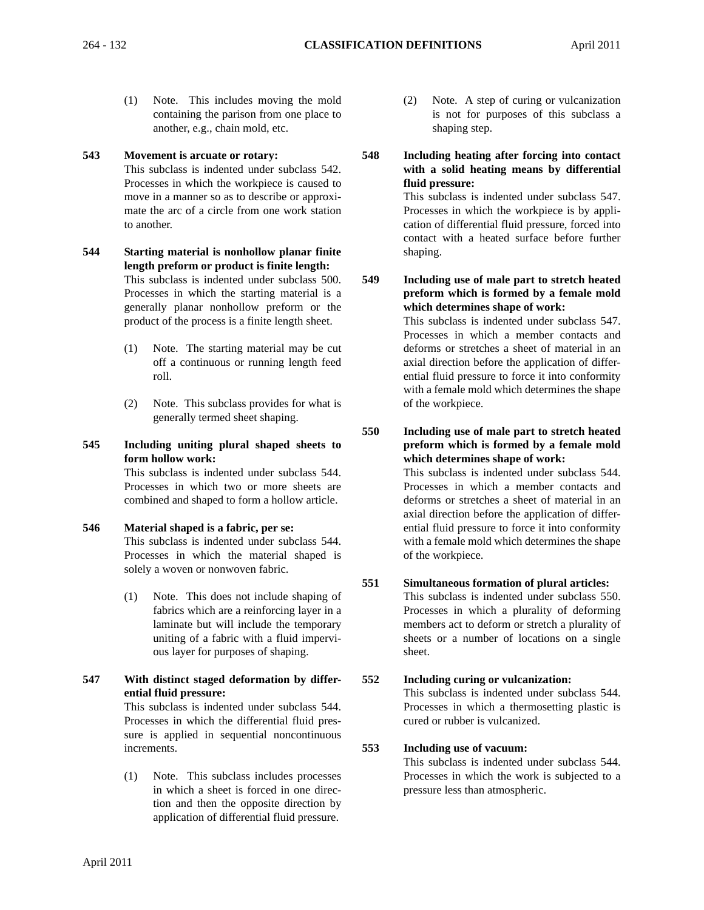(1) Note. This includes moving the mold containing the parison from one place to another, e.g., chain mold, etc.

#### **543 Movement is arcuate or rotary:**

This subclass is indented under subclass 542. Processes in which the workpiece is caused to move in a manner so as to describe or approximate the arc of a circle from one work station to another.

**544 Starting material is nonhollow planar finite length preform or product is finite length:** This subclass is indented under subclass 500. Processes in which the starting material is a generally planar nonhollow preform or the product of the process is a finite length sheet.

- (1) Note. The starting material may be cut off a continuous or running length feed roll.
- (2) Note. This subclass provides for what is generally termed sheet shaping.
- **545 Including uniting plural shaped sheets to form hollow work:**

This subclass is indented under subclass 544. Processes in which two or more sheets are combined and shaped to form a hollow article.

#### **546 Material shaped is a fabric, per se:**

This subclass is indented under subclass 544. Processes in which the material shaped is solely a woven or nonwoven fabric.

(1) Note. This does not include shaping of fabrics which are a reinforcing layer in a laminate but will include the temporary uniting of a fabric with a fluid impervious layer for purposes of shaping.

#### **547 With distinct staged deformation by differential fluid pressure:**

This subclass is indented under subclass 544. Processes in which the differential fluid pressure is applied in sequential noncontinuous increments.

(1) Note. This subclass includes processes in which a sheet is forced in one direction and then the opposite direction by application of differential fluid pressure.

- (2) Note. A step of curing or vulcanization is not for purposes of this subclass a shaping step.
- **548 Including heating after forcing into contact with a solid heating means by differential fluid pressure:**

This subclass is indented under subclass 547. Processes in which the workpiece is by application of differential fluid pressure, forced into contact with a heated surface before further shaping.

**549 Including use of male part to stretch heated preform which is formed by a female mold which determines shape of work:**

> This subclass is indented under subclass 547. Processes in which a member contacts and deforms or stretches a sheet of material in an axial direction before the application of differential fluid pressure to force it into conformity with a female mold which determines the shape of the workpiece.

**550 Including use of male part to stretch heated preform which is formed by a female mold which determines shape of work:**

> This subclass is indented under subclass 544. Processes in which a member contacts and deforms or stretches a sheet of material in an axial direction before the application of differential fluid pressure to force it into conformity with a female mold which determines the shape of the workpiece.

#### **551 Simultaneous formation of plural articles:**

This subclass is indented under subclass 550. Processes in which a plurality of deforming members act to deform or stretch a plurality of sheets or a number of locations on a single sheet.

#### **552 Including curing or vulcanization:**

This subclass is indented under subclass 544. Processes in which a thermosetting plastic is cured or rubber is vulcanized.

#### **553 Including use of vacuum:**

This subclass is indented under subclass 544. Processes in which the work is subjected to a pressure less than atmospheric.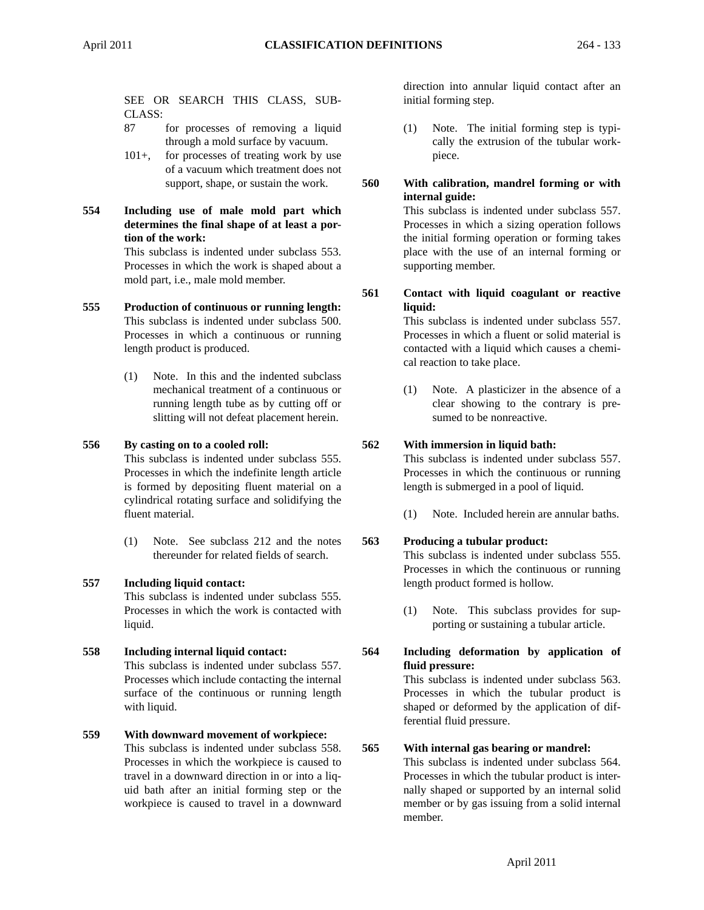- CLASS:
- 87 for processes of removing a liquid through a mold surface by vacuum.
- 101+, for processes of treating work by use of a vacuum which treatment does not support, shape, or sustain the work.
- **554 Including use of male mold part which determines the final shape of at least a portion of the work:**

This subclass is indented under subclass 553. Processes in which the work is shaped about a mold part, i.e., male mold member.

- **555 Production of continuous or running length:** This subclass is indented under subclass 500. Processes in which a continuous or running length product is produced.
	- (1) Note. In this and the indented subclass mechanical treatment of a continuous or running length tube as by cutting off or slitting will not defeat placement herein.

#### **556 By casting on to a cooled roll:**

This subclass is indented under subclass 555. Processes in which the indefinite length article is formed by depositing fluent material on a cylindrical rotating surface and solidifying the fluent material.

(1) Note. See subclass 212 and the notes thereunder for related fields of search.

## **557 Including liquid contact:**

This subclass is indented under subclass 555. Processes in which the work is contacted with liquid.

#### **558 Including internal liquid contact:**

This subclass is indented under subclass 557. Processes which include contacting the internal surface of the continuous or running length with liquid.

**559 With downward movement of workpiece:** This subclass is indented under subclass 558. Processes in which the workpiece is caused to travel in a downward direction in or into a liquid bath after an initial forming step or the workpiece is caused to travel in a downward

direction into annular liquid contact after an initial forming step.

- (1) Note. The initial forming step is typically the extrusion of the tubular workpiece.
- **560 With calibration, mandrel forming or with internal guide:**

This subclass is indented under subclass 557. Processes in which a sizing operation follows the initial forming operation or forming takes place with the use of an internal forming or supporting member.

**561 Contact with liquid coagulant or reactive liquid:**

This subclass is indented under subclass 557. Processes in which a fluent or solid material is contacted with a liquid which causes a chemical reaction to take place.

(1) Note. A plasticizer in the absence of a clear showing to the contrary is presumed to be nonreactive.

## **562 With immersion in liquid bath:**

This subclass is indented under subclass 557. Processes in which the continuous or running length is submerged in a pool of liquid.

(1) Note. Included herein are annular baths.

#### **563 Producing a tubular product:**

This subclass is indented under subclass 555. Processes in which the continuous or running length product formed is hollow.

- (1) Note. This subclass provides for supporting or sustaining a tubular article.
- **564 Including deformation by application of fluid pressure:**

This subclass is indented under subclass 563. Processes in which the tubular product is shaped or deformed by the application of differential fluid pressure.

#### **565 With internal gas bearing or mandrel:**

This subclass is indented under subclass 564. Processes in which the tubular product is internally shaped or supported by an internal solid member or by gas issuing from a solid internal member.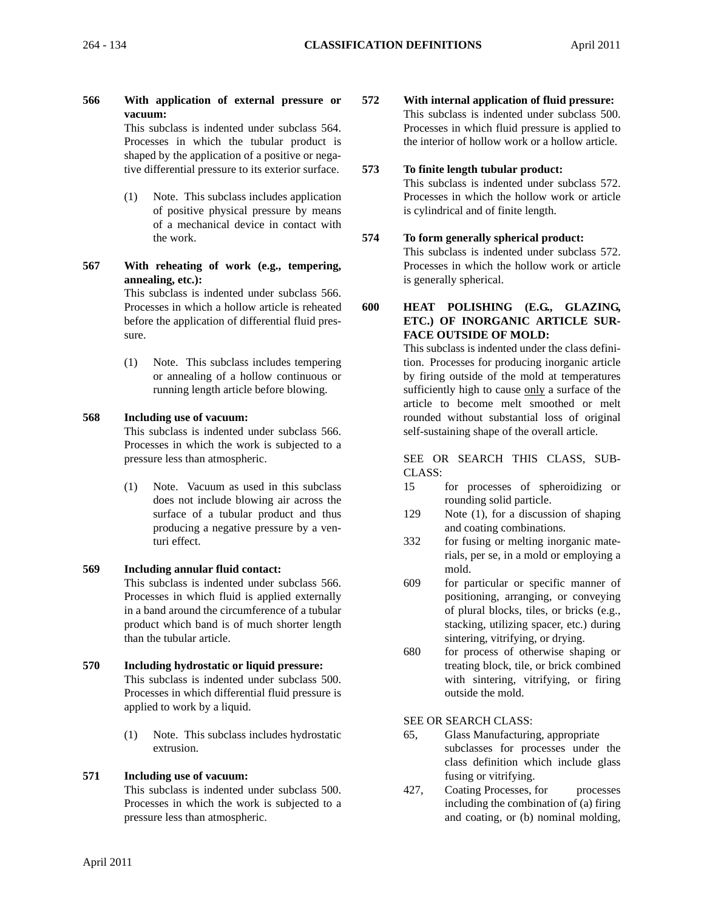**566 With application of external pressure or vacuum:** This subclass is indented under subclass 564.

Processes in which the tubular product is shaped by the application of a positive or negative differential pressure to its exterior surface.

(1) Note. This subclass includes application of positive physical pressure by means of a mechanical device in contact with the work.

**567 With reheating of work (e.g., tempering, annealing, etc.):** This subclass is indented under subclass 566. Processes in which a hollow article is reheated before the application of differential fluid pressure.

> (1) Note. This subclass includes tempering or annealing of a hollow continuous or running length article before blowing.

#### **568 Including use of vacuum:**

This subclass is indented under subclass 566. Processes in which the work is subjected to a pressure less than atmospheric.

(1) Note. Vacuum as used in this subclass does not include blowing air across the surface of a tubular product and thus producing a negative pressure by a venturi effect.

#### **569 Including annular fluid contact:**

This subclass is indented under subclass 566. Processes in which fluid is applied externally in a band around the circumference of a tubular product which band is of much shorter length than the tubular article.

- **570 Including hydrostatic or liquid pressure:** This subclass is indented under subclass 500. Processes in which differential fluid pressure is applied to work by a liquid.
	- (1) Note. This subclass includes hydrostatic extrusion.

#### **571 Including use of vacuum:**

This subclass is indented under subclass 500. Processes in which the work is subjected to a pressure less than atmospheric.

**572 With internal application of fluid pressure:** This subclass is indented under subclass 500. Processes in which fluid pressure is applied to the interior of hollow work or a hollow article.

## **573 To finite length tubular product:**

This subclass is indented under subclass 572. Processes in which the hollow work or article is cylindrical and of finite length.

#### **574 To form generally spherical product:**

This subclass is indented under subclass 572. Processes in which the hollow work or article is generally spherical.

**600 HEAT POLISHING (E.G., GLAZING, ETC.) OF INORGANIC ARTICLE SUR-FACE OUTSIDE OF MOLD:**

> This subclass is indented under the class definition. Processes for producing inorganic article by firing outside of the mold at temperatures sufficiently high to cause only a surface of the article to become melt smoothed or melt rounded without substantial loss of original self-sustaining shape of the overall article.

> SEE OR SEARCH THIS CLASS, SUB-CLASS:

- 15 for processes of spheroidizing or rounding solid particle.
- 129 Note (1), for a discussion of shaping and coating combinations.
- 332 for fusing or melting inorganic materials, per se, in a mold or employing a mold.
- 609 for particular or specific manner of positioning, arranging, or conveying of plural blocks, tiles, or bricks (e.g., stacking, utilizing spacer, etc.) during sintering, vitrifying, or drying.
- 680 for process of otherwise shaping or treating block, tile, or brick combined with sintering, vitrifying, or firing outside the mold.

SEE OR SEARCH CLASS:

- 65, Glass Manufacturing, appropriate subclasses for processes under the class definition which include glass fusing or vitrifying.
- 427, Coating Processes, for processes including the combination of (a) firing and coating, or (b) nominal molding,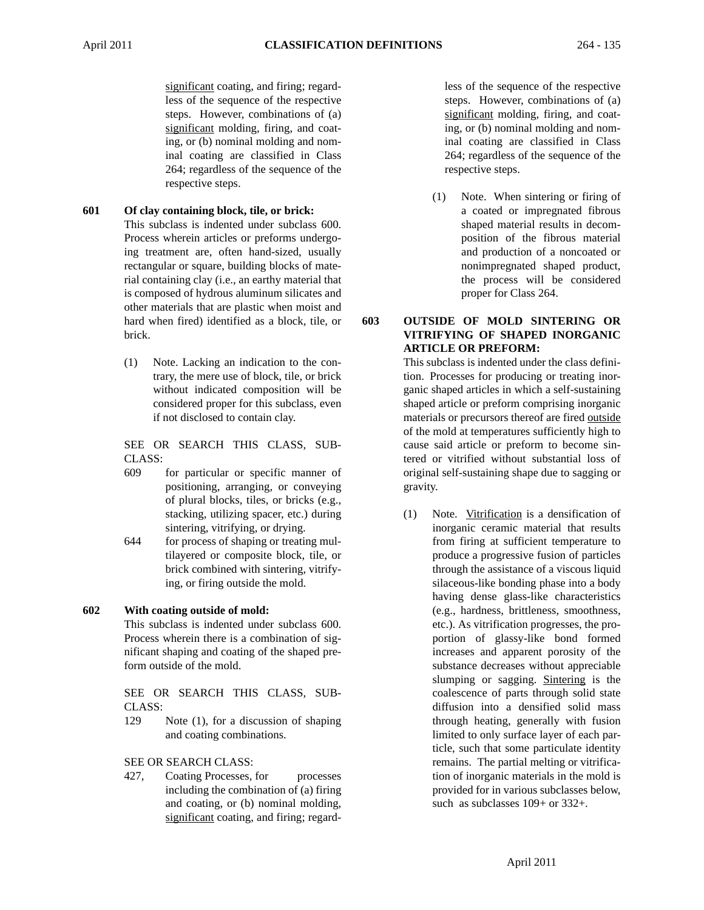significant coating, and firing; regardless of the sequence of the respective steps. However, combinations of (a) significant molding, firing, and coating, or (b) nominal molding and nominal coating are classified in Class 264; regardless of the sequence of the respective steps.

- **601 Of clay containing block, tile, or brick:** This subclass is indented under subclass 600. Process wherein articles or preforms undergoing treatment are, often hand-sized, usually rectangular or square, building blocks of material containing clay (i.e., an earthy material that is composed of hydrous aluminum silicates and other materials that are plastic when moist and hard when fired) identified as a block, tile, or brick.
	- (1) Note. Lacking an indication to the contrary, the mere use of block, tile, or brick without indicated composition will be considered proper for this subclass, even if not disclosed to contain clay.

SEE OR SEARCH THIS CLASS, SUB-CLASS:

- 609 for particular or specific manner of positioning, arranging, or conveying of plural blocks, tiles, or bricks (e.g., stacking, utilizing spacer, etc.) during sintering, vitrifying, or drying.
- 644 for process of shaping or treating multilayered or composite block, tile, or brick combined with sintering, vitrifying, or firing outside the mold.

#### **602 With coating outside of mold:**

This subclass is indented under subclass 600. Process wherein there is a combination of significant shaping and coating of the shaped preform outside of the mold.

SEE OR SEARCH THIS CLASS, SUB-CLASS:

129 Note (1), for a discussion of shaping and coating combinations.

#### SEE OR SEARCH CLASS:

427, Coating Processes, for processes including the combination of (a) firing and coating, or (b) nominal molding, significant coating, and firing; regardless of the sequence of the respective steps. However, combinations of (a) significant molding, firing, and coating, or (b) nominal molding and nominal coating are classified in Class 264; regardless of the sequence of the respective steps.

(1) Note. When sintering or firing of a coated or impregnated fibrous shaped material results in decomposition of the fibrous material and production of a noncoated or nonimpregnated shaped product, the process will be considered proper for Class 264.

#### **603 OUTSIDE OF MOLD SINTERING OR VITRIFYING OF SHAPED INORGANIC ARTICLE OR PREFORM:**

This subclass is indented under the class definition. Processes for producing or treating inorganic shaped articles in which a self-sustaining shaped article or preform comprising inorganic materials or precursors thereof are fired outside of the mold at temperatures sufficiently high to cause said article or preform to become sintered or vitrified without substantial loss of original self-sustaining shape due to sagging or gravity.

(1) Note. Vitrification is a densification of inorganic ceramic material that results from firing at sufficient temperature to produce a progressive fusion of particles through the assistance of a viscous liquid silaceous-like bonding phase into a body having dense glass-like characteristics (e.g., hardness, brittleness, smoothness, etc.). As vitrification progresses, the proportion of glassy-like bond formed increases and apparent porosity of the substance decreases without appreciable slumping or sagging. Sintering is the coalescence of parts through solid state diffusion into a densified solid mass through heating, generally with fusion limited to only surface layer of each particle, such that some particulate identity remains. The partial melting or vitrification of inorganic materials in the mold is provided for in various subclasses below, such as subclasses  $109+$  or  $332+$ .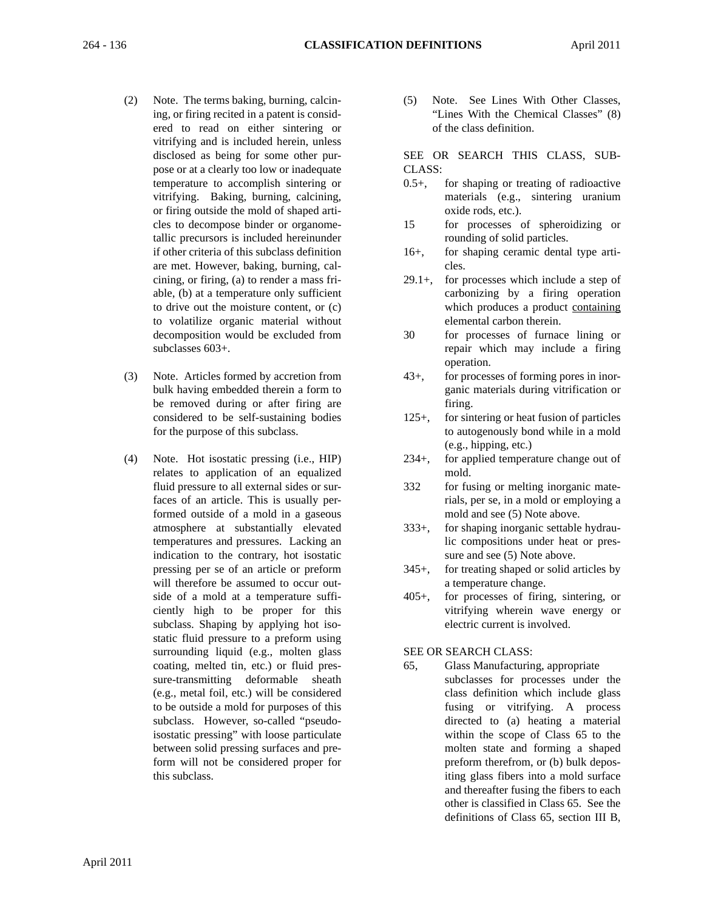- (2) Note. The terms baking, burning, calcining, or firing recited in a patent is considered to read on either sintering or vitrifying and is included herein, unless disclosed as being for some other purpose or at a clearly too low or inadequate temperature to accomplish sintering or vitrifying. Baking, burning, calcining, or firing outside the mold of shaped articles to decompose binder or organometallic precursors is included hereinunder if other criteria of this subclass definition are met. However, baking, burning, calcining, or firing, (a) to render a mass friable, (b) at a temperature only sufficient to drive out the moisture content, or (c) to volatilize organic material without decomposition would be excluded from subclasses 603+.
- (3) Note. Articles formed by accretion from bulk having embedded therein a form to be removed during or after firing are considered to be self-sustaining bodies for the purpose of this subclass.
- (4) Note. Hot isostatic pressing (i.e., HIP) relates to application of an equalized fluid pressure to all external sides or surfaces of an article. This is usually performed outside of a mold in a gaseous atmosphere at substantially elevated temperatures and pressures. Lacking an indication to the contrary, hot isostatic pressing per se of an article or preform will therefore be assumed to occur outside of a mold at a temperature sufficiently high to be proper for this subclass. Shaping by applying hot isostatic fluid pressure to a preform using surrounding liquid (e.g., molten glass coating, melted tin, etc.) or fluid pressure-transmitting deformable sheath (e.g., metal foil, etc.) will be considered to be outside a mold for purposes of this subclass. However, so-called "pseudoisostatic pressing" with loose particulate between solid pressing surfaces and preform will not be considered proper for this subclass.

(5) Note. See Lines With Other Classes, "Lines With the Chemical Classes" (8) of the class definition.

SEE OR SEARCH THIS CLASS, SUB-CLASS:

- 0.5+, for shaping or treating of radioactive materials (e.g., sintering uranium oxide rods, etc.).
- 15 for processes of spheroidizing or rounding of solid particles.
- 16+, for shaping ceramic dental type articles.
- 29.1+, for processes which include a step of carbonizing by a firing operation which produces a product containing elemental carbon therein.
- 30 for processes of furnace lining or repair which may include a firing operation.
- 43+, for processes of forming pores in inorganic materials during vitrification or firing.
- 125+, for sintering or heat fusion of particles to autogenously bond while in a mold (e.g., hipping, etc.)
- 234+, for applied temperature change out of mold.
- 332 for fusing or melting inorganic materials, per se, in a mold or employing a mold and see (5) Note above.
- 333+, for shaping inorganic settable hydraulic compositions under heat or pressure and see (5) Note above.
- 345+, for treating shaped or solid articles by a temperature change.
- 405+, for processes of firing, sintering, or vitrifying wherein wave energy or electric current is involved.

SEE OR SEARCH CLASS:

65, Glass Manufacturing, appropriate subclasses for processes under the class definition which include glass fusing or vitrifying. A process directed to (a) heating a material within the scope of Class 65 to the molten state and forming a shaped preform therefrom, or (b) bulk depositing glass fibers into a mold surface and thereafter fusing the fibers to each other is classified in Class 65. See the definitions of Class 65, section III B,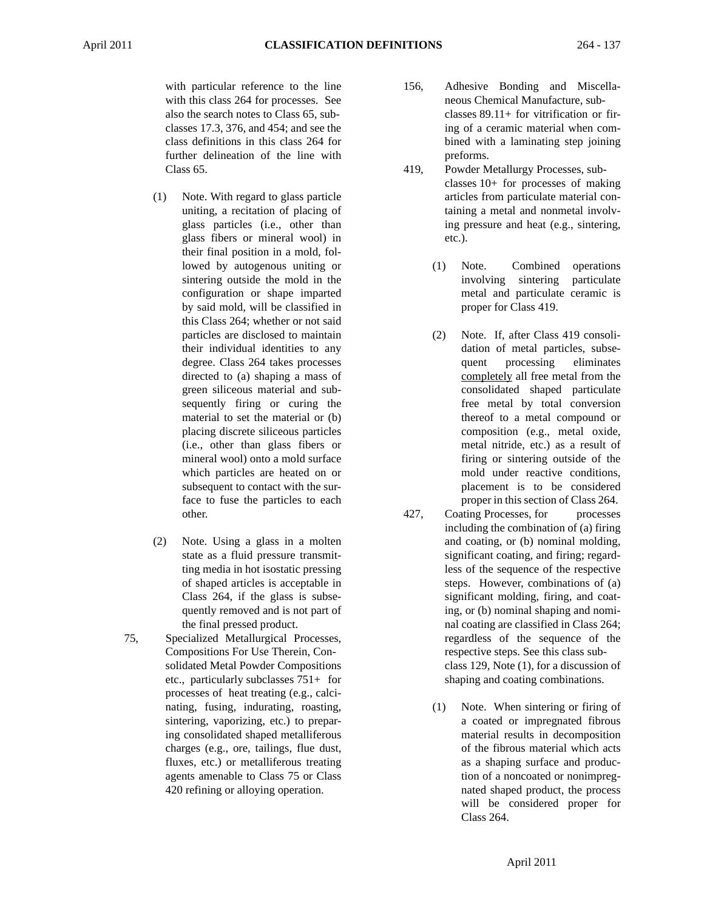with particular reference to the line with this class 264 for processes. See also the search notes to Class 65, subclasses 17.3, 376, and 454; and see the class definitions in this class 264 for further delineation of the line with Class 65.

- (1) Note. With regard to glass particle uniting, a recitation of placing of glass particles (i.e., other than glass fibers or mineral wool) in their final position in a mold, followed by autogenous uniting or sintering outside the mold in the configuration or shape imparted by said mold, will be classified in this Class 264; whether or not said particles are disclosed to maintain their individual identities to any degree. Class 264 takes processes directed to (a) shaping a mass of green siliceous material and subsequently firing or curing the material to set the material or (b) placing discrete siliceous particles (i.e., other than glass fibers or mineral wool) onto a mold surface which particles are heated on or subsequent to contact with the surface to fuse the particles to each other.
- (2) Note. Using a glass in a molten state as a fluid pressure transmitting media in hot isostatic pressing of shaped articles is acceptable in Class 264, if the glass is subsequently removed and is not part of the final pressed product.
- 75, Specialized Metallurgical Processes, Compositions For Use Therein, Consolidated Metal Powder Compositions etc., particularly subclasses 751+ for processes of heat treating (e.g., calcinating, fusing, indurating, roasting, sintering, vaporizing, etc.) to preparing consolidated shaped metalliferous charges (e.g., ore, tailings, flue dust, fluxes, etc.) or metalliferous treating agents amenable to Class 75 or Class 420 refining or alloying operation.
- 156, Adhesive Bonding and Miscellaneous Chemical Manufacture, subclasses 89.11+ for vitrification or firing of a ceramic material when combined with a laminating step joining preforms.
- 419, Powder Metallurgy Processes, subclasses 10+ for processes of making articles from particulate material containing a metal and nonmetal involving pressure and heat (e.g., sintering, etc.).
	- (1) Note. Combined operations involving sintering particulate metal and particulate ceramic is proper for Class 419.
	- (2) Note. If, after Class 419 consolidation of metal particles, subsequent processing eliminates completely all free metal from the consolidated shaped particulate free metal by total conversion thereof to a metal compound or composition (e.g., metal oxide, metal nitride, etc.) as a result of firing or sintering outside of the mold under reactive conditions, placement is to be considered proper in this section of Class 264.
- 427, Coating Processes, for processes including the combination of (a) firing and coating, or (b) nominal molding, significant coating, and firing; regardless of the sequence of the respective steps. However, combinations of (a) significant molding, firing, and coating, or (b) nominal shaping and nominal coating are classified in Class 264; regardless of the sequence of the respective steps. See this class subclass 129, Note (1), for a discussion of shaping and coating combinations.
	- (1) Note. When sintering or firing of a coated or impregnated fibrous material results in decomposition of the fibrous material which acts as a shaping surface and production of a noncoated or nonimpregnated shaped product, the process will be considered proper for Class 264.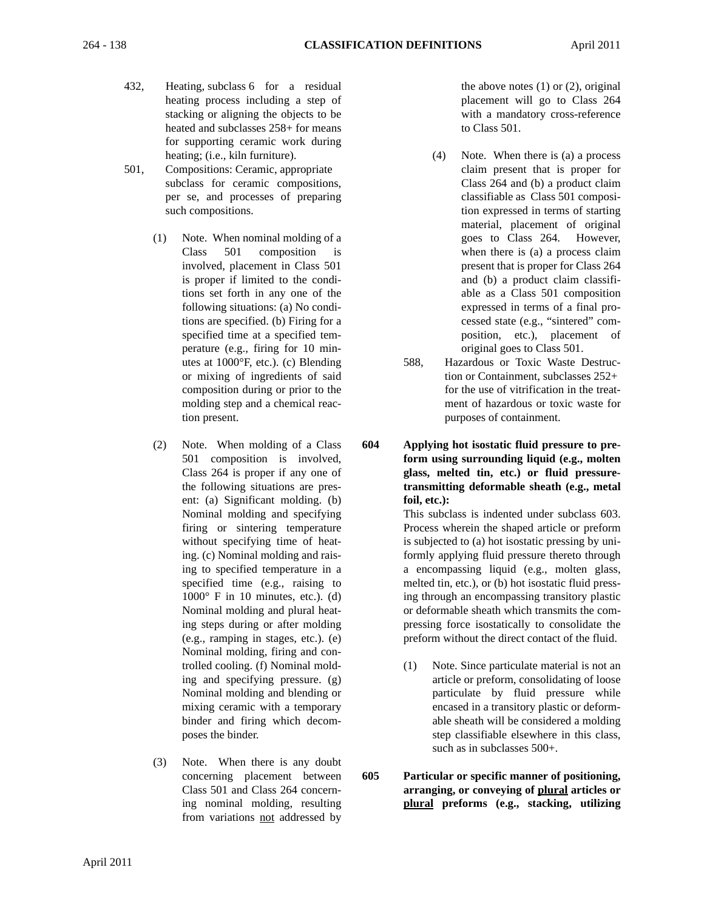- 432, Heating, subclass 6 for a residual heating process including a step of stacking or aligning the objects to be heated and subclasses 258+ for means for supporting ceramic work during heating; (i.e., kiln furniture).
- 501, Compositions: Ceramic, appropriate subclass for ceramic compositions, per se, and processes of preparing such compositions.
	- (1) Note. When nominal molding of a Class 501 composition is involved, placement in Class 501 is proper if limited to the conditions set forth in any one of the following situations: (a) No conditions are specified. (b) Firing for a specified time at a specified temperature (e.g., firing for 10 minutes at 1000°F, etc.). (c) Blending or mixing of ingredients of said composition during or prior to the molding step and a chemical reaction present.
	- (2) Note. When molding of a Class 501 composition is involved, Class 264 is proper if any one of the following situations are present: (a) Significant molding. (b) Nominal molding and specifying firing or sintering temperature without specifying time of heating. (c) Nominal molding and raising to specified temperature in a specified time (e.g., raising to  $1000^\circ$  F in 10 minutes, etc.). (d) Nominal molding and plural heating steps during or after molding (e.g., ramping in stages, etc.). (e) Nominal molding, firing and controlled cooling. (f) Nominal molding and specifying pressure. (g) Nominal molding and blending or mixing ceramic with a temporary binder and firing which decomposes the binder.
	- (3) Note. When there is any doubt concerning placement between Class 501 and Class 264 concerning nominal molding, resulting from variations not addressed by

the above notes  $(1)$  or  $(2)$ , original placement will go to Class 264 with a mandatory cross-reference to Class 501.

- (4) Note. When there is (a) a process claim present that is proper for Class 264 and (b) a product claim classifiable as Class 501 composition expressed in terms of starting material, placement of original goes to Class 264. However, when there is (a) a process claim present that is proper for Class 264 and (b) a product claim classifiable as a Class 501 composition expressed in terms of a final processed state (e.g., "sintered" composition, etc.), placement of original goes to Class 501.
- 588, Hazardous or Toxic Waste Destruction or Containment, subclasses 252+ for the use of vitrification in the treatment of hazardous or toxic waste for purposes of containment.
- **604 Applying hot isostatic fluid pressure to preform using surrounding liquid (e.g., molten glass, melted tin, etc.) or fluid pressuretransmitting deformable sheath (e.g., metal foil, etc.):**

This subclass is indented under subclass 603. Process wherein the shaped article or preform is subjected to (a) hot isostatic pressing by uniformly applying fluid pressure thereto through a encompassing liquid (e.g., molten glass, melted tin, etc.), or (b) hot isostatic fluid pressing through an encompassing transitory plastic or deformable sheath which transmits the compressing force isostatically to consolidate the preform without the direct contact of the fluid.

- (1) Note. Since particulate material is not an article or preform, consolidating of loose particulate by fluid pressure while encased in a transitory plastic or deformable sheath will be considered a molding step classifiable elsewhere in this class, such as in subclasses 500+.
- **605 Particular or specific manner of positioning, arranging, or conveying of plural articles or plural preforms (e.g., stacking, utilizing**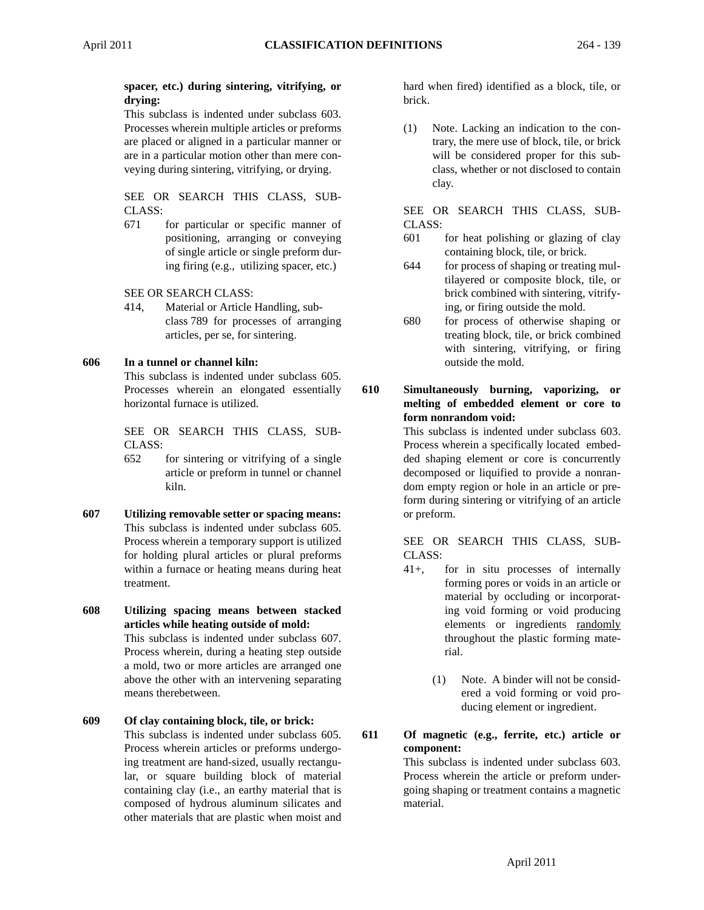#### **spacer, etc.) during sintering, vitrifying, or drying:**

This subclass is indented under subclass 603. Processes wherein multiple articles or preforms are placed or aligned in a particular manner or are in a particular motion other than mere conveying during sintering, vitrifying, or drying.

SEE OR SEARCH THIS CLASS, SUB-CLASS:

671 for particular or specific manner of positioning, arranging or conveying of single article or single preform during firing (e.g., utilizing spacer, etc.)

SEE OR SEARCH CLASS:

414, Material or Article Handling, subclass 789 for processes of arranging articles, per se, for sintering.

#### **606 In a tunnel or channel kiln:**

This subclass is indented under subclass 605. Processes wherein an elongated essentially horizontal furnace is utilized.

SEE OR SEARCH THIS CLASS, SUB-CLASS:

- 652 for sintering or vitrifying of a single article or preform in tunnel or channel kiln.
- **607 Utilizing removable setter or spacing means:** This subclass is indented under subclass 605. Process wherein a temporary support is utilized for holding plural articles or plural preforms within a furnace or heating means during heat treatment.
- **608 Utilizing spacing means between stacked articles while heating outside of mold:** This subclass is indented under subclass 607. Process wherein, during a heating step outside a mold, two or more articles are arranged one above the other with an intervening separating means therebetween.

## **609 Of clay containing block, tile, or brick:**

This subclass is indented under subclass 605. Process wherein articles or preforms undergoing treatment are hand-sized, usually rectangular, or square building block of material containing clay (i.e., an earthy material that is composed of hydrous aluminum silicates and other materials that are plastic when moist and hard when fired) identified as a block, tile, or brick.

(1) Note. Lacking an indication to the contrary, the mere use of block, tile, or brick will be considered proper for this subclass, whether or not disclosed to contain clay.

SEE OR SEARCH THIS CLASS, SUB-CLASS:

- 601 for heat polishing or glazing of clay containing block, tile, or brick.
- 644 for process of shaping or treating multilayered or composite block, tile, or brick combined with sintering, vitrifying, or firing outside the mold.
- 680 for process of otherwise shaping or treating block, tile, or brick combined with sintering, vitrifying, or firing outside the mold.
- **610 Simultaneously burning, vaporizing, or melting of embedded element or core to form nonrandom void:**

This subclass is indented under subclass 603. Process wherein a specifically located embedded shaping element or core is concurrently decomposed or liquified to provide a nonrandom empty region or hole in an article or preform during sintering or vitrifying of an article or preform.

SEE OR SEARCH THIS CLASS, SUB-CLASS:

- 41+, for in situ processes of internally forming pores or voids in an article or material by occluding or incorporating void forming or void producing elements or ingredients randomly throughout the plastic forming material.
	- (1) Note. A binder will not be considered a void forming or void producing element or ingredient.
- **611 Of magnetic (e.g., ferrite, etc.) article or component:**

This subclass is indented under subclass 603. Process wherein the article or preform undergoing shaping or treatment contains a magnetic material.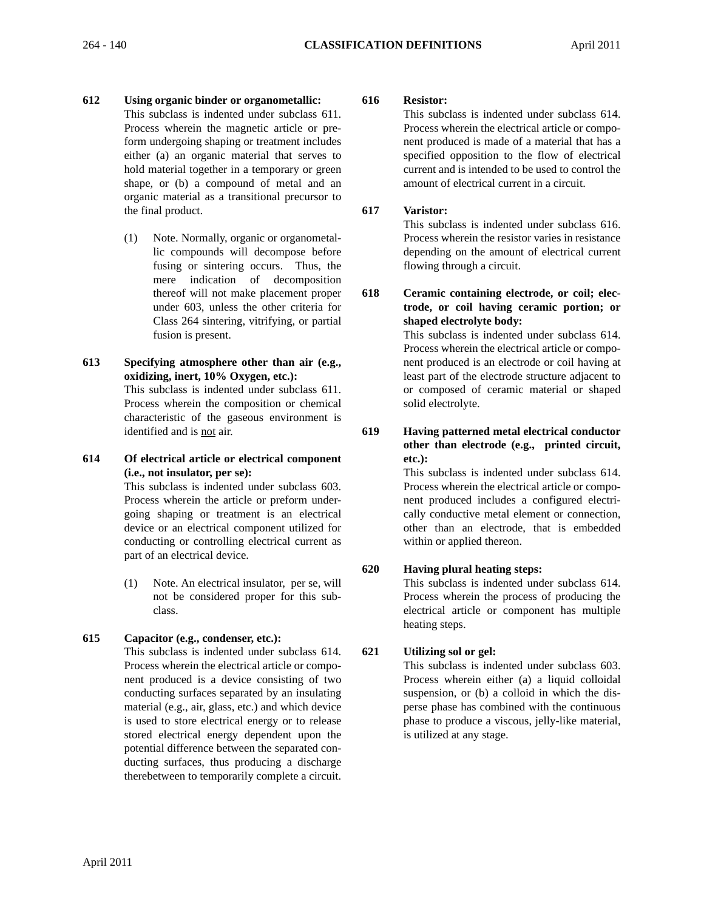#### **612 Using organic binder or organometallic:** This subclass is indented under subclass 611.

Process wherein the magnetic article or preform undergoing shaping or treatment includes either (a) an organic material that serves to hold material together in a temporary or green shape, or (b) a compound of metal and an organic material as a transitional precursor to the final product.

- (1) Note. Normally, organic or organometallic compounds will decompose before fusing or sintering occurs. Thus, the mere indication of decomposition thereof will not make placement proper under 603, unless the other criteria for Class 264 sintering, vitrifying, or partial fusion is present.
- **613 Specifying atmosphere other than air (e.g., oxidizing, inert, 10% Oxygen, etc.):** This subclass is indented under subclass 611. Process wherein the composition or chemical characteristic of the gaseous environment is identified and is not air.

## **614 Of electrical article or electrical component (i.e., not insulator, per se):**

This subclass is indented under subclass 603. Process wherein the article or preform undergoing shaping or treatment is an electrical device or an electrical component utilized for conducting or controlling electrical current as part of an electrical device.

(1) Note. An electrical insulator, per se, will not be considered proper for this subclass.

## **615 Capacitor (e.g., condenser, etc.):**

This subclass is indented under subclass 614. Process wherein the electrical article or component produced is a device consisting of two conducting surfaces separated by an insulating material (e.g., air, glass, etc.) and which device is used to store electrical energy or to release stored electrical energy dependent upon the potential difference between the separated conducting surfaces, thus producing a discharge therebetween to temporarily complete a circuit.

#### **616 Resistor:**

This subclass is indented under subclass 614. Process wherein the electrical article or component produced is made of a material that has a specified opposition to the flow of electrical current and is intended to be used to control the amount of electrical current in a circuit.

## **617 Varistor:**

This subclass is indented under subclass 616. Process wherein the resistor varies in resistance depending on the amount of electrical current flowing through a circuit.

**618 Ceramic containing electrode, or coil; electrode, or coil having ceramic portion; or shaped electrolyte body:**

> This subclass is indented under subclass 614. Process wherein the electrical article or component produced is an electrode or coil having at least part of the electrode structure adjacent to or composed of ceramic material or shaped solid electrolyte.

#### **619 Having patterned metal electrical conductor other than electrode (e.g., printed circuit, etc.):**

This subclass is indented under subclass 614. Process wherein the electrical article or component produced includes a configured electrically conductive metal element or connection, other than an electrode, that is embedded within or applied thereon.

## **620 Having plural heating steps:**

This subclass is indented under subclass 614. Process wherein the process of producing the electrical article or component has multiple heating steps.

## **621 Utilizing sol or gel:**

This subclass is indented under subclass 603. Process wherein either (a) a liquid colloidal suspension, or (b) a colloid in which the disperse phase has combined with the continuous phase to produce a viscous, jelly-like material, is utilized at any stage.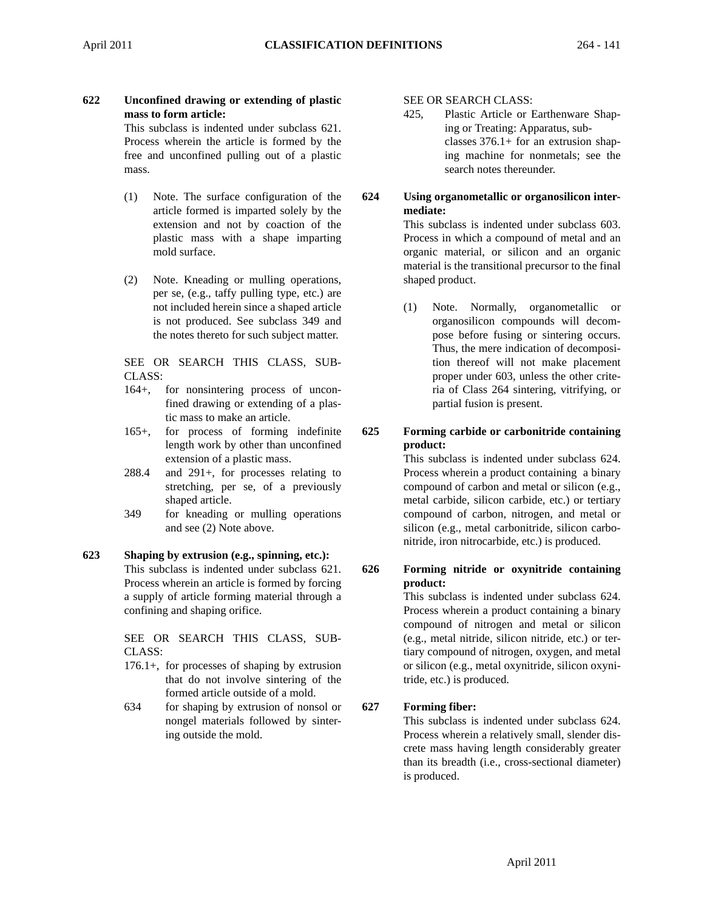## **622 Unconfined drawing or extending of plastic mass to form article:**

This subclass is indented under subclass 621. Process wherein the article is formed by the free and unconfined pulling out of a plastic mass.

- (1) Note. The surface configuration of the article formed is imparted solely by the extension and not by coaction of the plastic mass with a shape imparting mold surface.
- (2) Note. Kneading or mulling operations, per se, (e.g., taffy pulling type, etc.) are not included herein since a shaped article is not produced. See subclass 349 and the notes thereto for such subject matter.

SEE OR SEARCH THIS CLASS, SUB-CLASS:

- 164+, for nonsintering process of unconfined drawing or extending of a plastic mass to make an article.
- 165+, for process of forming indefinite length work by other than unconfined extension of a plastic mass.
- 288.4 and 291+, for processes relating to stretching, per se, of a previously shaped article.
- 349 for kneading or mulling operations and see (2) Note above.

## **623 Shaping by extrusion (e.g., spinning, etc.):** This subclass is indented under subclass 621. Process wherein an article is formed by forcing a supply of article forming material through a confining and shaping orifice.

SEE OR SEARCH THIS CLASS, SUB-CLASS:

- 176.1+, for processes of shaping by extrusion that do not involve sintering of the formed article outside of a mold.
- 634 for shaping by extrusion of nonsol or nongel materials followed by sintering outside the mold.

SEE OR SEARCH CLASS:

- 425, Plastic Article or Earthenware Shaping or Treating: Apparatus, subclasses 376.1+ for an extrusion shaping machine for nonmetals; see the search notes thereunder.
- **624 Using organometallic or organosilicon intermediate:**

This subclass is indented under subclass 603. Process in which a compound of metal and an organic material, or silicon and an organic material is the transitional precursor to the final shaped product.

- (1) Note. Normally, organometallic or organosilicon compounds will decompose before fusing or sintering occurs. Thus, the mere indication of decomposition thereof will not make placement proper under 603, unless the other criteria of Class 264 sintering, vitrifying, or partial fusion is present.
- **625 Forming carbide or carbonitride containing product:**

This subclass is indented under subclass 624. Process wherein a product containing a binary compound of carbon and metal or silicon (e.g., metal carbide, silicon carbide, etc.) or tertiary compound of carbon, nitrogen, and metal or silicon (e.g., metal carbonitride, silicon carbonitride, iron nitrocarbide, etc.) is produced.

**626 Forming nitride or oxynitride containing product:**

> This subclass is indented under subclass 624. Process wherein a product containing a binary compound of nitrogen and metal or silicon (e.g., metal nitride, silicon nitride, etc.) or tertiary compound of nitrogen, oxygen, and metal or silicon (e.g., metal oxynitride, silicon oxynitride, etc.) is produced.

## **627 Forming fiber:**

This subclass is indented under subclass 624. Process wherein a relatively small, slender discrete mass having length considerably greater than its breadth (i.e., cross-sectional diameter) is produced.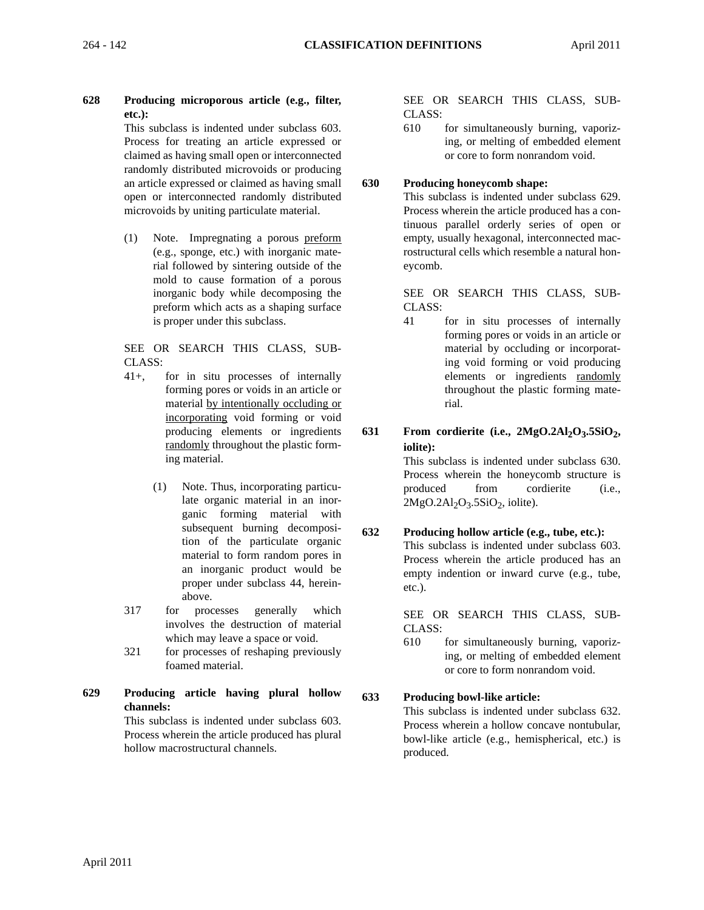- 
- **628 Producing microporous article (e.g., filter, etc.):**

This subclass is indented under subclass 603. Process for treating an article expressed or claimed as having small open or interconnected randomly distributed microvoids or producing an article expressed or claimed as having small open or interconnected randomly distributed microvoids by uniting particulate material.

(1) Note. Impregnating a porous preform (e.g., sponge, etc.) with inorganic material followed by sintering outside of the mold to cause formation of a porous inorganic body while decomposing the preform which acts as a shaping surface is proper under this subclass.

SEE OR SEARCH THIS CLASS, SUB-CLASS:

- 41+, for in situ processes of internally forming pores or voids in an article or material by intentionally occluding or incorporating void forming or void producing elements or ingredients randomly throughout the plastic forming material.
	- (1) Note. Thus, incorporating particulate organic material in an inorganic forming material with subsequent burning decomposition of the particulate organic material to form random pores in an inorganic product would be proper under subclass 44, hereinabove.
- 317 for processes generally which involves the destruction of material which may leave a space or void.
- 321 for processes of reshaping previously foamed material.

## **629 Producing article having plural hollow channels:**

This subclass is indented under subclass 603. Process wherein the article produced has plural hollow macrostructural channels.

SEE OR SEARCH THIS CLASS, SUB-CLASS:

610 for simultaneously burning, vaporizing, or melting of embedded element or core to form nonrandom void.

## **630 Producing honeycomb shape:**

This subclass is indented under subclass 629. Process wherein the article produced has a continuous parallel orderly series of open or empty, usually hexagonal, interconnected macrostructural cells which resemble a natural honeycomb.

SEE OR SEARCH THIS CLASS, SUB-CLASS:

- 41 for in situ processes of internally forming pores or voids in an article or material by occluding or incorporating void forming or void producing elements or ingredients randomly throughout the plastic forming material.
- **631 From cordierite (i.e., 2MgO.2Al2O3.5SiO2, iolite):** This subclass is indented under subclass 630. Process wherein the honeycomb structure is

produced from cordierite (i.e.,  $2MgO.2Al<sub>2</sub>O<sub>3</sub>$ .5SiO<sub>2</sub>, iolite).

#### **632 Producing hollow article (e.g., tube, etc.):** This subclass is indented under subclass 603. Process wherein the article produced has an empty indention or inward curve (e.g., tube, etc.).

SEE OR SEARCH THIS CLASS, SUB-CLASS:

610 for simultaneously burning, vaporizing, or melting of embedded element or core to form nonrandom void.

#### **633 Producing bowl-like article:** This subclass is indented under subclass 632. Process wherein a hollow concave nontubular, bowl-like article (e.g., hemispherical, etc.) is produced.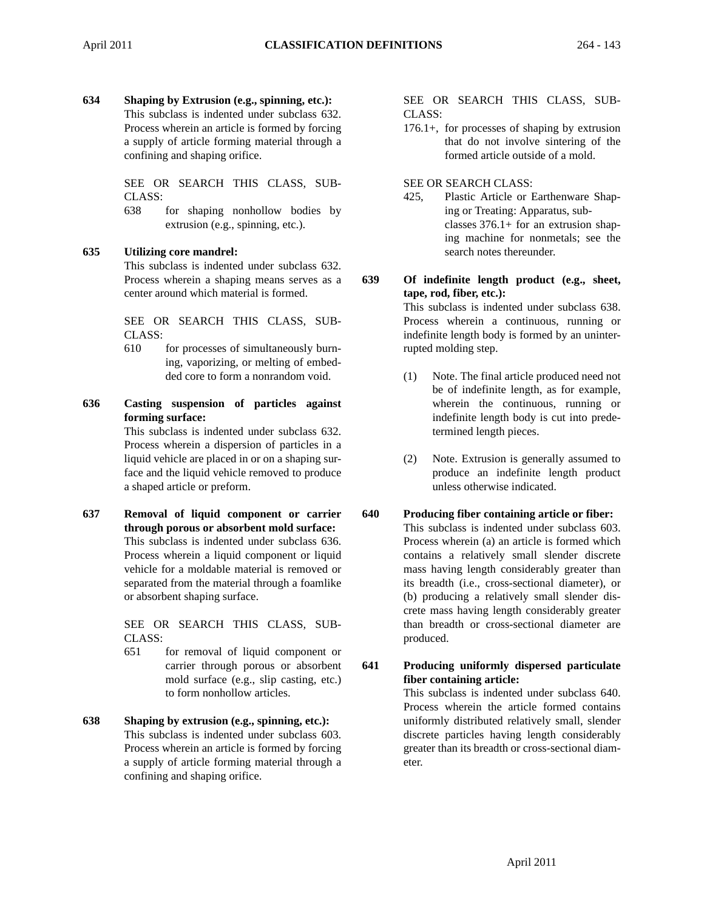**634 Shaping by Extrusion (e.g., spinning, etc.):** This subclass is indented under subclass 632. Process wherein an article is formed by forcing a supply of article forming material through a confining and shaping orifice.

> SEE OR SEARCH THIS CLASS, SUB-CLASS:

> 638 for shaping nonhollow bodies by extrusion (e.g., spinning, etc.).

#### **635 Utilizing core mandrel:**

This subclass is indented under subclass 632. Process wherein a shaping means serves as a center around which material is formed.

SEE OR SEARCH THIS CLASS, SUB-CLASS:

- 610 for processes of simultaneously burning, vaporizing, or melting of embedded core to form a nonrandom void.
- **636 Casting suspension of particles against forming surface:**

This subclass is indented under subclass 632. Process wherein a dispersion of particles in a liquid vehicle are placed in or on a shaping surface and the liquid vehicle removed to produce a shaped article or preform.

**637 Removal of liquid component or carrier through porous or absorbent mold surface:** This subclass is indented under subclass 636. Process wherein a liquid component or liquid vehicle for a moldable material is removed or separated from the material through a foamlike or absorbent shaping surface.

> SEE OR SEARCH THIS CLASS, SUB-CLASS:

- 651 for removal of liquid component or carrier through porous or absorbent mold surface (e.g., slip casting, etc.) to form nonhollow articles.
- **638 Shaping by extrusion (e.g., spinning, etc.):** This subclass is indented under subclass 603. Process wherein an article is formed by forcing a supply of article forming material through a confining and shaping orifice.

SEE OR SEARCH THIS CLASS, SUB-CLASS:

176.1+, for processes of shaping by extrusion that do not involve sintering of the formed article outside of a mold.

SEE OR SEARCH CLASS:

425, Plastic Article or Earthenware Shaping or Treating: Apparatus, subclasses 376.1+ for an extrusion shaping machine for nonmetals; see the search notes thereunder.

**639 Of indefinite length product (e.g., sheet, tape, rod, fiber, etc.):**

> This subclass is indented under subclass 638. Process wherein a continuous, running or indefinite length body is formed by an uninterrupted molding step.

- (1) Note. The final article produced need not be of indefinite length, as for example, wherein the continuous, running or indefinite length body is cut into predetermined length pieces.
- (2) Note. Extrusion is generally assumed to produce an indefinite length product unless otherwise indicated.

**640 Producing fiber containing article or fiber:** This subclass is indented under subclass 603. Process wherein (a) an article is formed which contains a relatively small slender discrete mass having length considerably greater than its breadth (i.e., cross-sectional diameter), or (b) producing a relatively small slender discrete mass having length considerably greater than breadth or cross-sectional diameter are produced.

**641 Producing uniformly dispersed particulate fiber containing article:** This subclass is indented under subclass 640. Process wherein the article formed contains uniformly distributed relatively small, slender discrete particles having length considerably greater than its breadth or cross-sectional diameter.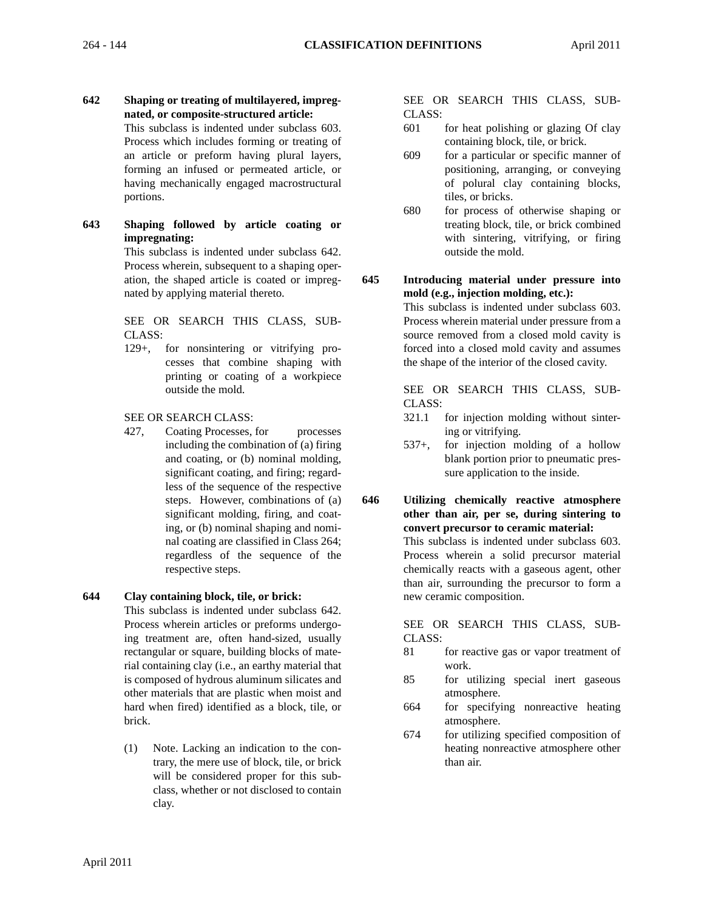portions.

- **642 Shaping or treating of multilayered, impregnated, or composite-structured article:** This subclass is indented under subclass 603. Process which includes forming or treating of an article or preform having plural layers, forming an infused or permeated article, or
- **643 Shaping followed by article coating or impregnating:**

This subclass is indented under subclass 642. Process wherein, subsequent to a shaping operation, the shaped article is coated or impregnated by applying material thereto.

having mechanically engaged macrostructural

SEE OR SEARCH THIS CLASS, SUB-CLASS:

129+, for nonsintering or vitrifying processes that combine shaping with printing or coating of a workpiece outside the mold.

SEE OR SEARCH CLASS:

427, Coating Processes, for processes including the combination of (a) firing and coating, or (b) nominal molding, significant coating, and firing; regardless of the sequence of the respective steps. However, combinations of (a) significant molding, firing, and coating, or (b) nominal shaping and nominal coating are classified in Class 264; regardless of the sequence of the respective steps.

#### **644 Clay containing block, tile, or brick:**

- This subclass is indented under subclass 642. Process wherein articles or preforms undergoing treatment are, often hand-sized, usually rectangular or square, building blocks of material containing clay (i.e., an earthy material that is composed of hydrous aluminum silicates and other materials that are plastic when moist and hard when fired) identified as a block, tile, or brick.
	- (1) Note. Lacking an indication to the contrary, the mere use of block, tile, or brick will be considered proper for this subclass, whether or not disclosed to contain clay.

SEE OR SEARCH THIS CLASS, SUB-CLASS:

- 601 for heat polishing or glazing Of clay containing block, tile, or brick.
- 609 for a particular or specific manner of positioning, arranging, or conveying of polural clay containing blocks, tiles, or bricks.
- 680 for process of otherwise shaping or treating block, tile, or brick combined with sintering, vitrifying, or firing outside the mold.

**645 Introducing material under pressure into mold (e.g., injection molding, etc.):**

> This subclass is indented under subclass 603. Process wherein material under pressure from a source removed from a closed mold cavity is forced into a closed mold cavity and assumes the shape of the interior of the closed cavity.

SEE OR SEARCH THIS CLASS, SUB-CLASS:

- 321.1 for injection molding without sintering or vitrifying.
- 537+, for injection molding of a hollow blank portion prior to pneumatic pressure application to the inside.

**646 Utilizing chemically reactive atmosphere other than air, per se, during sintering to convert precursor to ceramic material:** This subclass is indented under subclass 603. Process wherein a solid precursor material chemically reacts with a gaseous agent, other than air, surrounding the precursor to form a new ceramic composition.

> SEE OR SEARCH THIS CLASS, SUB-CLASS:

- 81 for reactive gas or vapor treatment of work.
- 85 for utilizing special inert gaseous atmosphere.
- 664 for specifying nonreactive heating atmosphere.
- 674 for utilizing specified composition of heating nonreactive atmosphere other than air.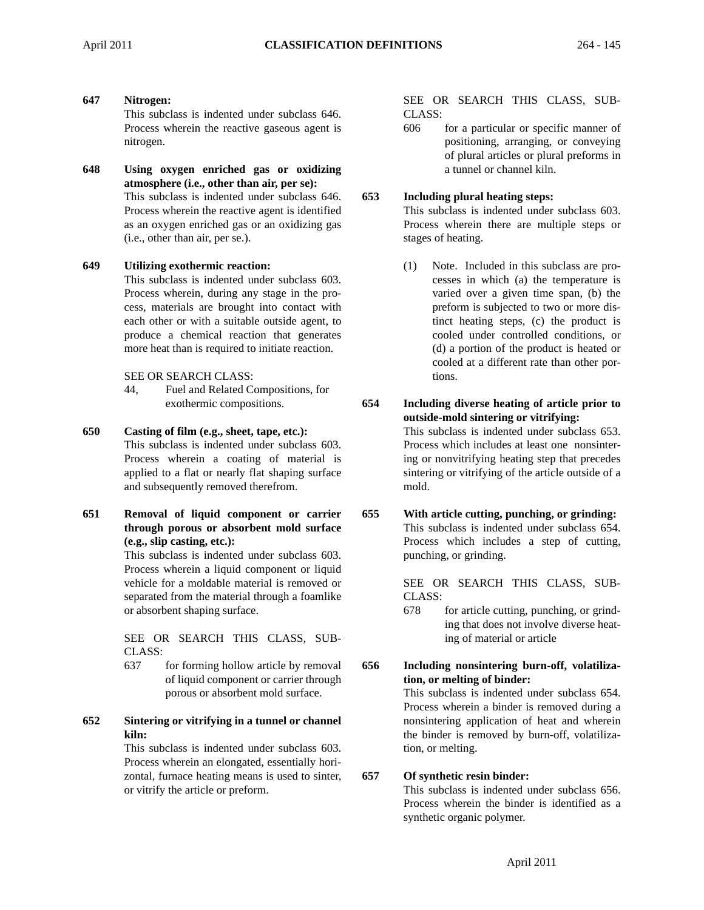# **647 Nitrogen:**

This subclass is indented under subclass 646. Process wherein the reactive gaseous agent is nitrogen.

**648 Using oxygen enriched gas or oxidizing atmosphere (i.e., other than air, per se):** This subclass is indented under subclass 646. Process wherein the reactive agent is identified as an oxygen enriched gas or an oxidizing gas (i.e., other than air, per se.).

## **649 Utilizing exothermic reaction:**

This subclass is indented under subclass 603. Process wherein, during any stage in the process, materials are brought into contact with each other or with a suitable outside agent, to produce a chemical reaction that generates more heat than is required to initiate reaction.

SEE OR SEARCH CLASS:

- 44, Fuel and Related Compositions, for exothermic compositions.
- **650 Casting of film (e.g., sheet, tape, etc.):** This subclass is indented under subclass 603. Process wherein a coating of material is applied to a flat or nearly flat shaping surface and subsequently removed therefrom.
- **651 Removal of liquid component or carrier through porous or absorbent mold surface (e.g., slip casting, etc.):**

This subclass is indented under subclass 603. Process wherein a liquid component or liquid vehicle for a moldable material is removed or separated from the material through a foamlike or absorbent shaping surface.

SEE OR SEARCH THIS CLASS, SUB-CLASS:

- 637 for forming hollow article by removal of liquid component or carrier through porous or absorbent mold surface.
- **652 Sintering or vitrifying in a tunnel or channel kiln:**

This subclass is indented under subclass 603. Process wherein an elongated, essentially horizontal, furnace heating means is used to sinter, or vitrify the article or preform.

SEE OR SEARCH THIS CLASS, SUB-CLASS:

606 for a particular or specific manner of positioning, arranging, or conveying of plural articles or plural preforms in a tunnel or channel kiln.

#### **653 Including plural heating steps:**

This subclass is indented under subclass 603. Process wherein there are multiple steps or stages of heating.

- (1) Note. Included in this subclass are processes in which (a) the temperature is varied over a given time span, (b) the preform is subjected to two or more distinct heating steps, (c) the product is cooled under controlled conditions, or (d) a portion of the product is heated or cooled at a different rate than other portions.
- **654 Including diverse heating of article prior to outside-mold sintering or vitrifying:** This subclass is indented under subclass 653. Process which includes at least one nonsintering or nonvitrifying heating step that precedes sintering or vitrifying of the article outside of a mold.

**655 With article cutting, punching, or grinding:** This subclass is indented under subclass 654. Process which includes a step of cutting, punching, or grinding.

> SEE OR SEARCH THIS CLASS, SUB-CLASS:

- 678 for article cutting, punching, or grinding that does not involve diverse heating of material or article
- **656 Including nonsintering burn-off, volatilization, or melting of binder:** This subclass is indented under subclass 654. Process wherein a binder is removed during a nonsintering application of heat and wherein the binder is removed by burn-off, volatilization, or melting.

## **657 Of synthetic resin binder:**

This subclass is indented under subclass 656. Process wherein the binder is identified as a synthetic organic polymer.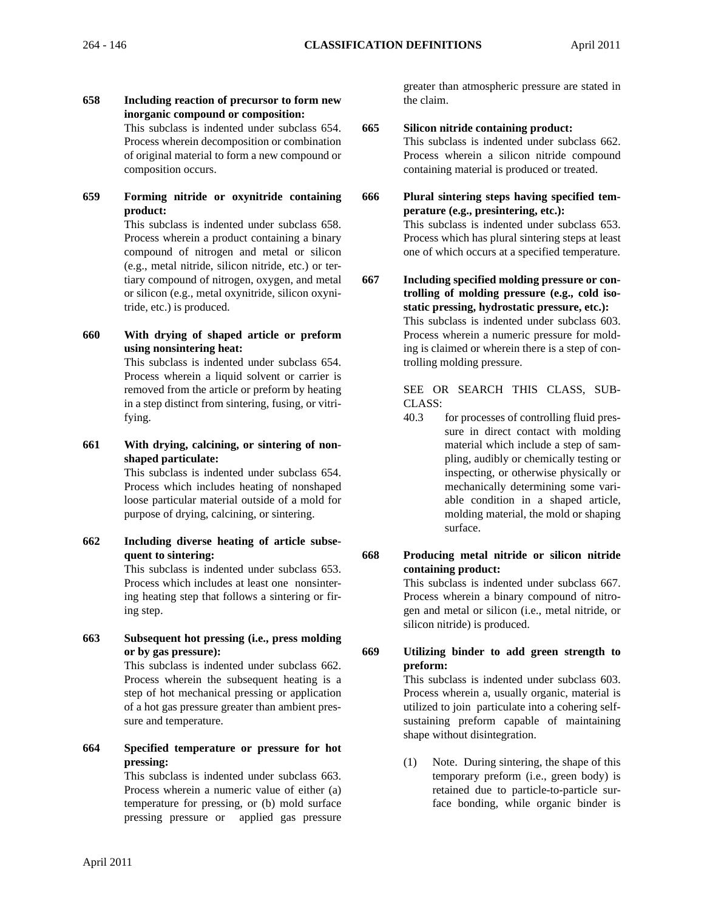**658 Including reaction of precursor to form new inorganic compound or composition:**

This subclass is indented under subclass 654. Process wherein decomposition or combination of original material to form a new compound or composition occurs.

**659 Forming nitride or oxynitride containing product:**

This subclass is indented under subclass 658. Process wherein a product containing a binary compound of nitrogen and metal or silicon (e.g., metal nitride, silicon nitride, etc.) or tertiary compound of nitrogen, oxygen, and metal or silicon (e.g., metal oxynitride, silicon oxynitride, etc.) is produced.

**660 With drying of shaped article or preform using nonsintering heat:**

> This subclass is indented under subclass 654. Process wherein a liquid solvent or carrier is removed from the article or preform by heating in a step distinct from sintering, fusing, or vitrifying.

**661 With drying, calcining, or sintering of nonshaped particulate:**

This subclass is indented under subclass 654. Process which includes heating of nonshaped loose particular material outside of a mold for purpose of drying, calcining, or sintering.

**662 Including diverse heating of article subsequent to sintering:**

This subclass is indented under subclass 653. Process which includes at least one nonsintering heating step that follows a sintering or firing step.

**663 Subsequent hot pressing (i.e., press molding or by gas pressure):** 

This subclass is indented under subclass 662. Process wherein the subsequent heating is a step of hot mechanical pressing or application of a hot gas pressure greater than ambient pressure and temperature.

**664 Specified temperature or pressure for hot pressing:** 

This subclass is indented under subclass 663. Process wherein a numeric value of either (a) temperature for pressing, or (b) mold surface pressing pressure or applied gas pressure

greater than atmospheric pressure are stated in the claim.

- **665 Silicon nitride containing product:** This subclass is indented under subclass 662. Process wherein a silicon nitride compound containing material is produced or treated.
- **666 Plural sintering steps having specified temperature (e.g., presintering, etc.):** This subclass is indented under subclass 653. Process which has plural sintering steps at least one of which occurs at a specified temperature.
- **667 Including specified molding pressure or controlling of molding pressure (e.g., cold isostatic pressing, hydrostatic pressure, etc.):** This subclass is indented under subclass 603. Process wherein a numeric pressure for molding is claimed or wherein there is a step of controlling molding pressure.

SEE OR SEARCH THIS CLASS, SUB-CLASS:

- 40.3 for processes of controlling fluid pressure in direct contact with molding material which include a step of sampling, audibly or chemically testing or inspecting, or otherwise physically or mechanically determining some variable condition in a shaped article, molding material, the mold or shaping surface.
- **668 Producing metal nitride or silicon nitride containing product:**

This subclass is indented under subclass 667. Process wherein a binary compound of nitrogen and metal or silicon (i.e., metal nitride, or silicon nitride) is produced.

**669 Utilizing binder to add green strength to preform:**

This subclass is indented under subclass 603. Process wherein a, usually organic, material is utilized to join particulate into a cohering selfsustaining preform capable of maintaining shape without disintegration.

(1) Note. During sintering, the shape of this temporary preform (i.e., green body) is retained due to particle-to-particle surface bonding, while organic binder is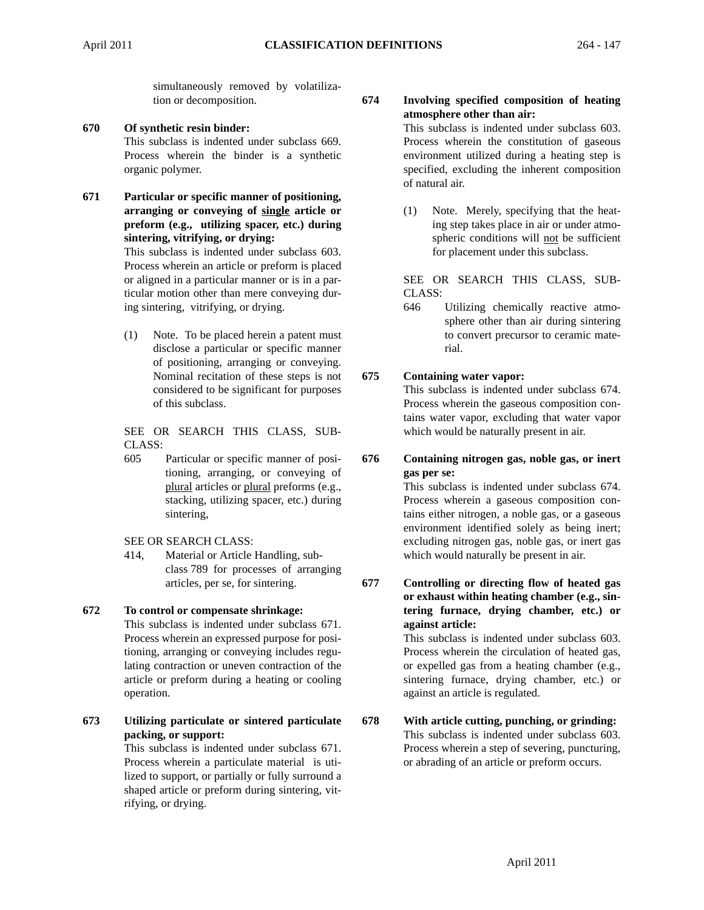simultaneously removed by volatilization or decomposition.

- **670 Of synthetic resin binder:** This subclass is indented under subclass 669. Process wherein the binder is a synthetic organic polymer.
- **671 Particular or specific manner of positioning, arranging or conveying of single article or preform (e.g., utilizing spacer, etc.) during sintering, vitrifying, or drying:**

This subclass is indented under subclass 603. Process wherein an article or preform is placed or aligned in a particular manner or is in a particular motion other than mere conveying during sintering, vitrifying, or drying.

(1) Note. To be placed herein a patent must disclose a particular or specific manner of positioning, arranging or conveying. Nominal recitation of these steps is not considered to be significant for purposes of this subclass.

SEE OR SEARCH THIS CLASS, SUB-CLASS:

605 Particular or specific manner of positioning, arranging, or conveying of plural articles or plural preforms (e.g., stacking, utilizing spacer, etc.) during sintering,

#### SEE OR SEARCH CLASS:

414, Material or Article Handling, subclass 789 for processes of arranging articles, per se, for sintering.

### **672 To control or compensate shrinkage:**

This subclass is indented under subclass 671. Process wherein an expressed purpose for positioning, arranging or conveying includes regulating contraction or uneven contraction of the article or preform during a heating or cooling operation.

**673 Utilizing particulate or sintered particulate packing, or support:**

> This subclass is indented under subclass 671. Process wherein a particulate material is utilized to support, or partially or fully surround a shaped article or preform during sintering, vitrifying, or drying.

## **674 Involving specified composition of heating atmosphere other than air:**

This subclass is indented under subclass 603. Process wherein the constitution of gaseous environment utilized during a heating step is specified, excluding the inherent composition of natural air.

(1) Note. Merely, specifying that the heating step takes place in air or under atmospheric conditions will not be sufficient for placement under this subclass.

SEE OR SEARCH THIS CLASS, SUB-CLASS:

646 Utilizing chemically reactive atmosphere other than air during sintering to convert precursor to ceramic material.

## **675 Containing water vapor:**

This subclass is indented under subclass 674. Process wherein the gaseous composition contains water vapor, excluding that water vapor which would be naturally present in air.

**676 Containing nitrogen gas, noble gas, or inert gas per se:**

This subclass is indented under subclass 674. Process wherein a gaseous composition contains either nitrogen, a noble gas, or a gaseous environment identified solely as being inert; excluding nitrogen gas, noble gas, or inert gas which would naturally be present in air.

**677 Controlling or directing flow of heated gas or exhaust within heating chamber (e.g., sintering furnace, drying chamber, etc.) or against article:**

> This subclass is indented under subclass 603. Process wherein the circulation of heated gas, or expelled gas from a heating chamber (e.g., sintering furnace, drying chamber, etc.) or against an article is regulated.

**678 With article cutting, punching, or grinding:** This subclass is indented under subclass 603. Process wherein a step of severing, puncturing, or abrading of an article or preform occurs.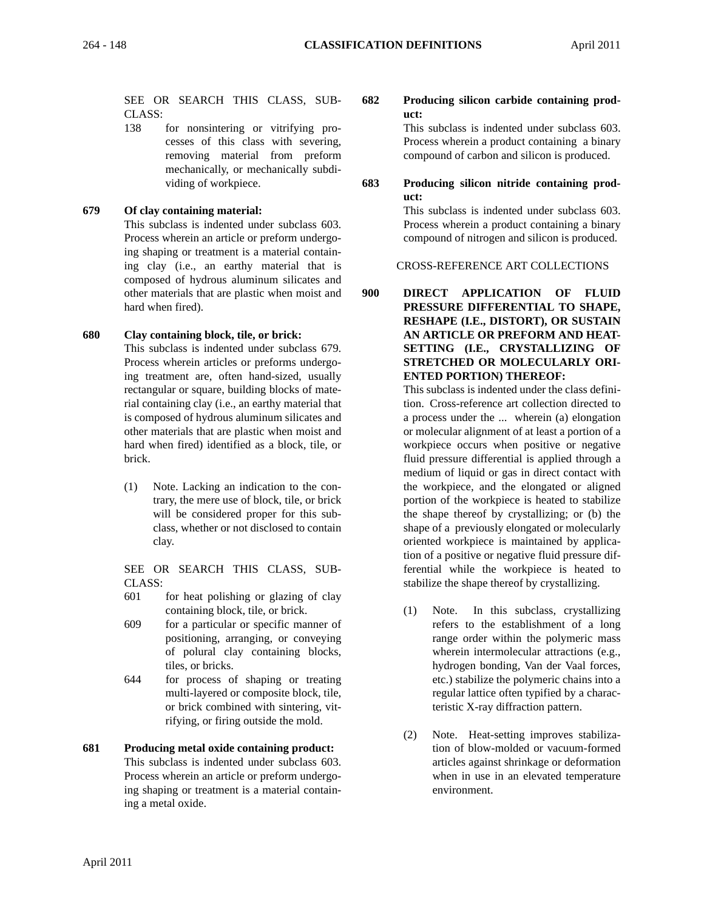SEE OR SEARCH THIS CLASS, SUB-CLASS:

138 for nonsintering or vitrifying processes of this class with severing, removing material from preform mechanically, or mechanically subdividing of workpiece.

#### **679 Of clay containing material:**

This subclass is indented under subclass 603. Process wherein an article or preform undergoing shaping or treatment is a material containing clay (i.e., an earthy material that is composed of hydrous aluminum silicates and other materials that are plastic when moist and hard when fired).

#### **680 Clay containing block, tile, or brick:**

This subclass is indented under subclass 679. Process wherein articles or preforms undergoing treatment are, often hand-sized, usually rectangular or square, building blocks of material containing clay (i.e., an earthy material that is composed of hydrous aluminum silicates and other materials that are plastic when moist and hard when fired) identified as a block, tile, or brick.

(1) Note. Lacking an indication to the contrary, the mere use of block, tile, or brick will be considered proper for this subclass, whether or not disclosed to contain clay.

SEE OR SEARCH THIS CLASS, SUB-CLASS:

- 601 for heat polishing or glazing of clay containing block, tile, or brick.
- 609 for a particular or specific manner of positioning, arranging, or conveying of polural clay containing blocks, tiles, or bricks.
- 644 for process of shaping or treating multi-layered or composite block, tile, or brick combined with sintering, vitrifying, or firing outside the mold.
- **681 Producing metal oxide containing product:**  This subclass is indented under subclass 603. Process wherein an article or preform undergoing shaping or treatment is a material containing a metal oxide.

## **682 Producing silicon carbide containing product:**

This subclass is indented under subclass 603. Process wherein a product containing a binary compound of carbon and silicon is produced.

**683 Producing silicon nitride containing product:**

> This subclass is indented under subclass 603. Process wherein a product containing a binary compound of nitrogen and silicon is produced.

## CROSS-REFERENCE ART COLLECTIONS

**900 DIRECT APPLICATION OF FLUID PRESSURE DIFFERENTIAL TO SHAPE, RESHAPE (I.E., DISTORT), OR SUSTAIN AN ARTICLE OR PREFORM AND HEAT-SETTING (I.E., CRYSTALLIZING OF STRETCHED OR MOLECULARLY ORI-ENTED PORTION) THEREOF:**

> This subclass is indented under the class definition. Cross-reference art collection directed to a process under the ... wherein (a) elongation or molecular alignment of at least a portion of a workpiece occurs when positive or negative fluid pressure differential is applied through a medium of liquid or gas in direct contact with the workpiece, and the elongated or aligned portion of the workpiece is heated to stabilize the shape thereof by crystallizing; or (b) the shape of a previously elongated or molecularly oriented workpiece is maintained by application of a positive or negative fluid pressure differential while the workpiece is heated to stabilize the shape thereof by crystallizing.

- (1) Note. In this subclass, crystallizing refers to the establishment of a long range order within the polymeric mass wherein intermolecular attractions (e.g., hydrogen bonding, Van der Vaal forces, etc.) stabilize the polymeric chains into a regular lattice often typified by a characteristic X-ray diffraction pattern.
- (2) Note. Heat-setting improves stabilization of blow-molded or vacuum-formed articles against shrinkage or deformation when in use in an elevated temperature environment.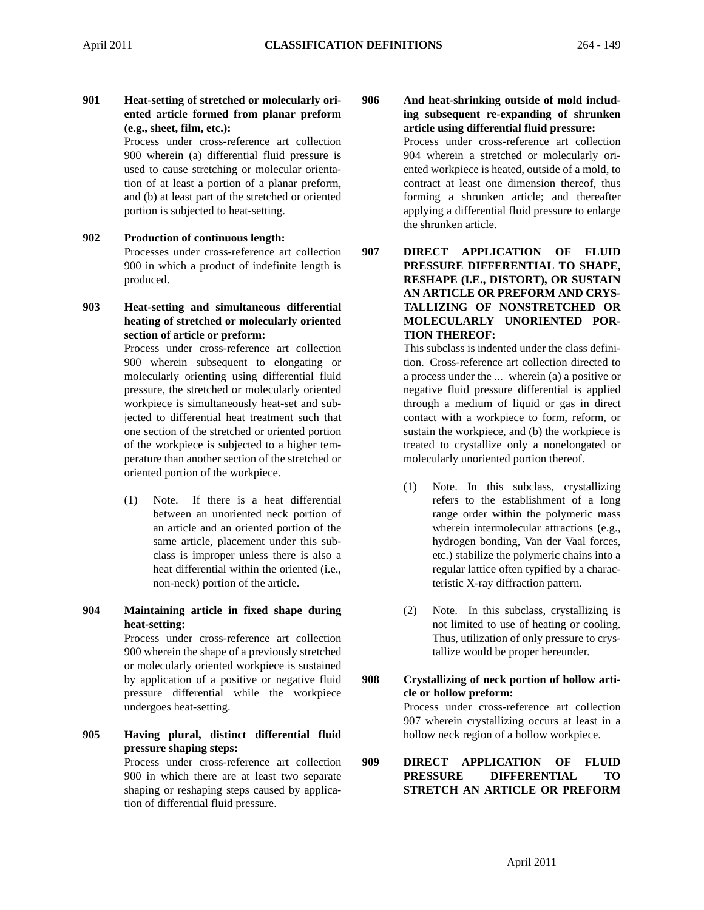**901 Heat-setting of stretched or molecularly oriented article formed from planar preform (e.g., sheet, film, etc.):**

Process under cross-reference art collection 900 wherein (a) differential fluid pressure is used to cause stretching or molecular orientation of at least a portion of a planar preform, and (b) at least part of the stretched or oriented portion is subjected to heat-setting.

- **902 Production of continuous length:** Processes under cross-reference art collection 900 in which a product of indefinite length is produced.
- **903 Heat-setting and simultaneous differential heating of stretched or molecularly oriented section of article or preform:**

Process under cross-reference art collection 900 wherein subsequent to elongating or molecularly orienting using differential fluid pressure, the stretched or molecularly oriented workpiece is simultaneously heat-set and subjected to differential heat treatment such that one section of the stretched or oriented portion of the workpiece is subjected to a higher temperature than another section of the stretched or oriented portion of the workpiece.

- (1) Note. If there is a heat differential between an unoriented neck portion of an article and an oriented portion of the same article, placement under this subclass is improper unless there is also a heat differential within the oriented (i.e., non-neck) portion of the article.
- **904 Maintaining article in fixed shape during heat-setting:**

Process under cross-reference art collection 900 wherein the shape of a previously stretched or molecularly oriented workpiece is sustained by application of a positive or negative fluid pressure differential while the workpiece undergoes heat-setting.

**905 Having plural, distinct differential fluid pressure shaping steps:**

> Process under cross-reference art collection 900 in which there are at least two separate shaping or reshaping steps caused by application of differential fluid pressure.

**906 And heat-shrinking outside of mold including subsequent re-expanding of shrunken article using differential fluid pressure:** Process under cross-reference art collection 904 wherein a stretched or molecularly oriented workpiece is heated, outside of a mold, to contract at least one dimension thereof, thus forming a shrunken article; and thereafter

the shrunken article. **907 DIRECT APPLICATION OF FLUID PRESSURE DIFFERENTIAL TO SHAPE, RESHAPE (I.E., DISTORT), OR SUSTAIN AN ARTICLE OR PREFORM AND CRYS-TALLIZING OF NONSTRETCHED OR MOLECULARLY UNORIENTED POR-TION THEREOF:**

applying a differential fluid pressure to enlarge

This subclass is indented under the class definition. Cross-reference art collection directed to a process under the ... wherein (a) a positive or negative fluid pressure differential is applied through a medium of liquid or gas in direct contact with a workpiece to form, reform, or sustain the workpiece, and (b) the workpiece is treated to crystallize only a nonelongated or molecularly unoriented portion thereof.

- (1) Note. In this subclass, crystallizing refers to the establishment of a long range order within the polymeric mass wherein intermolecular attractions (e.g., hydrogen bonding, Van der Vaal forces, etc.) stabilize the polymeric chains into a regular lattice often typified by a characteristic X-ray diffraction pattern.
- (2) Note. In this subclass, crystallizing is not limited to use of heating or cooling. Thus, utilization of only pressure to crystallize would be proper hereunder.

**908 Crystallizing of neck portion of hollow article or hollow preform:** Process under cross-reference art collection 907 wherein crystallizing occurs at least in a hollow neck region of a hollow workpiece.

**909 DIRECT APPLICATION OF FLUID PRESSURE DIFFERENTIAL TO STRETCH AN ARTICLE OR PREFORM**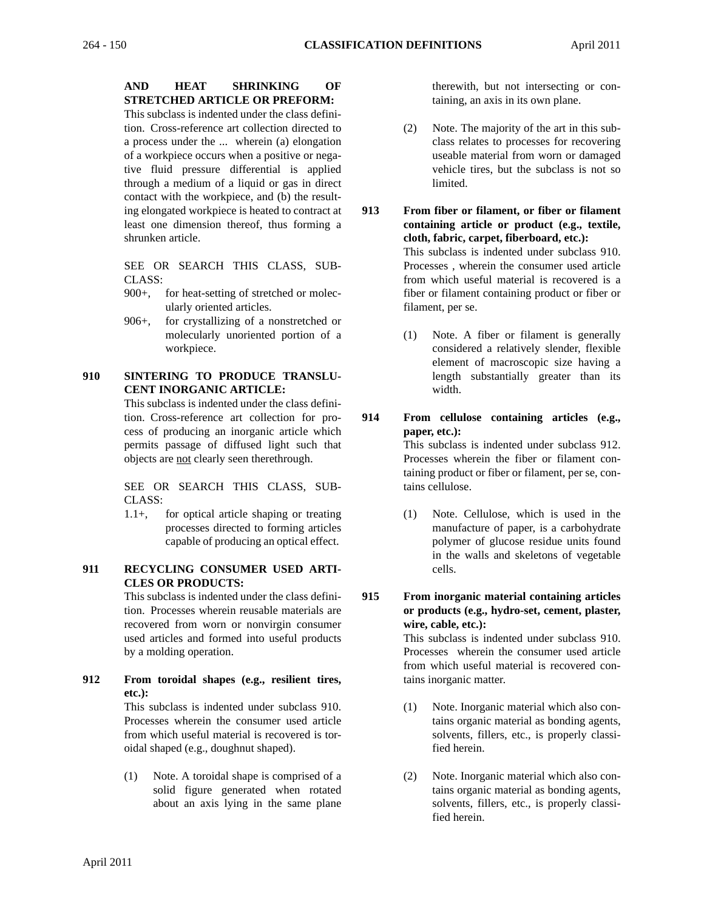## **AND HEAT SHRINKING OF STRETCHED ARTICLE OR PREFORM:**

This subclass is indented under the class definition. Cross-reference art collection directed to a process under the ... wherein (a) elongation of a workpiece occurs when a positive or negative fluid pressure differential is applied through a medium of a liquid or gas in direct contact with the workpiece, and (b) the resulting elongated workpiece is heated to contract at least one dimension thereof, thus forming a shrunken article.

SEE OR SEARCH THIS CLASS, SUB-CLASS:

- 900+, for heat-setting of stretched or molecularly oriented articles.
- 906+, for crystallizing of a nonstretched or molecularly unoriented portion of a workpiece.

## **910 SINTERING TO PRODUCE TRANSLU-CENT INORGANIC ARTICLE:**

This subclass is indented under the class definition. Cross-reference art collection for process of producing an inorganic article which permits passage of diffused light such that objects are not clearly seen therethrough.

SEE OR SEARCH THIS CLASS, SUB-CLASS:

1.1+, for optical article shaping or treating processes directed to forming articles capable of producing an optical effect.

## **911 RECYCLING CONSUMER USED ARTI-CLES OR PRODUCTS:**

This subclass is indented under the class definition. Processes wherein reusable materials are recovered from worn or nonvirgin consumer used articles and formed into useful products by a molding operation.

**912 From toroidal shapes (e.g., resilient tires, etc.):** This subclass is indented under subclass 910. Processes wherein the consumer used article from which useful material is recovered is tor-

oidal shaped (e.g., doughnut shaped).

(1) Note. A toroidal shape is comprised of a solid figure generated when rotated about an axis lying in the same plane

therewith, but not intersecting or containing, an axis in its own plane.

(2) Note. The majority of the art in this subclass relates to processes for recovering useable material from worn or damaged vehicle tires, but the subclass is not so limited.

**913 From fiber or filament, or fiber or filament containing article or product (e.g., textile, cloth, fabric, carpet, fiberboard, etc.):** This subclass is indented under subclass 910. Processes , wherein the consumer used article from which useful material is recovered is a fiber or filament containing product or fiber or filament, per se.

- (1) Note. A fiber or filament is generally considered a relatively slender, flexible element of macroscopic size having a length substantially greater than its width.
- **914 From cellulose containing articles (e.g., paper, etc.):** This subclass is indented under subclass 912. Processes wherein the fiber or filament con-

taining product or fiber or filament, per se, contains cellulose.

- (1) Note. Cellulose, which is used in the manufacture of paper, is a carbohydrate polymer of glucose residue units found in the walls and skeletons of vegetable cells.
- **915 From inorganic material containing articles or products (e.g., hydro-set, cement, plaster, wire, cable, etc.):**

This subclass is indented under subclass 910. Processes wherein the consumer used article from which useful material is recovered contains inorganic matter.

- (1) Note. Inorganic material which also contains organic material as bonding agents, solvents, fillers, etc., is properly classified herein.
- (2) Note. Inorganic material which also contains organic material as bonding agents, solvents, fillers, etc., is properly classified herein.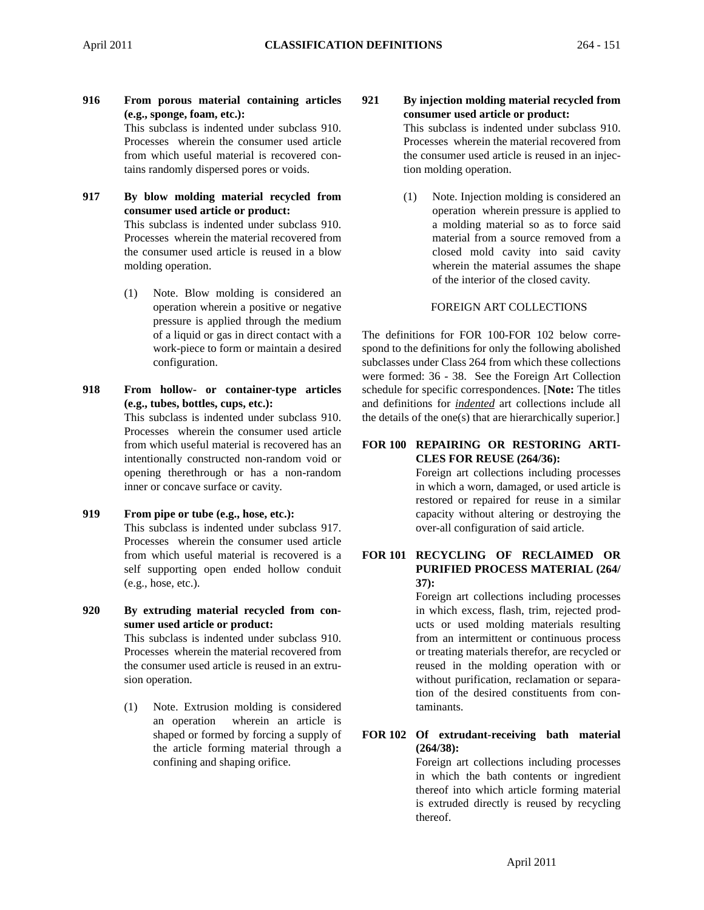**916 From porous material containing articles (e.g., sponge, foam, etc.):**

This subclass is indented under subclass 910. Processes wherein the consumer used article from which useful material is recovered contains randomly dispersed pores or voids.

**917 By blow molding material recycled from consumer used article or product:** This subclass is indented under subclass 910.

Processes wherein the material recovered from the consumer used article is reused in a blow molding operation.

- (1) Note. Blow molding is considered an operation wherein a positive or negative pressure is applied through the medium of a liquid or gas in direct contact with a work-piece to form or maintain a desired configuration.
- **918 From hollow- or container-type articles (e.g., tubes, bottles, cups, etc.):**

This subclass is indented under subclass 910. Processes wherein the consumer used article from which useful material is recovered has an intentionally constructed non-random void or opening therethrough or has a non-random inner or concave surface or cavity.

**919 From pipe or tube (e.g., hose, etc.):**

This subclass is indented under subclass 917. Processes wherein the consumer used article from which useful material is recovered is a self supporting open ended hollow conduit (e.g., hose, etc.).

**920 By extruding material recycled from consumer used article or product:**

> This subclass is indented under subclass 910. Processes wherein the material recovered from the consumer used article is reused in an extrusion operation.

> (1) Note. Extrusion molding is considered an operation wherein an article is shaped or formed by forcing a supply of the article forming material through a confining and shaping orifice.

**921 By injection molding material recycled from consumer used article or product:**

This subclass is indented under subclass 910. Processes wherein the material recovered from the consumer used article is reused in an injection molding operation.

(1) Note. Injection molding is considered an operation wherein pressure is applied to a molding material so as to force said material from a source removed from a closed mold cavity into said cavity wherein the material assumes the shape of the interior of the closed cavity.

#### FOREIGN ART COLLECTIONS

The definitions for FOR 100-FOR 102 below correspond to the definitions for only the following abolished subclasses under Class 264 from which these collections were formed: 36 - 38. See the Foreign Art Collection schedule for specific correspondences. [**Note:** The titles and definitions for *indented* art collections include all the details of the one(s) that are hierarchically superior.]

#### **FOR 100 REPAIRING OR RESTORING ARTI-CLES FOR REUSE (264/36):**

Foreign art collections including processes in which a worn, damaged, or used article is restored or repaired for reuse in a similar capacity without altering or destroying the over-all configuration of said article.

#### **FOR 101 RECYCLING OF RECLAIMED OR PURIFIED PROCESS MATERIAL (264/ 37):**

Foreign art collections including processes in which excess, flash, trim, rejected products or used molding materials resulting from an intermittent or continuous process or treating materials therefor, are recycled or reused in the molding operation with or without purification, reclamation or separation of the desired constituents from contaminants.

#### **FOR 102 Of extrudant-receiving bath material (264/38):**

Foreign art collections including processes in which the bath contents or ingredient thereof into which article forming material is extruded directly is reused by recycling thereof.